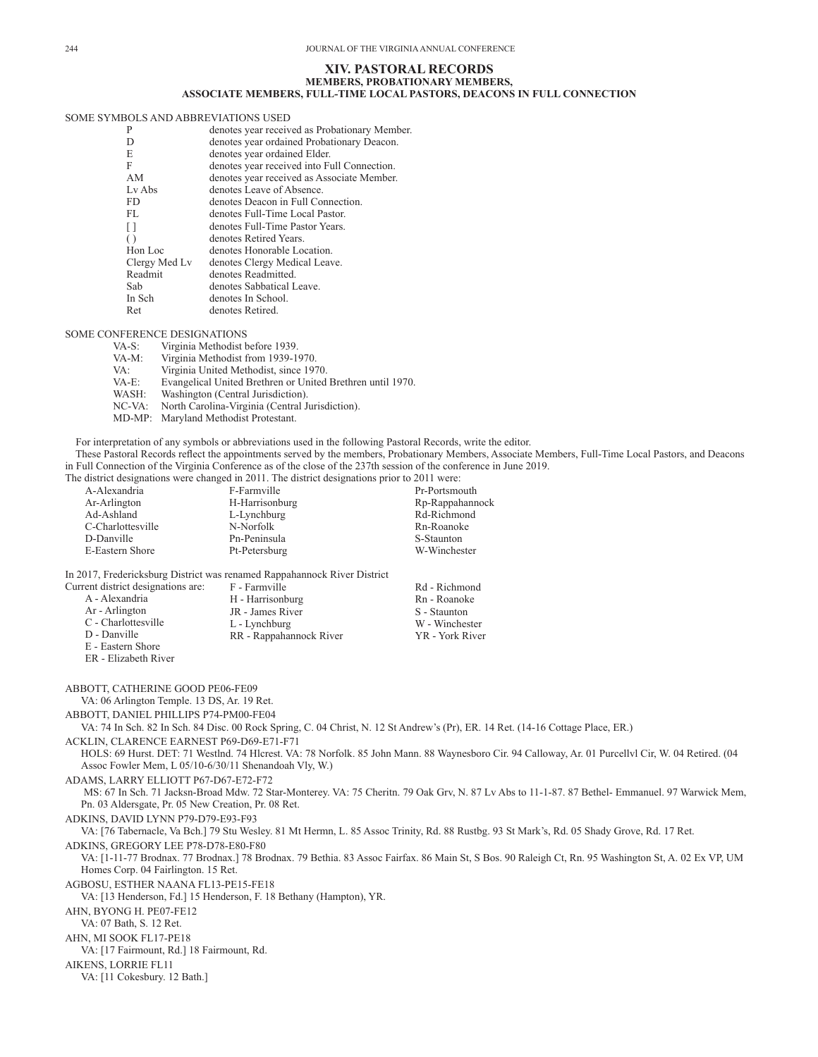## **XIV. PASTORAL RECORDS MEMBERS, PROBATIONARY MEMBERS, ASSOCIATE MEMBERS, FULL-TIME LOCAL PASTORS, DEACONS IN FULL CONNECTION**

## SOME SYMBOLS AND ABBREVIATIONS USED

| P                | denotes year received as Probationary Member. |
|------------------|-----------------------------------------------|
| D                | denotes year ordained Probationary Deacon.    |
| E                | denotes year ordained Elder.                  |
| F                | denotes year received into Full Connection.   |
| AM               | denotes year received as Associate Member.    |
| Ly Abs           | denotes Leave of Absence.                     |
| FD.              | denotes Deacon in Full Connection.            |
| FL.              | denotes Full-Time Local Pastor.               |
| n                | denotes Full-Time Pastor Years.               |
| $\left( \right)$ | denotes Retired Years.                        |
| Hon Loc          | denotes Honorable Location.                   |
| Clergy Med Lv    | denotes Clergy Medical Leave.                 |
| Readmit          | denotes Readmitted.                           |
| Sab              | denotes Sabbatical Leave.                     |
| In Sch           | denotes In School.                            |
| Ret              | denotes Retired.                              |
|                  |                                               |

## SOME CONFERENCE DESIGNATIONS

| $VA-S:$   | Virginia Methodist before 1939.                            |
|-----------|------------------------------------------------------------|
| VA-M:     | Virginia Methodist from 1939-1970.                         |
| VA:       | Virginia United Methodist, since 1970.                     |
| VA-E:     | Evangelical United Brethren or United Brethren until 1970. |
| WASH:     | Washington (Central Jurisdiction).                         |
| $NC-VA$ : | North Carolina-Virginia (Central Jurisdiction).            |
| MD-MP:    | Maryland Methodist Protestant.                             |

For interpretation of any symbols or abbreviations used in the following Pastoral Records, write the editor. These Pastoral Records reflect the appointments served by the members, Probationary Members, Associate Members, Full-Time Local Pastors, and Deacons in Full Connection of the Virginia Conference as of the close of the 237th session of the conference in June 2019.

The district designations were changed in 2011. The district designations prior to 2011 were:

| A-Alexandria      | F-Farmville    |  | Pr-Portsmouth   |
|-------------------|----------------|--|-----------------|
| Ar-Arlington      | H-Harrisonburg |  | Rp-Rappahannock |
| Ad-Ashland        | L-Lynchburg    |  | Rd-Richmond     |
| C-Charlottesville | N-Norfolk      |  | Rn-Roanoke      |
| D-Danville        | Pn-Peninsula   |  | S-Staunton      |
| E-Eastern Shore   | Pt-Petersburg  |  | W-Winchester    |
|                   |                |  |                 |

In 2017, Fredericksburg District was renamed Rappahannock River District

| Current district designations are: | F - Farmville           | Rd - Richmond   |
|------------------------------------|-------------------------|-----------------|
| A - Alexandria                     | H - Harrisonburg        | Rn - Roanoke    |
| Ar - Arlington                     | JR - James River        | S - Staunton    |
| C - Charlottesville                | L - Lynchburg           | W - Winchester  |
| D - Danville                       | RR - Rappahannock River | YR - York River |
| E - Eastern Shore                  |                         |                 |
|                                    |                         |                 |

ER - Elizabeth River

ABBOTT, CATHERINE GOOD PE06-FE09 VA: 06 Arlington Temple. 13 DS, Ar. 19 Ret. ABBOTT, DANIEL PHILLIPS P74-PM00-FE04 VA: 74 In Sch. 82 In Sch. 84 Disc. 00 Rock Spring, C. 04 Christ, N. 12 St Andrew's (Pr), ER. 14 Ret. (14-16 Cottage Place, ER.) ACKLIN, CLARENCE EARNEST P69-D69-E71-F71 HOLS: 69 Hurst. DET: 71 Westlnd. 74 Hlcrest. VA: 78 Norfolk. 85 John Mann. 88 Waynesboro Cir. 94 Calloway, Ar. 01 Purcellvl Cir, W. 04 Retired. (04 Assoc Fowler Mem, L 05/10-6/30/11 Shenandoah Vly, W.) ADAMS, LARRY ELLIOTT P67-D67-E72-F72 MS: 67 In Sch. 71 Jacksn-Broad Mdw. 72 Star-Monterey. VA: 75 Cheritn. 79 Oak Grv, N. 87 Lv Abs to 11-1-87. 87 Bethel- Emmanuel. 97 Warwick Mem, Pn. 03 Aldersgate, Pr. 05 New Creation, Pr. 08 Ret. ADKINS, DAVID LYNN P79-D79-E93-F93 VA: [76 Tabernacle, Va Bch.] 79 Stu Wesley. 81 Mt Hermn, L. 85 Assoc Trinity, Rd. 88 Rustbg. 93 St Mark's, Rd. 05 Shady Grove, Rd. 17 Ret. ADKINS, GREGORY LEE P78-D78-E80-F80 VA: [1-11-77 Brodnax. 77 Brodnax.] 78 Brodnax. 79 Bethia. 83 Assoc Fairfax. 86 Main St, S Bos. 90 Raleigh Ct, Rn. 95 Washington St, A. 02 Ex VP, UM Homes Corp. 04 Fairlington. 15 Ret. AGBOSU, ESTHER NAANA FL13-PE15-FE18 VA: [13 Henderson, Fd.] 15 Henderson, F. 18 Bethany (Hampton), YR. AHN, BYONG H. PE07-FE12 VA: 07 Bath, S. 12 Ret. AHN, MI SOOK FL17-PE18 VA: [17 Fairmount, Rd.] 18 Fairmount, Rd. AIKENS, LORRIE FL11 VA: [11 Cokesbury. 12 Bath.]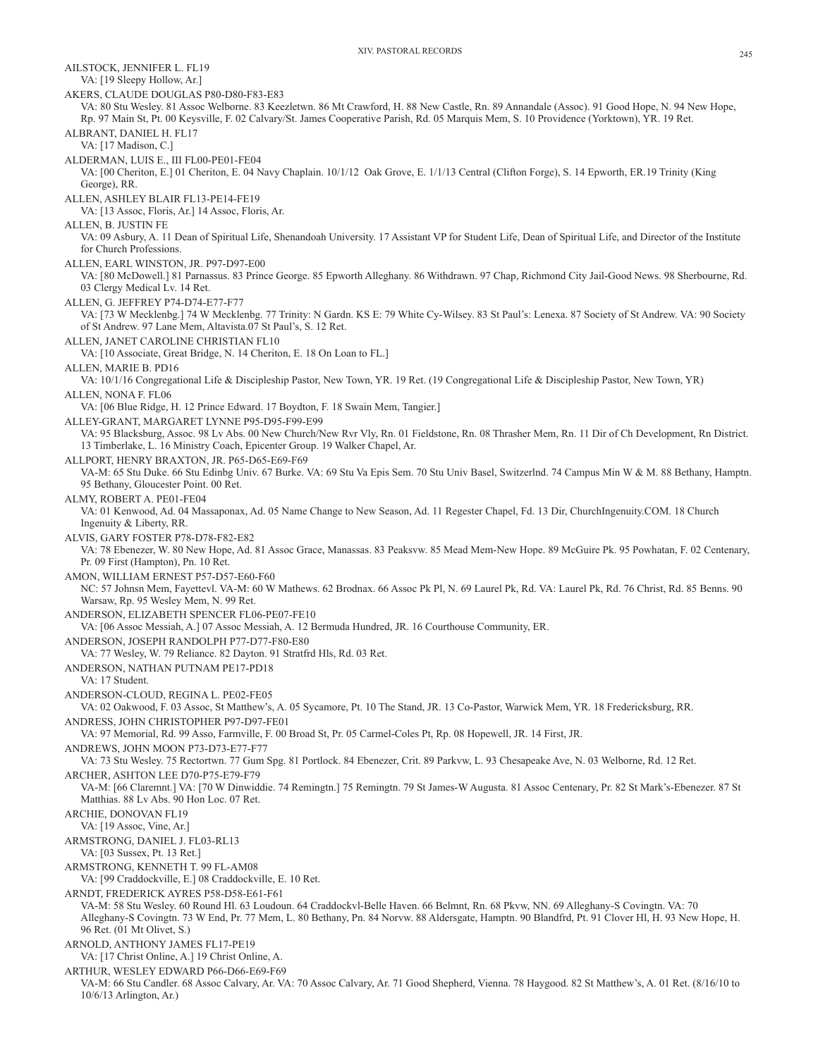XIV. PASTORAL RECORDS 245 AILSTOCK, JENNIFER L. FL19 VA: [19 Sleepy Hollow, Ar.] AKERS, CLAUDE DOUGLAS P80-D80-F83-E83 VA: 80 Stu Wesley. 81 Assoc Welborne. 83 Keezletwn. 86 Mt Crawford, H. 88 New Castle, Rn. 89 Annandale (Assoc). 91 Good Hope, N. 94 New Hope, Rp. 97 Main St, Pt. 00 Keysville, F. 02 Calvary/St. James Cooperative Parish, Rd. 05 Marquis Mem, S. 10 Providence (Yorktown), YR. 19 Ret. ALBRANT, DANIEL H. FL17 VA: [17 Madison, C.] ALDERMAN, LUIS E., III FL00-PE01-FE04 VA: [00 Cheriton, E.] 01 Cheriton, E. 04 Navy Chaplain. 10/1/12 Oak Grove, E. 1/1/13 Central (Clifton Forge), S. 14 Epworth, ER.19 Trinity (King George), RR. ALLEN, ASHLEY BLAIR FL13-PE14-FE19 VA: [13 Assoc, Floris, Ar.] 14 Assoc, Floris, Ar. ALLEN, B. JUSTIN FE VA: 09 Asbury, A. 11 Dean of Spiritual Life, Shenandoah University. 17 Assistant VP for Student Life, Dean of Spiritual Life, and Director of the Institute for Church Professions. ALLEN, EARL WINSTON, JR. P97-D97-E00 VA: [80 McDowell.] 81 Parnassus. 83 Prince George. 85 Epworth Alleghany. 86 Withdrawn. 97 Chap, Richmond City Jail-Good News. 98 Sherbourne, Rd. 03 Clergy Medical Lv. 14 Ret. ALLEN, G. JEFFREY P74-D74-E77-F77 VA: [73 W Mecklenbg.] 74 W Mecklenbg. 77 Trinity: N Gardn. KS E: 79 White Cy-Wilsey. 83 St Paul's: Lenexa. 87 Society of St Andrew. VA: 90 Society of St Andrew. 97 Lane Mem, Altavista.07 St Paul's, S. 12 Ret. ALLEN, JANET CAROLINE CHRISTIAN FL10 VA: [10 Associate, Great Bridge, N. 14 Cheriton, E. 18 On Loan to FL.] ALLEN, MARIE B. PD16 VA: 10/1/16 Congregational Life & Discipleship Pastor, New Town, YR. 19 Ret. (19 Congregational Life & Discipleship Pastor, New Town, YR) ALLEN, NONA F. FL06 VA: [06 Blue Ridge, H. 12 Prince Edward. 17 Boydton, F. 18 Swain Mem, Tangier.] ALLEY-GRANT, MARGARET LYNNE P95-D95-F99-E99 VA: 95 Blacksburg, Assoc. 98 Lv Abs. 00 New Church/New Rvr Vly, Rn. 01 Fieldstone, Rn. 08 Thrasher Mem, Rn. 11 Dir of Ch Development, Rn District. 13 Timberlake, L. 16 Ministry Coach, Epicenter Group. 19 Walker Chapel, Ar. ALLPORT, HENRY BRAXTON, JR. P65-D65-E69-F69 VA-M: 65 Stu Duke. 66 Stu Edinbg Univ. 67 Burke. VA: 69 Stu Va Epis Sem. 70 Stu Univ Basel, Switzerlnd. 74 Campus Min W & M. 88 Bethany, Hamptn. 95 Bethany, Gloucester Point. 00 Ret. ALMY, ROBERT A. PE01-FE04 VA: 01 Kenwood, Ad. 04 Massaponax, Ad. 05 Name Change to New Season, Ad. 11 Regester Chapel, Fd. 13 Dir, ChurchIngenuity.COM. 18 Church Ingenuity & Liberty, RR. ALVIS, GARY FOSTER P78-D78-F82-E82 VA: 78 Ebenezer, W. 80 New Hope, Ad. 81 Assoc Grace, Manassas. 83 Peaksvw. 85 Mead Mem-New Hope. 89 McGuire Pk. 95 Powhatan, F. 02 Centenary, Pr. 09 First (Hampton), Pn. 10 Ret. AMON, WILLIAM ERNEST P57-D57-E60-F60 NC: 57 Johnsn Mem, Fayettevl. VA-M: 60 W Mathews. 62 Brodnax. 66 Assoc Pk Pl, N. 69 Laurel Pk, Rd. VA: Laurel Pk, Rd. 76 Christ, Rd. 85 Benns. 90 Warsaw, Rp. 95 Wesley Mem, N. 99 Ret. ANDERSON, ELIZABETH SPENCER FL06-PE07-FE10 VA: [06 Assoc Messiah, A.] 07 Assoc Messiah, A. 12 Bermuda Hundred, JR. 16 Courthouse Community, ER. ANDERSON, JOSEPH RANDOLPH P77-D77-F80-E80 VA: 77 Wesley, W. 79 Reliance. 82 Dayton. 91 Stratfrd Hls, Rd. 03 Ret. ANDERSON, NATHAN PUTNAM PE17-PD18 VA: 17 Student. ANDERSON-CLOUD, REGINA L. PE02-FE05 VA: 02 Oakwood, F. 03 Assoc, St Matthew's, A. 05 Sycamore, Pt. 10 The Stand, JR. 13 Co-Pastor, Warwick Mem, YR. 18 Fredericksburg, RR. ANDRESS, JOHN CHRISTOPHER P97-D97-FE01 VA: 97 Memorial, Rd. 99 Asso, Farmville, F. 00 Broad St, Pr. 05 Carmel-Coles Pt, Rp. 08 Hopewell, JR. 14 First, JR. ANDREWS, JOHN MOON P73-D73-E77-F77 VA: 73 Stu Wesley. 75 Rectortwn. 77 Gum Spg. 81 Portlock. 84 Ebenezer, Crit. 89 Parkvw, L. 93 Chesapeake Ave, N. 03 Welborne, Rd. 12 Ret. ARCHER, ASHTON LEE D70-P75-E79-F79 VA-M: [66 Claremnt.] VA: [70 W Dinwiddie. 74 Remingtn.] 75 Remingtn. 79 St James-W Augusta. 81 Assoc Centenary, Pr. 82 St Mark's-Ebenezer. 87 St Matthias. 88 Lv Abs. 90 Hon Loc. 07 Ret. ARCHIE, DONOVAN FL19 VA: [19 Assoc, Vine, Ar.] ARMSTRONG, DANIEL J. FL03-RL13 VA: [03 Sussex, Pt. 13 Ret.] ARMSTRONG, KENNETH T. 99 FL-AM08 VA: [99 Craddockville, E.] 08 Craddockville, E. 10 Ret. ARNDT, FREDERICK AYRES P58-D58-E61-F61 VA-M: 58 Stu Wesley. 60 Round Hl. 63 Loudoun. 64 Craddockvl-Belle Haven. 66 Belmnt, Rn. 68 Pkvw, NN. 69 Alleghany-S Covingtn. VA: 70 Alleghany-S Covingtn. 73 W End, Pr. 77 Mem, L. 80 Bethany, Pn. 84 Norvw. 88 Aldersgate, Hamptn. 90 Blandfrd, Pt. 91 Clover Hl, H. 93 New Hope, H. 96 Ret. (01 Mt Olivet, S.) ARNOLD, ANTHONY JAMES FL17-PE19 VA: [17 Christ Online, A.] 19 Christ Online, A. ARTHUR, WESLEY EDWARD P66-D66-E69-F69

VA-M: 66 Stu Candler. 68 Assoc Calvary, Ar. VA: 70 Assoc Calvary, Ar. 71 Good Shepherd, Vienna. 78 Haygood. 82 St Matthew's, A. 01 Ret. (8/16/10 to 10/6/13 Arlington, Ar.)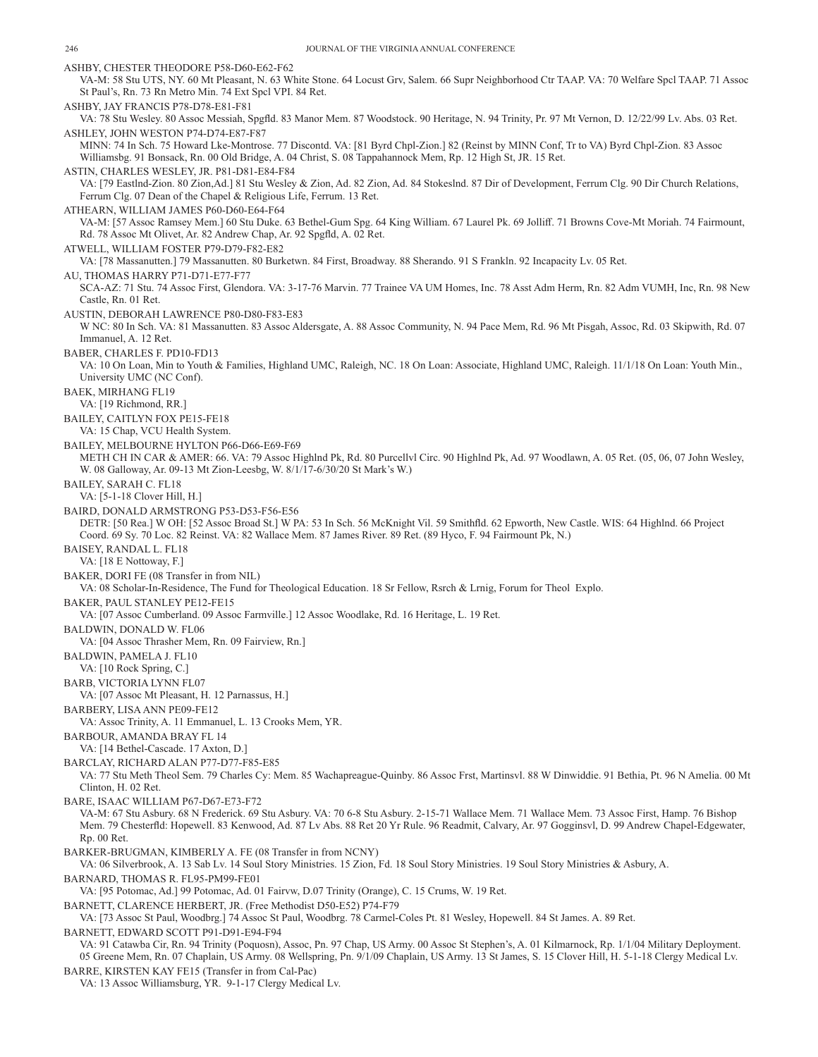ASHBY, CHESTER THEODORE P58-D60-E62-F62 VA-M: 58 Stu UTS, NY. 60 Mt Pleasant, N. 63 White Stone. 64 Locust Grv, Salem. 66 Supr Neighborhood Ctr TAAP. VA: 70 Welfare Spcl TAAP. 71 Assoc St Paul's, Rn. 73 Rn Metro Min. 74 Ext Spcl VPI. 84 Ret. ASHBY, JAY FRANCIS P78-D78-E81-F81 VA: 78 Stu Wesley. 80 Assoc Messiah, Spgfld. 83 Manor Mem. 87 Woodstock. 90 Heritage, N. 94 Trinity, Pr. 97 Mt Vernon, D. 12/22/99 Lv. Abs. 03 Ret. ASHLEY, JOHN WESTON P74-D74-E87-F87 MINN: 74 In Sch. 75 Howard Lke-Montrose. 77 Discontd. VA: [81 Byrd Chpl-Zion.] 82 (Reinst by MINN Conf, Tr to VA) Byrd Chpl-Zion. 83 Assoc Williamsbg. 91 Bonsack, Rn. 00 Old Bridge, A. 04 Christ, S. 08 Tappahannock Mem, Rp. 12 High St, JR. 15 Ret. ASTIN, CHARLES WESLEY, JR. P81-D81-E84-F84 VA: [79 Eastlnd-Zion. 80 Zion,Ad.] 81 Stu Wesley & Zion, Ad. 82 Zion, Ad. 84 Stokeslnd. 87 Dir of Development, Ferrum Clg. 90 Dir Church Relations, Ferrum Clg. 07 Dean of the Chapel & Religious Life, Ferrum. 13 Ret. ATHEARN, WILLIAM JAMES P60-D60-E64-F64 VA-M: [57 Assoc Ramsey Mem.] 60 Stu Duke. 63 Bethel-Gum Spg. 64 King William. 67 Laurel Pk. 69 Jolliff. 71 Browns Cove-Mt Moriah. 74 Fairmount, Rd. 78 Assoc Mt Olivet, Ar. 82 Andrew Chap, Ar. 92 Spgfld, A. 02 Ret. ATWELL, WILLIAM FOSTER P79-D79-F82-E82 VA: [78 Massanutten.] 79 Massanutten. 80 Burketwn. 84 First, Broadway. 88 Sherando. 91 S Frankln. 92 Incapacity Lv. 05 Ret. AU, THOMAS HARRY P71-D71-E77-F77 SCA-AZ: 71 Stu. 74 Assoc First, Glendora. VA: 3-17-76 Marvin. 77 Trainee VA UM Homes, Inc. 78 Asst Adm Herm, Rn. 82 Adm VUMH, Inc, Rn. 98 New Castle, Rn. 01 Ret. AUSTIN, DEBORAH LAWRENCE P80-D80-F83-E83 W NC: 80 In Sch. VA: 81 Massanutten. 83 Assoc Aldersgate, A. 88 Assoc Community, N. 94 Pace Mem, Rd. 96 Mt Pisgah, Assoc, Rd. 03 Skipwith, Rd. 07 Immanuel, A. 12 Ret. BABER, CHARLES F. PD10-FD13 VA: 10 On Loan, Min to Youth & Families, Highland UMC, Raleigh, NC. 18 On Loan: Associate, Highland UMC, Raleigh. 11/1/18 On Loan: Youth Min., University UMC (NC Conf). BAEK, MIRHANG FL19 VA: [19 Richmond, RR.] BAILEY, CAITLYN FOX PE15-FE18 VA: 15 Chap, VCU Health System. BAILEY, MELBOURNE HYLTON P66-D66-E69-F69 METH CH IN CAR & AMER: 66. VA: 79 Assoc Highlnd Pk, Rd. 80 Purcellvl Circ. 90 Highlnd Pk, Ad. 97 Woodlawn, A. 05 Ret. (05, 06, 07 John Wesley, W. 08 Galloway, Ar. 09-13 Mt Zion-Leesbg, W. 8/1/17-6/30/20 St Mark's W.) BAILEY, SARAH C. FL18 VA: [5-1-18 Clover Hill, H.] BAIRD, DONALD ARMSTRONG P53-D53-F56-E56 DETR: [50 Rea.] W OH: [52 Assoc Broad St.] W PA: 53 In Sch. 56 McKnight Vil. 59 Smithfld. 62 Epworth, New Castle. WIS: 64 Highlnd. 66 Project Coord. 69 Sy. 70 Loc. 82 Reinst. VA: 82 Wallace Mem. 87 James River. 89 Ret. (89 Hyco, F. 94 Fairmount Pk, N.) BAISEY, RANDAL L. FL18 VA: [18 E Nottoway, F.] BAKER, DORI FE (08 Transfer in from NIL) VA: 08 Scholar-In-Residence, The Fund for Theological Education. 18 Sr Fellow, Rsrch & Lrnig, Forum for Theol Explo. BAKER, PAUL STANLEY PE12-FE15 VA: [07 Assoc Cumberland. 09 Assoc Farmville.] 12 Assoc Woodlake, Rd. 16 Heritage, L. 19 Ret. BALDWIN, DONALD W. FL06 VA: [04 Assoc Thrasher Mem, Rn. 09 Fairview, Rn.] BALDWIN, PAMELA J. FL10 VA: [10 Rock Spring, C.] BARB, VICTORIA LYNN FL07 VA: [07 Assoc Mt Pleasant, H. 12 Parnassus, H.] BARBERY, LISA ANN PE09-FE12 VA: Assoc Trinity, A. 11 Emmanuel, L. 13 Crooks Mem, YR. BARBOUR, AMANDA BRAY FL 14 VA: [14 Bethel-Cascade. 17 Axton, D.] BARCLAY, RICHARD ALAN P77-D77-F85-E85 VA: 77 Stu Meth Theol Sem. 79 Charles Cy: Mem. 85 Wachapreague-Quinby. 86 Assoc Frst, Martinsvl. 88 W Dinwiddie. 91 Bethia, Pt. 96 N Amelia. 00 Mt Clinton, H. 02 Ret. BARE, ISAAC WILLIAM P67-D67-E73-F72 VA-M: 67 Stu Asbury. 68 N Frederick. 69 Stu Asbury. VA: 70 6-8 Stu Asbury. 2-15-71 Wallace Mem. 71 Wallace Mem. 73 Assoc First, Hamp. 76 Bishop Mem. 79 Chesterfld: Hopewell. 83 Kenwood, Ad. 87 Lv Abs. 88 Ret 20 Yr Rule. 96 Readmit, Calvary, Ar. 97 Gogginsvl, D. 99 Andrew Chapel-Edgewater, Rp. 00 Ret. BARKER-BRUGMAN, KIMBERLY A. FE (08 Transfer in from NCNY) VA: 06 Silverbrook, A. 13 Sab Lv. 14 Soul Story Ministries. 15 Zion, Fd. 18 Soul Story Ministries. 19 Soul Story Ministries & Asbury, A. BARNARD, THOMAS R. FL95-PM99-FE01 VA: [95 Potomac, Ad.] 99 Potomac, Ad. 01 Fairvw, D.07 Trinity (Orange), C. 15 Crums, W. 19 Ret. BARNETT, CLARENCE HERBERT, JR. (Free Methodist D50-E52) P74-F79 VA: [73 Assoc St Paul, Woodbrg.] 74 Assoc St Paul, Woodbrg. 78 Carmel-Coles Pt. 81 Wesley, Hopewell. 84 St James. A. 89 Ret. BARNETT, EDWARD SCOTT P91-D91-E94-F94 VA: 91 Catawba Cir, Rn. 94 Trinity (Poquosn), Assoc, Pn. 97 Chap, US Army. 00 Assoc St Stephen's, A. 01 Kilmarnock, Rp. 1/1/04 Military Deployment. 05 Greene Mem, Rn. 07 Chaplain, US Army. 08 Wellspring, Pn. 9/1/09 Chaplain, US Army. 13 St James, S. 15 Clover Hill, H. 5-1-18 Clergy Medical Lv. BARRE, KIRSTEN KAY FE15 (Transfer in from Cal-Pac)

VA: 13 Assoc Williamsburg, YR. 9-1-17 Clergy Medical Lv.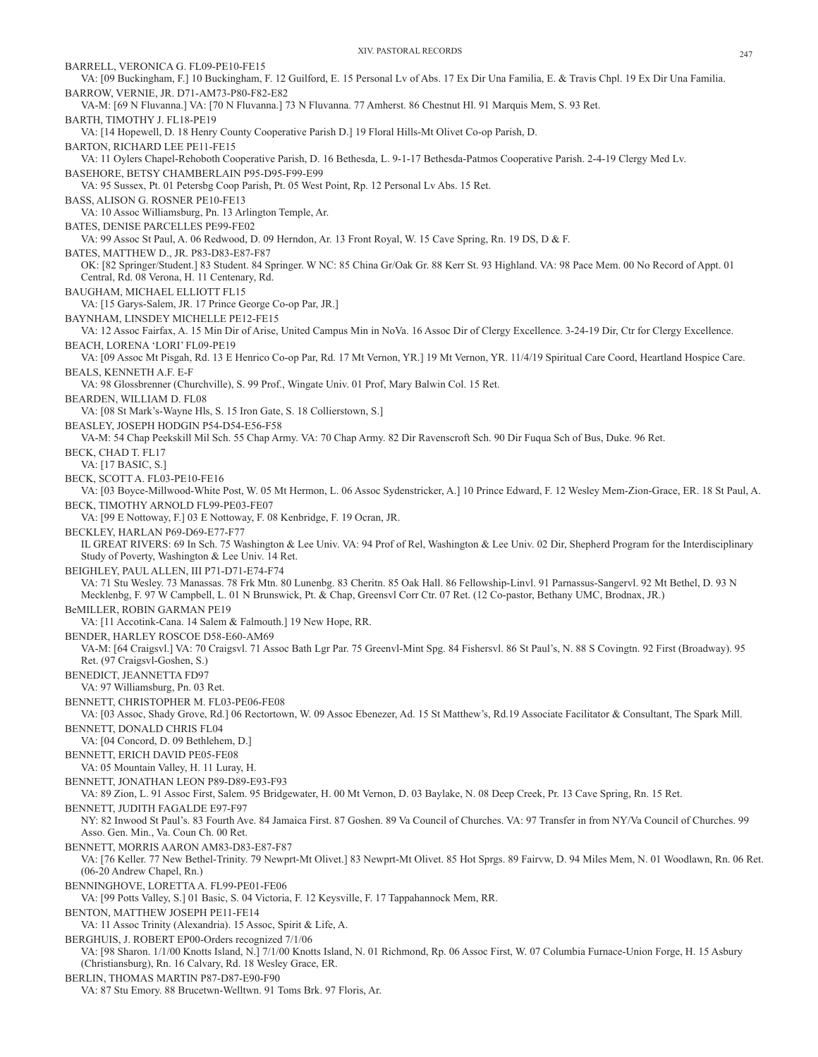BARRELL, VERONICA G. FL09-PE10-FE15 VA: [09 Buckingham, F.] 10 Buckingham, F. 12 Guilford, E. 15 Personal Lv of Abs. 17 Ex Dir Una Familia, E. & Travis Chpl. 19 Ex Dir Una Familia. BARROW, VERNIE, JR. D71-AM73-P80-F82-E82 VA-M: [69 N Fluvanna.] VA: [70 N Fluvanna.] 73 N Fluvanna. 77 Amherst. 86 Chestnut Hl. 91 Marquis Mem, S. 93 Ret. BARTH, TIMOTHY J. FL18-PE19 VA: [14 Hopewell, D. 18 Henry County Cooperative Parish D.] 19 Floral Hills-Mt Olivet Co-op Parish, D. BARTON, RICHARD LEE PE11-FE15 VA: 11 Oylers Chapel-Rehoboth Cooperative Parish, D. 16 Bethesda, L. 9-1-17 Bethesda-Patmos Cooperative Parish. 2-4-19 Clergy Med Lv. BASEHORE, BETSY CHAMBERLAIN P95-D95-F99-E99 VA: 95 Sussex, Pt. 01 Petersbg Coop Parish, Pt. 05 West Point, Rp. 12 Personal Lv Abs. 15 Ret. BASS, ALISON G. ROSNER PE10-FE13 VA: 10 Assoc Williamsburg, Pn. 13 Arlington Temple, Ar. BATES, DENISE PARCELLES PE99-FE02 VA: 99 Assoc St Paul, A. 06 Redwood, D. 09 Herndon, Ar. 13 Front Royal, W. 15 Cave Spring, Rn. 19 DS, D & F. BATES, MATTHEW D., JR. P83-D83-E87-F87 OK: [82 Springer/Student.] 83 Student. 84 Springer. W NC: 85 China Gr/Oak Gr. 88 Kerr St. 93 Highland. VA: 98 Pace Mem. 00 No Record of Appt. 01 Central, Rd. 08 Verona, H. 11 Centenary, Rd. BAUGHAM, MICHAEL ELLIOTT FL15 VA: [15 Garys-Salem, JR. 17 Prince George Co-op Par, JR.] BAYNHAM, LINSDEY MICHELLE PE12-FE15 VA: 12 Assoc Fairfax, A. 15 Min Dir of Arise, United Campus Min in NoVa. 16 Assoc Dir of Clergy Excellence. 3-24-19 Dir, Ctr for Clergy Excellence. BEACH, LORENA 'LORI' FL09-PE19 VA: [09 Assoc Mt Pisgah, Rd. 13 E Henrico Co-op Par, Rd. 17 Mt Vernon, YR.] 19 Mt Vernon, YR. 11/4/19 Spiritual Care Coord, Heartland Hospice Care. BEALS, KENNETH A.F. E-F VA: 98 Glossbrenner (Churchville), S. 99 Prof., Wingate Univ. 01 Prof, Mary Balwin Col. 15 Ret. BEARDEN, WILLIAM D. FL08 VA: [08 St Mark's-Wayne Hls, S. 15 Iron Gate, S. 18 Collierstown, S.] BEASLEY, JOSEPH HODGIN P54-D54-E56-F58 VA-M: 54 Chap Peekskill Mil Sch. 55 Chap Army. VA: 70 Chap Army. 82 Dir Ravenscroft Sch. 90 Dir Fuqua Sch of Bus, Duke. 96 Ret. BECK, CHAD T. FL17 VA: [17 BASIC, S.] BECK, SCOTT A. FL03-PE10-FE16 VA: [03 Boyce-Millwood-White Post, W. 05 Mt Hermon, L. 06 Assoc Sydenstricker, A.] 10 Prince Edward, F. 12 Wesley Mem-Zion-Grace, ER. 18 St Paul, A. BECK, TIMOTHY ARNOLD FL99-PE03-FE07 VA: [99 E Nottoway, F.] 03 E Nottoway, F. 08 Kenbridge, F. 19 Ocran, JR. BECKLEY, HARLAN P69-D69-E77-F77 IL GREAT RIVERS: 69 In Sch. 75 Washington & Lee Univ. VA: 94 Prof of Rel, Washington & Lee Univ. 02 Dir, Shepherd Program for the Interdisciplinary Study of Poverty, Washington & Lee Univ. 14 Ret. BEIGHLEY, PAUL ALLEN, III P71-D71-E74-F74 VA: 71 Stu Wesley. 73 Manassas. 78 Frk Mtn. 80 Lunenbg. 83 Cheritn. 85 Oak Hall. 86 Fellowship-Linvl. 91 Parnassus-Sangervl. 92 Mt Bethel, D. 93 N Mecklenbg, F. 97 W Campbell, L. 01 N Brunswick, Pt. & Chap, Greensvl Corr Ctr. 07 Ret. (12 Co-pastor, Bethany UMC, Brodnax, JR.) BeMILLER, ROBIN GARMAN PE19 VA: [11 Accotink-Cana. 14 Salem & Falmouth.] 19 New Hope, RR. BENDER, HARLEY ROSCOE D58-E60-AM69 VA-M: [64 Craigsvl.] VA: 70 Craigsvl. 71 Assoc Bath Lgr Par. 75 Greenvl-Mint Spg. 84 Fishersvl. 86 St Paul's, N. 88 S Covingtn. 92 First (Broadway). 95 Ret. (97 Craigsvl-Goshen, S.) BENEDICT, JEANNETTA FD97 VA: 97 Williamsburg, Pn. 03 Ret. BENNETT, CHRISTOPHER M. FL03-PE06-FE08 VA: [03 Assoc, Shady Grove, Rd.] 06 Rectortown, W. 09 Assoc Ebenezer, Ad. 15 St Matthew's, Rd.19 Associate Facilitator & Consultant, The Spark Mill. BENNETT, DONALD CHRIS FL04 VA: [04 Concord, D. 09 Bethlehem, D.] BENNETT, ERICH DAVID PE05-FE08 VA: 05 Mountain Valley, H. 11 Luray, H. BENNETT, JONATHAN LEON P89-D89-E93-F93 VA: 89 Zion, L. 91 Assoc First, Salem. 95 Bridgewater, H. 00 Mt Vernon, D. 03 Baylake, N. 08 Deep Creek, Pr. 13 Cave Spring, Rn. 15 Ret. BENNETT, JUDITH FAGALDE E97-F97 NY: 82 Inwood St Paul's. 83 Fourth Ave. 84 Jamaica First. 87 Goshen. 89 Va Council of Churches. VA: 97 Transfer in from NY/Va Council of Churches. 99 Asso. Gen. Min., Va. Coun Ch. 00 Ret. BENNETT, MORRIS AARON AM83-D83-E87-F87 VA: [76 Keller. 77 New Bethel-Trinity. 79 Newprt-Mt Olivet.] 83 Newprt-Mt Olivet. 85 Hot Sprgs. 89 Fairvw, D. 94 Miles Mem, N. 01 Woodlawn, Rn. 06 Ret. (06-20 Andrew Chapel, Rn.) BENNINGHOVE, LORETTA A. FL99-PE01-FE06 VA: [99 Potts Valley, S.] 01 Basic, S. 04 Victoria, F. 12 Keysville, F. 17 Tappahannock Mem, RR. BENTON, MATTHEW JOSEPH PE11-FE14 VA: 11 Assoc Trinity (Alexandria). 15 Assoc, Spirit & Life, A. BERGHUIS, J. ROBERT EP00-Orders recognized 7/1/06 VA: [98 Sharon. 1/1/00 Knotts Island, N.] 7/1/00 Knotts Island, N. 01 Richmond, Rp. 06 Assoc First, W. 07 Columbia Furnace-Union Forge, H. 15 Asbury (Christiansburg), Rn. 16 Calvary, Rd. 18 Wesley Grace, ER. BERLIN, THOMAS MARTIN P87-D87-E90-F90

VA: 87 Stu Emory. 88 Brucetwn-Welltwn. 91 Toms Brk. 97 Floris, Ar.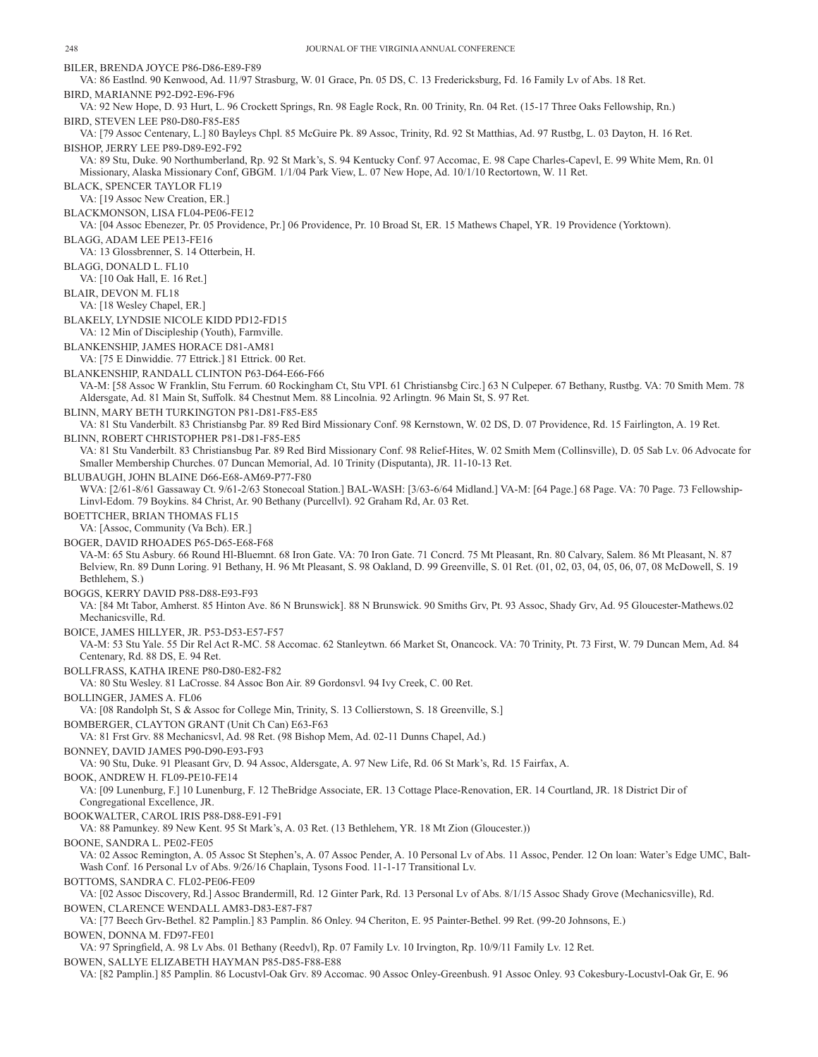BILER, BRENDA JOYCE P86-D86-E89-F89 VA: 86 Eastlnd. 90 Kenwood, Ad. 11/97 Strasburg, W. 01 Grace, Pn. 05 DS, C. 13 Fredericksburg, Fd. 16 Family Lv of Abs. 18 Ret. BIRD, MARIANNE P92-D92-E96-F96 VA: 92 New Hope, D. 93 Hurt, L. 96 Crockett Springs, Rn. 98 Eagle Rock, Rn. 00 Trinity, Rn. 04 Ret. (15-17 Three Oaks Fellowship, Rn.) BIRD, STEVEN LEE P80-D80-F85-E85 VA: [79 Assoc Centenary, L.] 80 Bayleys Chpl. 85 McGuire Pk. 89 Assoc, Trinity, Rd. 92 St Matthias, Ad. 97 Rustbg, L. 03 Dayton, H. 16 Ret. BISHOP, JERRY LEE P89-D89-E92-F92 VA: 89 Stu, Duke. 90 Northumberland, Rp. 92 St Mark's, S. 94 Kentucky Conf. 97 Accomac, E. 98 Cape Charles-Capevl, E. 99 White Mem, Rn. 01 Missionary, Alaska Missionary Conf, GBGM. 1/1/04 Park View, L. 07 New Hope, Ad. 10/1/10 Rectortown, W. 11 Ret. BLACK, SPENCER TAYLOR FL19 VA: [19 Assoc New Creation, ER.] BLACKMONSON, LISA FL04-PE06-FE12 VA: [04 Assoc Ebenezer, Pr. 05 Providence, Pr.] 06 Providence, Pr. 10 Broad St, ER. 15 Mathews Chapel, YR. 19 Providence (Yorktown). BLAGG, ADAM LEE PE13-FE16 VA: 13 Glossbrenner, S. 14 Otterbein, H. BLAGG, DONALD L. FL10 VA: [10 Oak Hall, E. 16 Ret.] BLAIR, DEVON M. FL18 VA: [18 Wesley Chapel, ER.] BLAKELY, LYNDSIE NICOLE KIDD PD12-FD15 VA: 12 Min of Discipleship (Youth), Farmville. BLANKENSHIP, JAMES HORACE D81-AM81 VA: [75 E Dinwiddie. 77 Ettrick.] 81 Ettrick. 00 Ret. BLANKENSHIP, RANDALL CLINTON P63-D64-E66-F66 VA-M: [58 Assoc W Franklin, Stu Ferrum. 60 Rockingham Ct, Stu VPI. 61 Christiansbg Circ.] 63 N Culpeper. 67 Bethany, Rustbg. VA: 70 Smith Mem. 78 Aldersgate, Ad. 81 Main St, Suffolk. 84 Chestnut Mem. 88 Lincolnia. 92 Arlingtn. 96 Main St, S. 97 Ret. BLINN, MARY BETH TURKINGTON P81-D81-F85-E85 VA: 81 Stu Vanderbilt. 83 Christiansbg Par. 89 Red Bird Missionary Conf. 98 Kernstown, W. 02 DS, D. 07 Providence, Rd. 15 Fairlington, A. 19 Ret. BLINN, ROBERT CHRISTOPHER P81-D81-F85-E85 VA: 81 Stu Vanderbilt. 83 Christiansbug Par. 89 Red Bird Missionary Conf. 98 Relief-Hites, W. 02 Smith Mem (Collinsville), D. 05 Sab Lv. 06 Advocate for Smaller Membership Churches. 07 Duncan Memorial, Ad. 10 Trinity (Disputanta), JR. 11-10-13 Ret. BLUBAUGH, JOHN BLAINE D66-E68-AM69-P77-F80 WVA: [2/61-8/61 Gassaway Ct. 9/61-2/63 Stonecoal Station.] BAL-WASH: [3/63-6/64 Midland.] VA-M: [64 Page.] 68 Page. VA: 70 Page. 73 Fellowship-Linvl-Edom. 79 Boykins. 84 Christ, Ar. 90 Bethany (Purcellvl). 92 Graham Rd, Ar. 03 Ret. BOETTCHER, BRIAN THOMAS FL15 VA: [Assoc, Community (Va Bch). ER.] BOGER, DAVID RHOADES P65-D65-E68-F68 VA-M: 65 Stu Asbury. 66 Round Hl-Bluemnt. 68 Iron Gate. VA: 70 Iron Gate. 71 Concrd. 75 Mt Pleasant, Rn. 80 Calvary, Salem. 86 Mt Pleasant, N. 87 Belview, Rn. 89 Dunn Loring. 91 Bethany, H. 96 Mt Pleasant, S. 98 Oakland, D. 99 Greenville, S. 01 Ret. (01, 02, 03, 04, 05, 06, 07, 08 McDowell, S. 19 Bethlehem, S.) BOGGS, KERRY DAVID P88-D88-E93-F93 VA: [84 Mt Tabor, Amherst. 85 Hinton Ave. 86 N Brunswick]. 88 N Brunswick. 90 Smiths Grv, Pt. 93 Assoc, Shady Grv, Ad. 95 Gloucester-Mathews.02 Mechanicsville, Rd. BOICE, JAMES HILLYER, JR. P53-D53-E57-F57 VA-M: 53 Stu Yale. 55 Dir Rel Act R-MC. 58 Accomac. 62 Stanleytwn. 66 Market St, Onancock. VA: 70 Trinity, Pt. 73 First, W. 79 Duncan Mem, Ad. 84 Centenary, Rd. 88 DS, E. 94 Ret. BOLLFRASS, KATHA IRENE P80-D80-E82-F82 VA: 80 Stu Wesley. 81 LaCrosse. 84 Assoc Bon Air. 89 Gordonsvl. 94 Ivy Creek, C. 00 Ret. BOLLINGER, JAMES A. FL06 VA: [08 Randolph St, S & Assoc for College Min, Trinity, S. 13 Collierstown, S. 18 Greenville, S.] BOMBERGER, CLAYTON GRANT (Unit Ch Can) E63-F63 VA: 81 Frst Grv. 88 Mechanicsvl, Ad. 98 Ret. (98 Bishop Mem, Ad. 02-11 Dunns Chapel, Ad.) BONNEY, DAVID JAMES P90-D90-E93-F93 VA: 90 Stu, Duke. 91 Pleasant Grv, D. 94 Assoc, Aldersgate, A. 97 New Life, Rd. 06 St Mark's, Rd. 15 Fairfax, A. BOOK, ANDREW H. FL09-PE10-FE14 VA: [09 Lunenburg, F.] 10 Lunenburg, F. 12 TheBridge Associate, ER. 13 Cottage Place-Renovation, ER. 14 Courtland, JR. 18 District Dir of Congregational Excellence, JR. BOOKWALTER, CAROL IRIS P88-D88-E91-F91 VA: 88 Pamunkey. 89 New Kent. 95 St Mark's, A. 03 Ret. (13 Bethlehem, YR. 18 Mt Zion (Gloucester.)) BOONE, SANDRA L. PE02-FE05 VA: 02 Assoc Remington, A. 05 Assoc St Stephen's, A. 07 Assoc Pender, A. 10 Personal Lv of Abs. 11 Assoc, Pender. 12 On loan: Water's Edge UMC, Balt-Wash Conf. 16 Personal Lv of Abs. 9/26/16 Chaplain, Tysons Food. 11-1-17 Transitional Lv. BOTTOMS, SANDRA C. FL02-PE06-FE09 VA: [02 Assoc Discovery, Rd.] Assoc Brandermill, Rd. 12 Ginter Park, Rd. 13 Personal Lv of Abs. 8/1/15 Assoc Shady Grove (Mechanicsville), Rd. BOWEN, CLARENCE WENDALL AM83-D83-E87-F87 VA: [77 Beech Grv-Bethel. 82 Pamplin.] 83 Pamplin. 86 Onley. 94 Cheriton, E. 95 Painter-Bethel. 99 Ret. (99-20 Johnsons, E.) BOWEN, DONNA M. FD97-FE01 VA: 97 Springfield, A. 98 Lv Abs. 01 Bethany (Reedvl), Rp. 07 Family Lv. 10 Irvington, Rp. 10/9/11 Family Lv. 12 Ret. BOWEN, SALLYE ELIZABETH HAYMAN P85-D85-F88-E88

VA: [82 Pamplin.] 85 Pamplin. 86 Locustvl-Oak Grv. 89 Accomac. 90 Assoc Onley-Greenbush. 91 Assoc Onley. 93 Cokesbury-Locustvl-Oak Gr, E. 96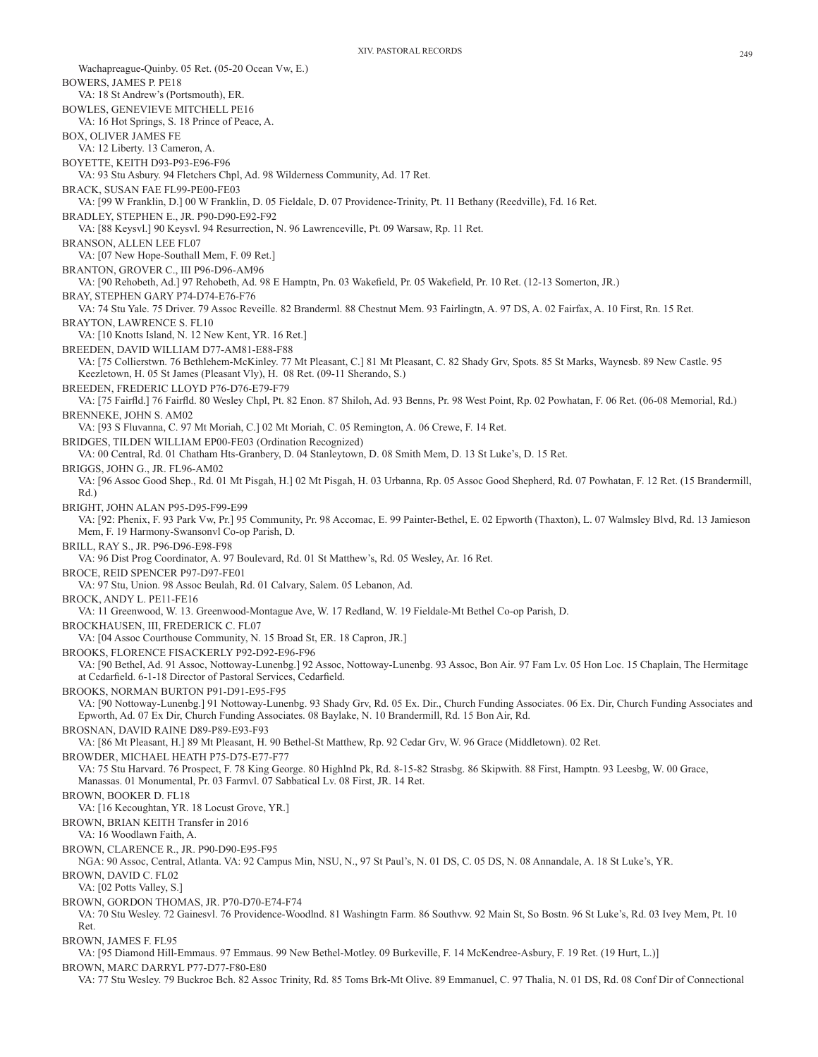Wachapreague-Quinby. 05 Ret. (05-20 Ocean Vw, E.) BOWERS, JAMES P. PE18 VA: 18 St Andrew's (Portsmouth), ER. BOWLES, GENEVIEVE MITCHELL PE16 VA: 16 Hot Springs, S. 18 Prince of Peace, A. BOX, OLIVER JAMES FE VA: 12 Liberty. 13 Cameron, A. BOYETTE, KEITH D93-P93-E96-F96 VA: 93 Stu Asbury. 94 Fletchers Chpl, Ad. 98 Wilderness Community, Ad. 17 Ret. BRACK, SUSAN FAE FL99-PE00-FE03 VA: [99 W Franklin, D.] 00 W Franklin, D. 05 Fieldale, D. 07 Providence-Trinity, Pt. 11 Bethany (Reedville), Fd. 16 Ret. BRADLEY, STEPHEN E., JR. P90-D90-E92-F92 VA: [88 Keysvl.] 90 Keysvl. 94 Resurrection, N. 96 Lawrenceville, Pt. 09 Warsaw, Rp. 11 Ret. BRANSON, ALLEN LEE FL07 VA: [07 New Hope-Southall Mem, F. 09 Ret.] BRANTON, GROVER C., III P96-D96-AM96 VA: [90 Rehobeth, Ad.] 97 Rehobeth, Ad. 98 E Hamptn, Pn. 03 Wakefield, Pr. 05 Wakefield, Pr. 10 Ret. (12-13 Somerton, JR.) BRAY, STEPHEN GARY P74-D74-E76-F76 VA: 74 Stu Yale. 75 Driver. 79 Assoc Reveille. 82 Branderml. 88 Chestnut Mem. 93 Fairlingtn, A. 97 DS, A. 02 Fairfax, A. 10 First, Rn. 15 Ret. BRAYTON, LAWRENCE S. FL10 VA: [10 Knotts Island, N. 12 New Kent, YR. 16 Ret.] BREEDEN, DAVID WILLIAM D77-AM81-E88-F88 VA: [75 Collierstwn. 76 Bethlehem-McKinley. 77 Mt Pleasant, C.] 81 Mt Pleasant, C. 82 Shady Grv, Spots. 85 St Marks, Waynesb. 89 New Castle. 95 Keezletown, H. 05 St James (Pleasant Vly), H. 08 Ret. (09-11 Sherando, S.) BREEDEN, FREDERIC LLOYD P76-D76-E79-F79 VA: [75 Fairfld.] 76 Fairfld. 80 Wesley Chpl, Pt. 82 Enon. 87 Shiloh, Ad. 93 Benns, Pr. 98 West Point, Rp. 02 Powhatan, F. 06 Ret. (06-08 Memorial, Rd.) BRENNEKE, JOHN S. AM02 VA: [93 S Fluvanna, C. 97 Mt Moriah, C.] 02 Mt Moriah, C. 05 Remington, A. 06 Crewe, F. 14 Ret. BRIDGES, TILDEN WILLIAM EP00-FE03 (Ordination Recognized) VA: 00 Central, Rd. 01 Chatham Hts-Granbery, D. 04 Stanleytown, D. 08 Smith Mem, D. 13 St Luke's, D. 15 Ret. BRIGGS, JOHN G., JR. FL96-AM02 VA: [96 Assoc Good Shep., Rd. 01 Mt Pisgah, H.] 02 Mt Pisgah, H. 03 Urbanna, Rp. 05 Assoc Good Shepherd, Rd. 07 Powhatan, F. 12 Ret. (15 Brandermill, Rd.) BRIGHT, JOHN ALAN P95-D95-F99-E99 VA: [92: Phenix, F. 93 Park Vw, Pr.] 95 Community, Pr. 98 Accomac, E. 99 Painter-Bethel, E. 02 Epworth (Thaxton), L. 07 Walmsley Blvd, Rd. 13 Jamieson Mem, F. 19 Harmony-Swansonvl Co-op Parish, D. BRILL, RAY S., JR. P96-D96-E98-F98 VA: 96 Dist Prog Coordinator, A. 97 Boulevard, Rd. 01 St Matthew's, Rd. 05 Wesley, Ar. 16 Ret. BROCE, REID SPENCER P97-D97-FE01 VA: 97 Stu, Union. 98 Assoc Beulah, Rd. 01 Calvary, Salem. 05 Lebanon, Ad. BROCK, ANDY L. PE11-FE16 VA: 11 Greenwood, W. 13. Greenwood-Montague Ave, W. 17 Redland, W. 19 Fieldale-Mt Bethel Co-op Parish, D. BROCKHAUSEN, III, FREDERICK C. FL07 VA: [04 Assoc Courthouse Community, N. 15 Broad St, ER. 18 Capron, JR.] BROOKS, FLORENCE FISACKERLY P92-D92-E96-F96 VA: [90 Bethel, Ad. 91 Assoc, Nottoway-Lunenbg.] 92 Assoc, Nottoway-Lunenbg. 93 Assoc, Bon Air. 97 Fam Lv. 05 Hon Loc. 15 Chaplain, The Hermitage at Cedarfield. 6-1-18 Director of Pastoral Services, Cedarfield. BROOKS, NORMAN BURTON P91-D91-E95-F95 VA: [90 Nottoway-Lunenbg.] 91 Nottoway-Lunenbg. 93 Shady Grv, Rd. 05 Ex. Dir., Church Funding Associates. 06 Ex. Dir, Church Funding Associates and Epworth, Ad. 07 Ex Dir, Church Funding Associates. 08 Baylake, N. 10 Brandermill, Rd. 15 Bon Air, Rd. BROSNAN, DAVID RAINE D89-P89-E93-F93 VA: [86 Mt Pleasant, H.] 89 Mt Pleasant, H. 90 Bethel-St Matthew, Rp. 92 Cedar Grv, W. 96 Grace (Middletown). 02 Ret. BROWDER, MICHAEL HEATH P75-D75-E77-F77 VA: 75 Stu Harvard. 76 Prospect, F. 78 King George. 80 Highlnd Pk, Rd. 8-15-82 Strasbg. 86 Skipwith. 88 First, Hamptn. 93 Leesbg, W. 00 Grace, Manassas. 01 Monumental, Pr. 03 Farmvl. 07 Sabbatical Lv. 08 First, JR. 14 Ret. BROWN, BOOKER D. FL18 VA: [16 Kecoughtan, YR. 18 Locust Grove, YR.] BROWN, BRIAN KEITH Transfer in 2016 VA: 16 Woodlawn Faith, A. BROWN, CLARENCE R., JR. P90-D90-E95-F95 NGA: 90 Assoc, Central, Atlanta. VA: 92 Campus Min, NSU, N., 97 St Paul's, N. 01 DS, C. 05 DS, N. 08 Annandale, A. 18 St Luke's, YR. BROWN, DAVID C. FL02 VA: [02 Potts Valley, S.] BROWN, GORDON THOMAS, JR. P70-D70-E74-F74 VA: 70 Stu Wesley. 72 Gainesvl. 76 Providence-Woodlnd. 81 Washingtn Farm. 86 Southvw. 92 Main St, So Bostn. 96 St Luke's, Rd. 03 Ivey Mem, Pt. 10 Ret. BROWN, JAMES F. FL95 VA: [95 Diamond Hill-Emmaus. 97 Emmaus. 99 New Bethel-Motley. 09 Burkeville, F. 14 McKendree-Asbury, F. 19 Ret. (19 Hurt, L.)] BROWN, MARC DARRYL P77-D77-F80-E80

VA: 77 Stu Wesley. 79 Buckroe Bch. 82 Assoc Trinity, Rd. 85 Toms Brk-Mt Olive. 89 Emmanuel, C. 97 Thalia, N. 01 DS, Rd. 08 Conf Dir of Connectional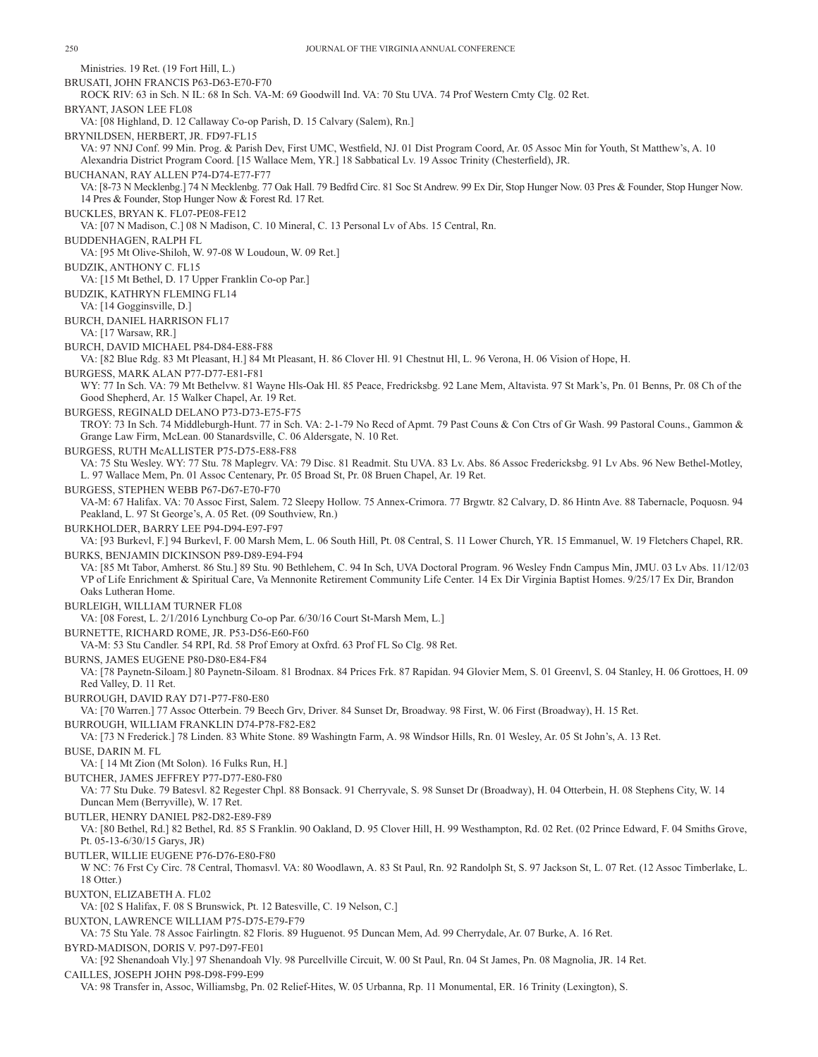| Ministries. 19 Ret. (19 Fort Hill, L.)                                                                                                                                                                                                                                                                |  |
|-------------------------------------------------------------------------------------------------------------------------------------------------------------------------------------------------------------------------------------------------------------------------------------------------------|--|
| BRUSATI, JOHN FRANCIS P63-D63-E70-F70<br>ROCK RIV: 63 in Sch. N IL: 68 In Sch. VA-M: 69 Goodwill Ind. VA: 70 Stu UVA. 74 Prof Western Cmty Clg. 02 Ret.                                                                                                                                               |  |
| BRYANT, JASON LEE FL08<br>VA: [08 Highland, D. 12 Callaway Co-op Parish, D. 15 Calvary (Salem), Rn.]                                                                                                                                                                                                  |  |
| BRYNILDSEN, HERBERT, JR. FD97-FL15                                                                                                                                                                                                                                                                    |  |
| VA: 97 NNJ Conf. 99 Min. Prog. & Parish Dev, First UMC, Westfield, NJ. 01 Dist Program Coord, Ar. 05 Assoc Min for Youth, St Matthew's, A. 10<br>Alexandria District Program Coord. [15 Wallace Mem, YR.] 18 Sabbatical Lv. 19 Assoc Trinity (Chesterfield), JR.                                      |  |
| BUCHANAN, RAY ALLEN P74-D74-E77-F77                                                                                                                                                                                                                                                                   |  |
| VA: [8-73 N Mecklenbg.] 74 N Mecklenbg. 77 Oak Hall. 79 Bedfrd Circ. 81 Soc St Andrew. 99 Ex Dir, Stop Hunger Now. 03 Pres & Founder, Stop Hunger Now.<br>14 Pres & Founder, Stop Hunger Now & Forest Rd. 17 Ret.                                                                                     |  |
| BUCKLES, BRYAN K. FL07-PE08-FE12<br>VA: [07 N Madison, C.] 08 N Madison, C. 10 Mineral, C. 13 Personal Lv of Abs. 15 Central, Rn.                                                                                                                                                                     |  |
| BUDDENHAGEN, RALPH FL<br>VA: [95 Mt Olive-Shiloh, W. 97-08 W Loudoun, W. 09 Ret.]                                                                                                                                                                                                                     |  |
| <b>BUDZIK, ANTHONY C. FL15</b><br>VA: [15 Mt Bethel, D. 17 Upper Franklin Co-op Par.]                                                                                                                                                                                                                 |  |
| BUDZIK, KATHRYN FLEMING FL14                                                                                                                                                                                                                                                                          |  |
| VA: [14 Gogginsville, D.]<br>BURCH, DANIEL HARRISON FL17                                                                                                                                                                                                                                              |  |
| VA: [17 Warsaw, RR.]<br>BURCH, DAVID MICHAEL P84-D84-E88-F88                                                                                                                                                                                                                                          |  |
| VA: [82 Blue Rdg. 83 Mt Pleasant, H.] 84 Mt Pleasant, H. 86 Clover Hl. 91 Chestnut Hl, L. 96 Verona, H. 06 Vision of Hope, H.                                                                                                                                                                         |  |
| BURGESS, MARK ALAN P77-D77-E81-F81<br>WY: 77 In Sch. VA: 79 Mt Bethelvw. 81 Wayne Hls-Oak Hl. 85 Peace, Fredricksbg. 92 Lane Mem, Altavista. 97 St Mark's, Pn. 01 Benns, Pr. 08 Ch of the                                                                                                             |  |
| Good Shepherd, Ar. 15 Walker Chapel, Ar. 19 Ret.<br>BURGESS, REGINALD DELANO P73-D73-E75-F75                                                                                                                                                                                                          |  |
| TROY: 73 In Sch. 74 Middleburgh-Hunt. 77 in Sch. VA: 2-1-79 No Recd of Apmt. 79 Past Couns & Con Ctrs of Gr Wash. 99 Pastoral Couns., Gammon &<br>Grange Law Firm, McLean. 00 Stanardsville, C. 06 Aldersgate, N. 10 Ret.                                                                             |  |
| BURGESS, RUTH McALLISTER P75-D75-E88-F88                                                                                                                                                                                                                                                              |  |
| VA: 75 Stu Wesley. WY: 77 Stu. 78 Maplegrv. VA: 79 Disc. 81 Readmit. Stu UVA. 83 Lv. Abs. 86 Assoc Fredericksbg. 91 Lv Abs. 96 New Bethel-Motley,<br>L. 97 Wallace Mem, Pn. 01 Assoc Centenary, Pr. 05 Broad St, Pr. 08 Bruen Chapel, Ar. 19 Ret.                                                     |  |
| BURGESS, STEPHEN WEBB P67-D67-E70-F70                                                                                                                                                                                                                                                                 |  |
| VA-M: 67 Halifax. VA: 70 Assoc First, Salem. 72 Sleepy Hollow. 75 Annex-Crimora. 77 Brgwtr. 82 Calvary, D. 86 Hintn Ave. 88 Tabernacle, Poquosn. 94<br>Peakland, L. 97 St George's, A. 05 Ret. (09 Southview, Rn.)                                                                                    |  |
| BURKHOLDER, BARRY LEE P94-D94-E97-F97<br>VA: [93 Burkevl, F.] 94 Burkevl, F. 00 Marsh Mem, L. 06 South Hill, Pt. 08 Central, S. 11 Lower Church, YR. 15 Emmanuel, W. 19 Fletchers Chapel, RR.                                                                                                         |  |
| BURKS, BENJAMIN DICKINSON P89-D89-E94-F94                                                                                                                                                                                                                                                             |  |
| VA: [85 Mt Tabor, Amherst. 86 Stu.] 89 Stu. 90 Bethlehem, C. 94 In Sch, UVA Doctoral Program. 96 Wesley Fndn Campus Min, JMU. 03 Lv Abs. 11/12/03<br>VP of Life Enrichment & Spiritual Care, Va Mennonite Retirement Community Life Center. 14 Ex Dir Virginia Baptist Homes. 9/25/17 Ex Dir, Brandon |  |
| Oaks Lutheran Home.                                                                                                                                                                                                                                                                                   |  |
| BURLEIGH, WILLIAM TURNER FL08<br>VA: [08 Forest, L. 2/1/2016 Lynchburg Co-op Par. 6/30/16 Court St-Marsh Mem, L.]                                                                                                                                                                                     |  |
| BURNETTE, RICHARD ROME, JR. P53-D56-E60-F60<br>VA-M: 53 Stu Candler. 54 RPI, Rd. 58 Prof Emory at Oxfrd. 63 Prof FL So Clg. 98 Ret.                                                                                                                                                                   |  |
| BURNS, JAMES EUGENE P80-D80-E84-F84                                                                                                                                                                                                                                                                   |  |
| VA: [78 Paynetn-Siloam.] 80 Paynetn-Siloam. 81 Brodnax. 84 Prices Frk. 87 Rapidan. 94 Glovier Mem, S. 01 Greenvl, S. 04 Stanley, H. 06 Grottoes, H. 09<br>Red Valley, D. 11 Ret.                                                                                                                      |  |
| BURROUGH, DAVID RAY D71-P77-F80-E80<br>VA: [70 Warren.] 77 Assoc Otterbein. 79 Beech Grv, Driver. 84 Sunset Dr, Broadway. 98 First, W. 06 First (Broadway), H. 15 Ret.                                                                                                                                |  |
| BURROUGH, WILLIAM FRANKLIN D74-P78-F82-E82<br>VA: [73 N Frederick.] 78 Linden. 83 White Stone. 89 Washingtn Farm, A. 98 Windsor Hills, Rn. 01 Wesley, Ar. 05 St John's, A. 13 Ret.                                                                                                                    |  |
| <b>BUSE, DARIN M. FL</b><br>VA: [ 14 Mt Zion (Mt Solon). 16 Fulks Run, H.]                                                                                                                                                                                                                            |  |
| BUTCHER, JAMES JEFFREY P77-D77-E80-F80                                                                                                                                                                                                                                                                |  |
| VA: 77 Stu Duke. 79 Batesvl. 82 Regester Chpl. 88 Bonsack. 91 Cherryvale, S. 98 Sunset Dr (Broadway), H. 04 Otterbein, H. 08 Stephens City, W. 14<br>Duncan Mem (Berryville), W. 17 Ret.                                                                                                              |  |
| BUTLER, HENRY DANIEL P82-D82-E89-F89<br>VA: [80 Bethel, Rd.] 82 Bethel, Rd. 85 S Franklin. 90 Oakland, D. 95 Clover Hill, H. 99 Westhampton, Rd. 02 Ret. (02 Prince Edward, F. 04 Smiths Grove,                                                                                                       |  |
| Pt. 05-13-6/30/15 Garys, JR)                                                                                                                                                                                                                                                                          |  |
| BUTLER, WILLIE EUGENE P76-D76-E80-F80<br>W NC: 76 Frst Cy Circ. 78 Central, Thomasvl. VA: 80 Woodlawn, A. 83 St Paul, Rn. 92 Randolph St, S. 97 Jackson St, L. 07 Ret. (12 Assoc Timberlake, L.                                                                                                       |  |
| 18 Otter.)<br>BUXTON, ELIZABETH A. FL02                                                                                                                                                                                                                                                               |  |
| VA: [02 S Halifax, F. 08 S Brunswick, Pt. 12 Batesville, C. 19 Nelson, C.]<br>BUXTON, LAWRENCE WILLIAM P75-D75-E79-F79                                                                                                                                                                                |  |
| VA: 75 Stu Yale. 78 Assoc Fairlingtn. 82 Floris. 89 Huguenot. 95 Duncan Mem, Ad. 99 Cherrydale, Ar. 07 Burke, A. 16 Ret.                                                                                                                                                                              |  |
| BYRD-MADISON, DORIS V. P97-D97-FE01<br>VA: [92 Shenandoah Vly.] 97 Shenandoah Vly. 98 Purcellville Circuit, W. 00 St Paul, Rn. 04 St James, Pn. 08 Magnolia, JR. 14 Ret.                                                                                                                              |  |
| CAILLES, JOSEPH JOHN P98-D98-F99-E99<br>VA: 98 Transfer in, Assoc, Williamsbg, Pn. 02 Relief-Hites, W. 05 Urbanna, Rp. 11 Monumental, ER. 16 Trinity (Lexington), S.                                                                                                                                  |  |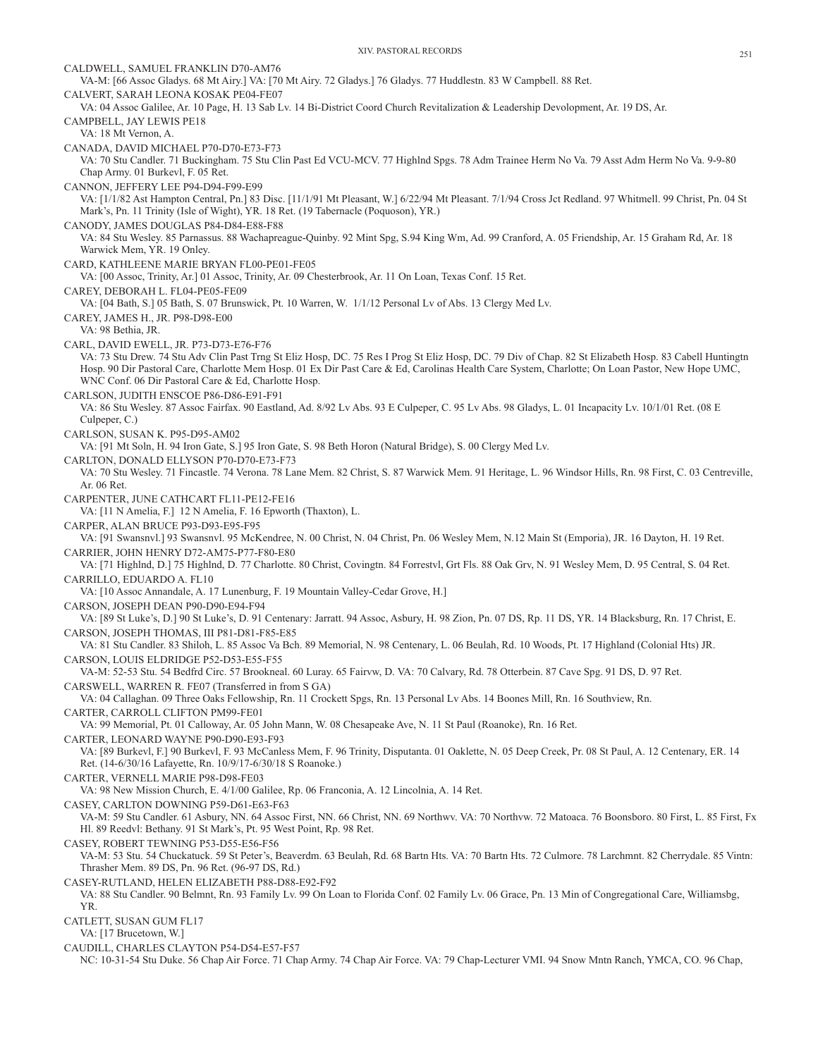CALDWELL, SAMUEL FRANKLIN D70-AM76 VA-M: [66 Assoc Gladys. 68 Mt Airy.] VA: [70 Mt Airy. 72 Gladys.] 76 Gladys. 77 Huddlestn. 83 W Campbell. 88 Ret. CALVERT, SARAH LEONA KOSAK PE04-FE07 VA: 04 Assoc Galilee, Ar. 10 Page, H. 13 Sab Lv. 14 Bi-District Coord Church Revitalization & Leadership Devolopment, Ar. 19 DS, Ar. CAMPBELL, JAY LEWIS PE18 VA: 18 Mt Vernon, A. CANADA, DAVID MICHAEL P70-D70-E73-F73 VA: 70 Stu Candler. 71 Buckingham. 75 Stu Clin Past Ed VCU-MCV. 77 Highlnd Spgs. 78 Adm Trainee Herm No Va. 79 Asst Adm Herm No Va. 9-9-80 Chap Army. 01 Burkevl, F. 05 Ret. CANNON, JEFFERY LEE P94-D94-F99-E99 VA: [1/1/82 Ast Hampton Central, Pn.] 83 Disc. [11/1/91 Mt Pleasant, W.] 6/22/94 Mt Pleasant. 7/1/94 Cross Jct Redland. 97 Whitmell. 99 Christ, Pn. 04 St Mark's, Pn. 11 Trinity (Isle of Wight), YR. 18 Ret. (19 Tabernacle (Poquoson), YR.) CANODY, JAMES DOUGLAS P84-D84-E88-F88 VA: 84 Stu Wesley. 85 Parnassus. 88 Wachapreague-Quinby. 92 Mint Spg, S.94 King Wm, Ad. 99 Cranford, A. 05 Friendship, Ar. 15 Graham Rd, Ar. 18 Warwick Mem, YR. 19 Onley. CARD, KATHLEENE MARIE BRYAN FL00-PE01-FE05 VA: [00 Assoc, Trinity, Ar.] 01 Assoc, Trinity, Ar. 09 Chesterbrook, Ar. 11 On Loan, Texas Conf. 15 Ret. CAREY, DEBORAH L. FL04-PE05-FE09 VA: [04 Bath, S.] 05 Bath, S. 07 Brunswick, Pt. 10 Warren, W. 1/1/12 Personal Lv of Abs. 13 Clergy Med Lv. CAREY, JAMES H., JR. P98-D98-E00 VA: 98 Bethia, JR. CARL, DAVID EWELL, JR. P73-D73-E76-F76 VA: 73 Stu Drew. 74 Stu Adv Clin Past Trng St Eliz Hosp, DC. 75 Res I Prog St Eliz Hosp, DC. 79 Div of Chap. 82 St Elizabeth Hosp. 83 Cabell Huntingtn Hosp. 90 Dir Pastoral Care, Charlotte Mem Hosp. 01 Ex Dir Past Care & Ed, Carolinas Health Care System, Charlotte; On Loan Pastor, New Hope UMC, WNC Conf. 06 Dir Pastoral Care & Ed, Charlotte Hosp. CARLSON, JUDITH ENSCOE P86-D86-E91-F91 VA: 86 Stu Wesley. 87 Assoc Fairfax. 90 Eastland, Ad. 8/92 Lv Abs. 93 E Culpeper, C. 95 Lv Abs. 98 Gladys, L. 01 Incapacity Lv. 10/1/01 Ret. (08 E Culpeper, C.) CARLSON, SUSAN K. P95-D95-AM02 VA: [91 Mt Soln, H. 94 Iron Gate, S.] 95 Iron Gate, S. 98 Beth Horon (Natural Bridge), S. 00 Clergy Med Lv. CARLTON, DONALD ELLYSON P70-D70-E73-F73 VA: 70 Stu Wesley. 71 Fincastle. 74 Verona. 78 Lane Mem. 82 Christ, S. 87 Warwick Mem. 91 Heritage, L. 96 Windsor Hills, Rn. 98 First, C. 03 Centreville, Ar. 06 Ret. CARPENTER, JUNE CATHCART FL11-PE12-FE16 VA: [11 N Amelia, F.] 12 N Amelia, F. 16 Epworth (Thaxton), L. CARPER, ALAN BRUCE P93-D93-E95-F95 VA: [91 Swansnvl.] 93 Swansnvl. 95 McKendree, N. 00 Christ, N. 04 Christ, Pn. 06 Wesley Mem, N.12 Main St (Emporia), JR. 16 Dayton, H. 19 Ret. CARRIER, JOHN HENRY D72-AM75-P77-F80-E80 VA: [71 Highlnd, D.] 75 Highlnd, D. 77 Charlotte. 80 Christ, Covingtn. 84 Forrestvl, Grt Fls. 88 Oak Grv, N. 91 Wesley Mem, D. 95 Central, S. 04 Ret. CARRILLO, EDUARDO A. FL10 VA: [10 Assoc Annandale, A. 17 Lunenburg, F. 19 Mountain Valley-Cedar Grove, H.] CARSON, JOSEPH DEAN P90-D90-E94-F94 VA: [89 St Luke's, D.] 90 St Luke's, D. 91 Centenary: Jarratt. 94 Assoc, Asbury, H. 98 Zion, Pn. 07 DS, Rp. 11 DS, YR. 14 Blacksburg, Rn. 17 Christ, E. CARSON, JOSEPH THOMAS, III P81-D81-F85-E85 VA: 81 Stu Candler. 83 Shiloh, L. 85 Assoc Va Bch. 89 Memorial, N. 98 Centenary, L. 06 Beulah, Rd. 10 Woods, Pt. 17 Highland (Colonial Hts) JR. CARSON, LOUIS ELDRIDGE P52-D53-E55-F55 VA-M: 52-53 Stu. 54 Bedfrd Circ. 57 Brookneal. 60 Luray. 65 Fairvw, D. VA: 70 Calvary, Rd. 78 Otterbein. 87 Cave Spg. 91 DS, D. 97 Ret. CARSWELL, WARREN R. FE07 (Transferred in from S GA) VA: 04 Callaghan. 09 Three Oaks Fellowship, Rn. 11 Crockett Spgs, Rn. 13 Personal Lv Abs. 14 Boones Mill, Rn. 16 Southview, Rn. CARTER, CARROLL CLIFTON PM99-FE01 VA: 99 Memorial, Pt. 01 Calloway, Ar. 05 John Mann, W. 08 Chesapeake Ave, N. 11 St Paul (Roanoke), Rn. 16 Ret. CARTER, LEONARD WAYNE P90-D90-E93-F93 VA: [89 Burkevl, F.] 90 Burkevl, F. 93 McCanless Mem, F. 96 Trinity, Disputanta. 01 Oaklette, N. 05 Deep Creek, Pr. 08 St Paul, A. 12 Centenary, ER. 14 Ret. (14-6/30/16 Lafayette, Rn. 10/9/17-6/30/18 S Roanoke.) CARTER, VERNELL MARIE P98-D98-FE03 VA: 98 New Mission Church, E. 4/1/00 Galilee, Rp. 06 Franconia, A. 12 Lincolnia, A. 14 Ret. CASEY, CARLTON DOWNING P59-D61-E63-F63 VA-M: 59 Stu Candler. 61 Asbury, NN. 64 Assoc First, NN. 66 Christ, NN. 69 Northwv. VA: 70 Northvw. 72 Matoaca. 76 Boonsboro. 80 First, L. 85 First, Fx Hl. 89 Reedvl: Bethany. 91 St Mark's, Pt. 95 West Point, Rp. 98 Ret. CASEY, ROBERT TEWNING P53-D55-E56-F56 VA-M: 53 Stu. 54 Chuckatuck. 59 St Peter's, Beaverdm. 63 Beulah, Rd. 68 Bartn Hts. VA: 70 Bartn Hts. 72 Culmore. 78 Larchmnt. 82 Cherrydale. 85 Vintn: Thrasher Mem. 89 DS, Pn. 96 Ret. (96-97 DS, Rd.) CASEY-RUTLAND, HELEN ELIZABETH P88-D88-E92-F92 VA: 88 Stu Candler. 90 Belmnt, Rn. 93 Family Lv. 99 On Loan to Florida Conf. 02 Family Lv. 06 Grace, Pn. 13 Min of Congregational Care, Williamsbg, YR. CATLETT, SUSAN GUM FL17 VA: [17 Brucetown, W.] CAUDILL, CHARLES CLAYTON P54-D54-E57-F57

NC: 10-31-54 Stu Duke. 56 Chap Air Force. 71 Chap Army. 74 Chap Air Force. VA: 79 Chap-Lecturer VMI. 94 Snow Mntn Ranch, YMCA, CO. 96 Chap,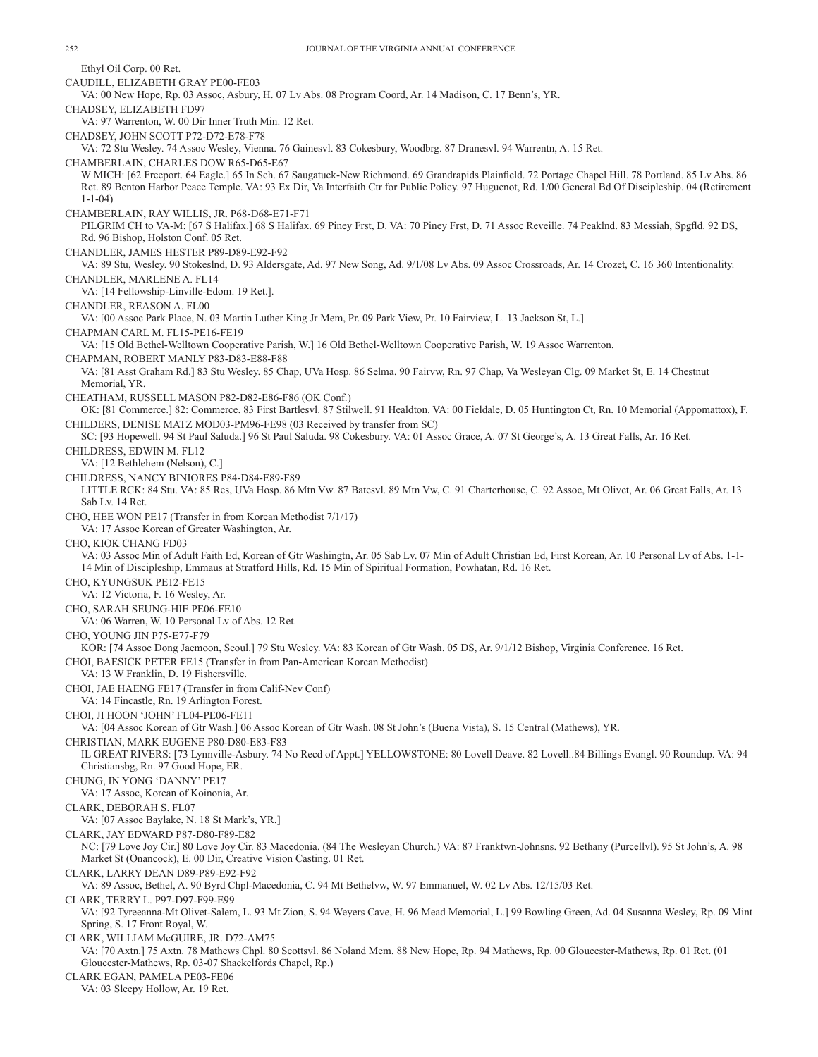Ethyl Oil Corp. 00 Ret. CAUDILL, ELIZABETH GRAY PE00-FE03 VA: 00 New Hope, Rp. 03 Assoc, Asbury, H. 07 Lv Abs. 08 Program Coord, Ar. 14 Madison, C. 17 Benn's, YR. CHADSEY, ELIZABETH FD97 VA: 97 Warrenton, W. 00 Dir Inner Truth Min. 12 Ret. CHADSEY, JOHN SCOTT P72-D72-E78-F78 VA: 72 Stu Wesley. 74 Assoc Wesley, Vienna. 76 Gainesvl. 83 Cokesbury, Woodbrg. 87 Dranesvl. 94 Warrentn, A. 15 Ret. CHAMBERLAIN, CHARLES DOW R65-D65-E67 W MICH: [62 Freeport. 64 Eagle.] 65 In Sch. 67 Saugatuck-New Richmond. 69 Grandrapids Plainfield. 72 Portage Chapel Hill. 78 Portland. 85 Lv Abs. 86 Ret. 89 Benton Harbor Peace Temple. VA: 93 Ex Dir, Va Interfaith Ctr for Public Policy. 97 Huguenot, Rd. 1/00 General Bd Of Discipleship. 04 (Retirement 1-1-04) CHAMBERLAIN, RAY WILLIS, JR. P68-D68-E71-F71 PILGRIM CH to VA-M: [67 S Halifax.] 68 S Halifax. 69 Piney Frst, D. VA: 70 Piney Frst, D. 71 Assoc Reveille. 74 Peaklnd. 83 Messiah, Spgfld. 92 DS, Rd. 96 Bishop, Holston Conf. 05 Ret. CHANDLER, JAMES HESTER P89-D89-E92-F92 VA: 89 Stu, Wesley. 90 Stokeslnd, D. 93 Aldersgate, Ad. 97 New Song, Ad. 9/1/08 Lv Abs. 09 Assoc Crossroads, Ar. 14 Crozet, C. 16 360 Intentionality. CHANDLER, MARLENE A. FL14 VA: [14 Fellowship-Linville-Edom. 19 Ret.]. CHANDLER, REASON A. FL00 VA: [00 Assoc Park Place, N. 03 Martin Luther King Jr Mem, Pr. 09 Park View, Pr. 10 Fairview, L. 13 Jackson St, L.] CHAPMAN CARL M. FL15-PE16-FE19 VA: [15 Old Bethel-Welltown Cooperative Parish, W.] 16 Old Bethel-Welltown Cooperative Parish, W. 19 Assoc Warrenton. CHAPMAN, ROBERT MANLY P83-D83-E88-F88 VA: [81 Asst Graham Rd.] 83 Stu Wesley. 85 Chap, UVa Hosp. 86 Selma. 90 Fairvw, Rn. 97 Chap, Va Wesleyan Clg. 09 Market St, E. 14 Chestnut Memorial, YR. CHEATHAM, RUSSELL MASON P82-D82-E86-F86 (OK Conf.) OK: [81 Commerce.] 82: Commerce. 83 First Bartlesvl. 87 Stilwell. 91 Healdton. VA: 00 Fieldale, D. 05 Huntington Ct, Rn. 10 Memorial (Appomattox), F. CHILDERS, DENISE MATZ MOD03-PM96-FE98 (03 Received by transfer from SC) SC: [93 Hopewell. 94 St Paul Saluda.] 96 St Paul Saluda. 98 Cokesbury. VA: 01 Assoc Grace, A. 07 St George's, A. 13 Great Falls, Ar. 16 Ret. CHILDRESS, EDWIN M. FL12 VA: [12 Bethlehem (Nelson), C.] CHILDRESS, NANCY BINIORES P84-D84-E89-F89 LITTLE RCK: 84 Stu. VA: 85 Res, UVa Hosp. 86 Mtn Vw. 87 Batesvl. 89 Mtn Vw, C. 91 Charterhouse, C. 92 Assoc, Mt Olivet, Ar. 06 Great Falls, Ar. 13 Sab Lv. 14 Ret. CHO, HEE WON PE17 (Transfer in from Korean Methodist 7/1/17) VA: 17 Assoc Korean of Greater Washington, Ar. CHO, KIOK CHANG FD03 VA: 03 Assoc Min of Adult Faith Ed, Korean of Gtr Washingtn, Ar. 05 Sab Lv. 07 Min of Adult Christian Ed, First Korean, Ar. 10 Personal Lv of Abs. 1-1- 14 Min of Discipleship, Emmaus at Stratford Hills, Rd. 15 Min of Spiritual Formation, Powhatan, Rd. 16 Ret. CHO, KYUNGSUK PE12-FE15 VA: 12 Victoria, F. 16 Wesley, Ar. CHO, SARAH SEUNG-HIE PE06-FE10 VA: 06 Warren, W. 10 Personal Lv of Abs. 12 Ret. CHO, YOUNG JIN P75-E77-F79 KOR: [74 Assoc Dong Jaemoon, Seoul.] 79 Stu Wesley. VA: 83 Korean of Gtr Wash. 05 DS, Ar. 9/1/12 Bishop, Virginia Conference. 16 Ret. CHOI, BAESICK PETER FE15 (Transfer in from Pan-American Korean Methodist) VA: 13 W Franklin, D. 19 Fishersville. CHOI, JAE HAENG FE17 (Transfer in from Calif-Nev Conf) VA: 14 Fincastle, Rn. 19 Arlington Forest. CHOI, JI HOON 'JOHN' FL04-PE06-FE11 VA: [04 Assoc Korean of Gtr Wash.] 06 Assoc Korean of Gtr Wash. 08 St John's (Buena Vista), S. 15 Central (Mathews), YR. CHRISTIAN, MARK EUGENE P80-D80-E83-F83 IL GREAT RIVERS: [73 Lynnville-Asbury. 74 No Recd of Appt.] YELLOWSTONE: 80 Lovell Deave. 82 Lovell..84 Billings Evangl. 90 Roundup. VA: 94 Christiansbg, Rn. 97 Good Hope, ER. CHUNG, IN YONG 'DANNY' PE17 VA: 17 Assoc, Korean of Koinonia, Ar. CLARK, DEBORAH S. FL07 VA: [07 Assoc Baylake, N. 18 St Mark's, YR.] CLARK, JAY EDWARD P87-D80-F89-E82 NC: [79 Love Joy Cir.] 80 Love Joy Cir. 83 Macedonia. (84 The Wesleyan Church.) VA: 87 Franktwn-Johnsns. 92 Bethany (Purcellvl). 95 St John's, A. 98 Market St (Onancock), E. 00 Dir, Creative Vision Casting. 01 Ret. CLARK, LARRY DEAN D89-P89-E92-F92 VA: 89 Assoc, Bethel, A. 90 Byrd Chpl-Macedonia, C. 94 Mt Bethelvw, W. 97 Emmanuel, W. 02 Lv Abs. 12/15/03 Ret. CLARK, TERRY L. P97-D97-F99-E99 VA: [92 Tyreeanna-Mt Olivet-Salem, L. 93 Mt Zion, S. 94 Weyers Cave, H. 96 Mead Memorial, L.] 99 Bowling Green, Ad. 04 Susanna Wesley, Rp. 09 Mint Spring, S. 17 Front Royal, W. CLARK, WILLIAM McGUIRE, JR. D72-AM75 VA: [70 Axtn.] 75 Axtn. 78 Mathews Chpl. 80 Scottsvl. 86 Noland Mem. 88 New Hope, Rp. 94 Mathews, Rp. 00 Gloucester-Mathews, Rp. 01 Ret. (01 Gloucester-Mathews, Rp. 03-07 Shackelfords Chapel, Rp.) CLARK EGAN, PAMELA PE03-FE06

VA: 03 Sleepy Hollow, Ar. 19 Ret.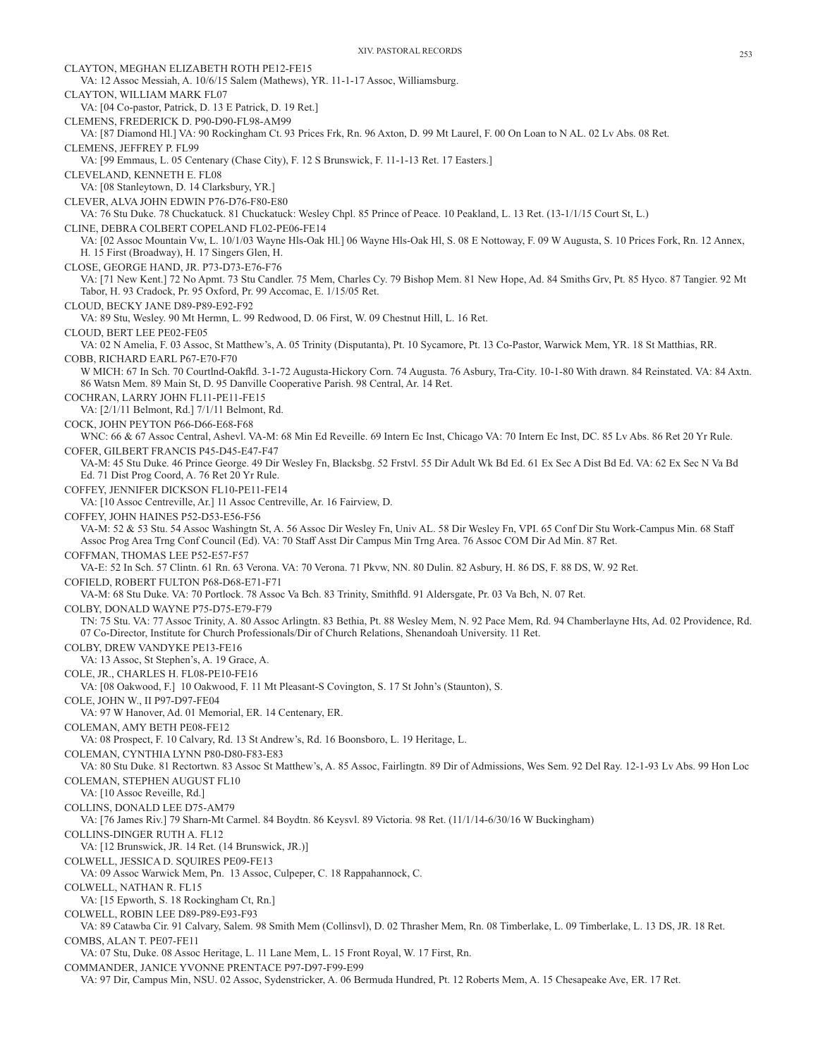CLAYTON, MEGHAN ELIZABETH ROTH PE12-FE15 VA: 12 Assoc Messiah, A. 10/6/15 Salem (Mathews), YR. 11-1-17 Assoc, Williamsburg. CLAYTON, WILLIAM MARK FL07 VA: [04 Co-pastor, Patrick, D. 13 E Patrick, D. 19 Ret.] CLEMENS, FREDERICK D. P90-D90-FL98-AM99 VA: [87 Diamond Hl.] VA: 90 Rockingham Ct. 93 Prices Frk, Rn. 96 Axton, D. 99 Mt Laurel, F. 00 On Loan to N AL. 02 Lv Abs. 08 Ret. CLEMENS, JEFFREY P. FL99 VA: [99 Emmaus, L. 05 Centenary (Chase City), F. 12 S Brunswick, F. 11-1-13 Ret. 17 Easters.] CLEVELAND, KENNETH E. FL08 VA: [08 Stanleytown, D. 14 Clarksbury, YR.] CLEVER, ALVA JOHN EDWIN P76-D76-F80-E80 VA: 76 Stu Duke. 78 Chuckatuck. 81 Chuckatuck: Wesley Chpl. 85 Prince of Peace. 10 Peakland, L. 13 Ret. (13-1/1/15 Court St, L.) CLINE, DEBRA COLBERT COPELAND FL02-PE06-FE14 VA: [02 Assoc Mountain Vw, L. 10/1/03 Wayne Hls-Oak Hl.] 06 Wayne Hls-Oak Hl, S. 08 E Nottoway, F. 09 W Augusta, S. 10 Prices Fork, Rn. 12 Annex, H. 15 First (Broadway), H. 17 Singers Glen, H. CLOSE, GEORGE HAND, JR. P73-D73-E76-F76 VA: [71 New Kent.] 72 No Apmt. 73 Stu Candler. 75 Mem, Charles Cy. 79 Bishop Mem. 81 New Hope, Ad. 84 Smiths Grv, Pt. 85 Hyco. 87 Tangier. 92 Mt Tabor, H. 93 Cradock, Pr. 95 Oxford, Pr. 99 Accomac, E. 1/15/05 Ret. CLOUD, BECKY JANE D89-P89-E92-F92 VA: 89 Stu, Wesley. 90 Mt Hermn, L. 99 Redwood, D. 06 First, W. 09 Chestnut Hill, L. 16 Ret. CLOUD, BERT LEE PE02-FE05 VA: 02 N Amelia, F. 03 Assoc, St Matthew's, A. 05 Trinity (Disputanta), Pt. 10 Sycamore, Pt. 13 Co-Pastor, Warwick Mem, YR. 18 St Matthias, RR. COBB, RICHARD EARL P67-E70-F70 W MICH: 67 In Sch. 70 Courtlnd-Oakfld. 3-1-72 Augusta-Hickory Corn. 74 Augusta. 76 Asbury, Tra-City. 10-1-80 With drawn. 84 Reinstated. VA: 84 Axtn. 86 Watsn Mem. 89 Main St, D. 95 Danville Cooperative Parish. 98 Central, Ar. 14 Ret. COCHRAN, LARRY JOHN FL11-PE11-FE15 VA: [2/1/11 Belmont, Rd.] 7/1/11 Belmont, Rd. COCK, JOHN PEYTON P66-D66-E68-F68 WNC: 66 & 67 Assoc Central, Ashevl. VA-M: 68 Min Ed Reveille. 69 Intern Ec Inst, Chicago VA: 70 Intern Ec Inst, DC. 85 Lv Abs. 86 Ret 20 Yr Rule. COFER, GILBERT FRANCIS P45-D45-E47-F47 VA-M: 45 Stu Duke. 46 Prince George. 49 Dir Wesley Fn, Blacksbg. 52 Frstvl. 55 Dir Adult Wk Bd Ed. 61 Ex Sec A Dist Bd Ed. VA: 62 Ex Sec N Va Bd Ed. 71 Dist Prog Coord, A. 76 Ret 20 Yr Rule. COFFEY, JENNIFER DICKSON FL10-PE11-FE14 VA: [10 Assoc Centreville, Ar.] 11 Assoc Centreville, Ar. 16 Fairview, D. COFFEY, JOHN HAINES P52-D53-E56-F56 VA-M: 52 & 53 Stu. 54 Assoc Washingtn St, A. 56 Assoc Dir Wesley Fn, Univ AL. 58 Dir Wesley Fn, VPI. 65 Conf Dir Stu Work-Campus Min. 68 Staff Assoc Prog Area Trng Conf Council (Ed). VA: 70 Staff Asst Dir Campus Min Trng Area. 76 Assoc COM Dir Ad Min. 87 Ret. COFFMAN, THOMAS LEE P52-E57-F57 VA-E: 52 In Sch. 57 Clintn. 61 Rn. 63 Verona. VA: 70 Verona. 71 Pkvw, NN. 80 Dulin. 82 Asbury, H. 86 DS, F. 88 DS, W. 92 Ret. COFIELD, ROBERT FULTON P68-D68-E71-F71 VA-M: 68 Stu Duke. VA: 70 Portlock. 78 Assoc Va Bch. 83 Trinity, Smithfld. 91 Aldersgate, Pr. 03 Va Bch, N. 07 Ret. COLBY, DONALD WAYNE P75-D75-E79-F79 TN: 75 Stu. VA: 77 Assoc Trinity, A. 80 Assoc Arlingtn. 83 Bethia, Pt. 88 Wesley Mem, N. 92 Pace Mem, Rd. 94 Chamberlayne Hts, Ad. 02 Providence, Rd. 07 Co-Director, Institute for Church Professionals/Dir of Church Relations, Shenandoah University. 11 Ret. COLBY, DREW VANDYKE PE13-FE16 VA: 13 Assoc, St Stephen's, A. 19 Grace, A. COLE, JR., CHARLES H. FL08-PE10-FE16 VA: [08 Oakwood, F.] 10 Oakwood, F. 11 Mt Pleasant-S Covington, S. 17 St John's (Staunton), S. COLE, JOHN W., II P97-D97-FE04 VA: 97 W Hanover, Ad. 01 Memorial, ER. 14 Centenary, ER. COLEMAN, AMY BETH PE08-FE12 VA: 08 Prospect, F. 10 Calvary, Rd. 13 St Andrew's, Rd. 16 Boonsboro, L. 19 Heritage, L. COLEMAN, CYNTHIA LYNN P80-D80-F83-E83 VA: 80 Stu Duke. 81 Rectortwn. 83 Assoc St Matthew's, A. 85 Assoc, Fairlingtn. 89 Dir of Admissions, Wes Sem. 92 Del Ray. 12-1-93 Lv Abs. 99 Hon Loc COLEMAN, STEPHEN AUGUST FL10 VA: [10 Assoc Reveille, Rd.] COLLINS, DONALD LEE D75-AM79 VA: [76 James Riv.] 79 Sharn-Mt Carmel. 84 Boydtn. 86 Keysvl. 89 Victoria. 98 Ret. (11/1/14-6/30/16 W Buckingham) COLLINS-DINGER RUTH A. FL12 VA: [12 Brunswick, JR. 14 Ret. (14 Brunswick, JR.)] COLWELL, JESSICA D. SQUIRES PE09-FE13 VA: 09 Assoc Warwick Mem, Pn. 13 Assoc, Culpeper, C. 18 Rappahannock, C. COLWELL, NATHAN R. FL15 VA: [15 Epworth, S. 18 Rockingham Ct, Rn.] COLWELL, ROBIN LEE D89-P89-E93-F93 VA: 89 Catawba Cir. 91 Calvary, Salem. 98 Smith Mem (Collinsvl), D. 02 Thrasher Mem, Rn. 08 Timberlake, L. 09 Timberlake, L. 13 DS, JR. 18 Ret. COMBS, ALAN T. PE07-FE11 VA: 07 Stu, Duke. 08 Assoc Heritage, L. 11 Lane Mem, L. 15 Front Royal, W. 17 First, Rn. COMMANDER, JANICE YVONNE PRENTACE P97-D97-F99-E99 VA: 97 Dir, Campus Min, NSU. 02 Assoc, Sydenstricker, A. 06 Bermuda Hundred, Pt. 12 Roberts Mem, A. 15 Chesapeake Ave, ER. 17 Ret.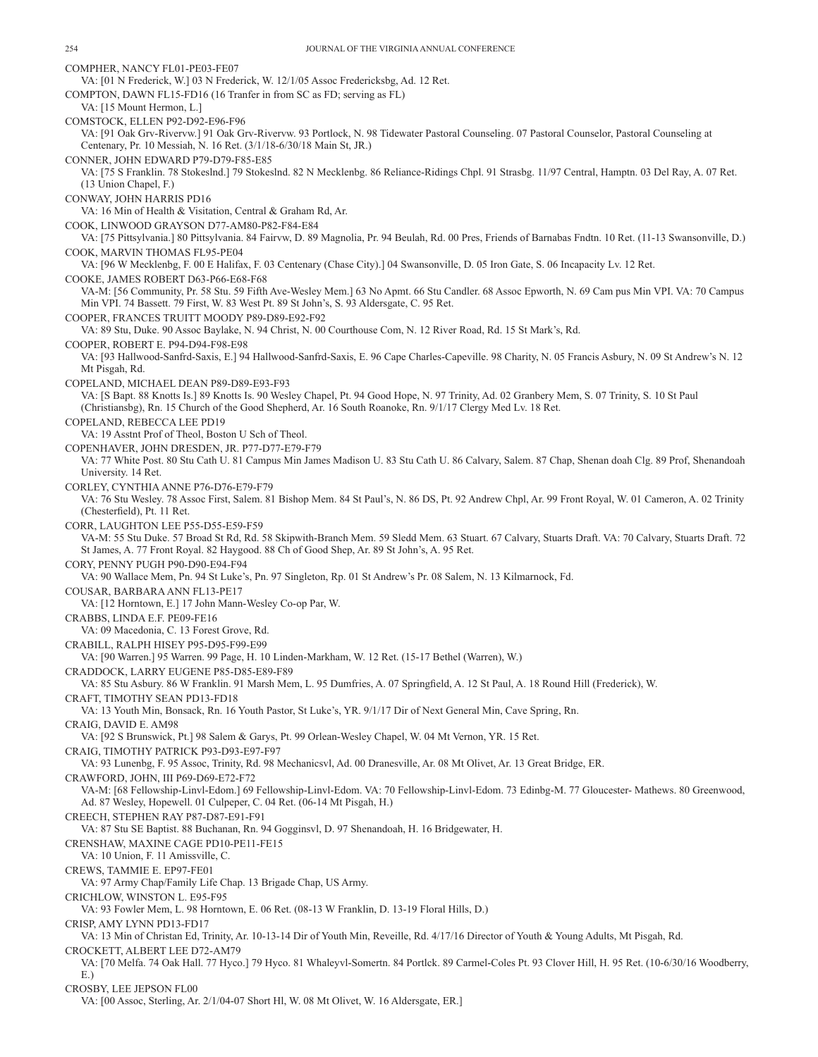COMPHER, NANCY FL01-PE03-FE07 VA: [01 N Frederick, W.] 03 N Frederick, W. 12/1/05 Assoc Fredericksbg, Ad. 12 Ret. COMPTON, DAWN FL15-FD16 (16 Tranfer in from SC as FD; serving as FL) VA: [15 Mount Hermon, L.] COMSTOCK, ELLEN P92-D92-E96-F96 VA: [91 Oak Grv-Rivervw.] 91 Oak Grv-Rivervw. 93 Portlock, N. 98 Tidewater Pastoral Counseling. 07 Pastoral Counselor, Pastoral Counseling at Centenary, Pr. 10 Messiah, N. 16 Ret. (3/1/18-6/30/18 Main St, JR.) CONNER, JOHN EDWARD P79-D79-F85-E85 VA: [75 S Franklin. 78 Stokeslnd.] 79 Stokeslnd. 82 N Mecklenbg. 86 Reliance-Ridings Chpl. 91 Strasbg. 11/97 Central, Hamptn. 03 Del Ray, A. 07 Ret. (13 Union Chapel, F.) CONWAY, JOHN HARRIS PD16 VA: 16 Min of Health & Visitation, Central & Graham Rd, Ar. COOK, LINWOOD GRAYSON D77-AM80-P82-F84-E84 VA: [75 Pittsylvania.] 80 Pittsylvania. 84 Fairvw, D. 89 Magnolia, Pr. 94 Beulah, Rd. 00 Pres, Friends of Barnabas Fndtn. 10 Ret. (11-13 Swansonville, D.) COOK, MARVIN THOMAS FL95-PE04 VA: [96 W Mecklenbg, F. 00 E Halifax, F. 03 Centenary (Chase City).] 04 Swansonville, D. 05 Iron Gate, S. 06 Incapacity Lv. 12 Ret. COOKE, JAMES ROBERT D63-P66-E68-F68 VA-M: [56 Community, Pr. 58 Stu. 59 Fifth Ave-Wesley Mem.] 63 No Apmt. 66 Stu Candler. 68 Assoc Epworth, N. 69 Cam pus Min VPI. VA: 70 Campus Min VPI. 74 Bassett. 79 First, W. 83 West Pt. 89 St John's, S. 93 Aldersgate, C. 95 Ret. COOPER, FRANCES TRUITT MOODY P89-D89-E92-F92 VA: 89 Stu, Duke. 90 Assoc Baylake, N. 94 Christ, N. 00 Courthouse Com, N. 12 River Road, Rd. 15 St Mark's, Rd. COOPER, ROBERT E. P94-D94-F98-E98 VA: [93 Hallwood-Sanfrd-Saxis, E.] 94 Hallwood-Sanfrd-Saxis, E. 96 Cape Charles-Capeville. 98 Charity, N. 05 Francis Asbury, N. 09 St Andrew's N. 12 Mt Pisgah, Rd. COPELAND, MICHAEL DEAN P89-D89-E93-F93 VA: [S Bapt. 88 Knotts Is.] 89 Knotts Is. 90 Wesley Chapel, Pt. 94 Good Hope, N. 97 Trinity, Ad. 02 Granbery Mem, S. 07 Trinity, S. 10 St Paul (Christiansbg), Rn. 15 Church of the Good Shepherd, Ar. 16 South Roanoke, Rn. 9/1/17 Clergy Med Lv. 18 Ret. COPELAND, REBECCA LEE PD19 VA: 19 Asstnt Prof of Theol, Boston U Sch of Theol. COPENHAVER, JOHN DRESDEN, JR. P77-D77-E79-F79 VA: 77 White Post. 80 Stu Cath U. 81 Campus Min James Madison U. 83 Stu Cath U. 86 Calvary, Salem. 87 Chap, Shenan doah Clg. 89 Prof, Shenandoah University. 14 Ret. CORLEY, CYNTHIA ANNE P76-D76-E79-F79 VA: 76 Stu Wesley. 78 Assoc First, Salem. 81 Bishop Mem. 84 St Paul's, N. 86 DS, Pt. 92 Andrew Chpl, Ar. 99 Front Royal, W. 01 Cameron, A. 02 Trinity (Chesterfield), Pt. 11 Ret. CORR, LAUGHTON LEE P55-D55-E59-F59 VA-M: 55 Stu Duke. 57 Broad St Rd, Rd. 58 Skipwith-Branch Mem. 59 Sledd Mem. 63 Stuart. 67 Calvary, Stuarts Draft. VA: 70 Calvary, Stuarts Draft. 72 St James, A. 77 Front Royal. 82 Haygood. 88 Ch of Good Shep, Ar. 89 St John's, A. 95 Ret. CORY, PENNY PUGH P90-D90-E94-F94 VA: 90 Wallace Mem, Pn. 94 St Luke's, Pn. 97 Singleton, Rp. 01 St Andrew's Pr. 08 Salem, N. 13 Kilmarnock, Fd. COUSAR, BARBARA ANN FL13-PE17 VA: [12 Horntown, E.] 17 John Mann-Wesley Co-op Par, W. CRABBS, LINDA E.F. PE09-FE16 VA: 09 Macedonia, C. 13 Forest Grove, Rd. CRABILL, RALPH HISEY P95-D95-F99-E99 VA: [90 Warren.] 95 Warren. 99 Page, H. 10 Linden-Markham, W. 12 Ret. (15-17 Bethel (Warren), W.) CRADDOCK, LARRY EUGENE P85-D85-E89-F89 VA: 85 Stu Asbury. 86 W Franklin. 91 Marsh Mem, L. 95 Dumfries, A. 07 Springfield, A. 12 St Paul, A. 18 Round Hill (Frederick), W. CRAFT, TIMOTHY SEAN PD13-FD18 VA: 13 Youth Min, Bonsack, Rn. 16 Youth Pastor, St Luke's, YR. 9/1/17 Dir of Next General Min, Cave Spring, Rn. CRAIG, DAVID E. AM98 VA: [92 S Brunswick, Pt.] 98 Salem & Garys, Pt. 99 Orlean-Wesley Chapel, W. 04 Mt Vernon, YR. 15 Ret. CRAIG, TIMOTHY PATRICK P93-D93-E97-F97 VA: 93 Lunenbg, F. 95 Assoc, Trinity, Rd. 98 Mechanicsvl, Ad. 00 Dranesville, Ar. 08 Mt Olivet, Ar. 13 Great Bridge, ER. CRAWFORD, JOHN, III P69-D69-E72-F72 VA-M: [68 Fellowship-Linvl-Edom.] 69 Fellowship-Linvl-Edom. VA: 70 Fellowship-Linvl-Edom. 73 Edinbg-M. 77 Gloucester- Mathews. 80 Greenwood, Ad. 87 Wesley, Hopewell. 01 Culpeper, C. 04 Ret. (06-14 Mt Pisgah, H.) CREECH, STEPHEN RAY P87-D87-E91-F91 VA: 87 Stu SE Baptist. 88 Buchanan, Rn. 94 Gogginsvl, D. 97 Shenandoah, H. 16 Bridgewater, H. CRENSHAW, MAXINE CAGE PD10-PE11-FE15 VA: 10 Union, F. 11 Amissville, C. CREWS, TAMMIE E. EP97-FE01 VA: 97 Army Chap/Family Life Chap. 13 Brigade Chap, US Army. CRICHLOW, WINSTON L. E95-F95 VA: 93 Fowler Mem, L. 98 Horntown, E. 06 Ret. (08-13 W Franklin, D. 13-19 Floral Hills, D.) CRISP, AMY LYNN PD13-FD17 VA: 13 Min of Christan Ed, Trinity, Ar. 10-13-14 Dir of Youth Min, Reveille, Rd. 4/17/16 Director of Youth & Young Adults, Mt Pisgah, Rd. CROCKETT, ALBERT LEE D72-AM79 VA: [70 Melfa. 74 Oak Hall. 77 Hyco.] 79 Hyco. 81 Whaleyvl-Somertn. 84 Portlck. 89 Carmel-Coles Pt. 93 Clover Hill, H. 95 Ret. (10-6/30/16 Woodberry, E.)

CROSBY, LEE JEPSON FL00

VA: [00 Assoc, Sterling, Ar. 2/1/04-07 Short Hl, W. 08 Mt Olivet, W. 16 Aldersgate, ER.]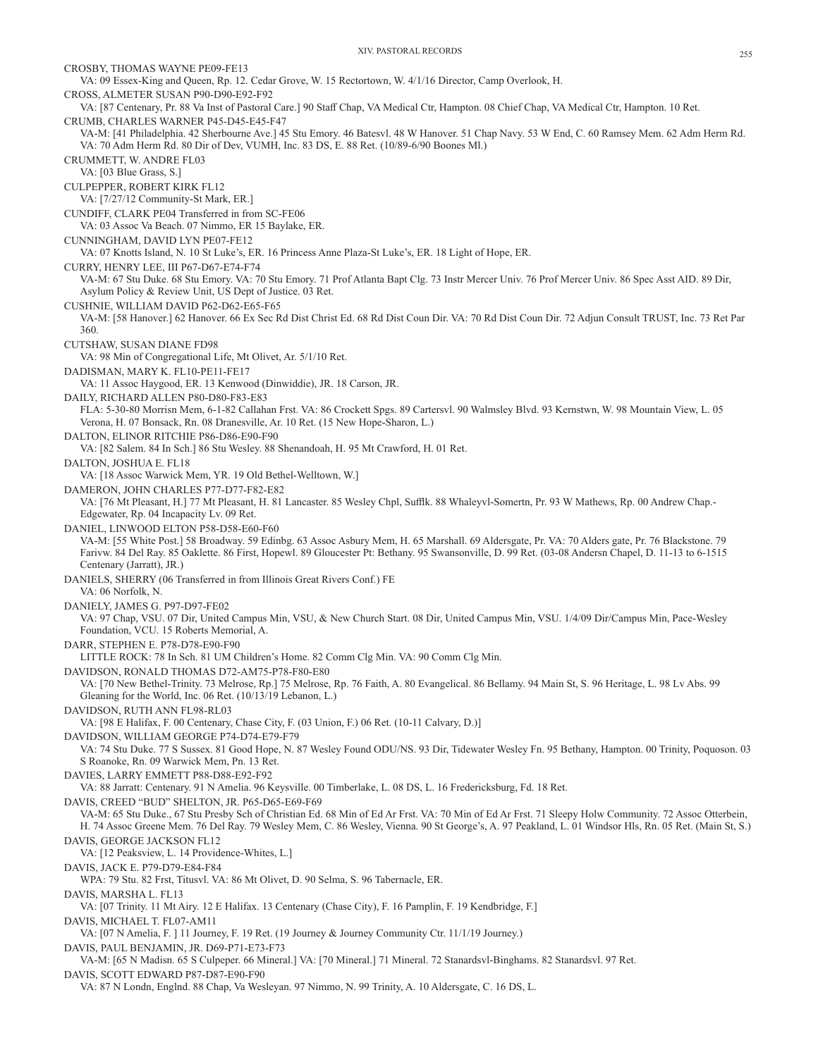CROSBY, THOMAS WAYNE PE09-FE13 VA: 09 Essex-King and Queen, Rp. 12. Cedar Grove, W. 15 Rectortown, W. 4/1/16 Director, Camp Overlook, H. CROSS, ALMETER SUSAN P90-D90-E92-F92 VA: [87 Centenary, Pr. 88 Va Inst of Pastoral Care.] 90 Staff Chap, VA Medical Ctr, Hampton. 08 Chief Chap, VA Medical Ctr, Hampton. 10 Ret. CRUMB, CHARLES WARNER P45-D45-E45-F47 VA-M: [41 Philadelphia. 42 Sherbourne Ave.] 45 Stu Emory. 46 Batesvl. 48 W Hanover. 51 Chap Navy. 53 W End, C. 60 Ramsey Mem. 62 Adm Herm Rd. VA: 70 Adm Herm Rd. 80 Dir of Dev, VUMH, Inc. 83 DS, E. 88 Ret. (10/89-6/90 Boones Ml.) CRUMMETT, W. ANDRE FL03 VA: [03 Blue Grass, S.] CULPEPPER, ROBERT KIRK FL12 VA: [7/27/12 Community-St Mark, ER.] CUNDIFF, CLARK PE04 Transferred in from SC-FE06 VA: 03 Assoc Va Beach. 07 Nimmo, ER 15 Baylake, ER. CUNNINGHAM, DAVID LYN PE07-FE12 VA: 07 Knotts Island, N. 10 St Luke's, ER. 16 Princess Anne Plaza-St Luke's, ER. 18 Light of Hope, ER. CURRY, HENRY LEE, III P67-D67-E74-F74 VA-M: 67 Stu Duke. 68 Stu Emory. VA: 70 Stu Emory. 71 Prof Atlanta Bapt Clg. 73 Instr Mercer Univ. 76 Prof Mercer Univ. 86 Spec Asst AID. 89 Dir, Asylum Policy & Review Unit, US Dept of Justice. 03 Ret. CUSHNIE, WILLIAM DAVID P62-D62-E65-F65 VA-M: [58 Hanover.] 62 Hanover. 66 Ex Sec Rd Dist Christ Ed. 68 Rd Dist Coun Dir. VA: 70 Rd Dist Coun Dir. 72 Adjun Consult TRUST, Inc. 73 Ret Par 360. CUTSHAW, SUSAN DIANE FD98 VA: 98 Min of Congregational Life, Mt Olivet, Ar. 5/1/10 Ret. DADISMAN, MARY K. FL10-PE11-FE17 VA: 11 Assoc Haygood, ER. 13 Kenwood (Dinwiddie), JR. 18 Carson, JR. DAILY, RICHARD ALLEN P80-D80-F83-E83 FLA: 5-30-80 Morrisn Mem, 6-1-82 Callahan Frst. VA: 86 Crockett Spgs. 89 Cartersvl. 90 Walmsley Blvd. 93 Kernstwn, W. 98 Mountain View, L. 05 Verona, H. 07 Bonsack, Rn. 08 Dranesville, Ar. 10 Ret. (15 New Hope-Sharon, L.) DALTON, ELINOR RITCHIE P86-D86-E90-F90 VA: [82 Salem. 84 In Sch.] 86 Stu Wesley. 88 Shenandoah, H. 95 Mt Crawford, H. 01 Ret. DALTON, JOSHUA E. FL18 VA: [18 Assoc Warwick Mem, YR. 19 Old Bethel-Welltown, W.] DAMERON, JOHN CHARLES P77-D77-F82-E82 VA: [76 Mt Pleasant, H.] 77 Mt Pleasant, H. 81 Lancaster. 85 Wesley Chpl, Sufflk. 88 Whaleyvl-Somertn, Pr. 93 W Mathews, Rp. 00 Andrew Chap.- Edgewater, Rp. 04 Incapacity Lv. 09 Ret. DANIEL, LINWOOD ELTON P58-D58-E60-F60 VA-M: [55 White Post.] 58 Broadway. 59 Edinbg. 63 Assoc Asbury Mem, H. 65 Marshall. 69 Aldersgate, Pr. VA: 70 Alders gate, Pr. 76 Blackstone. 79 Farivw. 84 Del Ray. 85 Oaklette. 86 First, Hopewl. 89 Gloucester Pt: Bethany. 95 Swansonville, D. 99 Ret. (03-08 Andersn Chapel, D. 11-13 to 6-1515 Centenary (Jarratt), JR.) DANIELS, SHERRY (06 Transferred in from Illinois Great Rivers Conf.) FE VA: 06 Norfolk, N. DANIELY, JAMES G. P97-D97-FE02 VA: 97 Chap, VSU. 07 Dir, United Campus Min, VSU, & New Church Start. 08 Dir, United Campus Min, VSU. 1/4/09 Dir/Campus Min, Pace-Wesley Foundation, VCU. 15 Roberts Memorial, A. DARR, STEPHEN E. P78-D78-E90-F90 LITTLE ROCK: 78 In Sch. 81 UM Children's Home. 82 Comm Clg Min. VA: 90 Comm Clg Min. DAVIDSON, RONALD THOMAS D72-AM75-P78-F80-E80 VA: [70 New Bethel-Trinity. 73 Melrose, Rp.] 75 Melrose, Rp. 76 Faith, A. 80 Evangelical. 86 Bellamy. 94 Main St, S. 96 Heritage, L. 98 Lv Abs. 99 Gleaning for the World, Inc. 06 Ret. (10/13/19 Lebanon, L.) DAVIDSON, RUTH ANN FL98-RL03 VA: [98 E Halifax, F. 00 Centenary, Chase City, F. (03 Union, F.) 06 Ret. (10-11 Calvary, D.)] DAVIDSON, WILLIAM GEORGE P74-D74-E79-F79 VA: 74 Stu Duke. 77 S Sussex. 81 Good Hope, N. 87 Wesley Found ODU/NS. 93 Dir, Tidewater Wesley Fn. 95 Bethany, Hampton. 00 Trinity, Poquoson. 03 S Roanoke, Rn. 09 Warwick Mem, Pn. 13 Ret. DAVIES, LARRY EMMETT P88-D88-E92-F92 VA: 88 Jarratt: Centenary. 91 N Amelia. 96 Keysville. 00 Timberlake, L. 08 DS, L. 16 Fredericksburg, Fd. 18 Ret. DAVIS, CREED "BUD" SHELTON, JR. P65-D65-E69-F69 VA-M: 65 Stu Duke., 67 Stu Presby Sch of Christian Ed. 68 Min of Ed Ar Frst. VA: 70 Min of Ed Ar Frst. 71 Sleepy Holw Community. 72 Assoc Otterbein, H. 74 Assoc Greene Mem. 76 Del Ray. 79 Wesley Mem, C. 86 Wesley, Vienna. 90 St George's, A. 97 Peakland, L. 01 Windsor Hls, Rn. 05 Ret. (Main St, S.) DAVIS, GEORGE JACKSON FL12 VA: [12 Peaksview, L. 14 Providence-Whites, L.] DAVIS, JACK E. P79-D79-E84-F84 WPA: 79 Stu. 82 Frst, Titusvl. VA: 86 Mt Olivet, D. 90 Selma, S. 96 Tabernacle, ER. DAVIS, MARSHA L. FL13 VA: [07 Trinity. 11 Mt Airy. 12 E Halifax. 13 Centenary (Chase City), F. 16 Pamplin, F. 19 Kendbridge, F.] DAVIS, MICHAEL T. FL07-AM11 VA: [07 N Amelia, F. ] 11 Journey, F. 19 Ret. (19 Journey & Journey Community Ctr. 11/1/19 Journey.) DAVIS, PAUL BENJAMIN, JR. D69-P71-E73-F73 VA-M: [65 N Madisn. 65 S Culpeper. 66 Mineral.] VA: [70 Mineral.] 71 Mineral. 72 Stanardsvl-Binghams. 82 Stanardsvl. 97 Ret. DAVIS, SCOTT EDWARD P87-D87-E90-F90 VA: 87 N Londn, Englnd. 88 Chap, Va Wesleyan. 97 Nimmo, N. 99 Trinity, A. 10 Aldersgate, C. 16 DS, L.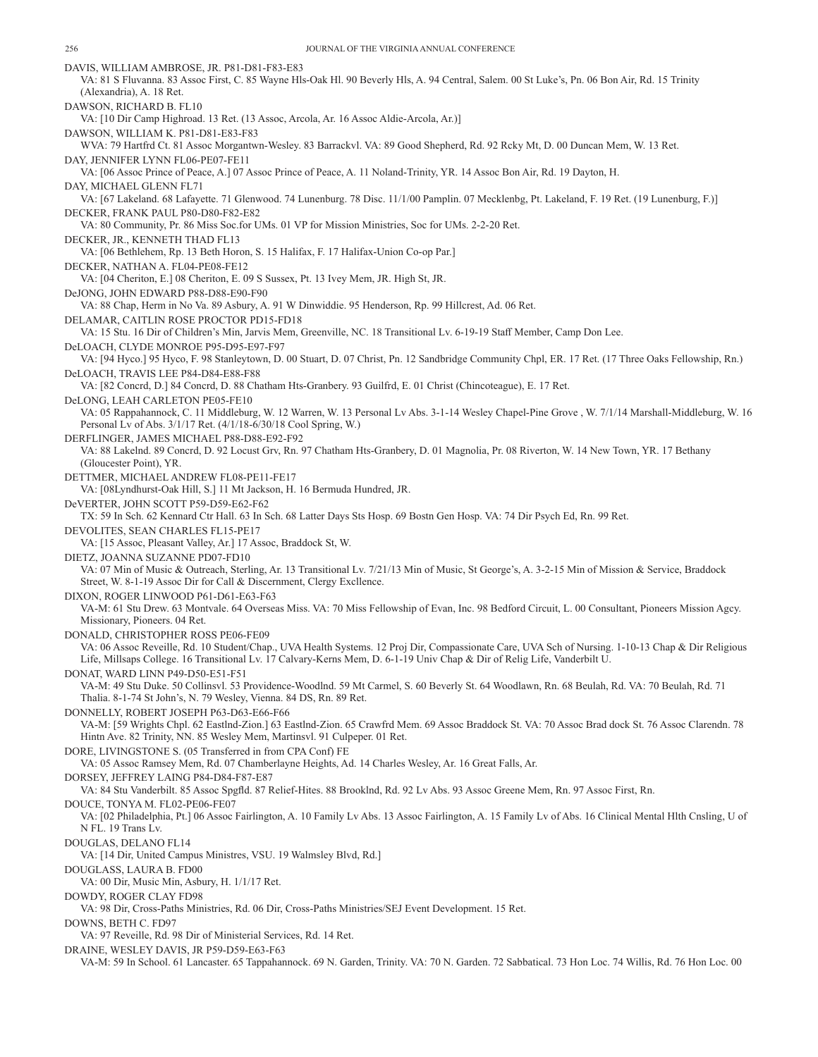DAVIS, WILLIAM AMBROSE, JR. P81-D81-F83-E83 VA: 81 S Fluvanna. 83 Assoc First, C. 85 Wayne Hls-Oak Hl. 90 Beverly Hls, A. 94 Central, Salem. 00 St Luke's, Pn. 06 Bon Air, Rd. 15 Trinity (Alexandria), A. 18 Ret. DAWSON, RICHARD B. FL10 VA: [10 Dir Camp Highroad. 13 Ret. (13 Assoc, Arcola, Ar. 16 Assoc Aldie-Arcola, Ar.)] DAWSON, WILLIAM K. P81-D81-E83-F83 WVA: 79 Hartfrd Ct. 81 Assoc Morgantwn-Wesley. 83 Barrackvl. VA: 89 Good Shepherd, Rd. 92 Rcky Mt, D. 00 Duncan Mem, W. 13 Ret. DAY, JENNIFER LYNN FL06-PE07-FE11 VA: [06 Assoc Prince of Peace, A.] 07 Assoc Prince of Peace, A. 11 Noland-Trinity, YR. 14 Assoc Bon Air, Rd. 19 Dayton, H. DAY, MICHAEL GLENN FL71 VA: [67 Lakeland. 68 Lafayette. 71 Glenwood. 74 Lunenburg. 78 Disc. 11/1/00 Pamplin. 07 Mecklenbg, Pt. Lakeland, F. 19 Ret. (19 Lunenburg, F.)] DECKER, FRANK PAUL P80-D80-F82-E82 VA: 80 Community, Pr. 86 Miss Soc.for UMs. 01 VP for Mission Ministries, Soc for UMs. 2-2-20 Ret. DECKER, JR., KENNETH THAD FL13 VA: [06 Bethlehem, Rp. 13 Beth Horon, S. 15 Halifax, F. 17 Halifax-Union Co-op Par.] DECKER, NATHAN A. FL04-PE08-FE12 VA: [04 Cheriton, E.] 08 Cheriton, E. 09 S Sussex, Pt. 13 Ivey Mem, JR. High St, JR. DeJONG, JOHN EDWARD P88-D88-E90-F90 VA: 88 Chap, Herm in No Va. 89 Asbury, A. 91 W Dinwiddie. 95 Henderson, Rp. 99 Hillcrest, Ad. 06 Ret. DELAMAR, CAITLIN ROSE PROCTOR PD15-FD18 VA: 15 Stu. 16 Dir of Children's Min, Jarvis Mem, Greenville, NC. 18 Transitional Lv. 6-19-19 Staff Member, Camp Don Lee. DeLOACH, CLYDE MONROE P95-D95-E97-F97 VA: [94 Hyco.] 95 Hyco, F. 98 Stanleytown, D. 00 Stuart, D. 07 Christ, Pn. 12 Sandbridge Community Chpl, ER. 17 Ret. (17 Three Oaks Fellowship, Rn.) DeLOACH, TRAVIS LEE P84-D84-E88-F88 VA: [82 Concrd, D.] 84 Concrd, D. 88 Chatham Hts-Granbery. 93 Guilfrd, E. 01 Christ (Chincoteague), E. 17 Ret. DeLONG, LEAH CARLETON PE05-FE10 VA: 05 Rappahannock, C. 11 Middleburg, W. 12 Warren, W. 13 Personal Lv Abs. 3-1-14 Wesley Chapel-Pine Grove , W. 7/1/14 Marshall-Middleburg, W. 16 Personal Lv of Abs. 3/1/17 Ret. (4/1/18-6/30/18 Cool Spring, W.) DERFLINGER, JAMES MICHAEL P88-D88-E92-F92 VA: 88 Lakelnd. 89 Concrd, D. 92 Locust Grv, Rn. 97 Chatham Hts-Granbery, D. 01 Magnolia, Pr. 08 Riverton, W. 14 New Town, YR. 17 Bethany (Gloucester Point), YR. DETTMER, MICHAEL ANDREW FL08-PE11-FE17 VA: [08Lyndhurst-Oak Hill, S.] 11 Mt Jackson, H. 16 Bermuda Hundred, JR. DeVERTER, JOHN SCOTT P59-D59-E62-F62 TX: 59 In Sch. 62 Kennard Ctr Hall. 63 In Sch. 68 Latter Days Sts Hosp. 69 Bostn Gen Hosp. VA: 74 Dir Psych Ed, Rn. 99 Ret. DEVOLITES, SEAN CHARLES FL15-PE17 VA: [15 Assoc, Pleasant Valley, Ar.] 17 Assoc, Braddock St, W. DIETZ, JOANNA SUZANNE PD07-FD10 VA: 07 Min of Music & Outreach, Sterling, Ar. 13 Transitional Lv. 7/21/13 Min of Music, St George's, A. 3-2-15 Min of Mission & Service, Braddock Street, W. 8-1-19 Assoc Dir for Call & Discernment, Clergy Excllence. DIXON, ROGER LINWOOD P61-D61-E63-F63 VA-M: 61 Stu Drew. 63 Montvale. 64 Overseas Miss. VA: 70 Miss Fellowship of Evan, Inc. 98 Bedford Circuit, L. 00 Consultant, Pioneers Mission Agcy. Missionary, Pioneers. 04 Ret. DONALD, CHRISTOPHER ROSS PE06-FE09 VA: 06 Assoc Reveille, Rd. 10 Student/Chap., UVA Health Systems. 12 Proj Dir, Compassionate Care, UVA Sch of Nursing. 1-10-13 Chap & Dir Religious Life, Millsaps College. 16 Transitional Lv. 17 Calvary-Kerns Mem, D. 6-1-19 Univ Chap & Dir of Relig Life, Vanderbilt U. DONAT, WARD LINN P49-D50-E51-F51 VA-M: 49 Stu Duke. 50 Collinsvl. 53 Providence-Woodlnd. 59 Mt Carmel, S. 60 Beverly St. 64 Woodlawn, Rn. 68 Beulah, Rd. VA: 70 Beulah, Rd. 71 Thalia. 8-1-74 St John's, N. 79 Wesley, Vienna. 84 DS, Rn. 89 Ret. DONNELLY, ROBERT JOSEPH P63-D63-E66-F66 VA-M: [59 Wrights Chpl. 62 Eastlnd-Zion.] 63 Eastlnd-Zion. 65 Crawfrd Mem. 69 Assoc Braddock St. VA: 70 Assoc Brad dock St. 76 Assoc Clarendn. 78 Hintn Ave. 82 Trinity, NN. 85 Wesley Mem, Martinsvl. 91 Culpeper. 01 Ret. DORE, LIVINGSTONE S. (05 Transferred in from CPA Conf) FE VA: 05 Assoc Ramsey Mem, Rd. 07 Chamberlayne Heights, Ad. 14 Charles Wesley, Ar. 16 Great Falls, Ar. DORSEY, JEFFREY LAING P84-D84-F87-E87 VA: 84 Stu Vanderbilt. 85 Assoc Spgfld. 87 Relief-Hites. 88 Brooklnd, Rd. 92 Lv Abs. 93 Assoc Greene Mem, Rn. 97 Assoc First, Rn. DOUCE, TONYA M. FL02-PE06-FE07 VA: [02 Philadelphia, Pt.] 06 Assoc Fairlington, A. 10 Family Lv Abs. 13 Assoc Fairlington, A. 15 Family Lv of Abs. 16 Clinical Mental Hlth Cnsling, U of N FL. 19 Trans Lv. DOUGLAS, DELANO FL14 VA: [14 Dir, United Campus Ministres, VSU. 19 Walmsley Blvd, Rd.] DOUGLASS, LAURA B. FD00 VA: 00 Dir, Music Min, Asbury, H. 1/1/17 Ret. DOWDY, ROGER CLAY FD98 VA: 98 Dir, Cross-Paths Ministries, Rd. 06 Dir, Cross-Paths Ministries/SEJ Event Development. 15 Ret. DOWNS, BETH C. FD97 VA: 97 Reveille, Rd. 98 Dir of Ministerial Services, Rd. 14 Ret. DRAINE, WESLEY DAVIS, JR P59-D59-E63-F63 VA-M: 59 In School. 61 Lancaster. 65 Tappahannock. 69 N. Garden, Trinity. VA: 70 N. Garden. 72 Sabbatical. 73 Hon Loc. 74 Willis, Rd. 76 Hon Loc. 00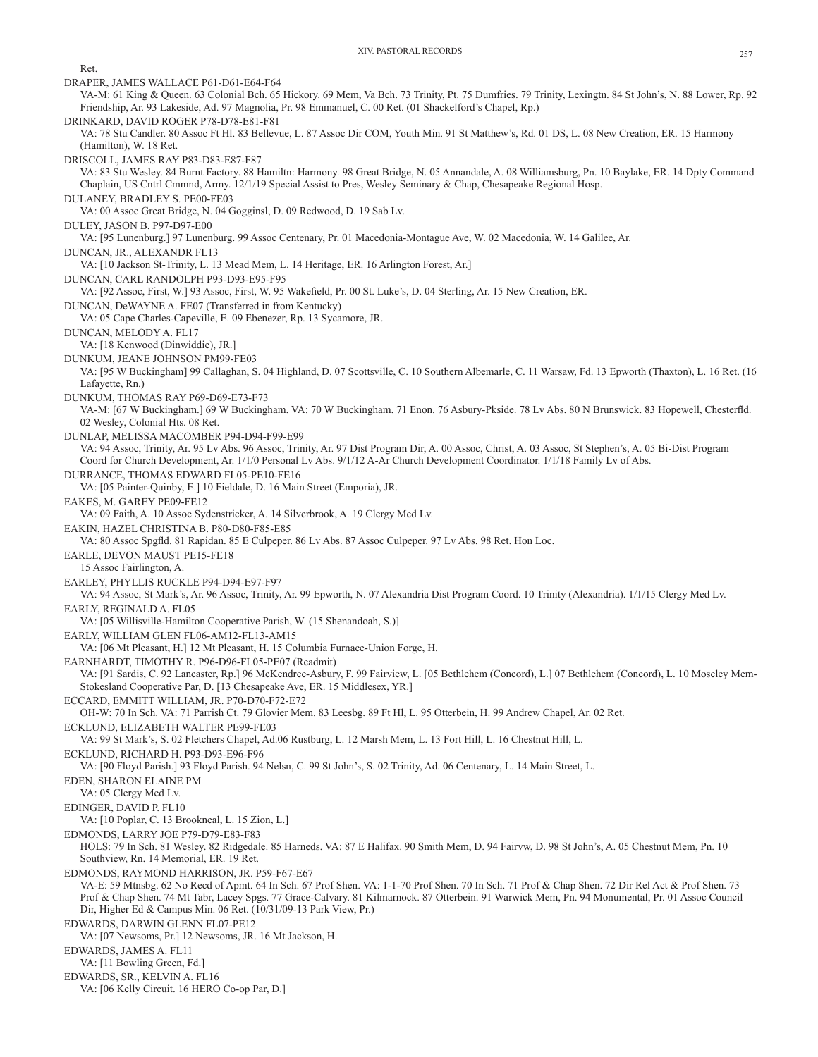Ret.

DRAPER, JAMES WALLACE P61-D61-E64-F64 VA-M: 61 King & Queen. 63 Colonial Bch. 65 Hickory. 69 Mem, Va Bch. 73 Trinity, Pt. 75 Dumfries. 79 Trinity, Lexingtn. 84 St John's, N. 88 Lower, Rp. 92 Friendship, Ar. 93 Lakeside, Ad. 97 Magnolia, Pr. 98 Emmanuel, C. 00 Ret. (01 Shackelford's Chapel, Rp.) DRINKARD, DAVID ROGER P78-D78-E81-F81 VA: 78 Stu Candler. 80 Assoc Ft Hl. 83 Bellevue, L. 87 Assoc Dir COM, Youth Min. 91 St Matthew's, Rd. 01 DS, L. 08 New Creation, ER. 15 Harmony (Hamilton), W. 18 Ret. DRISCOLL, JAMES RAY P83-D83-E87-F87 VA: 83 Stu Wesley. 84 Burnt Factory. 88 Hamiltn: Harmony. 98 Great Bridge, N. 05 Annandale, A. 08 Williamsburg, Pn. 10 Baylake, ER. 14 Dpty Command Chaplain, US Cntrl Cmmnd, Army. 12/1/19 Special Assist to Pres, Wesley Seminary & Chap, Chesapeake Regional Hosp. DULANEY, BRADLEY S. PE00-FE03 VA: 00 Assoc Great Bridge, N. 04 Gogginsl, D. 09 Redwood, D. 19 Sab Lv. DULEY, JASON B. P97-D97-E00 VA: [95 Lunenburg.] 97 Lunenburg. 99 Assoc Centenary, Pr. 01 Macedonia-Montague Ave, W. 02 Macedonia, W. 14 Galilee, Ar. DUNCAN, JR., ALEXANDR FL13 VA: [10 Jackson St-Trinity, L. 13 Mead Mem, L. 14 Heritage, ER. 16 Arlington Forest, Ar.] DUNCAN, CARL RANDOLPH P93-D93-E95-F95 VA: [92 Assoc, First, W.] 93 Assoc, First, W. 95 Wakefield, Pr. 00 St. Luke's, D. 04 Sterling, Ar. 15 New Creation, ER. DUNCAN, DeWAYNE A. FE07 (Transferred in from Kentucky) VA: 05 Cape Charles-Capeville, E. 09 Ebenezer, Rp. 13 Sycamore, JR. DUNCAN, MELODY A. FL17 VA: [18 Kenwood (Dinwiddie), JR.] DUNKUM, JEANE JOHNSON PM99-FE03 VA: [95 W Buckingham] 99 Callaghan, S. 04 Highland, D. 07 Scottsville, C. 10 Southern Albemarle, C. 11 Warsaw, Fd. 13 Epworth (Thaxton), L. 16 Ret. (16 Lafayette, Rn.) DUNKUM, THOMAS RAY P69-D69-E73-F73 VA-M: [67 W Buckingham.] 69 W Buckingham. VA: 70 W Buckingham. 71 Enon. 76 Asbury-Pkside. 78 Lv Abs. 80 N Brunswick. 83 Hopewell, Chesterfld. 02 Wesley, Colonial Hts. 08 Ret. DUNLAP, MELISSA MACOMBER P94-D94-F99-E99 VA: 94 Assoc, Trinity, Ar. 95 Lv Abs. 96 Assoc, Trinity, Ar. 97 Dist Program Dir, A. 00 Assoc, Christ, A. 03 Assoc, St Stephen's, A. 05 Bi-Dist Program Coord for Church Development, Ar. 1/1/0 Personal Lv Abs. 9/1/12 A-Ar Church Development Coordinator. 1/1/18 Family Lv of Abs. DURRANCE, THOMAS EDWARD FL05-PE10-FE16 VA: [05 Painter-Quinby, E.] 10 Fieldale, D. 16 Main Street (Emporia), JR. EAKES, M. GAREY PE09-FE12 VA: 09 Faith, A. 10 Assoc Sydenstricker, A. 14 Silverbrook, A. 19 Clergy Med Lv. EAKIN, HAZEL CHRISTINA B. P80-D80-F85-E85 VA: 80 Assoc Spgfld. 81 Rapidan. 85 E Culpeper. 86 Lv Abs. 87 Assoc Culpeper. 97 Lv Abs. 98 Ret. Hon Loc. EARLE, DEVON MAUST PE15-FE18 15 Assoc Fairlington, A. EARLEY, PHYLLIS RUCKLE P94-D94-E97-F97 VA: 94 Assoc, St Mark's, Ar. 96 Assoc, Trinity, Ar. 99 Epworth, N. 07 Alexandria Dist Program Coord. 10 Trinity (Alexandria). 1/1/15 Clergy Med Lv. EARLY, REGINALD A. FL05 VA: [05 Willisville-Hamilton Cooperative Parish, W. (15 Shenandoah, S.)] EARLY, WILLIAM GLEN FL06-AM12-FL13-AM15 VA: [06 Mt Pleasant, H.] 12 Mt Pleasant, H. 15 Columbia Furnace-Union Forge, H. EARNHARDT, TIMOTHY R. P96-D96-FL05-PE07 (Readmit) VA: [91 Sardis, C. 92 Lancaster, Rp.] 96 McKendree-Asbury, F. 99 Fairview, L. [05 Bethlehem (Concord), L.] 07 Bethlehem (Concord), L. 10 Moseley Mem-Stokesland Cooperative Par, D. [13 Chesapeake Ave, ER. 15 Middlesex, YR.] ECCARD, EMMITT WILLIAM, JR. P70-D70-F72-E72 OH-W: 70 In Sch. VA: 71 Parrish Ct. 79 Glovier Mem. 83 Leesbg. 89 Ft Hl, L. 95 Otterbein, H. 99 Andrew Chapel, Ar. 02 Ret. ECKLUND, ELIZABETH WALTER PE99-FE03 VA: 99 St Mark's, S. 02 Fletchers Chapel, Ad.06 Rustburg, L. 12 Marsh Mem, L. 13 Fort Hill, L. 16 Chestnut Hill, L. ECKLUND, RICHARD H. P93-D93-E96-F96 VA: [90 Floyd Parish.] 93 Floyd Parish. 94 Nelsn, C. 99 St John's, S. 02 Trinity, Ad. 06 Centenary, L. 14 Main Street, L. EDEN, SHARON ELAINE PM VA: 05 Clergy Med Lv. EDINGER, DAVID P. FL10 VA: [10 Poplar, C. 13 Brookneal, L. 15 Zion, L.] EDMONDS, LARRY JOE P79-D79-E83-F83 HOLS: 79 In Sch. 81 Wesley. 82 Ridgedale. 85 Harneds. VA: 87 E Halifax. 90 Smith Mem, D. 94 Fairvw, D. 98 St John's, A. 05 Chestnut Mem, Pn. 10 Southview, Rn. 14 Memorial, ER. 19 Ret. EDMONDS, RAYMOND HARRISON, JR. P59-F67-E67 VA-E: 59 Mtnsbg. 62 No Recd of Apmt. 64 In Sch. 67 Prof Shen. VA: 1-1-70 Prof Shen. 70 In Sch. 71 Prof & Chap Shen. 72 Dir Rel Act & Prof Shen. 73 Prof & Chap Shen. 74 Mt Tabr, Lacey Spgs. 77 Grace-Calvary. 81 Kilmarnock. 87 Otterbein. 91 Warwick Mem, Pn. 94 Monumental, Pr. 01 Assoc Council Dir, Higher Ed & Campus Min. 06 Ret. (10/31/09-13 Park View, Pr.) EDWARDS, DARWIN GLENN FL07-PE12 VA: [07 Newsoms, Pr.] 12 Newsoms, JR. 16 Mt Jackson, H. EDWARDS, JAMES A. FL11 VA: [11 Bowling Green, Fd.] EDWARDS, SR., KELVIN A. FL16 VA: [06 Kelly Circuit. 16 HERO Co-op Par, D.]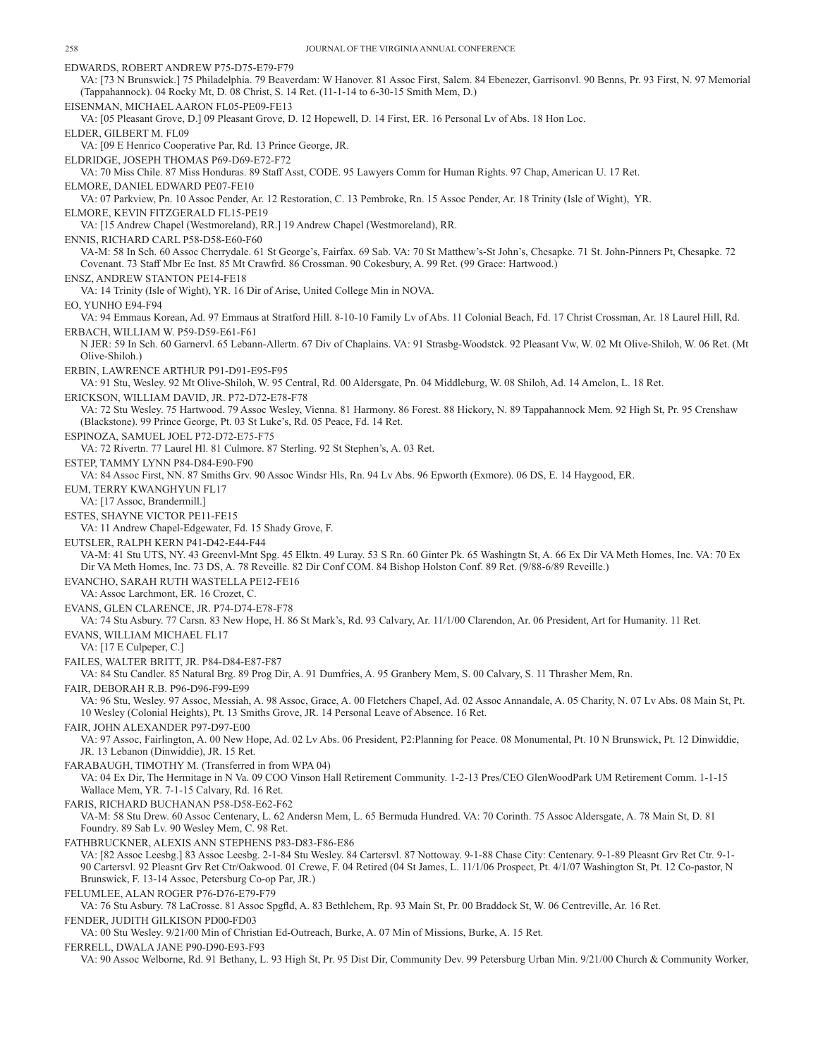EDWARDS, ROBERT ANDREW P75-D75-E79-F79 VA: [73 N Brunswick.] 75 Philadelphia. 79 Beaverdam: W Hanover. 81 Assoc First, Salem. 84 Ebenezer, Garrisonvl. 90 Benns, Pr. 93 First, N. 97 Memorial (Tappahannock). 04 Rocky Mt, D. 08 Christ, S. 14 Ret. (11-1-14 to 6-30-15 Smith Mem, D.) EISENMAN, MICHAEL AARON FL05-PE09-FE13 VA: [05 Pleasant Grove, D.] 09 Pleasant Grove, D. 12 Hopewell, D. 14 First, ER. 16 Personal Lv of Abs. 18 Hon Loc. ELDER, GILBERT M. FL09 VA: [09 E Henrico Cooperative Par, Rd. 13 Prince George, JR. ELDRIDGE, JOSEPH THOMAS P69-D69-E72-F72 VA: 70 Miss Chile. 87 Miss Honduras. 89 Staff Asst, CODE. 95 Lawyers Comm for Human Rights. 97 Chap, American U. 17 Ret. ELMORE, DANIEL EDWARD PE07-FE10 VA: 07 Parkview, Pn. 10 Assoc Pender, Ar. 12 Restoration, C. 13 Pembroke, Rn. 15 Assoc Pender, Ar. 18 Trinity (Isle of Wight), YR. ELMORE, KEVIN FITZGERALD FL15-PE19 VA: [15 Andrew Chapel (Westmoreland), RR.] 19 Andrew Chapel (Westmoreland), RR. ENNIS, RICHARD CARL P58-D58-E60-F60 VA-M: 58 In Sch. 60 Assoc Cherrydale. 61 St George's, Fairfax. 69 Sab. VA: 70 St Matthew's-St John's, Chesapke. 71 St. John-Pinners Pt, Chesapke. 72 Covenant. 73 Staff Mbr Ec Inst. 85 Mt Crawfrd. 86 Crossman. 90 Cokesbury, A. 99 Ret. (99 Grace: Hartwood.) ENSZ, ANDREW STANTON PE14-FE18 VA: 14 Trinity (Isle of Wight), YR. 16 Dir of Arise, United College Min in NOVA. EO, YUNHO E94-F94 VA: 94 Emmaus Korean, Ad. 97 Emmaus at Stratford Hill. 8-10-10 Family Lv of Abs. 11 Colonial Beach, Fd. 17 Christ Crossman, Ar. 18 Laurel Hill, Rd. ERBACH, WILLIAM W. P59-D59-E61-F61 N JER: 59 In Sch. 60 Garnervl. 65 Lebann-Allertn. 67 Div of Chaplains. VA: 91 Strasbg-Woodstck. 92 Pleasant Vw, W. 02 Mt Olive-Shiloh, W. 06 Ret. (Mt Olive-Shiloh.) ERBIN, LAWRENCE ARTHUR P91-D91-E95-F95 VA: 91 Stu, Wesley. 92 Mt Olive-Shiloh, W. 95 Central, Rd. 00 Aldersgate, Pn. 04 Middleburg, W. 08 Shiloh, Ad. 14 Amelon, L. 18 Ret. ERICKSON, WILLIAM DAVID, JR. P72-D72-E78-F78 VA: 72 Stu Wesley. 75 Hartwood. 79 Assoc Wesley, Vienna. 81 Harmony. 86 Forest. 88 Hickory, N. 89 Tappahannock Mem. 92 High St, Pr. 95 Crenshaw (Blackstone). 99 Prince George, Pt. 03 St Luke's, Rd. 05 Peace, Fd. 14 Ret. ESPINOZA, SAMUEL JOEL P72-D72-E75-F75 VA: 72 Rivertn. 77 Laurel Hl. 81 Culmore. 87 Sterling. 92 St Stephen's, A. 03 Ret. ESTEP, TAMMY LYNN P84-D84-E90-F90 VA: 84 Assoc First, NN. 87 Smiths Grv. 90 Assoc Windsr Hls, Rn. 94 Lv Abs. 96 Epworth (Exmore). 06 DS, E. 14 Haygood, ER. EUM, TERRY KWANGHYUN FL17 VA: [17 Assoc, Brandermill.] ESTES, SHAYNE VICTOR PE11-FE15 VA: 11 Andrew Chapel-Edgewater, Fd. 15 Shady Grove, F. EUTSLER, RALPH KERN P41-D42-E44-F44 VA-M: 41 Stu UTS, NY. 43 Greenvl-Mnt Spg. 45 Elktn. 49 Luray. 53 S Rn. 60 Ginter Pk. 65 Washingtn St, A. 66 Ex Dir VA Meth Homes, Inc. VA: 70 Ex Dir VA Meth Homes, Inc. 73 DS, A. 78 Reveille. 82 Dir Conf COM. 84 Bishop Holston Conf. 89 Ret. (9/88-6/89 Reveille.) EVANCHO, SARAH RUTH WASTELLA PE12-FE16 VA: Assoc Larchmont, ER. 16 Crozet, C. EVANS, GLEN CLARENCE, JR. P74-D74-E78-F78 VA: 74 Stu Asbury. 77 Carsn. 83 New Hope, H. 86 St Mark's, Rd. 93 Calvary, Ar. 11/1/00 Clarendon, Ar. 06 President, Art for Humanity. 11 Ret. EVANS, WILLIAM MICHAEL FL17 VA: [17 E Culpeper, C.] FAILES, WALTER BRITT, JR. P84-D84-E87-F87 VA: 84 Stu Candler. 85 Natural Brg. 89 Prog Dir, A. 91 Dumfries, A. 95 Granbery Mem, S. 00 Calvary, S. 11 Thrasher Mem, Rn. FAIR, DEBORAH R.B. P96-D96-F99-E99 VA: 96 Stu, Wesley. 97 Assoc, Messiah, A. 98 Assoc, Grace, A. 00 Fletchers Chapel, Ad. 02 Assoc Annandale, A. 05 Charity, N. 07 Lv Abs. 08 Main St, Pt. 10 Wesley (Colonial Heights), Pt. 13 Smiths Grove, JR. 14 Personal Leave of Absence. 16 Ret. FAIR, JOHN ALEXANDER P97-D97-E00 VA: 97 Assoc, Fairlington, A. 00 New Hope, Ad. 02 Lv Abs. 06 President, P2:Planning for Peace. 08 Monumental, Pt. 10 N Brunswick, Pt. 12 Dinwiddie, JR. 13 Lebanon (Dinwiddie), JR. 15 Ret. FARABAUGH, TIMOTHY M. (Transferred in from WPA 04) VA: 04 Ex Dir, The Hermitage in N Va. 09 COO Vinson Hall Retirement Community. 1-2-13 Pres/CEO GlenWoodPark UM Retirement Comm. 1-1-15 Wallace Mem, YR. 7-1-15 Calvary, Rd. 16 Ret. FARIS, RICHARD BUCHANAN P58-D58-E62-F62 VA-M: 58 Stu Drew. 60 Assoc Centenary, L. 62 Andersn Mem, L. 65 Bermuda Hundred. VA: 70 Corinth. 75 Assoc Aldersgate, A. 78 Main St, D. 81 Foundry. 89 Sab Lv. 90 Wesley Mem, C. 98 Ret. FATHBRUCKNER, ALEXIS ANN STEPHENS P83-D83-F86-E86 VA: [82 Assoc Leesbg.] 83 Assoc Leesbg. 2-1-84 Stu Wesley. 84 Cartersvl. 87 Nottoway. 9-1-88 Chase City: Centenary. 9-1-89 Pleasnt Grv Ret Ctr. 9-1- 90 Cartersvl. 92 Pleasnt Grv Ret Ctr/Oakwood. 01 Crewe, F. 04 Retired (04 St James, L. 11/1/06 Prospect, Pt. 4/1/07 Washington St, Pt. 12 Co-pastor, N Brunswick, F. 13-14 Assoc, Petersburg Co-op Par, JR.) FELUMLEE, ALAN ROGER P76-D76-E79-F79 VA: 76 Stu Asbury. 78 LaCrosse. 81 Assoc Spgfld, A. 83 Bethlehem, Rp. 93 Main St, Pr. 00 Braddock St, W. 06 Centreville, Ar. 16 Ret. FENDER, JUDITH GILKISON PD00-FD03 VA: 00 Stu Wesley. 9/21/00 Min of Christian Ed-Outreach, Burke, A. 07 Min of Missions, Burke, A. 15 Ret. FERRELL, DWALA JANE P90-D90-E93-F93 VA: 90 Assoc Welborne, Rd. 91 Bethany, L. 93 High St, Pr. 95 Dist Dir, Community Dev. 99 Petersburg Urban Min. 9/21/00 Church & Community Worker,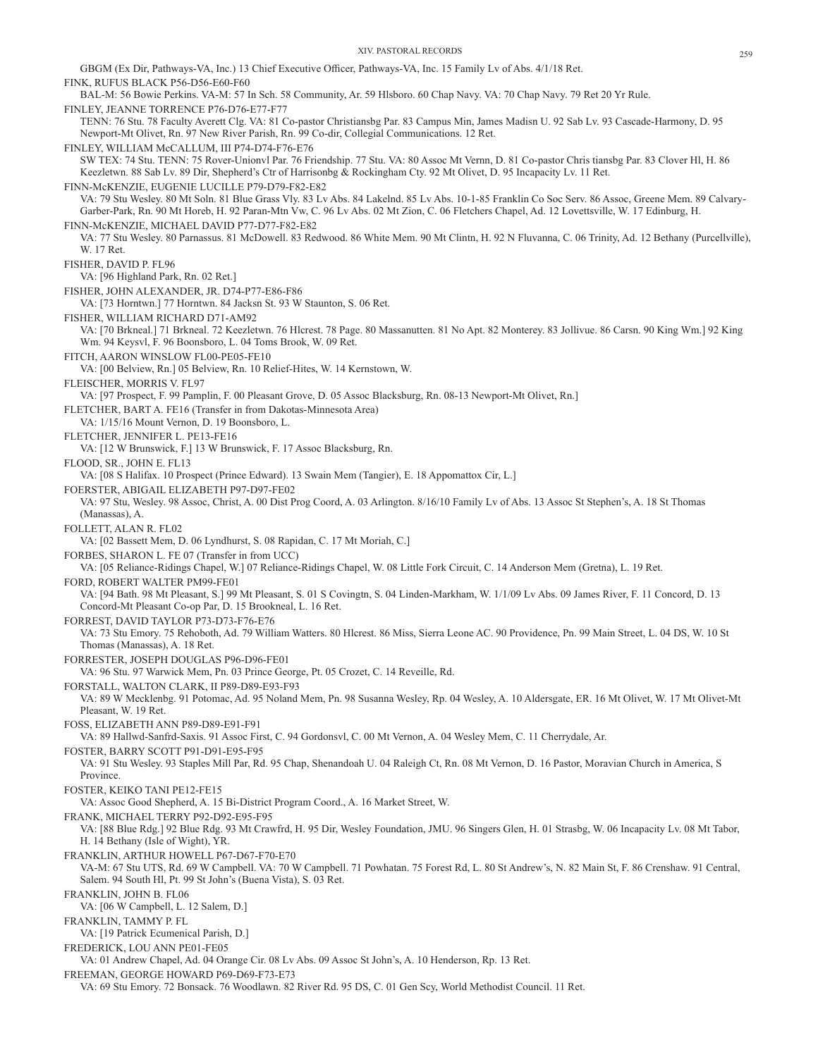GBGM (Ex Dir, Pathways-VA, Inc.) 13 Chief Executive Officer, Pathways-VA, Inc. 15 Family Lv of Abs. 4/1/18 Ret. FINK, RUFUS BLACK P56-D56-E60-F60 BAL-M: 56 Bowie Perkins. VA-M: 57 In Sch. 58 Community, Ar. 59 Hlsboro. 60 Chap Navy. VA: 70 Chap Navy. 79 Ret 20 Yr Rule. FINLEY, JEANNE TORRENCE P76-D76-E77-F77 TENN: 76 Stu. 78 Faculty Averett Clg. VA: 81 Co-pastor Christiansbg Par. 83 Campus Min, James Madisn U. 92 Sab Lv. 93 Cascade-Harmony, D. 95 Newport-Mt Olivet, Rn. 97 New River Parish, Rn. 99 Co-dir, Collegial Communications. 12 Ret. FINLEY, WILLIAM McCALLUM, III P74-D74-F76-E76 SW TEX: 74 Stu. TENN: 75 Rover-Unionvl Par. 76 Friendship. 77 Stu. VA: 80 Assoc Mt Vernn, D. 81 Co-pastor Chris tiansbg Par. 83 Clover Hl, H. 86 Keezletwn. 88 Sab Lv. 89 Dir, Shepherd's Ctr of Harrisonbg & Rockingham Cty. 92 Mt Olivet, D. 95 Incapacity Lv. 11 Ret. FINN-McKENZIE, EUGENIE LUCILLE P79-D79-F82-E82 VA: 79 Stu Wesley. 80 Mt Soln. 81 Blue Grass Vly. 83 Lv Abs. 84 Lakelnd. 85 Lv Abs. 10-1-85 Franklin Co Soc Serv. 86 Assoc, Greene Mem. 89 Calvary-Garber-Park, Rn. 90 Mt Horeb, H. 92 Paran-Mtn Vw, C. 96 Lv Abs. 02 Mt Zion, C. 06 Fletchers Chapel, Ad. 12 Lovettsville, W. 17 Edinburg, H. FINN-McKENZIE, MICHAEL DAVID P77-D77-F82-E82 VA: 77 Stu Wesley. 80 Parnassus. 81 McDowell. 83 Redwood. 86 White Mem. 90 Mt Clintn, H. 92 N Fluvanna, C. 06 Trinity, Ad. 12 Bethany (Purcellville), W. 17 Ret. FISHER, DAVID P. FL96 VA: [96 Highland Park, Rn. 02 Ret.] FISHER, JOHN ALEXANDER, JR. D74-P77-E86-F86 VA: [73 Horntwn.] 77 Horntwn. 84 Jacksn St. 93 W Staunton, S. 06 Ret. FISHER, WILLIAM RICHARD D71-AM92 VA: [70 Brkneal.] 71 Brkneal. 72 Keezletwn. 76 Hlcrest. 78 Page. 80 Massanutten. 81 No Apt. 82 Monterey. 83 Jollivue. 86 Carsn. 90 King Wm.] 92 King Wm. 94 Keysvl, F. 96 Boonsboro, L. 04 Toms Brook, W. 09 Ret. FITCH, AARON WINSLOW FL00-PE05-FE10 VA: [00 Belview, Rn.] 05 Belview, Rn. 10 Relief-Hites, W. 14 Kernstown, W. FLEISCHER, MORRIS V. FL97 VA: [97 Prospect, F. 99 Pamplin, F. 00 Pleasant Grove, D. 05 Assoc Blacksburg, Rn. 08-13 Newport-Mt Olivet, Rn.] FLETCHER, BART A. FE16 (Transfer in from Dakotas-Minnesota Area) VA: 1/15/16 Mount Vernon, D. 19 Boonsboro, L. FLETCHER, JENNIFER L. PE13-FE16 VA: [12 W Brunswick, F.] 13 W Brunswick, F. 17 Assoc Blacksburg, Rn. FLOOD, SR., JOHN E. FL13 VA: [08 S Halifax. 10 Prospect (Prince Edward). 13 Swain Mem (Tangier), E. 18 Appomattox Cir, L.] FOERSTER, ABIGAIL ELIZABETH P97-D97-FE02 VA: 97 Stu, Wesley. 98 Assoc, Christ, A. 00 Dist Prog Coord, A. 03 Arlington. 8/16/10 Family Lv of Abs. 13 Assoc St Stephen's, A. 18 St Thomas (Manassas), A. FOLLETT, ALAN R. FL02 VA: [02 Bassett Mem, D. 06 Lyndhurst, S. 08 Rapidan, C. 17 Mt Moriah, C.] FORBES, SHARON L. FE 07 (Transfer in from UCC) VA: [05 Reliance-Ridings Chapel, W.] 07 Reliance-Ridings Chapel, W. 08 Little Fork Circuit, C. 14 Anderson Mem (Gretna), L. 19 Ret. FORD, ROBERT WALTER PM99-FE01 VA: [94 Bath. 98 Mt Pleasant, S.] 99 Mt Pleasant, S. 01 S Covingtn, S. 04 Linden-Markham, W. 1/1/09 Lv Abs. 09 James River, F. 11 Concord, D. 13 Concord-Mt Pleasant Co-op Par, D. 15 Brookneal, L. 16 Ret. FORREST, DAVID TAYLOR P73-D73-F76-E76 VA: 73 Stu Emory. 75 Rehoboth, Ad. 79 William Watters. 80 Hlcrest. 86 Miss, Sierra Leone AC. 90 Providence, Pn. 99 Main Street, L. 04 DS, W. 10 St Thomas (Manassas), A. 18 Ret. FORRESTER, JOSEPH DOUGLAS P96-D96-FE01 VA: 96 Stu. 97 Warwick Mem, Pn. 03 Prince George, Pt. 05 Crozet, C. 14 Reveille, Rd. FORSTALL, WALTON CLARK, II P89-D89-E93-F93 VA: 89 W Mecklenbg. 91 Potomac, Ad. 95 Noland Mem, Pn. 98 Susanna Wesley, Rp. 04 Wesley, A. 10 Aldersgate, ER. 16 Mt Olivet, W. 17 Mt Olivet-Mt Pleasant, W. 19 Ret. FOSS, ELIZABETH ANN P89-D89-E91-F91 VA: 89 Hallwd-Sanfrd-Saxis. 91 Assoc First, C. 94 Gordonsvl, C. 00 Mt Vernon, A. 04 Wesley Mem, C. 11 Cherrydale, Ar. FOSTER, BARRY SCOTT P91-D91-E95-F95 VA: 91 Stu Wesley. 93 Staples Mill Par, Rd. 95 Chap, Shenandoah U. 04 Raleigh Ct, Rn. 08 Mt Vernon, D. 16 Pastor, Moravian Church in America, S Province. FOSTER, KEIKO TANI PE12-FE15 VA: Assoc Good Shepherd, A. 15 Bi-District Program Coord., A. 16 Market Street, W. FRANK, MICHAEL TERRY P92-D92-E95-F95 VA: [88 Blue Rdg.] 92 Blue Rdg. 93 Mt Crawfrd, H. 95 Dir, Wesley Foundation, JMU. 96 Singers Glen, H. 01 Strasbg, W. 06 Incapacity Lv. 08 Mt Tabor, H. 14 Bethany (Isle of Wight), YR. FRANKLIN, ARTHUR HOWELL P67-D67-F70-E70 VA-M: 67 Stu UTS, Rd. 69 W Campbell. VA: 70 W Campbell. 71 Powhatan. 75 Forest Rd, L. 80 St Andrew's, N. 82 Main St, F. 86 Crenshaw. 91 Central, Salem. 94 South Hl, Pt. 99 St John's (Buena Vista), S. 03 Ret. FRANKLIN, JOHN B. FL06 VA: [06 W Campbell, L. 12 Salem, D.] FRANKLIN, TAMMY P. FL VA: [19 Patrick Ecumenical Parish, D.] FREDERICK, LOU ANN PE01-FE05 VA: 01 Andrew Chapel, Ad. 04 Orange Cir. 08 Lv Abs. 09 Assoc St John's, A. 10 Henderson, Rp. 13 Ret. FREEMAN, GEORGE HOWARD P69-D69-F73-E73 VA: 69 Stu Emory. 72 Bonsack. 76 Woodlawn. 82 River Rd. 95 DS, C. 01 Gen Scy, World Methodist Council. 11 Ret.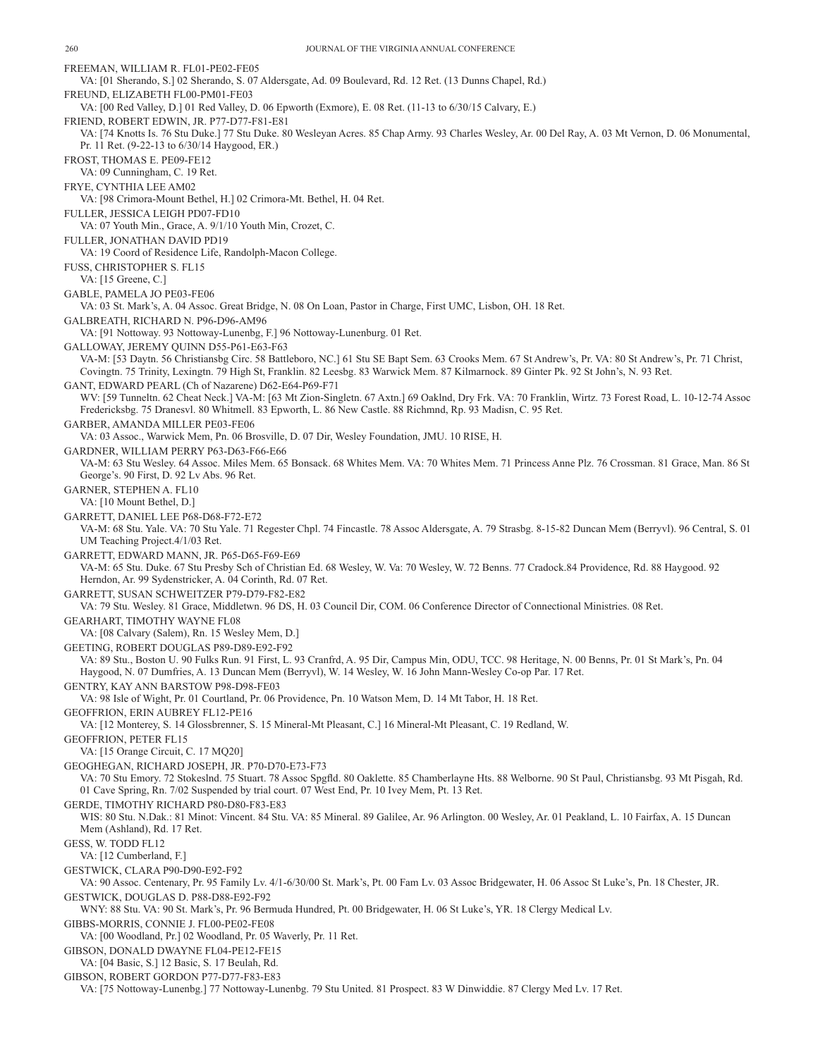FREEMAN, WILLIAM R. FL01-PE02-FE05 VA: [01 Sherando, S.] 02 Sherando, S. 07 Aldersgate, Ad. 09 Boulevard, Rd. 12 Ret. (13 Dunns Chapel, Rd.) FREUND, ELIZABETH FL00-PM01-FE03 VA: [00 Red Valley, D.] 01 Red Valley, D. 06 Epworth (Exmore), E. 08 Ret. (11-13 to 6/30/15 Calvary, E.) FRIEND, ROBERT EDWIN, JR. P77-D77-F81-E81 VA: [74 Knotts Is. 76 Stu Duke.] 77 Stu Duke. 80 Wesleyan Acres. 85 Chap Army. 93 Charles Wesley, Ar. 00 Del Ray, A. 03 Mt Vernon, D. 06 Monumental, Pr. 11 Ret. (9-22-13 to 6/30/14 Haygood, ER.) FROST, THOMAS E. PE09-FE12 VA: 09 Cunningham, C. 19 Ret. FRYE, CYNTHIA LEE AM02 VA: [98 Crimora-Mount Bethel, H.] 02 Crimora-Mt. Bethel, H. 04 Ret. FULLER, JESSICA LEIGH PD07-FD10 VA: 07 Youth Min., Grace, A. 9/1/10 Youth Min, Crozet, C. FULLER, JONATHAN DAVID PD19 VA: 19 Coord of Residence Life, Randolph-Macon College. FUSS, CHRISTOPHER S. FL15 VA: [15 Greene, C.] GABLE, PAMELA JO PE03-FE06 VA: 03 St. Mark's, A. 04 Assoc. Great Bridge, N. 08 On Loan, Pastor in Charge, First UMC, Lisbon, OH. 18 Ret. GALBREATH, RICHARD N. P96-D96-AM96 VA: [91 Nottoway. 93 Nottoway-Lunenbg, F.] 96 Nottoway-Lunenburg. 01 Ret. GALLOWAY, JEREMY QUINN D55-P61-E63-F63 VA-M: [53 Daytn. 56 Christiansbg Circ. 58 Battleboro, NC.] 61 Stu SE Bapt Sem. 63 Crooks Mem. 67 St Andrew's, Pr. VA: 80 St Andrew's, Pr. 71 Christ, Covingtn. 75 Trinity, Lexingtn. 79 High St, Franklin. 82 Leesbg. 83 Warwick Mem. 87 Kilmarnock. 89 Ginter Pk. 92 St John's, N. 93 Ret. GANT, EDWARD PEARL (Ch of Nazarene) D62-E64-P69-F71 WV: [59 Tunneltn. 62 Cheat Neck.] VA-M: [63 Mt Zion-Singletn. 67 Axtn.] 69 Oaklnd, Dry Frk. VA: 70 Franklin, Wirtz. 73 Forest Road, L. 10-12-74 Assoc Fredericksbg. 75 Dranesvl. 80 Whitmell. 83 Epworth, L. 86 New Castle. 88 Richmnd, Rp. 93 Madisn, C. 95 Ret. GARBER, AMANDA MILLER PE03-FE06 VA: 03 Assoc., Warwick Mem, Pn. 06 Brosville, D. 07 Dir, Wesley Foundation, JMU. 10 RISE, H. GARDNER, WILLIAM PERRY P63-D63-F66-E66 VA-M: 63 Stu Wesley. 64 Assoc. Miles Mem. 65 Bonsack. 68 Whites Mem. VA: 70 Whites Mem. 71 Princess Anne Plz. 76 Crossman. 81 Grace, Man. 86 St George's. 90 First, D. 92 Lv Abs. 96 Ret. GARNER, STEPHEN A. FL10 VA: [10 Mount Bethel, D.] GARRETT, DANIEL LEE P68-D68-F72-E72 VA-M: 68 Stu. Yale. VA: 70 Stu Yale. 71 Regester Chpl. 74 Fincastle. 78 Assoc Aldersgate, A. 79 Strasbg. 8-15-82 Duncan Mem (Berryvl). 96 Central, S. 01 UM Teaching Project.4/1/03 Ret. GARRETT, EDWARD MANN, JR. P65-D65-F69-E69 VA-M: 65 Stu. Duke. 67 Stu Presby Sch of Christian Ed. 68 Wesley, W. Va: 70 Wesley, W. 72 Benns. 77 Cradock.84 Providence, Rd. 88 Haygood. 92 Herndon, Ar. 99 Sydenstricker, A. 04 Corinth, Rd. 07 Ret. GARRETT, SUSAN SCHWEITZER P79-D79-F82-E82 VA: 79 Stu. Wesley. 81 Grace, Middletwn. 96 DS, H. 03 Council Dir, COM. 06 Conference Director of Connectional Ministries. 08 Ret. GEARHART, TIMOTHY WAYNE FL08 VA: [08 Calvary (Salem), Rn. 15 Wesley Mem, D.] GEETING, ROBERT DOUGLAS P89-D89-E92-F92 VA: 89 Stu., Boston U. 90 Fulks Run. 91 First, L. 93 Cranfrd, A. 95 Dir, Campus Min, ODU, TCC. 98 Heritage, N. 00 Benns, Pr. 01 St Mark's, Pn. 04 Haygood, N. 07 Dumfries, A. 13 Duncan Mem (Berryvl), W. 14 Wesley, W. 16 John Mann-Wesley Co-op Par. 17 Ret. GENTRY, KAY ANN BARSTOW P98-D98-FE03 VA: 98 Isle of Wight, Pr. 01 Courtland, Pr. 06 Providence, Pn. 10 Watson Mem, D. 14 Mt Tabor, H. 18 Ret. GEOFFRION, ERIN AUBREY FL12-PE16 VA: [12 Monterey, S. 14 Glossbrenner, S. 15 Mineral-Mt Pleasant, C.] 16 Mineral-Mt Pleasant, C. 19 Redland, W. GEOFFRION, PETER FL15 VA: [15 Orange Circuit, C. 17 MQ20] GEOGHEGAN, RICHARD JOSEPH, JR. P70-D70-E73-F73 VA: 70 Stu Emory. 72 Stokeslnd. 75 Stuart. 78 Assoc Spgfld. 80 Oaklette. 85 Chamberlayne Hts. 88 Welborne. 90 St Paul, Christiansbg. 93 Mt Pisgah, Rd. 01 Cave Spring, Rn. 7/02 Suspended by trial court. 07 West End, Pr. 10 Ivey Mem, Pt. 13 Ret. GERDE, TIMOTHY RICHARD P80-D80-F83-E83 WIS: 80 Stu. N.Dak.: 81 Minot: Vincent. 84 Stu. VA: 85 Mineral. 89 Galilee, Ar. 96 Arlington. 00 Wesley, Ar. 01 Peakland, L. 10 Fairfax, A. 15 Duncan Mem (Ashland), Rd. 17 Ret. GESS, W. TODD FL12 VA: [12 Cumberland, F.] GESTWICK, CLARA P90-D90-E92-F92 VA: 90 Assoc. Centenary, Pr. 95 Family Lv. 4/1-6/30/00 St. Mark's, Pt. 00 Fam Lv. 03 Assoc Bridgewater, H. 06 Assoc St Luke's, Pn. 18 Chester, JR. GESTWICK, DOUGLAS D. P88-D88-E92-F92 WNY: 88 Stu. VA: 90 St. Mark's, Pr. 96 Bermuda Hundred, Pt. 00 Bridgewater, H. 06 St Luke's, YR. 18 Clergy Medical Lv. GIBBS-MORRIS, CONNIE J. FL00-PE02-FE08 VA: [00 Woodland, Pr.] 02 Woodland, Pr. 05 Waverly, Pr. 11 Ret. GIBSON, DONALD DWAYNE FL04-PE12-FE15 VA: [04 Basic, S.] 12 Basic, S. 17 Beulah, Rd. GIBSON, ROBERT GORDON P77-D77-F83-E83 VA: [75 Nottoway-Lunenbg.] 77 Nottoway-Lunenbg. 79 Stu United. 81 Prospect. 83 W Dinwiddie. 87 Clergy Med Lv. 17 Ret.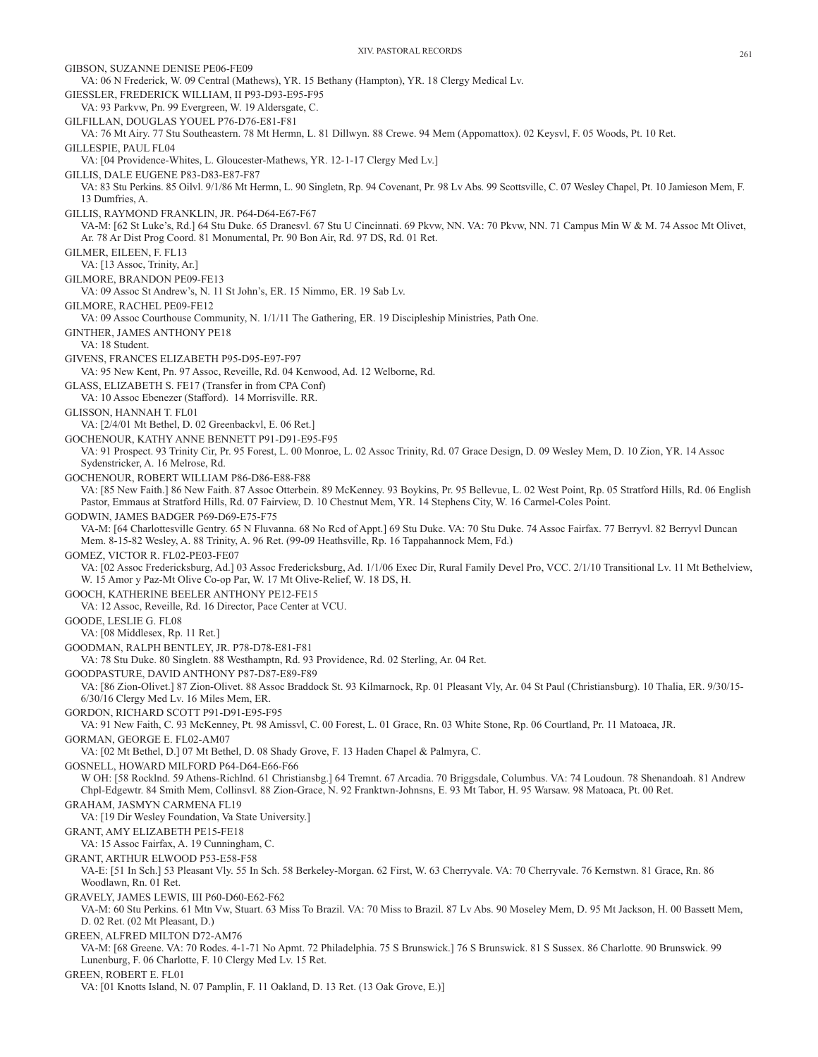GIBSON, SUZANNE DENISE PE06-FE09

VA: 06 N Frederick, W. 09 Central (Mathews), YR. 15 Bethany (Hampton), YR. 18 Clergy Medical Lv. GIESSLER, FREDERICK WILLIAM, II P93-D93-E95-F95 VA: 93 Parkvw, Pn. 99 Evergreen, W. 19 Aldersgate, C. GILFILLAN, DOUGLAS YOUEL P76-D76-E81-F81 VA: 76 Mt Airy. 77 Stu Southeastern. 78 Mt Hermn, L. 81 Dillwyn. 88 Crewe. 94 Mem (Appomattox). 02 Keysvl, F. 05 Woods, Pt. 10 Ret. GILLESPIE, PAUL FL04 VA: [04 Providence-Whites, L. Gloucester-Mathews, YR. 12-1-17 Clergy Med Lv.] GILLIS, DALE EUGENE P83-D83-E87-F87 VA: 83 Stu Perkins. 85 Oilvl. 9/1/86 Mt Hermn, L. 90 Singletn, Rp. 94 Covenant, Pr. 98 Lv Abs. 99 Scottsville, C. 07 Wesley Chapel, Pt. 10 Jamieson Mem, F. 13 Dumfries, A. GILLIS, RAYMOND FRANKLIN, JR. P64-D64-E67-F67 VA-M: [62 St Luke's, Rd.] 64 Stu Duke. 65 Dranesvl. 67 Stu U Cincinnati. 69 Pkvw, NN. VA: 70 Pkvw, NN. 71 Campus Min W & M. 74 Assoc Mt Olivet, Ar. 78 Ar Dist Prog Coord. 81 Monumental, Pr. 90 Bon Air, Rd. 97 DS, Rd. 01 Ret. GILMER, EILEEN, F. FL13 VA: [13 Assoc, Trinity, Ar.] GILMORE, BRANDON PE09-FE13 VA: 09 Assoc St Andrew's, N. 11 St John's, ER. 15 Nimmo, ER. 19 Sab Lv. GILMORE, RACHEL PE09-FE12 VA: 09 Assoc Courthouse Community, N. 1/1/11 The Gathering, ER. 19 Discipleship Ministries, Path One. GINTHER, JAMES ANTHONY PE18 VA: 18 Student. GIVENS, FRANCES ELIZABETH P95-D95-E97-F97 VA: 95 New Kent, Pn. 97 Assoc, Reveille, Rd. 04 Kenwood, Ad. 12 Welborne, Rd. GLASS, ELIZABETH S. FE17 (Transfer in from CPA Conf) VA: 10 Assoc Ebenezer (Stafford). 14 Morrisville. RR. GLISSON, HANNAH T. FL01 VA: [2/4/01 Mt Bethel, D. 02 Greenbackvl, E. 06 Ret.] GOCHENOUR, KATHY ANNE BENNETT P91-D91-E95-F95 VA: 91 Prospect. 93 Trinity Cir, Pr. 95 Forest, L. 00 Monroe, L. 02 Assoc Trinity, Rd. 07 Grace Design, D. 09 Wesley Mem, D. 10 Zion, YR. 14 Assoc Sydenstricker, A. 16 Melrose, Rd. GOCHENOUR, ROBERT WILLIAM P86-D86-E88-F88 VA: [85 New Faith.] 86 New Faith. 87 Assoc Otterbein. 89 McKenney. 93 Boykins, Pr. 95 Bellevue, L. 02 West Point, Rp. 05 Stratford Hills, Rd. 06 English Pastor, Emmaus at Stratford Hills, Rd. 07 Fairview, D. 10 Chestnut Mem, YR. 14 Stephens City, W. 16 Carmel-Coles Point. GODWIN, JAMES BADGER P69-D69-E75-F75 VA-M: [64 Charlottesville Gentry. 65 N Fluvanna. 68 No Rcd of Appt.] 69 Stu Duke. VA: 70 Stu Duke. 74 Assoc Fairfax. 77 Berryvl. 82 Berryvl Duncan Mem. 8-15-82 Wesley, A. 88 Trinity, A. 96 Ret. (99-09 Heathsville, Rp. 16 Tappahannock Mem, Fd.) GOMEZ, VICTOR R. FL02-PE03-FE07 VA: [02 Assoc Fredericksburg, Ad.] 03 Assoc Fredericksburg, Ad. 1/1/06 Exec Dir, Rural Family Devel Pro, VCC. 2/1/10 Transitional Lv. 11 Mt Bethelview, W. 15 Amor y Paz-Mt Olive Co-op Par, W. 17 Mt Olive-Relief, W. 18 DS, H. GOOCH, KATHERINE BEELER ANTHONY PE12-FE15 VA: 12 Assoc, Reveille, Rd. 16 Director, Pace Center at VCU. GOODE, LESLIE G. FL08 VA: [08 Middlesex, Rp. 11 Ret.] GOODMAN, RALPH BENTLEY, JR. P78-D78-E81-F81 VA: 78 Stu Duke. 80 Singletn. 88 Westhamptn, Rd. 93 Providence, Rd. 02 Sterling, Ar. 04 Ret. GOODPASTURE, DAVID ANTHONY P87-D87-E89-F89 VA: [86 Zion-Olivet.] 87 Zion-Olivet. 88 Assoc Braddock St. 93 Kilmarnock, Rp. 01 Pleasant Vly, Ar. 04 St Paul (Christiansburg). 10 Thalia, ER. 9/30/15- 6/30/16 Clergy Med Lv. 16 Miles Mem, ER. GORDON, RICHARD SCOTT P91-D91-E95-F95 VA: 91 New Faith, C. 93 McKenney, Pt. 98 Amissvl, C. 00 Forest, L. 01 Grace, Rn. 03 White Stone, Rp. 06 Courtland, Pr. 11 Matoaca, JR. GORMAN, GEORGE E. FL02-AM07 VA: [02 Mt Bethel, D.] 07 Mt Bethel, D. 08 Shady Grove, F. 13 Haden Chapel & Palmyra, C. GOSNELL, HOWARD MILFORD P64-D64-E66-F66 W OH: [58 Rocklnd. 59 Athens-Richlnd. 61 Christiansbg.] 64 Tremnt. 67 Arcadia. 70 Briggsdale, Columbus. VA: 74 Loudoun. 78 Shenandoah. 81 Andrew Chpl-Edgewtr. 84 Smith Mem, Collinsvl. 88 Zion-Grace, N. 92 Franktwn-Johnsns, E. 93 Mt Tabor, H. 95 Warsaw. 98 Matoaca, Pt. 00 Ret. GRAHAM, JASMYN CARMENA FL19 VA: [19 Dir Wesley Foundation, Va State University.] GRANT, AMY ELIZABETH PE15-FE18 VA: 15 Assoc Fairfax, A. 19 Cunningham, C. GRANT, ARTHUR ELWOOD P53-E58-F58 VA-E: [51 In Sch.] 53 Pleasant Vly. 55 In Sch. 58 Berkeley-Morgan. 62 First, W. 63 Cherryvale. VA: 70 Cherryvale. 76 Kernstwn. 81 Grace, Rn. 86 Woodlawn, Rn. 01 Ret. GRAVELY, JAMES LEWIS, III P60-D60-E62-F62 VA-M: 60 Stu Perkins. 61 Mtn Vw, Stuart. 63 Miss To Brazil. VA: 70 Miss to Brazil. 87 Lv Abs. 90 Moseley Mem, D. 95 Mt Jackson, H. 00 Bassett Mem, D. 02 Ret. (02 Mt Pleasant, D.) GREEN, ALFRED MILTON D72-AM76 VA-M: [68 Greene. VA: 70 Rodes. 4-1-71 No Apmt. 72 Philadelphia. 75 S Brunswick.] 76 S Brunswick. 81 S Sussex. 86 Charlotte. 90 Brunswick. 99 Lunenburg, F. 06 Charlotte, F. 10 Clergy Med Lv. 15 Ret. GREEN, ROBERT E. FL01 VA: [01 Knotts Island, N. 07 Pamplin, F. 11 Oakland, D. 13 Ret. (13 Oak Grove, E.)]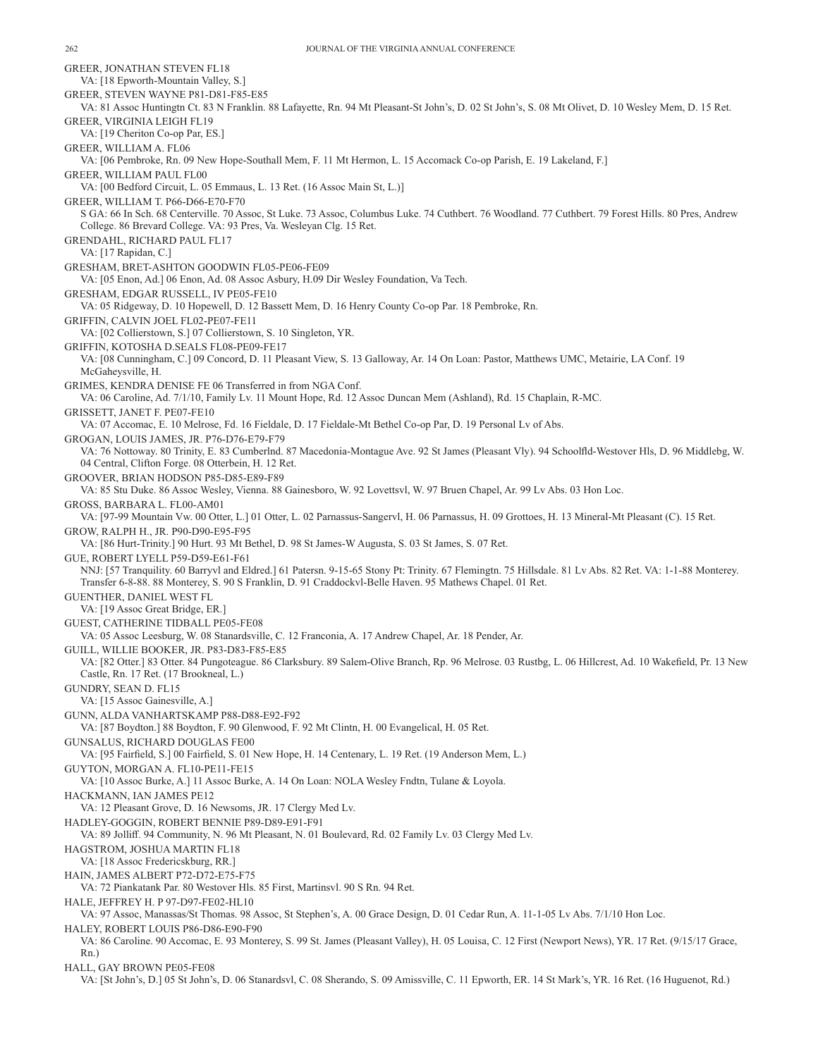GREER, JONATHAN STEVEN FL18 VA: [18 Epworth-Mountain Valley, S.] GREER, STEVEN WAYNE P81-D81-F85-E85 VA: 81 Assoc Huntingtn Ct. 83 N Franklin. 88 Lafayette, Rn. 94 Mt Pleasant-St John's, D. 02 St John's, S. 08 Mt Olivet, D. 10 Wesley Mem, D. 15 Ret. GREER, VIRGINIA LEIGH FL19 VA: [19 Cheriton Co-op Par, ES.] GREER, WILLIAM A. FL06 VA: [06 Pembroke, Rn. 09 New Hope-Southall Mem, F. 11 Mt Hermon, L. 15 Accomack Co-op Parish, E. 19 Lakeland, F.] GREER, WILLIAM PAUL FL00 VA: [00 Bedford Circuit, L. 05 Emmaus, L. 13 Ret. (16 Assoc Main St, L.)] GREER, WILLIAM T. P66-D66-E70-F70 S GA: 66 In Sch. 68 Centerville. 70 Assoc, St Luke. 73 Assoc, Columbus Luke. 74 Cuthbert. 76 Woodland. 77 Cuthbert. 79 Forest Hills. 80 Pres, Andrew College. 86 Brevard College. VA: 93 Pres, Va. Wesleyan Clg. 15 Ret. GRENDAHL, RICHARD PAUL FL17 VA: [17 Rapidan, C.] GRESHAM, BRET-ASHTON GOODWIN FL05-PE06-FE09 VA: [05 Enon, Ad.] 06 Enon, Ad. 08 Assoc Asbury, H.09 Dir Wesley Foundation, Va Tech. GRESHAM, EDGAR RUSSELL, IV PE05-FE10 VA: 05 Ridgeway, D. 10 Hopewell, D. 12 Bassett Mem, D. 16 Henry County Co-op Par. 18 Pembroke, Rn. GRIFFIN, CALVIN JOEL FL02-PE07-FE11 VA: [02 Collierstown, S.] 07 Collierstown, S. 10 Singleton, YR. GRIFFIN, KOTOSHA D.SEALS FL08-PE09-FE17 VA: [08 Cunningham, C.] 09 Concord, D. 11 Pleasant View, S. 13 Galloway, Ar. 14 On Loan: Pastor, Matthews UMC, Metairie, LA Conf. 19 McGaheysville, H. GRIMES, KENDRA DENISE FE 06 Transferred in from NGA Conf. VA: 06 Caroline, Ad. 7/1/10, Family Lv. 11 Mount Hope, Rd. 12 Assoc Duncan Mem (Ashland), Rd. 15 Chaplain, R-MC. GRISSETT, JANET F. PE07-FE10 VA: 07 Accomac, E. 10 Melrose, Fd. 16 Fieldale, D. 17 Fieldale-Mt Bethel Co-op Par, D. 19 Personal Lv of Abs. GROGAN, LOUIS JAMES, JR. P76-D76-E79-F79 VA: 76 Nottoway. 80 Trinity, E. 83 Cumberlnd. 87 Macedonia-Montague Ave. 92 St James (Pleasant Vly). 94 Schoolfld-Westover Hls, D. 96 Middlebg, W. 04 Central, Clifton Forge. 08 Otterbein, H. 12 Ret. GROOVER, BRIAN HODSON P85-D85-E89-F89 VA: 85 Stu Duke. 86 Assoc Wesley, Vienna. 88 Gainesboro, W. 92 Lovettsvl, W. 97 Bruen Chapel, Ar. 99 Lv Abs. 03 Hon Loc. GROSS, BARBARA L. FL00-AM01 VA: [97-99 Mountain Vw. 00 Otter, L.] 01 Otter, L. 02 Parnassus-Sangervl, H. 06 Parnassus, H. 09 Grottoes, H. 13 Mineral-Mt Pleasant (C). 15 Ret. GROW, RALPH H., JR. P90-D90-E95-F95 VA: [86 Hurt-Trinity.] 90 Hurt. 93 Mt Bethel, D. 98 St James-W Augusta, S. 03 St James, S. 07 Ret. GUE, ROBERT LYELL P59-D59-E61-F61 NNJ: [57 Tranquility. 60 Barryvl and Eldred.] 61 Patersn. 9-15-65 Stony Pt: Trinity. 67 Flemingtn. 75 Hillsdale. 81 Lv Abs. 82 Ret. VA: 1-1-88 Monterey. Transfer 6-8-88. 88 Monterey, S. 90 S Franklin, D. 91 Craddockvl-Belle Haven. 95 Mathews Chapel. 01 Ret. GUENTHER, DANIEL WEST FL VA: [19 Assoc Great Bridge, ER.] GUEST, CATHERINE TIDBALL PE05-FE08 VA: 05 Assoc Leesburg, W. 08 Stanardsville, C. 12 Franconia, A. 17 Andrew Chapel, Ar. 18 Pender, Ar. GUILL, WILLIE BOOKER, JR. P83-D83-F85-E85 VA: [82 Otter.] 83 Otter. 84 Pungoteague. 86 Clarksbury. 89 Salem-Olive Branch, Rp. 96 Melrose. 03 Rustbg, L. 06 Hillcrest, Ad. 10 Wakefield, Pr. 13 New Castle, Rn. 17 Ret. (17 Brookneal, L.) GUNDRY, SEAN D. FL15 VA: [15 Assoc Gainesville, A.] GUNN, ALDA VANHARTSKAMP P88-D88-E92-F92 VA: [87 Boydton.] 88 Boydton, F. 90 Glenwood, F. 92 Mt Clintn, H. 00 Evangelical, H. 05 Ret. GUNSALUS, RICHARD DOUGLAS FE00 VA: [95 Fairfield, S.] 00 Fairfield, S. 01 New Hope, H. 14 Centenary, L. 19 Ret. (19 Anderson Mem, L.) GUYTON, MORGAN A. FL10-PE11-FE15 VA: [10 Assoc Burke, A.] 11 Assoc Burke, A. 14 On Loan: NOLA Wesley Fndtn, Tulane & Loyola. HACKMANN, IAN JAMES PE12 VA: 12 Pleasant Grove, D. 16 Newsoms, JR. 17 Clergy Med Lv. HADLEY-GOGGIN, ROBERT BENNIE P89-D89-E91-F91 VA: 89 Jolliff. 94 Community, N. 96 Mt Pleasant, N. 01 Boulevard, Rd. 02 Family Lv. 03 Clergy Med Lv. HAGSTROM, JOSHUA MARTIN FL18 VA: [18 Assoc Fredericskburg, RR.] HAIN, JAMES ALBERT P72-D72-E75-F75 VA: 72 Piankatank Par. 80 Westover Hls. 85 First, Martinsvl. 90 S Rn. 94 Ret. HALE, JEFFREY H. P 97-D97-FE02-HL10 VA: 97 Assoc, Manassas/St Thomas. 98 Assoc, St Stephen's, A. 00 Grace Design, D. 01 Cedar Run, A. 11-1-05 Lv Abs. 7/1/10 Hon Loc. HALEY, ROBERT LOUIS P86-D86-E90-F90 VA: 86 Caroline. 90 Accomac, E. 93 Monterey, S. 99 St. James (Pleasant Valley), H. 05 Louisa, C. 12 First (Newport News), YR. 17 Ret. (9/15/17 Grace, Rn.) HALL, GAY BROWN PE05-FE08

VA: [St John's, D.] 05 St John's, D. 06 Stanardsvl, C. 08 Sherando, S. 09 Amissville, C. 11 Epworth, ER. 14 St Mark's, YR. 16 Ret. (16 Huguenot, Rd.)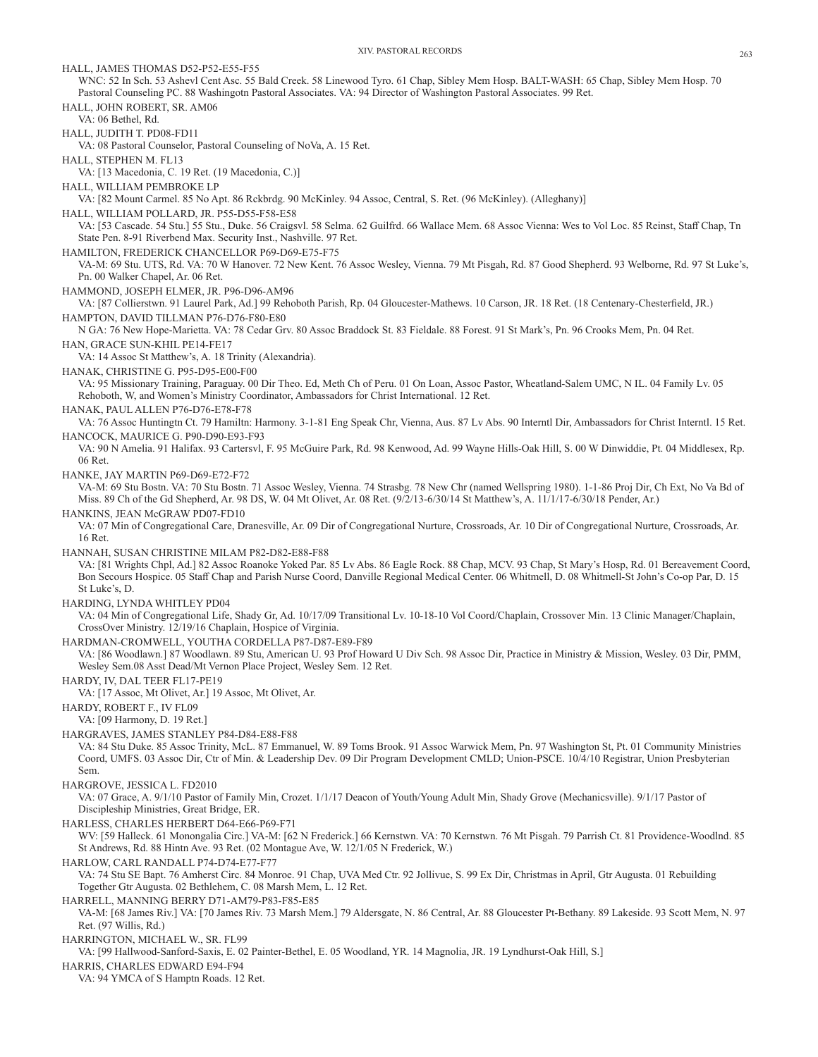XIV. PASTORAL RECORDS 263 HALL, JAMES THOMAS D52-P52-E55-F55 WNC: 52 In Sch. 53 Ashevl Cent Asc. 55 Bald Creek. 58 Linewood Tyro. 61 Chap, Sibley Mem Hosp. BALT-WASH: 65 Chap, Sibley Mem Hosp. 70 Pastoral Counseling PC. 88 Washingotn Pastoral Associates. VA: 94 Director of Washington Pastoral Associates. 99 Ret. HALL, JOHN ROBERT, SR. AM06 VA: 06 Bethel, Rd. HALL, JUDITH T. PD08-FD11 VA: 08 Pastoral Counselor, Pastoral Counseling of NoVa, A. 15 Ret. HALL, STEPHEN M. FL13 VA: [13 Macedonia, C. 19 Ret. (19 Macedonia, C.)] HALL, WILLIAM PEMBROKE LP VA: [82 Mount Carmel. 85 No Apt. 86 Rckbrdg. 90 McKinley. 94 Assoc, Central, S. Ret. (96 McKinley). (Alleghany)] HALL, WILLIAM POLLARD, JR. P55-D55-F58-E58 VA: [53 Cascade. 54 Stu.] 55 Stu., Duke. 56 Craigsvl. 58 Selma. 62 Guilfrd. 66 Wallace Mem. 68 Assoc Vienna: Wes to Vol Loc. 85 Reinst, Staff Chap, Tn State Pen. 8-91 Riverbend Max. Security Inst., Nashville. 97 Ret. HAMILTON, FREDERICK CHANCELLOR P69-D69-E75-F75 VA-M: 69 Stu. UTS, Rd. VA: 70 W Hanover. 72 New Kent. 76 Assoc Wesley, Vienna. 79 Mt Pisgah, Rd. 87 Good Shepherd. 93 Welborne, Rd. 97 St Luke's, Pn. 00 Walker Chapel, Ar. 06 Ret. HAMMOND, JOSEPH ELMER, JR. P96-D96-AM96 VA: [87 Collierstwn. 91 Laurel Park, Ad.] 99 Rehoboth Parish, Rp. 04 Gloucester-Mathews. 10 Carson, JR. 18 Ret. (18 Centenary-Chesterfield, JR.) HAMPTON, DAVID TILLMAN P76-D76-F80-E80 N GA: 76 New Hope-Marietta. VA: 78 Cedar Grv. 80 Assoc Braddock St. 83 Fieldale. 88 Forest. 91 St Mark's, Pn. 96 Crooks Mem, Pn. 04 Ret. HAN, GRACE SUN-KHIL PE14-FE17 VA: 14 Assoc St Matthew's, A. 18 Trinity (Alexandria). HANAK, CHRISTINE G. P95-D95-E00-F00 VA: 95 Missionary Training, Paraguay. 00 Dir Theo. Ed, Meth Ch of Peru. 01 On Loan, Assoc Pastor, Wheatland-Salem UMC, N IL. 04 Family Lv. 05 Rehoboth, W, and Women's Ministry Coordinator, Ambassadors for Christ International. 12 Ret. HANAK, PAUL ALLEN P76-D76-E78-F78 VA: 76 Assoc Huntingtn Ct. 79 Hamiltn: Harmony. 3-1-81 Eng Speak Chr, Vienna, Aus. 87 Lv Abs. 90 Interntl Dir, Ambassadors for Christ Interntl. 15 Ret. HANCOCK, MAURICE G. P90-D90-E93-F93 VA: 90 N Amelia. 91 Halifax. 93 Cartersvl, F. 95 McGuire Park, Rd. 98 Kenwood, Ad. 99 Wayne Hills-Oak Hill, S. 00 W Dinwiddie, Pt. 04 Middlesex, Rp. 06 Ret. HANKE, JAY MARTIN P69-D69-E72-F72 VA-M: 69 Stu Bostn. VA: 70 Stu Bostn. 71 Assoc Wesley, Vienna. 74 Strasbg. 78 New Chr (named Wellspring 1980). 1-1-86 Proj Dir, Ch Ext, No Va Bd of Miss. 89 Ch of the Gd Shepherd, Ar. 98 DS, W. 04 Mt Olivet, Ar. 08 Ret. (9/2/13-6/30/14 St Matthew's, A. 11/1/17-6/30/18 Pender, Ar.) HANKINS, JEAN McGRAW PD07-FD10 VA: 07 Min of Congregational Care, Dranesville, Ar. 09 Dir of Congregational Nurture, Crossroads, Ar. 10 Dir of Congregational Nurture, Crossroads, Ar. 16 Ret. HANNAH, SUSAN CHRISTINE MILAM P82-D82-E88-F88 VA: [81 Wrights Chpl, Ad.] 82 Assoc Roanoke Yoked Par. 85 Lv Abs. 86 Eagle Rock. 88 Chap, MCV. 93 Chap, St Mary's Hosp, Rd. 01 Bereavement Coord, Bon Secours Hospice. 05 Staff Chap and Parish Nurse Coord, Danville Regional Medical Center. 06 Whitmell, D. 08 Whitmell-St John's Co-op Par, D. 15 St Luke's, D. HARDING, LYNDA WHITLEY PD04 VA: 04 Min of Congregational Life, Shady Gr, Ad. 10/17/09 Transitional Lv. 10-18-10 Vol Coord/Chaplain, Crossover Min. 13 Clinic Manager/Chaplain, CrossOver Ministry. 12/19/16 Chaplain, Hospice of Virginia. HARDMAN-CROMWELL, YOUTHA CORDELLA P87-D87-E89-F89 VA: [86 Woodlawn.] 87 Woodlawn. 89 Stu, American U. 93 Prof Howard U Div Sch. 98 Assoc Dir, Practice in Ministry & Mission, Wesley. 03 Dir, PMM, Wesley Sem.08 Asst Dead/Mt Vernon Place Project, Wesley Sem. 12 Ret. HARDY, IV, DAL TEER FL17-PE19 VA: [17 Assoc, Mt Olivet, Ar.] 19 Assoc, Mt Olivet, Ar. HARDY, ROBERT F., IV FL09 VA: [09 Harmony, D. 19 Ret.] HARGRAVES, JAMES STANLEY P84-D84-E88-F88 VA: 84 Stu Duke. 85 Assoc Trinity, McL. 87 Emmanuel, W. 89 Toms Brook. 91 Assoc Warwick Mem, Pn. 97 Washington St, Pt. 01 Community Ministries Coord, UMFS. 03 Assoc Dir, Ctr of Min. & Leadership Dev. 09 Dir Program Development CMLD; Union-PSCE. 10/4/10 Registrar, Union Presbyterian Sem. HARGROVE, JESSICA L. FD2010 VA: 07 Grace, A. 9/1/10 Pastor of Family Min, Crozet. 1/1/17 Deacon of Youth/Young Adult Min, Shady Grove (Mechanicsville). 9/1/17 Pastor of Discipleship Ministries, Great Bridge, ER. HARLESS, CHARLES HERBERT D64-E66-P69-F71 WV: [59 Halleck. 61 Monongalia Circ.] VA-M: [62 N Frederick.] 66 Kernstwn. VA: 70 Kernstwn. 76 Mt Pisgah. 79 Parrish Ct. 81 Providence-Woodlnd. 85 St Andrews, Rd. 88 Hintn Ave. 93 Ret. (02 Montague Ave, W. 12/1/05 N Frederick, W.) HARLOW, CARL RANDALL P74-D74-E77-F77 VA: 74 Stu SE Bapt. 76 Amherst Circ. 84 Monroe. 91 Chap, UVA Med Ctr. 92 Jollivue, S. 99 Ex Dir, Christmas in April, Gtr Augusta. 01 Rebuilding Together Gtr Augusta. 02 Bethlehem, C. 08 Marsh Mem, L. 12 Ret. HARRELL, MANNING BERRY D71-AM79-P83-F85-E85 VA-M: [68 James Riv.] VA: [70 James Riv. 73 Marsh Mem.] 79 Aldersgate, N. 86 Central, Ar. 88 Gloucester Pt-Bethany. 89 Lakeside. 93 Scott Mem, N. 97 Ret. (97 Willis, Rd.) HARRINGTON, MICHAEL W., SR. FL99 VA: [99 Hallwood-Sanford-Saxis, E. 02 Painter-Bethel, E. 05 Woodland, YR. 14 Magnolia, JR. 19 Lyndhurst-Oak Hill, S.] HARRIS, CHARLES EDWARD E94-F94 VA: 94 YMCA of S Hamptn Roads. 12 Ret.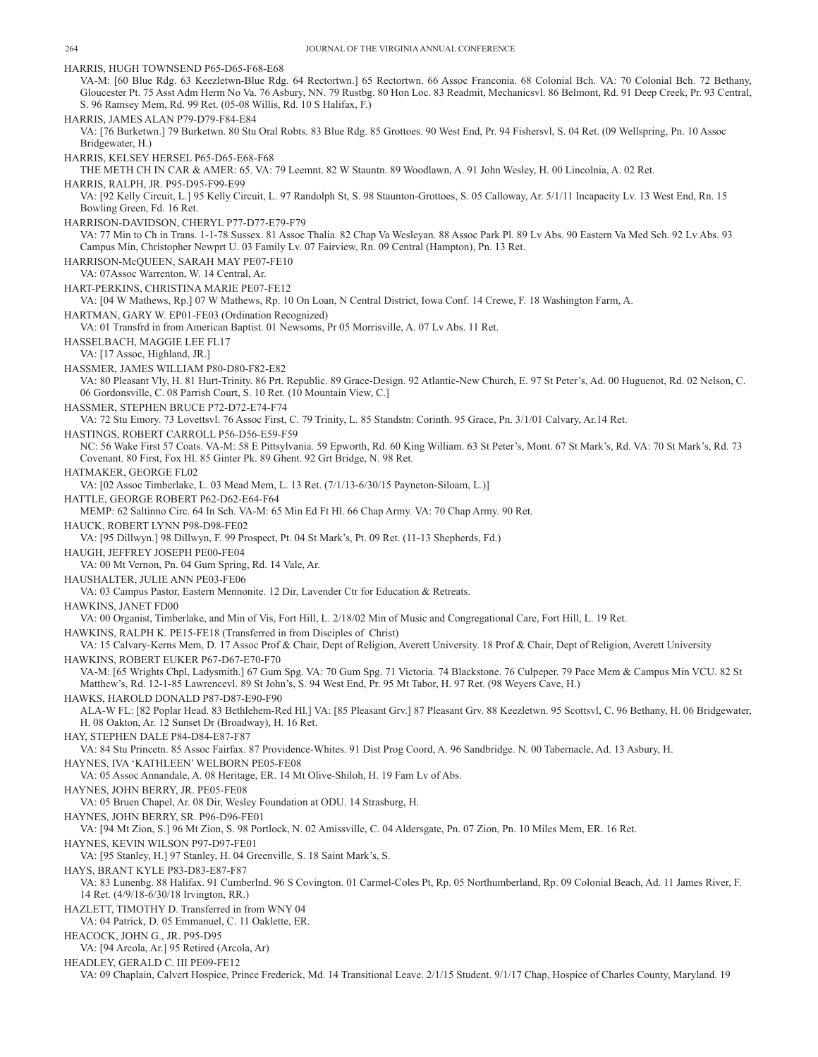HARRIS, HUGH TOWNSEND P65-D65-F68-E68 VA-M: [60 Blue Rdg. 63 Keezletwn-Blue Rdg. 64 Rectortwn.] 65 Rectortwn. 66 Assoc Franconia. 68 Colonial Bch. VA: 70 Colonial Bch. 72 Bethany, Gloucester Pt. 75 Asst Adm Herm No Va. 76 Asbury, NN. 79 Rustbg. 80 Hon Loc. 83 Readmit, Mechanicsvl. 86 Belmont, Rd. 91 Deep Creek, Pr. 93 Central, S. 96 Ramsey Mem, Rd. 99 Ret. (05-08 Willis, Rd. 10 S Halifax, F.) HARRIS, JAMES ALAN P79-D79-F84-E84 VA: [76 Burketwn.] 79 Burketwn. 80 Stu Oral Robts. 83 Blue Rdg. 85 Grottoes. 90 West End, Pr. 94 Fishersvl, S. 04 Ret. (09 Wellspring, Pn. 10 Assoc Bridgewater, H.) HARRIS, KELSEY HERSEL P65-D65-E68-F68 THE METH CH IN CAR & AMER: 65. VA: 79 Leemnt. 82 W Stauntn. 89 Woodlawn, A. 91 John Wesley, H. 00 Lincolnia, A. 02 Ret. HARRIS, RALPH, JR. P95-D95-F99-E99 VA: [92 Kelly Circuit, L.] 95 Kelly Circuit, L. 97 Randolph St, S. 98 Staunton-Grottoes, S. 05 Calloway, Ar. 5/1/11 Incapacity Lv. 13 West End, Rn. 15 Bowling Green, Fd. 16 Ret. HARRISON-DAVIDSON, CHERYL P77-D77-E79-F79 VA: 77 Min to Ch in Trans. 1-1-78 Sussex. 81 Assoc Thalia. 82 Chap Va Wesleyan. 88 Assoc Park Pl. 89 Lv Abs. 90 Eastern Va Med Sch. 92 Lv Abs. 93 Campus Min, Christopher Newprt U. 03 Family Lv. 07 Fairview, Rn. 09 Central (Hampton), Pn. 13 Ret. HARRISON-McQUEEN, SARAH MAY PE07-FE10 VA: 07Assoc Warrenton, W. 14 Central, Ar. HART-PERKINS, CHRISTINA MARIE PE07-FE12 VA: [04 W Mathews, Rp.] 07 W Mathews, Rp. 10 On Loan, N Central District, Iowa Conf. 14 Crewe, F. 18 Washington Farm, A. HARTMAN, GARY W. EP01-FE03 (Ordination Recognized) VA: 01 Transfrd in from American Baptist. 01 Newsoms, Pr 05 Morrisville, A. 07 Lv Abs. 11 Ret. HASSELBACH, MAGGIE LEE FL17 VA: [17 Assoc, Highland, JR.] HASSMER, JAMES WILLIAM P80-D80-F82-E82 VA: 80 Pleasant Vly, H. 81 Hurt-Trinity. 86 Prt. Republic. 89 Grace-Design. 92 Atlantic-New Church, E. 97 St Peter's, Ad. 00 Huguenot, Rd. 02 Nelson, C. 06 Gordonsville, C. 08 Parrish Court, S. 10 Ret. (10 Mountain View, C.] HASSMER, STEPHEN BRUCE P72-D72-E74-F74 VA: 72 Stu Emory. 73 Lovettsvl. 76 Assoc First, C. 79 Trinity, L. 85 Standstn: Corinth. 95 Grace, Pn. 3/1/01 Calvary, Ar.14 Ret. HASTINGS, ROBERT CARROLL P56-D56-E59-F59 NC: 56 Wake First 57 Coats. VA-M: 58 E Pittsylvania. 59 Epworth, Rd. 60 King William. 63 St Peter's, Mont. 67 St Mark's, Rd. VA: 70 St Mark's, Rd. 73 Covenant. 80 First, Fox Hl. 85 Ginter Pk. 89 Ghent. 92 Grt Bridge, N. 98 Ret. HATMAKER, GEORGE FL02 VA: [02 Assoc Timberlake, L. 03 Mead Mem, L. 13 Ret. (7/1/13-6/30/15 Payneton-Siloam, L.)] HATTLE, GEORGE ROBERT P62-D62-E64-F64 MEMP: 62 Saltinno Circ. 64 In Sch. VA-M: 65 Min Ed Ft Hl. 66 Chap Army. VA: 70 Chap Army. 90 Ret. HAUCK, ROBERT LYNN P98-D98-FE02 VA: [95 Dillwyn.] 98 Dillwyn, F. 99 Prospect, Pt. 04 St Mark's, Pt. 09 Ret. (11-13 Shepherds, Fd.) HAUGH, JEFFREY JOSEPH PE00-FE04 VA: 00 Mt Vernon, Pn. 04 Gum Spring, Rd. 14 Vale, Ar. HAUSHALTER, JULIE ANN PE03-FE06 VA: 03 Campus Pastor, Eastern Mennonite. 12 Dir, Lavender Ctr for Education & Retreats. HAWKINS, JANET FD00 VA: 00 Organist, Timberlake, and Min of Vis, Fort Hill, L. 2/18/02 Min of Music and Congregational Care, Fort Hill, L. 19 Ret. HAWKINS, RALPH K. PE15-FE18 (Transferred in from Disciples of Christ) VA: 15 Calvary-Kerns Mem, D. 17 Assoc Prof & Chair, Dept of Religion, Averett University. 18 Prof & Chair, Dept of Religion, Averett University HAWKINS, ROBERT EUKER P67-D67-E70-F70 VA-M: [65 Wrights Chpl, Ladysmith.] 67 Gum Spg. VA: 70 Gum Spg. 71 Victoria. 74 Blackstone. 76 Culpeper. 79 Pace Mem & Campus Min VCU. 82 St Matthew's, Rd. 12-1-85 Lawrencevl. 89 St John's, S. 94 West End, Pr. 95 Mt Tabor, H. 97 Ret. (98 Weyers Cave, H.) HAWKS, HAROLD DONALD P87-D87-E90-F90 ALA-W FL: [82 Poplar Head. 83 Bethlehem-Red Hl.] VA: [85 Pleasant Grv.] 87 Pleasant Grv. 88 Keezletwn. 95 Scottsvl, C. 96 Bethany, H. 06 Bridgewater, H. 08 Oakton, Ar. 12 Sunset Dr (Broadway), H. 16 Ret. HAY, STEPHEN DALE P84-D84-E87-F87 VA: 84 Stu Princetn. 85 Assoc Fairfax. 87 Providence-Whites. 91 Dist Prog Coord, A. 96 Sandbridge. N. 00 Tabernacle, Ad. 13 Asbury, H. HAYNES, IVA 'KATHLEEN' WELBORN PE05-FE08 VA: 05 Assoc Annandale, A. 08 Heritage, ER. 14 Mt Olive-Shiloh, H. 19 Fam Lv of Abs. HAYNES, JOHN BERRY, JR. PE05-FE08 VA: 05 Bruen Chapel, Ar. 08 Dir, Wesley Foundation at ODU. 14 Strasburg, H. HAYNES, JOHN BERRY, SR. P96-D96-FE01 VA: [94 Mt Zion, S.] 96 Mt Zion, S. 98 Portlock, N. 02 Amissville, C. 04 Aldersgate, Pn. 07 Zion, Pn. 10 Miles Mem, ER. 16 Ret. HAYNES, KEVIN WILSON P97-D97-FE01 VA: [95 Stanley, H.] 97 Stanley, H. 04 Greenville, S. 18 Saint Mark's, S. HAYS, BRANT KYLE P83-D83-E87-F87 VA: 83 Lunenbg. 88 Halifax. 91 Cumberlnd. 96 S Covington. 01 Carmel-Coles Pt, Rp. 05 Northumberland, Rp. 09 Colonial Beach, Ad. 11 James River, F. 14 Ret. (4/9/18-6/30/18 Irvington, RR.) HAZLETT, TIMOTHY D. Transferred in from WNY 04 VA: 04 Patrick, D. 05 Emmanuel, C. 11 Oaklette, ER. HEACOCK, JOHN G., JR. P95-D95 VA: [94 Arcola, Ar.] 95 Retired (Arcola, Ar) HEADLEY, GERALD C. III PE09-FE12 VA: 09 Chaplain, Calvert Hospice, Prince Frederick, Md. 14 Transitional Leave. 2/1/15 Student. 9/1/17 Chap, Hospice of Charles County, Maryland. 19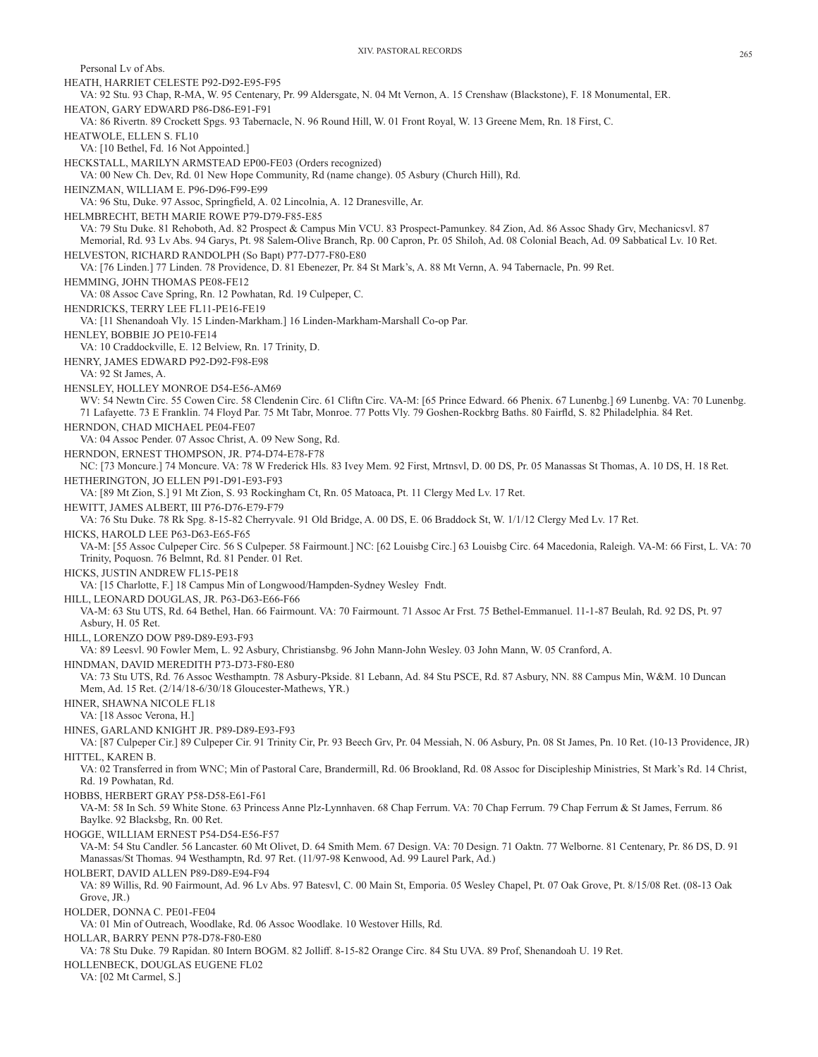Personal Lv of Abs. HEATH, HARRIET CELESTE P92-D92-E95-F95 VA: 92 Stu. 93 Chap, R-MA, W. 95 Centenary, Pr. 99 Aldersgate, N. 04 Mt Vernon, A. 15 Crenshaw (Blackstone), F. 18 Monumental, ER. HEATON, GARY EDWARD P86-D86-E91-F91 VA: 86 Rivertn. 89 Crockett Spgs. 93 Tabernacle, N. 96 Round Hill, W. 01 Front Royal, W. 13 Greene Mem, Rn. 18 First, C. HEATWOLE, ELLEN S. FL10 VA: [10 Bethel, Fd. 16 Not Appointed.] HECKSTALL, MARILYN ARMSTEAD EP00-FE03 (Orders recognized) VA: 00 New Ch. Dev, Rd. 01 New Hope Community, Rd (name change). 05 Asbury (Church Hill), Rd. HEINZMAN, WILLIAM E. P96-D96-F99-E99 VA: 96 Stu, Duke. 97 Assoc, Springfield, A. 02 Lincolnia, A. 12 Dranesville, Ar. HELMBRECHT, BETH MARIE ROWE P79-D79-F85-E85 VA: 79 Stu Duke. 81 Rehoboth, Ad. 82 Prospect & Campus Min VCU. 83 Prospect-Pamunkey. 84 Zion, Ad. 86 Assoc Shady Grv, Mechanicsvl. 87 Memorial, Rd. 93 Lv Abs. 94 Garys, Pt. 98 Salem-Olive Branch, Rp. 00 Capron, Pr. 05 Shiloh, Ad. 08 Colonial Beach, Ad. 09 Sabbatical Lv. 10 Ret. HELVESTON, RICHARD RANDOLPH (So Bapt) P77-D77-F80-E80 VA: [76 Linden.] 77 Linden. 78 Providence, D. 81 Ebenezer, Pr. 84 St Mark's, A. 88 Mt Vernn, A. 94 Tabernacle, Pn. 99 Ret. HEMMING, JOHN THOMAS PE08-FE12 VA: 08 Assoc Cave Spring, Rn. 12 Powhatan, Rd. 19 Culpeper, C. HENDRICKS, TERRY LEE FL11-PE16-FE19 VA: [11 Shenandoah Vly. 15 Linden-Markham.] 16 Linden-Markham-Marshall Co-op Par. HENLEY, BOBBIE JO PE10-FE14 VA: 10 Craddockville, E. 12 Belview, Rn. 17 Trinity, D. HENRY, JAMES EDWARD P92-D92-F98-E98 VA: 92 St James, A. HENSLEY, HOLLEY MONROE D54-E56-AM69 WV: 54 Newtn Circ. 55 Cowen Circ. 58 Clendenin Circ. 61 Cliftn Circ. VA-M: [65 Prince Edward. 66 Phenix. 67 Lunenbg.] 69 Lunenbg. VA: 70 Lunenbg. 71 Lafayette. 73 E Franklin. 74 Floyd Par. 75 Mt Tabr, Monroe. 77 Potts Vly. 79 Goshen-Rockbrg Baths. 80 Fairfld, S. 82 Philadelphia. 84 Ret. HERNDON, CHAD MICHAEL PE04-FE07 VA: 04 Assoc Pender. 07 Assoc Christ, A. 09 New Song, Rd. HERNDON, ERNEST THOMPSON, JR. P74-D74-E78-F78 NC: [73 Moncure.] 74 Moncure. VA: 78 W Frederick Hls. 83 Ivey Mem. 92 First, Mrtnsvl, D. 00 DS, Pr. 05 Manassas St Thomas, A. 10 DS, H. 18 Ret. HETHERINGTON, JO ELLEN P91-D91-E93-F93 VA: [89 Mt Zion, S.] 91 Mt Zion, S. 93 Rockingham Ct, Rn. 05 Matoaca, Pt. 11 Clergy Med Lv. 17 Ret. HEWITT, JAMES ALBERT, III P76-D76-E79-F79 VA: 76 Stu Duke. 78 Rk Spg. 8-15-82 Cherryvale. 91 Old Bridge, A. 00 DS, E. 06 Braddock St, W. 1/1/12 Clergy Med Lv. 17 Ret. HICKS, HAROLD LEE P63-D63-E65-F65 VA-M: [55 Assoc Culpeper Circ. 56 S Culpeper. 58 Fairmount.] NC: [62 Louisbg Circ.] 63 Louisbg Circ. 64 Macedonia, Raleigh. VA-M: 66 First, L. VA: 70 Trinity, Poquosn. 76 Belmnt, Rd. 81 Pender. 01 Ret. HICKS, JUSTIN ANDREW FL15-PE18 VA: [15 Charlotte, F.] 18 Campus Min of Longwood/Hampden-Sydney Wesley Fndt. HILL, LEONARD DOUGLAS, JR. P63-D63-E66-F66 VA-M: 63 Stu UTS, Rd. 64 Bethel, Han. 66 Fairmount. VA: 70 Fairmount. 71 Assoc Ar Frst. 75 Bethel-Emmanuel. 11-1-87 Beulah, Rd. 92 DS, Pt. 97 Asbury, H. 05 Ret. HILL, LORENZO DOW P89-D89-E93-F93 VA: 89 Leesvl. 90 Fowler Mem, L. 92 Asbury, Christiansbg. 96 John Mann-John Wesley. 03 John Mann, W. 05 Cranford, A. HINDMAN, DAVID MEREDITH P73-D73-F80-E80 VA: 73 Stu UTS, Rd. 76 Assoc Westhamptn. 78 Asbury-Pkside. 81 Lebann, Ad. 84 Stu PSCE, Rd. 87 Asbury, NN. 88 Campus Min, W&M. 10 Duncan Mem, Ad. 15 Ret. (2/14/18-6/30/18 Gloucester-Mathews, YR.) HINER, SHAWNA NICOLE FL18 VA: [18 Assoc Verona, H.] HINES, GARLAND KNIGHT JR. P89-D89-E93-F93 VA: [87 Culpeper Cir.] 89 Culpeper Cir. 91 Trinity Cir, Pr. 93 Beech Grv, Pr. 04 Messiah, N. 06 Asbury, Pn. 08 St James, Pn. 10 Ret. (10-13 Providence, JR) HITTEL, KAREN B. VA: 02 Transferred in from WNC; Min of Pastoral Care, Brandermill, Rd. 06 Brookland, Rd. 08 Assoc for Discipleship Ministries, St Mark's Rd. 14 Christ, Rd. 19 Powhatan, Rd. HOBBS, HERBERT GRAY P58-D58-E61-F61 VA-M: 58 In Sch. 59 White Stone. 63 Princess Anne Plz-Lynnhaven. 68 Chap Ferrum. VA: 70 Chap Ferrum. 79 Chap Ferrum & St James, Ferrum. 86 Baylke. 92 Blacksbg, Rn. 00 Ret. HOGGE, WILLIAM ERNEST P54-D54-E56-F57 VA-M: 54 Stu Candler. 56 Lancaster. 60 Mt Olivet, D. 64 Smith Mem. 67 Design. VA: 70 Design. 71 Oaktn. 77 Welborne. 81 Centenary, Pr. 86 DS, D. 91 Manassas/St Thomas. 94 Westhamptn, Rd. 97 Ret. (11/97-98 Kenwood, Ad. 99 Laurel Park, Ad.) HOLBERT, DAVID ALLEN P89-D89-E94-F94 VA: 89 Willis, Rd. 90 Fairmount, Ad. 96 Lv Abs. 97 Batesvl, C. 00 Main St, Emporia. 05 Wesley Chapel, Pt. 07 Oak Grove, Pt. 8/15/08 Ret. (08-13 Oak Grove, JR.) HOLDER, DONNA C. PE01-FE04 VA: 01 Min of Outreach, Woodlake, Rd. 06 Assoc Woodlake. 10 Westover Hills, Rd. HOLLAR, BARRY PENN P78-D78-F80-E80 VA: 78 Stu Duke. 79 Rapidan. 80 Intern BOGM. 82 Jolliff. 8-15-82 Orange Circ. 84 Stu UVA. 89 Prof, Shenandoah U. 19 Ret. HOLLENBECK, DOUGLAS EUGENE FL02 VA: [02 Mt Carmel, S.]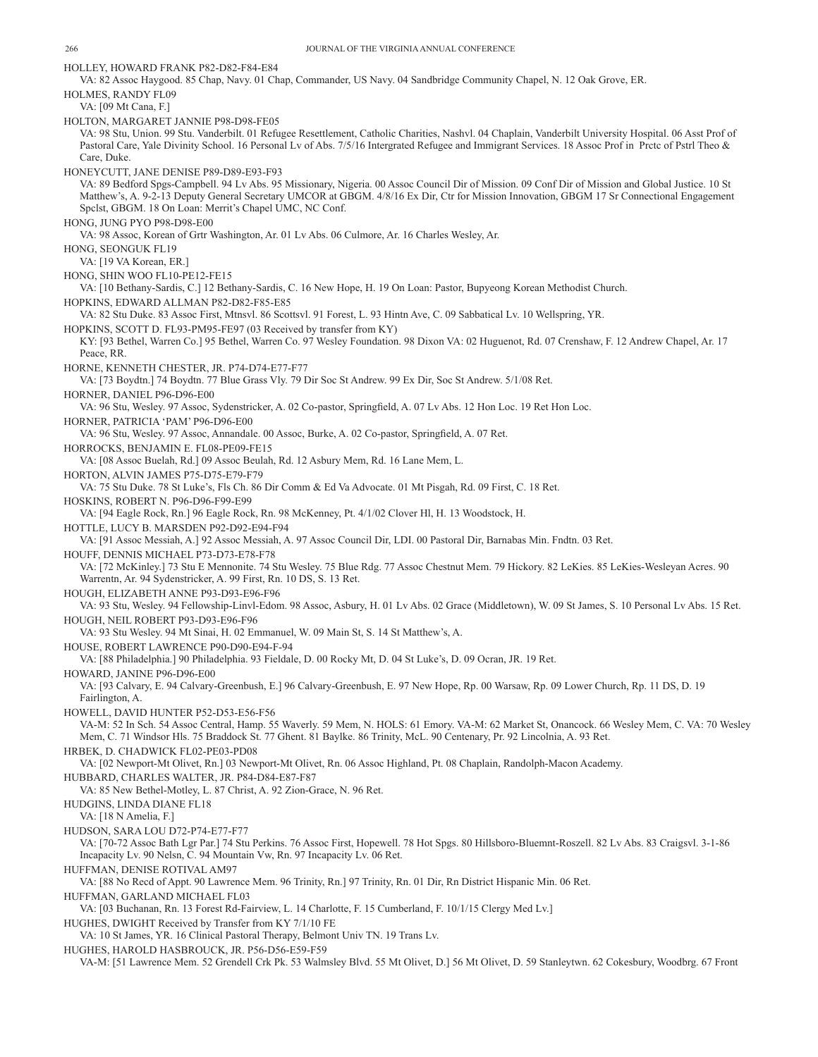HOLLEY, HOWARD FRANK P82-D82-F84-E84 VA: 82 Assoc Haygood. 85 Chap, Navy. 01 Chap, Commander, US Navy. 04 Sandbridge Community Chapel, N. 12 Oak Grove, ER. HOLMES, RANDY FL09 VA: [09 Mt Cana, F.] HOLTON, MARGARET JANNIE P98-D98-FE05 VA: 98 Stu, Union. 99 Stu. Vanderbilt. 01 Refugee Resettlement, Catholic Charities, Nashvl. 04 Chaplain, Vanderbilt University Hospital. 06 Asst Prof of Pastoral Care, Yale Divinity School. 16 Personal Lv of Abs. 7/5/16 Intergrated Refugee and Immigrant Services. 18 Assoc Prof in Prctc of Pstrl Theo & Care, Duke. HONEYCUTT, JANE DENISE P89-D89-E93-F93 VA: 89 Bedford Spgs-Campbell. 94 Lv Abs. 95 Missionary, Nigeria. 00 Assoc Council Dir of Mission. 09 Conf Dir of Mission and Global Justice. 10 St Matthew's, A. 9-2-13 Deputy General Secretary UMCOR at GBGM. 4/8/16 Ex Dir, Ctr for Mission Innovation, GBGM 17 Sr Connectional Engagement Spclst, GBGM. 18 On Loan: Merrit's Chapel UMC, NC Conf. HONG, JUNG PYO P98-D98-E00 VA: 98 Assoc, Korean of Grtr Washington, Ar. 01 Lv Abs. 06 Culmore, Ar. 16 Charles Wesley, Ar. HONG, SEONGUK FL19 VA: [19 VA Korean, ER.] HONG, SHIN WOO FL10-PE12-FE15 VA: [10 Bethany-Sardis, C.] 12 Bethany-Sardis, C. 16 New Hope, H. 19 On Loan: Pastor, Bupyeong Korean Methodist Church. HOPKINS, EDWARD ALLMAN P82-D82-F85-E85 VA: 82 Stu Duke. 83 Assoc First, Mtnsvl. 86 Scottsvl. 91 Forest, L. 93 Hintn Ave, C. 09 Sabbatical Lv. 10 Wellspring, YR. HOPKINS, SCOTT D. FL93-PM95-FE97 (03 Received by transfer from KY) KY: [93 Bethel, Warren Co.] 95 Bethel, Warren Co. 97 Wesley Foundation. 98 Dixon VA: 02 Huguenot, Rd. 07 Crenshaw, F. 12 Andrew Chapel, Ar. 17 Peace, RR. HORNE, KENNETH CHESTER, JR. P74-D74-E77-F77 VA: [73 Boydtn.] 74 Boydtn. 77 Blue Grass Vly. 79 Dir Soc St Andrew. 99 Ex Dir, Soc St Andrew. 5/1/08 Ret. HORNER, DANIEL P96-D96-E00 VA: 96 Stu, Wesley. 97 Assoc, Sydenstricker, A. 02 Co-pastor, Springfield, A. 07 Lv Abs. 12 Hon Loc. 19 Ret Hon Loc. HORNER, PATRICIA 'PAM' P96-D96-E00 VA: 96 Stu, Wesley. 97 Assoc, Annandale. 00 Assoc, Burke, A. 02 Co-pastor, Springfield, A. 07 Ret. HORROCKS, BENJAMIN E. FL08-PE09-FE15 VA: [08 Assoc Buelah, Rd.] 09 Assoc Beulah, Rd. 12 Asbury Mem, Rd. 16 Lane Mem, L. HORTON, ALVIN JAMES P75-D75-E79-F79 VA: 75 Stu Duke. 78 St Luke's, Fls Ch. 86 Dir Comm & Ed Va Advocate. 01 Mt Pisgah, Rd. 09 First, C. 18 Ret. HOSKINS, ROBERT N. P96-D96-F99-E99 VA: [94 Eagle Rock, Rn.] 96 Eagle Rock, Rn. 98 McKenney, Pt. 4/1/02 Clover Hl, H. 13 Woodstock, H. HOTTLE, LUCY B. MARSDEN P92-D92-E94-F94 VA: [91 Assoc Messiah, A.] 92 Assoc Messiah, A. 97 Assoc Council Dir, LDI. 00 Pastoral Dir, Barnabas Min. Fndtn. 03 Ret. HOUFF, DENNIS MICHAEL P73-D73-E78-F78 VA: [72 McKinley.] 73 Stu E Mennonite. 74 Stu Wesley. 75 Blue Rdg. 77 Assoc Chestnut Mem. 79 Hickory. 82 LeKies. 85 LeKies-Wesleyan Acres. 90 Warrentn, Ar. 94 Sydenstricker, A. 99 First, Rn. 10 DS, S. 13 Ret. HOUGH, ELIZABETH ANNE P93-D93-E96-F96 VA: 93 Stu, Wesley. 94 Fellowship-Linvl-Edom. 98 Assoc, Asbury, H. 01 Lv Abs. 02 Grace (Middletown), W. 09 St James, S. 10 Personal Lv Abs. 15 Ret. HOUGH, NEIL ROBERT P93-D93-E96-F96 VA: 93 Stu Wesley. 94 Mt Sinai, H. 02 Emmanuel, W. 09 Main St, S. 14 St Matthew's, A. HOUSE, ROBERT LAWRENCE P90-D90-E94-F-94 VA: [88 Philadelphia.] 90 Philadelphia. 93 Fieldale, D. 00 Rocky Mt, D. 04 St Luke's, D. 09 Ocran, JR. 19 Ret. HOWARD, JANINE P96-D96-E00 VA: [93 Calvary, E. 94 Calvary-Greenbush, E.] 96 Calvary-Greenbush, E. 97 New Hope, Rp. 00 Warsaw, Rp. 09 Lower Church, Rp. 11 DS, D. 19 Fairlington, A. HOWELL, DAVID HUNTER P52-D53-E56-F56 VA-M: 52 In Sch. 54 Assoc Central, Hamp. 55 Waverly. 59 Mem, N. HOLS: 61 Emory. VA-M: 62 Market St, Onancock. 66 Wesley Mem, C. VA: 70 Wesley Mem, C. 71 Windsor Hls. 75 Braddock St. 77 Ghent. 81 Baylke. 86 Trinity, McL. 90 Centenary, Pr. 92 Lincolnia, A. 93 Ret. HRBEK, D. CHADWICK FL02-PE03-PD08 VA: [02 Newport-Mt Olivet, Rn.] 03 Newport-Mt Olivet, Rn. 06 Assoc Highland, Pt. 08 Chaplain, Randolph-Macon Academy. HUBBARD, CHARLES WALTER, JR. P84-D84-E87-F87 VA: 85 New Bethel-Motley, L. 87 Christ, A. 92 Zion-Grace, N. 96 Ret. HUDGINS, LINDA DIANE FL18 VA: [18 N Amelia, F.] HUDSON, SARA LOU D72-P74-E77-F77 VA: [70-72 Assoc Bath Lgr Par.] 74 Stu Perkins. 76 Assoc First, Hopewell. 78 Hot Spgs. 80 Hillsboro-Bluemnt-Roszell. 82 Lv Abs. 83 Craigsvl. 3-1-86 Incapacity Lv. 90 Nelsn, C. 94 Mountain Vw, Rn. 97 Incapacity Lv. 06 Ret. HUFFMAN, DENISE ROTIVAL AM97 VA: [88 No Recd of Appt. 90 Lawrence Mem. 96 Trinity, Rn.] 97 Trinity, Rn. 01 Dir, Rn District Hispanic Min. 06 Ret. HUFFMAN, GARLAND MICHAEL FL03 VA: [03 Buchanan, Rn. 13 Forest Rd-Fairview, L. 14 Charlotte, F. 15 Cumberland, F. 10/1/15 Clergy Med Lv.] HUGHES, DWIGHT Received by Transfer from KY 7/1/10 FE VA: 10 St James, YR. 16 Clinical Pastoral Therapy, Belmont Univ TN. 19 Trans Lv. HUGHES, HAROLD HASBROUCK, JR. P56-D56-E59-F59 VA-M: [51 Lawrence Mem. 52 Grendell Crk Pk. 53 Walmsley Blvd. 55 Mt Olivet, D.] 56 Mt Olivet, D. 59 Stanleytwn. 62 Cokesbury, Woodbrg. 67 Front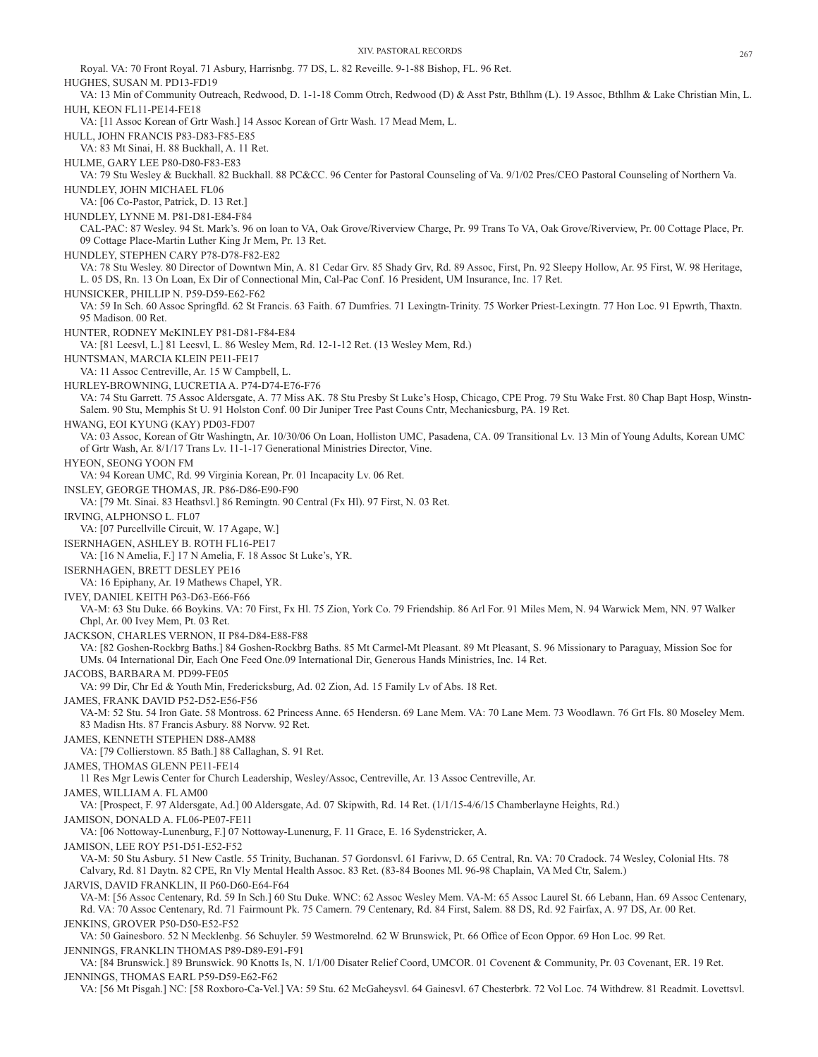Royal. VA: 70 Front Royal. 71 Asbury, Harrisnbg. 77 DS, L. 82 Reveille. 9-1-88 Bishop, FL. 96 Ret. HUGHES, SUSAN M. PD13-FD19 VA: 13 Min of Community Outreach, Redwood, D. 1-1-18 Comm Otrch, Redwood (D) & Asst Pstr, Bthlhm (L). 19 Assoc, Bthlhm & Lake Christian Min, L. HUH, KEON FL11-PE14-FE18 VA: [11 Assoc Korean of Grtr Wash.] 14 Assoc Korean of Grtr Wash. 17 Mead Mem, L. HULL, JOHN FRANCIS P83-D83-F85-E85 VA: 83 Mt Sinai, H. 88 Buckhall, A. 11 Ret. HULME, GARY LEE P80-D80-F83-E83 VA: 79 Stu Wesley & Buckhall. 82 Buckhall. 88 PC&CC. 96 Center for Pastoral Counseling of Va. 9/1/02 Pres/CEO Pastoral Counseling of Northern Va. HUNDLEY, JOHN MICHAEL FL06 VA: [06 Co-Pastor, Patrick, D. 13 Ret.] HUNDLEY, LYNNE M. P81-D81-E84-F84 CAL-PAC: 87 Wesley. 94 St. Mark's. 96 on loan to VA, Oak Grove/Riverview Charge, Pr. 99 Trans To VA, Oak Grove/Riverview, Pr. 00 Cottage Place, Pr. 09 Cottage Place-Martin Luther King Jr Mem, Pr. 13 Ret. HUNDLEY, STEPHEN CARY P78-D78-F82-E82 VA: 78 Stu Wesley. 80 Director of Downtwn Min, A. 81 Cedar Grv. 85 Shady Grv, Rd. 89 Assoc, First, Pn. 92 Sleepy Hollow, Ar. 95 First, W. 98 Heritage, L. 05 DS, Rn. 13 On Loan, Ex Dir of Connectional Min, Cal-Pac Conf. 16 President, UM Insurance, Inc. 17 Ret. HUNSICKER, PHILLIP N. P59-D59-E62-F62 VA: 59 In Sch. 60 Assoc Springfld. 62 St Francis. 63 Faith. 67 Dumfries. 71 Lexingtn-Trinity. 75 Worker Priest-Lexingtn. 77 Hon Loc. 91 Epwrth, Thaxtn. 95 Madison. 00 Ret. HUNTER, RODNEY McKINLEY P81-D81-F84-E84 VA: [81 Leesvl, L.] 81 Leesvl, L. 86 Wesley Mem, Rd. 12-1-12 Ret. (13 Wesley Mem, Rd.) HUNTSMAN, MARCIA KLEIN PE11-FE17 VA: 11 Assoc Centreville, Ar. 15 W Campbell, L. HURLEY-BROWNING, LUCRETIA A. P74-D74-E76-F76 VA: 74 Stu Garrett. 75 Assoc Aldersgate, A. 77 Miss AK. 78 Stu Presby St Luke's Hosp, Chicago, CPE Prog. 79 Stu Wake Frst. 80 Chap Bapt Hosp, Winstn-Salem. 90 Stu, Memphis St U. 91 Holston Conf. 00 Dir Juniper Tree Past Couns Cntr, Mechanicsburg, PA. 19 Ret. HWANG, EOI KYUNG (KAY) PD03-FD07 VA: 03 Assoc, Korean of Gtr Washingtn, Ar. 10/30/06 On Loan, Holliston UMC, Pasadena, CA. 09 Transitional Lv. 13 Min of Young Adults, Korean UMC of Grtr Wash, Ar. 8/1/17 Trans Lv. 11-1-17 Generational Ministries Director, Vine. HYEON, SEONG YOON FM VA: 94 Korean UMC, Rd. 99 Virginia Korean, Pr. 01 Incapacity Lv. 06 Ret. INSLEY, GEORGE THOMAS, JR. P86-D86-E90-F90 VA: [79 Mt. Sinai. 83 Heathsvl.] 86 Remingtn. 90 Central (Fx Hl). 97 First, N. 03 Ret. IRVING, ALPHONSO L. FL07 VA: [07 Purcellville Circuit, W. 17 Agape, W.] ISERNHAGEN, ASHLEY B. ROTH FL16-PE17 VA: [16 N Amelia, F.] 17 N Amelia, F. 18 Assoc St Luke's, YR. ISERNHAGEN, BRETT DESLEY PE16 VA: 16 Epiphany, Ar. 19 Mathews Chapel, YR. IVEY, DANIEL KEITH P63-D63-E66-F66 VA-M: 63 Stu Duke. 66 Boykins. VA: 70 First, Fx Hl. 75 Zion, York Co. 79 Friendship. 86 Arl For. 91 Miles Mem, N. 94 Warwick Mem, NN. 97 Walker Chpl, Ar. 00 Ivey Mem, Pt. 03 Ret. JACKSON, CHARLES VERNON, II P84-D84-E88-F88 VA: [82 Goshen-Rockbrg Baths.] 84 Goshen-Rockbrg Baths. 85 Mt Carmel-Mt Pleasant. 89 Mt Pleasant, S. 96 Missionary to Paraguay, Mission Soc for UMs. 04 International Dir, Each One Feed One.09 International Dir, Generous Hands Ministries, Inc. 14 Ret. JACOBS, BARBARA M. PD99-FE05 VA: 99 Dir, Chr Ed & Youth Min, Fredericksburg, Ad. 02 Zion, Ad. 15 Family Lv of Abs. 18 Ret. JAMES, FRANK DAVID P52-D52-E56-F56 VA-M: 52 Stu. 54 Iron Gate. 58 Montross. 62 Princess Anne. 65 Hendersn. 69 Lane Mem. VA: 70 Lane Mem. 73 Woodlawn. 76 Grt Fls. 80 Moseley Mem. 83 Madisn Hts. 87 Francis Asbury. 88 Norvw. 92 Ret. JAMES, KENNETH STEPHEN D88-AM88 VA: [79 Collierstown. 85 Bath.] 88 Callaghan, S. 91 Ret. JAMES, THOMAS GLENN PE11-FE14 11 Res Mgr Lewis Center for Church Leadership, Wesley/Assoc, Centreville, Ar. 13 Assoc Centreville, Ar. JAMES, WILLIAM A. FL AM00 VA: [Prospect, F. 97 Aldersgate, Ad.] 00 Aldersgate, Ad. 07 Skipwith, Rd. 14 Ret. (1/1/15-4/6/15 Chamberlayne Heights, Rd.) JAMISON, DONALD A. FL06-PE07-FE11 VA: [06 Nottoway-Lunenburg, F.] 07 Nottoway-Lunenurg, F. 11 Grace, E. 16 Sydenstricker, A. JAMISON, LEE ROY P51-D51-E52-F52 VA-M: 50 Stu Asbury. 51 New Castle. 55 Trinity, Buchanan. 57 Gordonsvl. 61 Farivw, D. 65 Central, Rn. VA: 70 Cradock. 74 Wesley, Colonial Hts. 78 Calvary, Rd. 81 Daytn. 82 CPE, Rn Vly Mental Health Assoc. 83 Ret. (83-84 Boones Ml. 96-98 Chaplain, VA Med Ctr, Salem.) JARVIS, DAVID FRANKLIN, II P60-D60-E64-F64 VA-M: [56 Assoc Centenary, Rd. 59 In Sch.] 60 Stu Duke. WNC: 62 Assoc Wesley Mem. VA-M: 65 Assoc Laurel St. 66 Lebann, Han. 69 Assoc Centenary, Rd. VA: 70 Assoc Centenary, Rd. 71 Fairmount Pk. 75 Camern. 79 Centenary, Rd. 84 First, Salem. 88 DS, Rd. 92 Fairfax, A. 97 DS, Ar. 00 Ret. JENKINS, GROVER P50-D50-E52-F52 VA: 50 Gainesboro. 52 N Mecklenbg. 56 Schuyler. 59 Westmorelnd. 62 W Brunswick, Pt. 66 Office of Econ Oppor. 69 Hon Loc. 99 Ret. JENNINGS, FRANKLIN THOMAS P89-D89-E91-F91 VA: [84 Brunswick.] 89 Brunswick. 90 Knotts Is, N. 1/1/00 Disater Relief Coord, UMCOR. 01 Covenent & Community, Pr. 03 Covenant, ER. 19 Ret.

JENNINGS, THOMAS EARL P59-D59-E62-F62 VA: [56 Mt Pisgah.] NC: [58 Roxboro-Ca-Vel.] VA: 59 Stu. 62 McGaheysvl. 64 Gainesvl. 67 Chesterbrk. 72 Vol Loc. 74 Withdrew. 81 Readmit. Lovettsvl.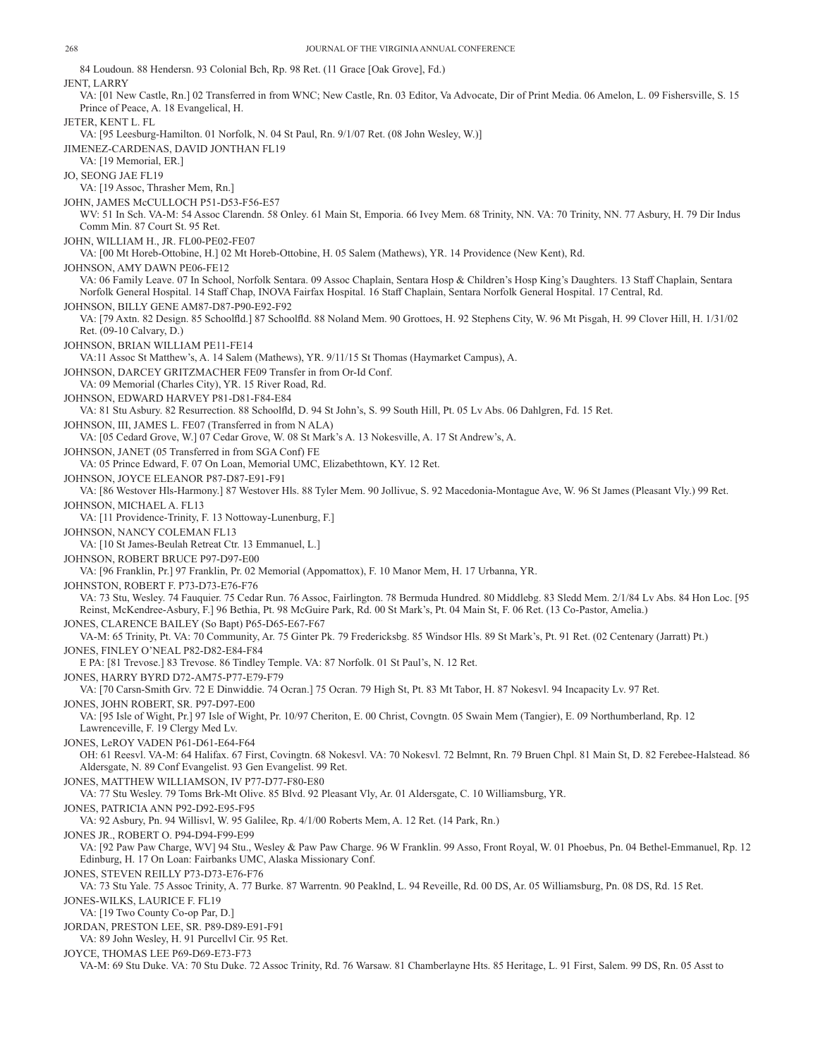84 Loudoun. 88 Hendersn. 93 Colonial Bch, Rp. 98 Ret. (11 Grace [Oak Grove], Fd.) JENT, LARRY VA: [01 New Castle, Rn.] 02 Transferred in from WNC; New Castle, Rn. 03 Editor, Va Advocate, Dir of Print Media. 06 Amelon, L. 09 Fishersville, S. 15 Prince of Peace, A. 18 Evangelical, H. JETER, KENT L. FL VA: [95 Leesburg-Hamilton. 01 Norfolk, N. 04 St Paul, Rn. 9/1/07 Ret. (08 John Wesley, W.)] JIMENEZ-CARDENAS, DAVID JONTHAN FL19 VA: [19 Memorial, ER.] JO, SEONG JAE FL19 VA: [19 Assoc, Thrasher Mem, Rn.] JOHN, JAMES McCULLOCH P51-D53-F56-E57 WV: 51 In Sch. VA-M: 54 Assoc Clarendn. 58 Onley. 61 Main St, Emporia. 66 Ivey Mem. 68 Trinity, NN. VA: 70 Trinity, NN. 77 Asbury, H. 79 Dir Indus Comm Min. 87 Court St. 95 Ret. JOHN, WILLIAM H., JR. FL00-PE02-FE07 VA: [00 Mt Horeb-Ottobine, H.] 02 Mt Horeb-Ottobine, H. 05 Salem (Mathews), YR. 14 Providence (New Kent), Rd. JOHNSON, AMY DAWN PE06-FE12 VA: 06 Family Leave. 07 In School, Norfolk Sentara. 09 Assoc Chaplain, Sentara Hosp & Children's Hosp King's Daughters. 13 Staff Chaplain, Sentara Norfolk General Hospital. 14 Staff Chap, INOVA Fairfax Hospital. 16 Staff Chaplain, Sentara Norfolk General Hospital. 17 Central, Rd. JOHNSON, BILLY GENE AM87-D87-P90-E92-F92 VA: [79 Axtn. 82 Design. 85 Schoolfld.] 87 Schoolfld. 88 Noland Mem. 90 Grottoes, H. 92 Stephens City, W. 96 Mt Pisgah, H. 99 Clover Hill, H. 1/31/02 Ret. (09-10 Calvary, D.) JOHNSON, BRIAN WILLIAM PE11-FE14 VA:11 Assoc St Matthew's, A. 14 Salem (Mathews), YR. 9/11/15 St Thomas (Haymarket Campus), A. JOHNSON, DARCEY GRITZMACHER FE09 Transfer in from Or-Id Conf. VA: 09 Memorial (Charles City), YR. 15 River Road, Rd. JOHNSON, EDWARD HARVEY P81-D81-F84-E84 VA: 81 Stu Asbury. 82 Resurrection. 88 Schoolfld, D. 94 St John's, S. 99 South Hill, Pt. 05 Lv Abs. 06 Dahlgren, Fd. 15 Ret. JOHNSON, III, JAMES L. FE07 (Transferred in from N ALA) VA: [05 Cedard Grove, W.] 07 Cedar Grove, W. 08 St Mark's A. 13 Nokesville, A. 17 St Andrew's, A. JOHNSON, JANET (05 Transferred in from SGA Conf) FE VA: 05 Prince Edward, F. 07 On Loan, Memorial UMC, Elizabethtown, KY. 12 Ret. JOHNSON, JOYCE ELEANOR P87-D87-E91-F91 VA: [86 Westover Hls-Harmony.] 87 Westover Hls. 88 Tyler Mem. 90 Jollivue, S. 92 Macedonia-Montague Ave, W. 96 St James (Pleasant Vly.) 99 Ret. JOHNSON, MICHAEL A. FL13 VA: [11 Providence-Trinity, F. 13 Nottoway-Lunenburg, F.] JOHNSON, NANCY COLEMAN FL13 VA: [10 St James-Beulah Retreat Ctr. 13 Emmanuel, L.] JOHNSON, ROBERT BRUCE P97-D97-E00 VA: [96 Franklin, Pr.] 97 Franklin, Pr. 02 Memorial (Appomattox), F. 10 Manor Mem, H. 17 Urbanna, YR. JOHNSTON, ROBERT F. P73-D73-E76-F76 VA: 73 Stu, Wesley. 74 Fauquier. 75 Cedar Run. 76 Assoc, Fairlington. 78 Bermuda Hundred. 80 Middlebg. 83 Sledd Mem. 2/1/84 Lv Abs. 84 Hon Loc. [95 Reinst, McKendree-Asbury, F.] 96 Bethia, Pt. 98 McGuire Park, Rd. 00 St Mark's, Pt. 04 Main St, F. 06 Ret. (13 Co-Pastor, Amelia.) JONES, CLARENCE BAILEY (So Bapt) P65-D65-E67-F67 VA-M: 65 Trinity, Pt. VA: 70 Community, Ar. 75 Ginter Pk. 79 Fredericksbg. 85 Windsor Hls. 89 St Mark's, Pt. 91 Ret. (02 Centenary (Jarratt) Pt.) JONES, FINLEY O'NEAL P82-D82-E84-F84 E PA: [81 Trevose.] 83 Trevose. 86 Tindley Temple. VA: 87 Norfolk. 01 St Paul's, N. 12 Ret. JONES, HARRY BYRD D72-AM75-P77-E79-F79 VA: [70 Carsn-Smith Grv. 72 E Dinwiddie. 74 Ocran.] 75 Ocran. 79 High St, Pt. 83 Mt Tabor, H. 87 Nokesvl. 94 Incapacity Lv. 97 Ret. JONES, JOHN ROBERT, SR. P97-D97-E00 VA: [95 Isle of Wight, Pr.] 97 Isle of Wight, Pr. 10/97 Cheriton, E. 00 Christ, Covngtn. 05 Swain Mem (Tangier), E. 09 Northumberland, Rp. 12 Lawrenceville, F. 19 Clergy Med Lv. JONES, LeROY VADEN P61-D61-E64-F64 OH: 61 Reesvl. VA-M: 64 Halifax. 67 First, Covingtn. 68 Nokesvl. VA: 70 Nokesvl. 72 Belmnt, Rn. 79 Bruen Chpl. 81 Main St, D. 82 Ferebee-Halstead. 86 Aldersgate, N. 89 Conf Evangelist. 93 Gen Evangelist. 99 Ret. JONES, MATTHEW WILLIAMSON, IV P77-D77-F80-E80 VA: 77 Stu Wesley. 79 Toms Brk-Mt Olive. 85 Blvd. 92 Pleasant Vly, Ar. 01 Aldersgate, C. 10 Williamsburg, YR. JONES, PATRICIA ANN P92-D92-E95-F95 VA: 92 Asbury, Pn. 94 Willisvl, W. 95 Galilee, Rp. 4/1/00 Roberts Mem, A. 12 Ret. (14 Park, Rn.) JONES JR., ROBERT O. P94-D94-F99-E99 VA: [92 Paw Paw Charge, WV] 94 Stu., Wesley & Paw Paw Charge. 96 W Franklin. 99 Asso, Front Royal, W. 01 Phoebus, Pn. 04 Bethel-Emmanuel, Rp. 12 Edinburg, H. 17 On Loan: Fairbanks UMC, Alaska Missionary Conf. JONES, STEVEN REILLY P73-D73-E76-F76 VA: 73 Stu Yale. 75 Assoc Trinity, A. 77 Burke. 87 Warrentn. 90 Peaklnd, L. 94 Reveille, Rd. 00 DS, Ar. 05 Williamsburg, Pn. 08 DS, Rd. 15 Ret. JONES-WILKS, LAURICE F. FL19 VA: [19 Two County Co-op Par, D.] JORDAN, PRESTON LEE, SR. P89-D89-E91-F91 VA: 89 John Wesley, H. 91 Purcellvl Cir. 95 Ret. JOYCE, THOMAS LEE P69-D69-E73-F73 VA-M: 69 Stu Duke. VA: 70 Stu Duke. 72 Assoc Trinity, Rd. 76 Warsaw. 81 Chamberlayne Hts. 85 Heritage, L. 91 First, Salem. 99 DS, Rn. 05 Asst to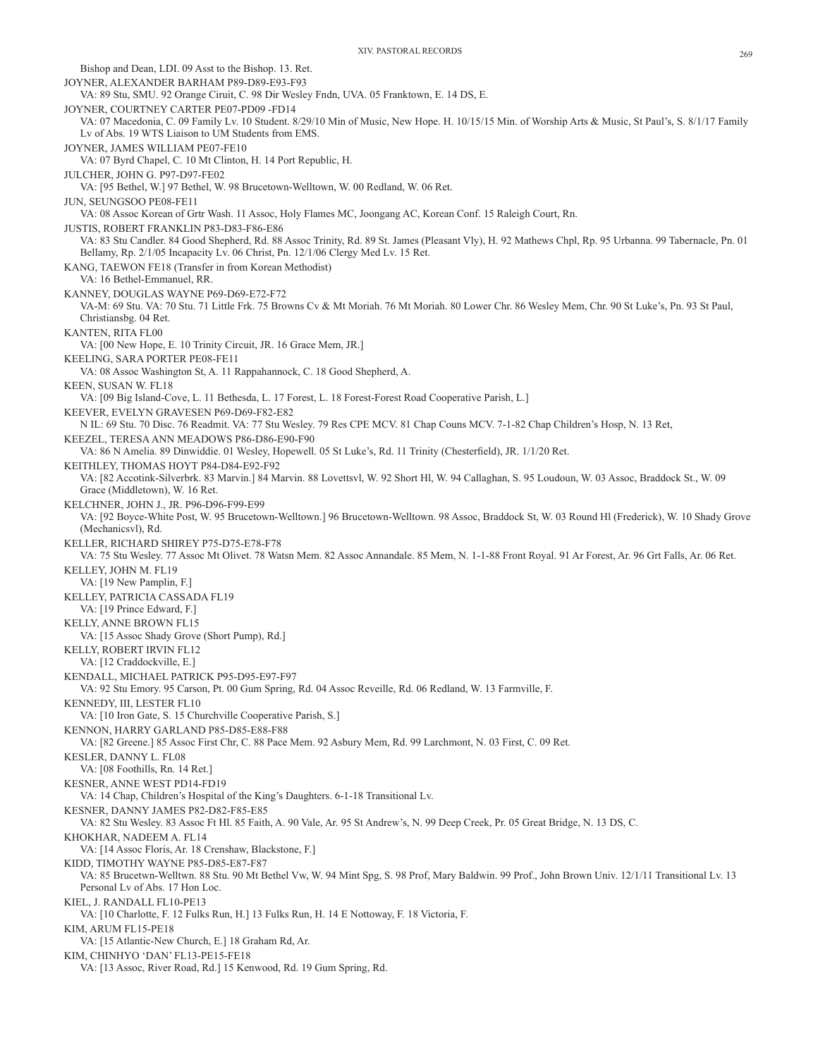Bishop and Dean, LDI. 09 Asst to the Bishop. 13. Ret. JOYNER, ALEXANDER BARHAM P89-D89-E93-F93 VA: 89 Stu, SMU. 92 Orange Ciruit, C. 98 Dir Wesley Fndn, UVA. 05 Franktown, E. 14 DS, E. JOYNER, COURTNEY CARTER PE07-PD09 -FD14 VA: 07 Macedonia, C. 09 Family Lv. 10 Student. 8/29/10 Min of Music, New Hope. H. 10/15/15 Min. of Worship Arts & Music, St Paul's, S. 8/1/17 Family Lv of Abs. 19 WTS Liaison to UM Students from EMS. JOYNER, JAMES WILLIAM PE07-FE10 VA: 07 Byrd Chapel, C. 10 Mt Clinton, H. 14 Port Republic, H. JULCHER, JOHN G. P97-D97-FE02 VA: [95 Bethel, W.] 97 Bethel, W. 98 Brucetown-Welltown, W. 00 Redland, W. 06 Ret. JUN, SEUNGSOO PE08-FE11 VA: 08 Assoc Korean of Grtr Wash. 11 Assoc, Holy Flames MC, Joongang AC, Korean Conf. 15 Raleigh Court, Rn. JUSTIS, ROBERT FRANKLIN P83-D83-F86-E86 VA: 83 Stu Candler. 84 Good Shepherd, Rd. 88 Assoc Trinity, Rd. 89 St. James (Pleasant Vly), H. 92 Mathews Chpl, Rp. 95 Urbanna. 99 Tabernacle, Pn. 01 Bellamy, Rp. 2/1/05 Incapacity Lv. 06 Christ, Pn. 12/1/06 Clergy Med Lv. 15 Ret. KANG, TAEWON FE18 (Transfer in from Korean Methodist) VA: 16 Bethel-Emmanuel, RR. KANNEY, DOUGLAS WAYNE P69-D69-E72-F72 VA-M: 69 Stu. VA: 70 Stu. 71 Little Frk. 75 Browns Cv & Mt Moriah. 76 Mt Moriah. 80 Lower Chr. 86 Wesley Mem, Chr. 90 St Luke's, Pn. 93 St Paul, Christiansbg. 04 Ret. KANTEN, RITA FL00 VA: [00 New Hope, E. 10 Trinity Circuit, JR. 16 Grace Mem, JR.] KEELING, SARA PORTER PE08-FE11 VA: 08 Assoc Washington St, A. 11 Rappahannock, C. 18 Good Shepherd, A. KEEN, SUSAN W. FL18 VA: [09 Big Island-Cove, L. 11 Bethesda, L. 17 Forest, L. 18 Forest-Forest Road Cooperative Parish, L.] KEEVER, EVELYN GRAVESEN P69-D69-F82-E82 N IL: 69 Stu. 70 Disc. 76 Readmit. VA: 77 Stu Wesley. 79 Res CPE MCV. 81 Chap Couns MCV. 7-1-82 Chap Children's Hosp, N. 13 Ret, KEEZEL, TERESA ANN MEADOWS P86-D86-E90-F90 VA: 86 N Amelia. 89 Dinwiddie. 01 Wesley, Hopewell. 05 St Luke's, Rd. 11 Trinity (Chesterfield), JR. 1/1/20 Ret. KEITHLEY, THOMAS HOYT P84-D84-E92-F92 VA: [82 Accotink-Silverbrk. 83 Marvin.] 84 Marvin. 88 Lovettsvl, W. 92 Short Hl, W. 94 Callaghan, S. 95 Loudoun, W. 03 Assoc, Braddock St., W. 09 Grace (Middletown), W. 16 Ret. KELCHNER, JOHN J., JR. P96-D96-F99-E99 VA: [92 Boyce-White Post, W. 95 Brucetown-Welltown.] 96 Brucetown-Welltown. 98 Assoc, Braddock St, W. 03 Round Hl (Frederick), W. 10 Shady Grove (Mechanicsvl), Rd. KELLER, RICHARD SHIREY P75-D75-E78-F78 VA: 75 Stu Wesley. 77 Assoc Mt Olivet. 78 Watsn Mem. 82 Assoc Annandale. 85 Mem, N. 1-1-88 Front Royal. 91 Ar Forest, Ar. 96 Grt Falls, Ar. 06 Ret. KELLEY, JOHN M. FL19 VA: [19 New Pamplin, F.] KELLEY, PATRICIA CASSADA FL19 VA: [19 Prince Edward, F.] KELLY, ANNE BROWN FL15 VA: [15 Assoc Shady Grove (Short Pump), Rd.] KELLY, ROBERT IRVIN FL12 VA: [12 Craddockville, E.] KENDALL, MICHAEL PATRICK P95-D95-E97-F97 VA: 92 Stu Emory. 95 Carson, Pt. 00 Gum Spring, Rd. 04 Assoc Reveille, Rd. 06 Redland, W. 13 Farmville, F. KENNEDY, III, LESTER FL10 VA: [10 Iron Gate, S. 15 Churchville Cooperative Parish, S.] KENNON, HARRY GARLAND P85-D85-E88-F88 VA: [82 Greene.] 85 Assoc First Chr, C. 88 Pace Mem. 92 Asbury Mem, Rd. 99 Larchmont, N. 03 First, C. 09 Ret. KESLER, DANNY L. FL08 VA: [08 Foothills, Rn. 14 Ret.] KESNER, ANNE WEST PD14-FD19 VA: 14 Chap, Children's Hospital of the King's Daughters. 6-1-18 Transitional Lv. KESNER, DANNY JAMES P82-D82-F85-E85 VA: 82 Stu Wesley. 83 Assoc Ft Hl. 85 Faith, A. 90 Vale, Ar. 95 St Andrew's, N. 99 Deep Creek, Pr. 05 Great Bridge, N. 13 DS, C. KHOKHAR, NADEEM A. FL14 VA: [14 Assoc Floris, Ar. 18 Crenshaw, Blackstone, F.] KIDD, TIMOTHY WAYNE P85-D85-E87-F87 VA: 85 Brucetwn-Welltwn. 88 Stu. 90 Mt Bethel Vw, W. 94 Mint Spg, S. 98 Prof, Mary Baldwin. 99 Prof., John Brown Univ. 12/1/11 Transitional Lv. 13 Personal Lv of Abs. 17 Hon Loc. KIEL, J. RANDALL FL10-PE13 VA: [10 Charlotte, F. 12 Fulks Run, H.] 13 Fulks Run, H. 14 E Nottoway, F. 18 Victoria, F. KIM, ARUM FL15-PE18 VA: [15 Atlantic-New Church, E.] 18 Graham Rd, Ar. KIM, CHINHYO 'DAN' FL13-PE15-FE18 VA: [13 Assoc, River Road, Rd.] 15 Kenwood, Rd. 19 Gum Spring, Rd.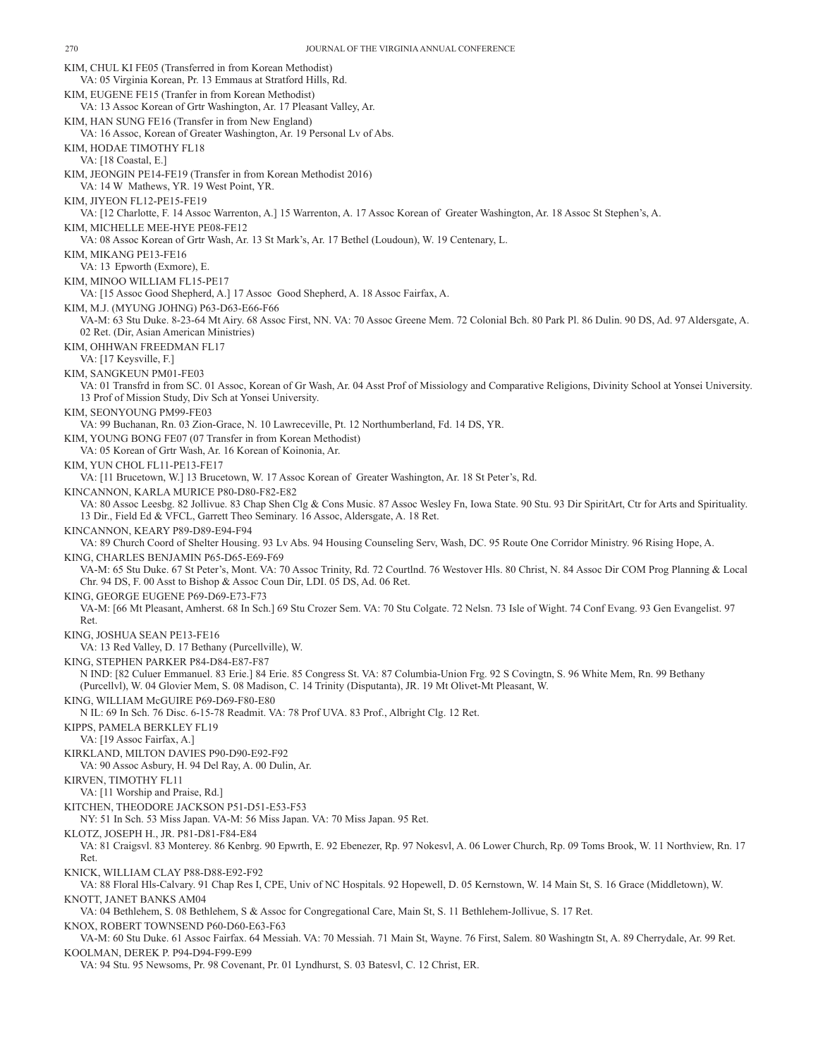KIM, CHUL KI FE05 (Transferred in from Korean Methodist) VA: 05 Virginia Korean, Pr. 13 Emmaus at Stratford Hills, Rd. KIM, EUGENE FE15 (Tranfer in from Korean Methodist) VA: 13 Assoc Korean of Grtr Washington, Ar. 17 Pleasant Valley, Ar. KIM, HAN SUNG FE16 (Transfer in from New England) VA: 16 Assoc, Korean of Greater Washington, Ar. 19 Personal Lv of Abs. KIM, HODAE TIMOTHY FL18 VA: [18 Coastal, E.] KIM, JEONGIN PE14-FE19 (Transfer in from Korean Methodist 2016) VA: 14 W Mathews, YR. 19 West Point, YR. KIM, JIYEON FL12-PE15-FE19 VA: [12 Charlotte, F. 14 Assoc Warrenton, A.] 15 Warrenton, A. 17 Assoc Korean of Greater Washington, Ar. 18 Assoc St Stephen's, A. KIM, MICHELLE MEE-HYE PE08-FE12 VA: 08 Assoc Korean of Grtr Wash, Ar. 13 St Mark's, Ar. 17 Bethel (Loudoun), W. 19 Centenary, L. KIM, MIKANG PE13-FE16 VA: 13 Epworth (Exmore), E. KIM, MINOO WILLIAM FL15-PE17 VA: [15 Assoc Good Shepherd, A.] 17 Assoc Good Shepherd, A. 18 Assoc Fairfax, A. KIM, M.J. (MYUNG JOHNG) P63-D63-E66-F66 VA-M: 63 Stu Duke. 8-23-64 Mt Airy. 68 Assoc First, NN. VA: 70 Assoc Greene Mem. 72 Colonial Bch. 80 Park Pl. 86 Dulin. 90 DS, Ad. 97 Aldersgate, A. 02 Ret. (Dir, Asian American Ministries) KIM, OHHWAN FREEDMAN FL17 VA: [17 Keysville, F.] KIM, SANGKEUN PM01-FE03 VA: 01 Transfrd in from SC. 01 Assoc, Korean of Gr Wash, Ar. 04 Asst Prof of Missiology and Comparative Religions, Divinity School at Yonsei University. 13 Prof of Mission Study, Div Sch at Yonsei University. KIM, SEONYOUNG PM99-FE03 VA: 99 Buchanan, Rn. 03 Zion-Grace, N. 10 Lawreceville, Pt. 12 Northumberland, Fd. 14 DS, YR. KIM, YOUNG BONG FE07 (07 Transfer in from Korean Methodist) VA: 05 Korean of Grtr Wash, Ar. 16 Korean of Koinonia, Ar. KIM, YUN CHOL FL11-PE13-FE17 VA: [11 Brucetown, W.] 13 Brucetown, W. 17 Assoc Korean of Greater Washington, Ar. 18 St Peter's, Rd. KINCANNON, KARLA MURICE P80-D80-F82-E82 VA: 80 Assoc Leesbg. 82 Jollivue. 83 Chap Shen Clg & Cons Music. 87 Assoc Wesley Fn, Iowa State. 90 Stu. 93 Dir SpiritArt, Ctr for Arts and Spirituality. 13 Dir., Field Ed & VFCL, Garrett Theo Seminary. 16 Assoc, Aldersgate, A. 18 Ret. KINCANNON, KEARY P89-D89-E94-F94 VA: 89 Church Coord of Shelter Housing. 93 Lv Abs. 94 Housing Counseling Serv, Wash, DC. 95 Route One Corridor Ministry. 96 Rising Hope, A. KING, CHARLES BENJAMIN P65-D65-E69-F69 VA-M: 65 Stu Duke. 67 St Peter's, Mont. VA: 70 Assoc Trinity, Rd. 72 Courtlnd. 76 Westover Hls. 80 Christ, N. 84 Assoc Dir COM Prog Planning & Local Chr. 94 DS, F. 00 Asst to Bishop & Assoc Coun Dir, LDI. 05 DS, Ad. 06 Ret. KING, GEORGE EUGENE P69-D69-E73-F73 VA-M: [66 Mt Pleasant, Amherst. 68 In Sch.] 69 Stu Crozer Sem. VA: 70 Stu Colgate. 72 Nelsn. 73 Isle of Wight. 74 Conf Evang. 93 Gen Evangelist. 97 Ret. KING, JOSHUA SEAN PE13-FE16 VA: 13 Red Valley, D. 17 Bethany (Purcellville), W. KING, STEPHEN PARKER P84-D84-E87-F87 N IND: [82 Culuer Emmanuel. 83 Erie.] 84 Erie. 85 Congress St. VA: 87 Columbia-Union Frg. 92 S Covingtn, S. 96 White Mem, Rn. 99 Bethany (Purcellvl), W. 04 Glovier Mem, S. 08 Madison, C. 14 Trinity (Disputanta), JR. 19 Mt Olivet-Mt Pleasant, W. KING, WILLIAM McGUIRE P69-D69-F80-E80 N IL: 69 In Sch. 76 Disc. 6-15-78 Readmit. VA: 78 Prof UVA. 83 Prof., Albright Clg. 12 Ret. KIPPS, PAMELA BERKLEY FL19 VA: [19 Assoc Fairfax, A.] KIRKLAND, MILTON DAVIES P90-D90-E92-F92 VA: 90 Assoc Asbury, H. 94 Del Ray, A. 00 Dulin, Ar. KIRVEN, TIMOTHY FL11 VA: [11 Worship and Praise, Rd.] KITCHEN, THEODORE JACKSON P51-D51-E53-F53 NY: 51 In Sch. 53 Miss Japan. VA-M: 56 Miss Japan. VA: 70 Miss Japan. 95 Ret. KLOTZ, JOSEPH H., JR. P81-D81-F84-E84 VA: 81 Craigsvl. 83 Monterey. 86 Kenbrg. 90 Epwrth, E. 92 Ebenezer, Rp. 97 Nokesvl, A. 06 Lower Church, Rp. 09 Toms Brook, W. 11 Northview, Rn. 17 Ret. KNICK, WILLIAM CLAY P88-D88-E92-F92 VA: 88 Floral Hls-Calvary. 91 Chap Res I, CPE, Univ of NC Hospitals. 92 Hopewell, D. 05 Kernstown, W. 14 Main St, S. 16 Grace (Middletown), W. KNOTT, JANET BANKS AM04 VA: 04 Bethlehem, S. 08 Bethlehem, S & Assoc for Congregational Care, Main St, S. 11 Bethlehem-Jollivue, S. 17 Ret. KNOX, ROBERT TOWNSEND P60-D60-E63-F63 VA-M: 60 Stu Duke. 61 Assoc Fairfax. 64 Messiah. VA: 70 Messiah. 71 Main St, Wayne. 76 First, Salem. 80 Washingtn St, A. 89 Cherrydale, Ar. 99 Ret. KOOLMAN, DEREK P. P94-D94-F99-E99 VA: 94 Stu. 95 Newsoms, Pr. 98 Covenant, Pr. 01 Lyndhurst, S. 03 Batesvl, C. 12 Christ, ER.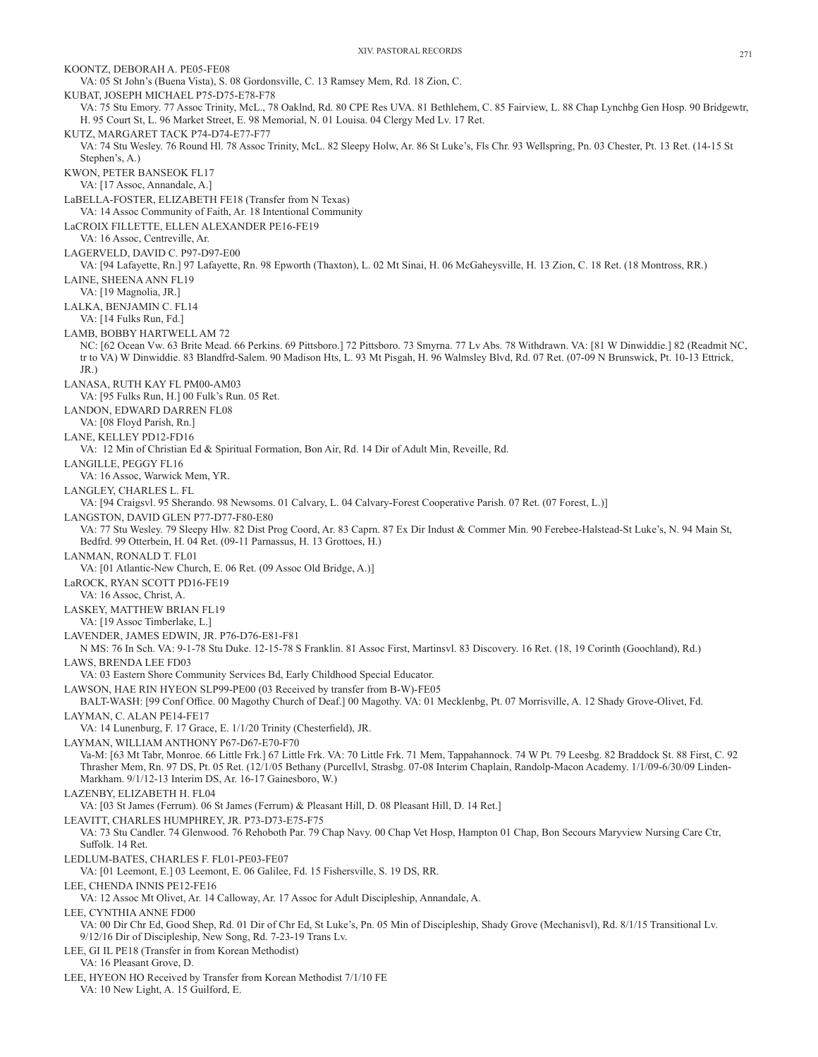KOONTZ, DEBORAH A. PE05-FE08 VA: 05 St John's (Buena Vista), S. 08 Gordonsville, C. 13 Ramsey Mem, Rd. 18 Zion, C. KUBAT, JOSEPH MICHAEL P75-D75-E78-F78 VA: 75 Stu Emory. 77 Assoc Trinity, McL., 78 Oaklnd, Rd. 80 CPE Res UVA. 81 Bethlehem, C. 85 Fairview, L. 88 Chap Lynchbg Gen Hosp. 90 Bridgewtr, H. 95 Court St, L. 96 Market Street, E. 98 Memorial, N. 01 Louisa. 04 Clergy Med Lv. 17 Ret. KUTZ, MARGARET TACK P74-D74-E77-F77 VA: 74 Stu Wesley. 76 Round Hl. 78 Assoc Trinity, McL. 82 Sleepy Holw, Ar. 86 St Luke's, Fls Chr. 93 Wellspring, Pn. 03 Chester, Pt. 13 Ret. (14-15 St Stephen's, A.) KWON, PETER BANSEOK FL17 VA: [17 Assoc, Annandale, A.] LaBELLA-FOSTER, ELIZABETH FE18 (Transfer from N Texas) VA: 14 Assoc Community of Faith, Ar. 18 Intentional Community LaCROIX FILLETTE, ELLEN ALEXANDER PE16-FE19 VA: 16 Assoc, Centreville, Ar. LAGERVELD, DAVID C. P97-D97-E00 VA: [94 Lafayette, Rn.] 97 Lafayette, Rn. 98 Epworth (Thaxton), L. 02 Mt Sinai, H. 06 McGaheysville, H. 13 Zion, C. 18 Ret. (18 Montross, RR.) LAINE, SHEENA ANN FL19 VA: [19 Magnolia, JR.] LALKA, BENJAMIN C. FL14 VA: [14 Fulks Run, Fd.] LAMB, BOBBY HARTWELL AM 72 NC: [62 Ocean Vw. 63 Brite Mead. 66 Perkins. 69 Pittsboro.] 72 Pittsboro. 73 Smyrna. 77 Lv Abs. 78 Withdrawn. VA: [81 W Dinwiddie.] 82 (Readmit NC, tr to VA) W Dinwiddie. 83 Blandfrd-Salem. 90 Madison Hts, L. 93 Mt Pisgah, H. 96 Walmsley Blvd, Rd. 07 Ret. (07-09 N Brunswick, Pt. 10-13 Ettrick, JR.) LANASA, RUTH KAY FL PM00-AM03 VA: [95 Fulks Run, H.] 00 Fulk's Run. 05 Ret. LANDON, EDWARD DARREN FL08 VA: [08 Floyd Parish, Rn.] LANE, KELLEY PD12-FD16 VA: 12 Min of Christian Ed & Spiritual Formation, Bon Air, Rd. 14 Dir of Adult Min, Reveille, Rd. LANGILLE, PEGGY FL16 VA: 16 Assoc, Warwick Mem, YR. LANGLEY, CHARLES L. FL VA: [94 Craigsvl. 95 Sherando. 98 Newsoms. 01 Calvary, L. 04 Calvary-Forest Cooperative Parish. 07 Ret. (07 Forest, L.)] LANGSTON, DAVID GLEN P77-D77-F80-E80 VA: 77 Stu Wesley. 79 Sleepy Hlw. 82 Dist Prog Coord, Ar. 83 Caprn. 87 Ex Dir Indust & Commer Min. 90 Ferebee-Halstead-St Luke's, N. 94 Main St, Bedfrd. 99 Otterbein, H. 04 Ret. (09-11 Parnassus, H. 13 Grottoes, H.) LANMAN, RONALD T. FL01 VA: [01 Atlantic-New Church, E. 06 Ret. (09 Assoc Old Bridge, A.)] LaROCK, RYAN SCOTT PD16-FE19 VA: 16 Assoc, Christ, A. LASKEY, MATTHEW BRIAN FL19 VA: [19 Assoc Timberlake, L.] LAVENDER, JAMES EDWIN, JR. P76-D76-E81-F81 N MS: 76 In Sch. VA: 9-1-78 Stu Duke. 12-15-78 S Franklin. 81 Assoc First, Martinsvl. 83 Discovery. 16 Ret. (18, 19 Corinth (Goochland), Rd.) LAWS, BRENDA LEE FD03 VA: 03 Eastern Shore Community Services Bd, Early Childhood Special Educator. LAWSON, HAE RIN HYEON SLP99-PE00 (03 Received by transfer from B-W)-FE05 BALT-WASH: [99 Conf Office. 00 Magothy Church of Deaf.] 00 Magothy. VA: 01 Mecklenbg, Pt. 07 Morrisville, A. 12 Shady Grove-Olivet, Fd. LAYMAN, C. ALAN PE14-FE17 VA: 14 Lunenburg, F. 17 Grace, E. 1/1/20 Trinity (Chesterfield), JR. LAYMAN, WILLIAM ANTHONY P67-D67-E70-F70 Va-M: [63 Mt Tabr, Monroe. 66 Little Frk.] 67 Little Frk. VA: 70 Little Frk. 71 Mem, Tappahannock. 74 W Pt. 79 Leesbg. 82 Braddock St. 88 First, C. 92 Thrasher Mem, Rn. 97 DS, Pt. 05 Ret. (12/1/05 Bethany (Purcellvl, Strasbg. 07-08 Interim Chaplain, Randolp-Macon Academy. 1/1/09-6/30/09 Linden-Markham. 9/1/12-13 Interim DS, Ar. 16-17 Gainesboro, W.) LAZENBY, ELIZABETH H. FL04 VA: [03 St James (Ferrum). 06 St James (Ferrum) & Pleasant Hill, D. 08 Pleasant Hill, D. 14 Ret.] LEAVITT, CHARLES HUMPHREY, JR. P73-D73-E75-F75 VA: 73 Stu Candler. 74 Glenwood. 76 Rehoboth Par. 79 Chap Navy. 00 Chap Vet Hosp, Hampton 01 Chap, Bon Secours Maryview Nursing Care Ctr, Suffolk. 14 Ret. LEDLUM-BATES, CHARLES F. FL01-PE03-FE07 VA: [01 Leemont, E.] 03 Leemont, E. 06 Galilee, Fd. 15 Fishersville, S. 19 DS, RR. LEE, CHENDA INNIS PE12-FE16 VA: 12 Assoc Mt Olivet, Ar. 14 Calloway, Ar. 17 Assoc for Adult Discipleship, Annandale, A. LEE, CYNTHIA ANNE FD00 VA: 00 Dir Chr Ed, Good Shep, Rd. 01 Dir of Chr Ed, St Luke's, Pn. 05 Min of Discipleship, Shady Grove (Mechanisvl), Rd. 8/1/15 Transitional Lv. 9/12/16 Dir of Discipleship, New Song, Rd. 7-23-19 Trans Lv. LEE, GI IL PE18 (Transfer in from Korean Methodist) VA: 16 Pleasant Grove, D. LEE, HYEON HO Received by Transfer from Korean Methodist 7/1/10 FE VA: 10 New Light, A. 15 Guilford, E.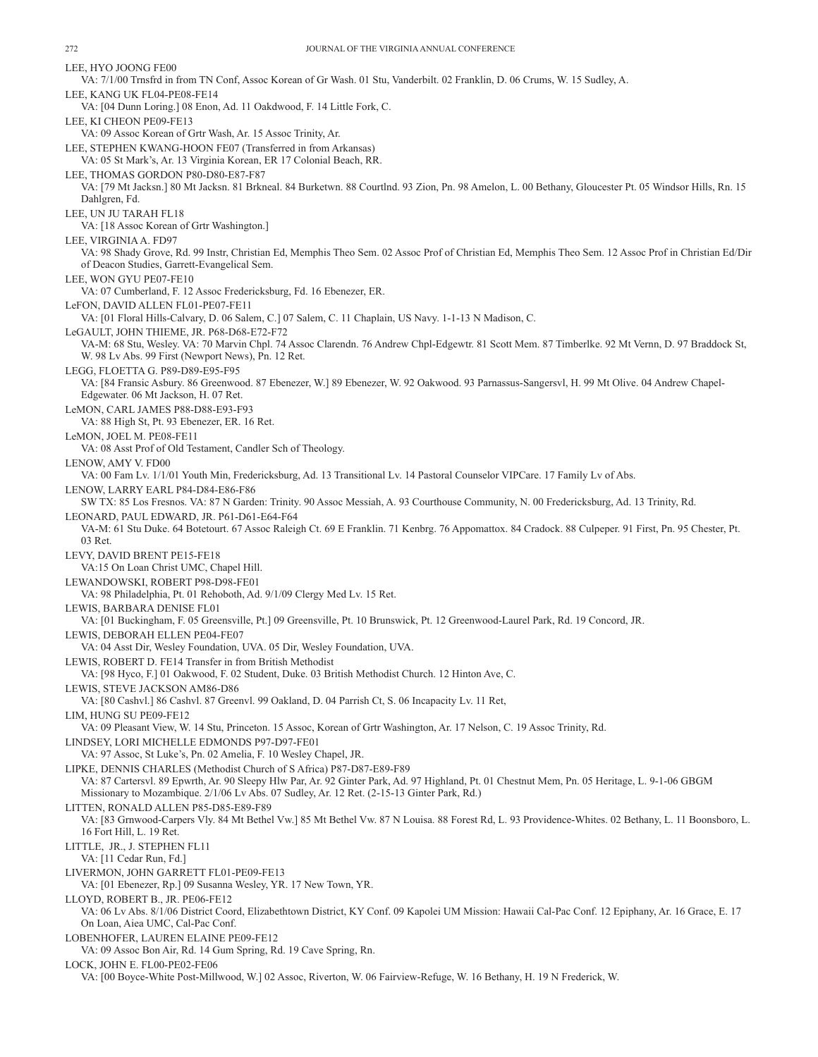LEE, HYO JOONG FE00 VA: 7/1/00 Trnsfrd in from TN Conf, Assoc Korean of Gr Wash. 01 Stu, Vanderbilt. 02 Franklin, D. 06 Crums, W. 15 Sudley, A. LEE, KANG UK FL04-PE08-FE14 VA: [04 Dunn Loring.] 08 Enon, Ad. 11 Oakdwood, F. 14 Little Fork, C. LEE, KI CHEON PE09-FE13 VA: 09 Assoc Korean of Grtr Wash, Ar. 15 Assoc Trinity, Ar. LEE, STEPHEN KWANG-HOON FE07 (Transferred in from Arkansas) VA: 05 St Mark's, Ar. 13 Virginia Korean, ER 17 Colonial Beach, RR. LEE, THOMAS GORDON P80-D80-E87-F87 VA: [79 Mt Jacksn.] 80 Mt Jacksn. 81 Brkneal. 84 Burketwn. 88 Courtlnd. 93 Zion, Pn. 98 Amelon, L. 00 Bethany, Gloucester Pt. 05 Windsor Hills, Rn. 15 Dahlgren, Fd. LEE, UN JU TARAH FL18 VA: [18 Assoc Korean of Grtr Washington.] LEE, VIRGINIA A. FD97 VA: 98 Shady Grove, Rd. 99 Instr, Christian Ed, Memphis Theo Sem. 02 Assoc Prof of Christian Ed, Memphis Theo Sem. 12 Assoc Prof in Christian Ed/Dir of Deacon Studies, Garrett-Evangelical Sem. LEE, WON GYU PE07-FE10 VA: 07 Cumberland, F. 12 Assoc Fredericksburg, Fd. 16 Ebenezer, ER. LeFON, DAVID ALLEN FL01-PE07-FE11 VA: [01 Floral Hills-Calvary, D. 06 Salem, C.] 07 Salem, C. 11 Chaplain, US Navy. 1-1-13 N Madison, C. LeGAULT, JOHN THIEME, JR. P68-D68-E72-F72 VA-M: 68 Stu, Wesley. VA: 70 Marvin Chpl. 74 Assoc Clarendn. 76 Andrew Chpl-Edgewtr. 81 Scott Mem. 87 Timberlke. 92 Mt Vernn, D. 97 Braddock St, W. 98 Lv Abs. 99 First (Newport News), Pn. 12 Ret. LEGG, FLOETTA G. P89-D89-E95-F95 VA: [84 Fransic Asbury. 86 Greenwood. 87 Ebenezer, W.] 89 Ebenezer, W. 92 Oakwood. 93 Parnassus-Sangersvl, H. 99 Mt Olive. 04 Andrew Chapel-Edgewater. 06 Mt Jackson, H. 07 Ret. LeMON, CARL JAMES P88-D88-E93-F93 VA: 88 High St, Pt. 93 Ebenezer, ER. 16 Ret. LeMON, JOEL M. PE08-FE11 VA: 08 Asst Prof of Old Testament, Candler Sch of Theology. LENOW, AMY V. FD00 VA: 00 Fam Lv. 1/1/01 Youth Min, Fredericksburg, Ad. 13 Transitional Lv. 14 Pastoral Counselor VIPCare. 17 Family Lv of Abs. LENOW, LARRY EARL P84-D84-E86-F86 SW TX: 85 Los Fresnos. VA: 87 N Garden: Trinity. 90 Assoc Messiah, A. 93 Courthouse Community, N. 00 Fredericksburg, Ad. 13 Trinity, Rd. LEONARD, PAUL EDWARD, JR. P61-D61-E64-F64 VA-M: 61 Stu Duke. 64 Botetourt. 67 Assoc Raleigh Ct. 69 E Franklin. 71 Kenbrg. 76 Appomattox. 84 Cradock. 88 Culpeper. 91 First, Pn. 95 Chester, Pt. 03 Ret. LEVY, DAVID BRENT PE15-FE18 VA:15 On Loan Christ UMC, Chapel Hill. LEWANDOWSKI, ROBERT P98-D98-FE01 VA: 98 Philadelphia, Pt. 01 Rehoboth, Ad. 9/1/09 Clergy Med Lv. 15 Ret. LEWIS, BARBARA DENISE FL01 VA: [01 Buckingham, F. 05 Greensville, Pt.] 09 Greensville, Pt. 10 Brunswick, Pt. 12 Greenwood-Laurel Park, Rd. 19 Concord, JR. LEWIS, DEBORAH ELLEN PE04-FE07 VA: 04 Asst Dir, Wesley Foundation, UVA. 05 Dir, Wesley Foundation, UVA. LEWIS, ROBERT D. FE14 Transfer in from British Methodist VA: [98 Hyco, F.] 01 Oakwood, F. 02 Student, Duke. 03 British Methodist Church. 12 Hinton Ave, C. LEWIS, STEVE JACKSON AM86-D86 VA: [80 Cashvl.] 86 Cashvl. 87 Greenvl. 99 Oakland, D. 04 Parrish Ct, S. 06 Incapacity Lv. 11 Ret, LIM, HUNG SU PE09-FE12 VA: 09 Pleasant View, W. 14 Stu, Princeton. 15 Assoc, Korean of Grtr Washington, Ar. 17 Nelson, C. 19 Assoc Trinity, Rd. LINDSEY, LORI MICHELLE EDMONDS P97-D97-FE01 VA: 97 Assoc, St Luke's, Pn. 02 Amelia, F. 10 Wesley Chapel, JR. LIPKE, DENNIS CHARLES (Methodist Church of S Africa) P87-D87-E89-F89 VA: 87 Cartersvl. 89 Epwrth, Ar. 90 Sleepy Hlw Par, Ar. 92 Ginter Park, Ad. 97 Highland, Pt. 01 Chestnut Mem, Pn. 05 Heritage, L. 9-1-06 GBGM Missionary to Mozambique. 2/1/06 Lv Abs. 07 Sudley, Ar. 12 Ret. (2-15-13 Ginter Park, Rd.) LITTEN, RONALD ALLEN P85-D85-E89-F89 VA: [83 Grnwood-Carpers Vly. 84 Mt Bethel Vw.] 85 Mt Bethel Vw. 87 N Louisa. 88 Forest Rd, L. 93 Providence-Whites. 02 Bethany, L. 11 Boonsboro, L. 16 Fort Hill, L. 19 Ret. LITTLE, JR., J. STEPHEN FL11 VA: [11 Cedar Run, Fd.] LIVERMON, JOHN GARRETT FL01-PE09-FE13 VA: [01 Ebenezer, Rp.] 09 Susanna Wesley, YR. 17 New Town, YR. LLOYD, ROBERT B., JR. PE06-FE12 VA: 06 Lv Abs. 8/1/06 District Coord, Elizabethtown District, KY Conf. 09 Kapolei UM Mission: Hawaii Cal-Pac Conf. 12 Epiphany, Ar. 16 Grace, E. 17 On Loan, Aiea UMC, Cal-Pac Conf. LOBENHOFER, LAUREN ELAINE PE09-FE12 VA: 09 Assoc Bon Air, Rd. 14 Gum Spring, Rd. 19 Cave Spring, Rn. LOCK, JOHN E. FL00-PE02-FE06 VA: [00 Boyce-White Post-Millwood, W.] 02 Assoc, Riverton, W. 06 Fairview-Refuge, W. 16 Bethany, H. 19 N Frederick, W.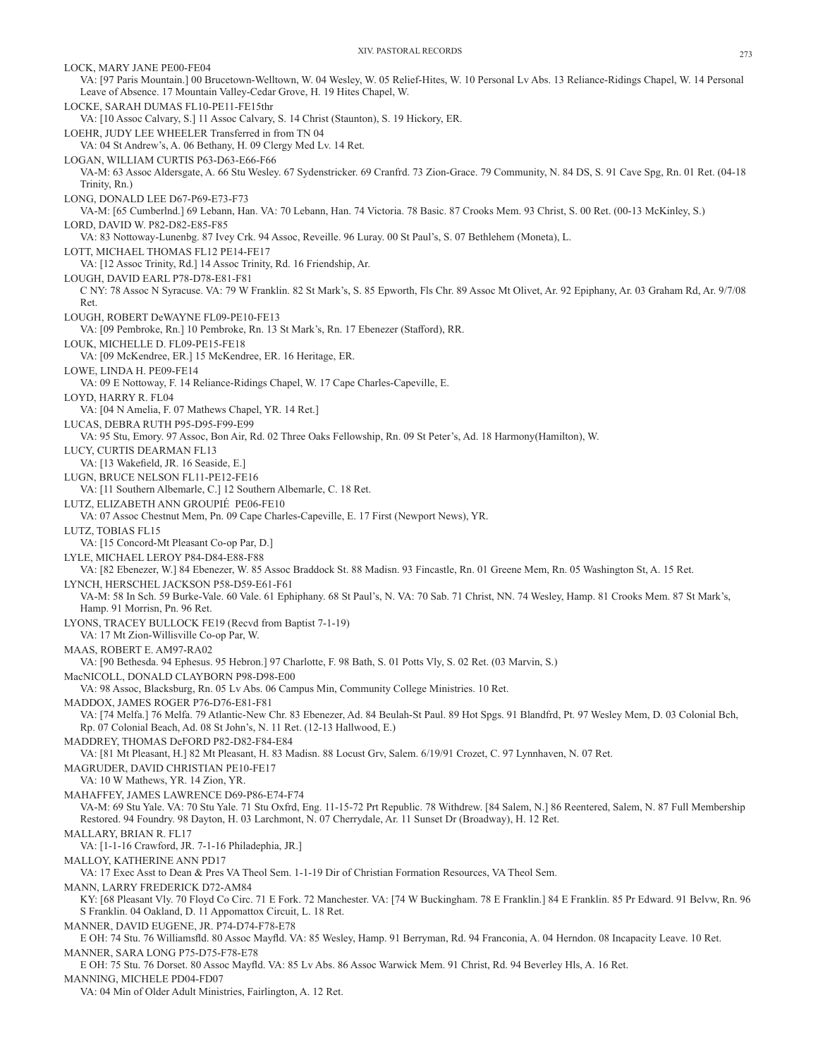LOCK, MARY JANE PE00-FE04 VA: [97 Paris Mountain.] 00 Brucetown-Welltown, W. 04 Wesley, W. 05 Relief-Hites, W. 10 Personal Lv Abs. 13 Reliance-Ridings Chapel, W. 14 Personal Leave of Absence. 17 Mountain Valley-Cedar Grove, H. 19 Hites Chapel, W. LOCKE, SARAH DUMAS FL10-PE11-FE15thr VA: [10 Assoc Calvary, S.] 11 Assoc Calvary, S. 14 Christ (Staunton), S. 19 Hickory, ER. LOEHR, JUDY LEE WHEELER Transferred in from TN 04 VA: 04 St Andrew's, A. 06 Bethany, H. 09 Clergy Med Lv. 14 Ret. LOGAN, WILLIAM CURTIS P63-D63-E66-F66 VA-M: 63 Assoc Aldersgate, A. 66 Stu Wesley. 67 Sydenstricker. 69 Cranfrd. 73 Zion-Grace. 79 Community, N. 84 DS, S. 91 Cave Spg, Rn. 01 Ret. (04-18 Trinity, Rn.) LONG, DONALD LEE D67-P69-E73-F73 VA-M: [65 Cumberlnd.] 69 Lebann, Han. VA: 70 Lebann, Han. 74 Victoria. 78 Basic. 87 Crooks Mem. 93 Christ, S. 00 Ret. (00-13 McKinley, S.) LORD, DAVID W. P82-D82-E85-F85 VA: 83 Nottoway-Lunenbg. 87 Ivey Crk. 94 Assoc, Reveille. 96 Luray. 00 St Paul's, S. 07 Bethlehem (Moneta), L. LOTT, MICHAEL THOMAS FL12 PE14-FE17 VA: [12 Assoc Trinity, Rd.] 14 Assoc Trinity, Rd. 16 Friendship, Ar. LOUGH, DAVID EARL P78-D78-E81-F81 C NY: 78 Assoc N Syracuse. VA: 79 W Franklin. 82 St Mark's, S. 85 Epworth, Fls Chr. 89 Assoc Mt Olivet, Ar. 92 Epiphany, Ar. 03 Graham Rd, Ar. 9/7/08 Ret. LOUGH, ROBERT DeWAYNE FL09-PE10-FE13 VA: [09 Pembroke, Rn.] 10 Pembroke, Rn. 13 St Mark's, Rn. 17 Ebenezer (Stafford), RR. LOUK, MICHELLE D. FL09-PE15-FE18 VA: [09 McKendree, ER.] 15 McKendree, ER. 16 Heritage, ER. LOWE, LINDA H. PE09-FE14 VA: 09 E Nottoway, F. 14 Reliance-Ridings Chapel, W. 17 Cape Charles-Capeville, E. LOYD, HARRY R. FL04 VA: [04 N Amelia, F. 07 Mathews Chapel, YR. 14 Ret.] LUCAS, DEBRA RUTH P95-D95-F99-E99 VA: 95 Stu, Emory. 97 Assoc, Bon Air, Rd. 02 Three Oaks Fellowship, Rn. 09 St Peter's, Ad. 18 Harmony(Hamilton), W. LUCY, CURTIS DEARMAN FL13 VA: [13 Wakefield, JR. 16 Seaside, E.] LUGN, BRUCE NELSON FL11-PE12-FE16 VA: [11 Southern Albemarle, C.] 12 Southern Albemarle, C. 18 Ret. LUTZ, ELIZABETH ANN GROUPIÉ PE06-FE10 VA: 07 Assoc Chestnut Mem, Pn. 09 Cape Charles-Capeville, E. 17 First (Newport News), YR. LUTZ, TOBIAS FL15 VA: [15 Concord-Mt Pleasant Co-op Par, D.] LYLE, MICHAEL LEROY P84-D84-E88-F88 VA: [82 Ebenezer, W.] 84 Ebenezer, W. 85 Assoc Braddock St. 88 Madisn. 93 Fincastle, Rn. 01 Greene Mem, Rn. 05 Washington St, A. 15 Ret. LYNCH, HERSCHEL JACKSON P58-D59-E61-F61 VA-M: 58 In Sch. 59 Burke-Vale. 60 Vale. 61 Ephiphany. 68 St Paul's, N. VA: 70 Sab. 71 Christ, NN. 74 Wesley, Hamp. 81 Crooks Mem. 87 St Mark's, Hamp. 91 Morrisn, Pn. 96 Ret. LYONS, TRACEY BULLOCK FE19 (Recvd from Baptist 7-1-19) VA: 17 Mt Zion-Willisville Co-op Par, W. MAAS, ROBERT E. AM97-RA02 VA: [90 Bethesda. 94 Ephesus. 95 Hebron.] 97 Charlotte, F. 98 Bath, S. 01 Potts Vly, S. 02 Ret. (03 Marvin, S.) MacNICOLL, DONALD CLAYBORN P98-D98-E00 VA: 98 Assoc, Blacksburg, Rn. 05 Lv Abs. 06 Campus Min, Community College Ministries. 10 Ret. MADDOX, JAMES ROGER P76-D76-E81-F81 VA: [74 Melfa.] 76 Melfa. 79 Atlantic-New Chr. 83 Ebenezer, Ad. 84 Beulah-St Paul. 89 Hot Spgs. 91 Blandfrd, Pt. 97 Wesley Mem, D. 03 Colonial Bch, Rp. 07 Colonial Beach, Ad. 08 St John's, N. 11 Ret. (12-13 Hallwood, E.) MADDREY, THOMAS DeFORD P82-D82-F84-E84 VA: [81 Mt Pleasant, H.] 82 Mt Pleasant, H. 83 Madisn. 88 Locust Grv, Salem. 6/19/91 Crozet, C. 97 Lynnhaven, N. 07 Ret. MAGRUDER, DAVID CHRISTIAN PE10-FE17 VA: 10 W Mathews, YR. 14 Zion, YR. MAHAFFEY, JAMES LAWRENCE D69-P86-E74-F74 VA-M: 69 Stu Yale. VA: 70 Stu Yale. 71 Stu Oxfrd, Eng. 11-15-72 Prt Republic. 78 Withdrew. [84 Salem, N.] 86 Reentered, Salem, N. 87 Full Membership Restored. 94 Foundry. 98 Dayton, H. 03 Larchmont, N. 07 Cherrydale, Ar. 11 Sunset Dr (Broadway), H. 12 Ret. MALLARY, BRIAN R. FL17 VA: [1-1-16 Crawford, JR. 7-1-16 Philadephia, JR.] MALLOY, KATHERINE ANN PD17 VA: 17 Exec Asst to Dean & Pres VA Theol Sem. 1-1-19 Dir of Christian Formation Resources, VA Theol Sem. MANN, LARRY FREDERICK D72-AM84 KY: [68 Pleasant Vly. 70 Floyd Co Circ. 71 E Fork. 72 Manchester. VA: [74 W Buckingham. 78 E Franklin.] 84 E Franklin. 85 Pr Edward. 91 Belvw, Rn. 96 S Franklin. 04 Oakland, D. 11 Appomattox Circuit, L. 18 Ret. MANNER, DAVID EUGENE, JR. P74-D74-F78-E78 E OH: 74 Stu. 76 Williamsfld. 80 Assoc Mayfld. VA: 85 Wesley, Hamp. 91 Berryman, Rd. 94 Franconia, A. 04 Herndon. 08 Incapacity Leave. 10 Ret. MANNER, SARA LONG P75-D75-F78-E78 E OH: 75 Stu. 76 Dorset. 80 Assoc Mayfld. VA: 85 Lv Abs. 86 Assoc Warwick Mem. 91 Christ, Rd. 94 Beverley Hls, A. 16 Ret. MANNING, MICHELE PD04-FD07

VA: 04 Min of Older Adult Ministries, Fairlington, A. 12 Ret.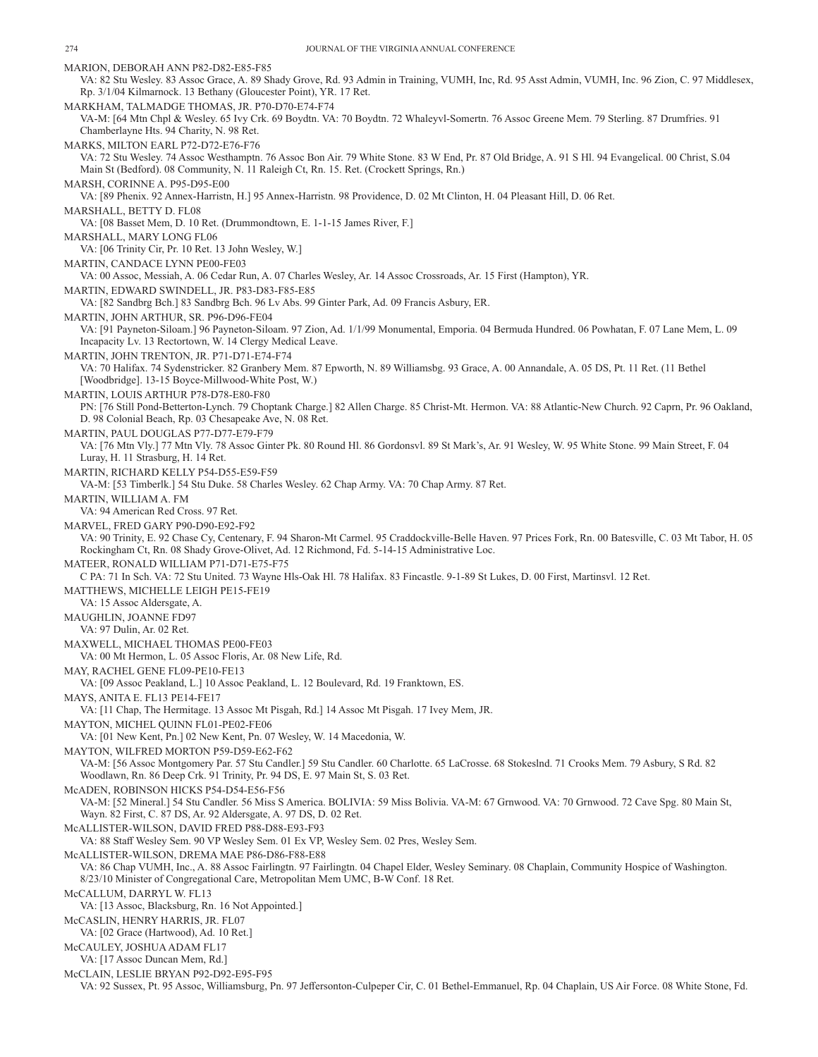MARION, DEBORAH ANN P82-D82-E85-F85 VA: 82 Stu Wesley. 83 Assoc Grace, A. 89 Shady Grove, Rd. 93 Admin in Training, VUMH, Inc, Rd. 95 Asst Admin, VUMH, Inc. 96 Zion, C. 97 Middlesex, Rp. 3/1/04 Kilmarnock. 13 Bethany (Gloucester Point), YR. 17 Ret. MARKHAM, TALMADGE THOMAS, JR. P70-D70-E74-F74 VA-M: [64 Mtn Chpl & Wesley. 65 Ivy Crk. 69 Boydtn. VA: 70 Boydtn. 72 Whaleyvl-Somertn. 76 Assoc Greene Mem. 79 Sterling. 87 Drumfries. 91 Chamberlayne Hts. 94 Charity, N. 98 Ret. MARKS, MILTON EARL P72-D72-E76-F76 VA: 72 Stu Wesley. 74 Assoc Westhamptn. 76 Assoc Bon Air. 79 White Stone. 83 W End, Pr. 87 Old Bridge, A. 91 S Hl. 94 Evangelical. 00 Christ, S.04 Main St (Bedford). 08 Community, N. 11 Raleigh Ct, Rn. 15. Ret. (Crockett Springs, Rn.) MARSH, CORINNE A. P95-D95-E00 VA: [89 Phenix. 92 Annex-Harristn, H.] 95 Annex-Harristn. 98 Providence, D. 02 Mt Clinton, H. 04 Pleasant Hill, D. 06 Ret. MARSHALL, BETTY D. FL08 VA: [08 Basset Mem, D. 10 Ret. (Drummondtown, E. 1-1-15 James River, F.] MARSHALL, MARY LONG FL06 VA: [06 Trinity Cir, Pr. 10 Ret. 13 John Wesley, W.] MARTIN, CANDACE LYNN PE00-FE03 VA: 00 Assoc, Messiah, A. 06 Cedar Run, A. 07 Charles Wesley, Ar. 14 Assoc Crossroads, Ar. 15 First (Hampton), YR. MARTIN, EDWARD SWINDELL, JR. P83-D83-F85-E85 VA: [82 Sandbrg Bch.] 83 Sandbrg Bch. 96 Lv Abs. 99 Ginter Park, Ad. 09 Francis Asbury, ER. MARTIN, JOHN ARTHUR, SR. P96-D96-FE04 VA: [91 Payneton-Siloam.] 96 Payneton-Siloam. 97 Zion, Ad. 1/1/99 Monumental, Emporia. 04 Bermuda Hundred. 06 Powhatan, F. 07 Lane Mem, L. 09 Incapacity Lv. 13 Rectortown, W. 14 Clergy Medical Leave. MARTIN, JOHN TRENTON, JR. P71-D71-E74-F74 VA: 70 Halifax. 74 Sydenstricker. 82 Granbery Mem. 87 Epworth, N. 89 Williamsbg. 93 Grace, A. 00 Annandale, A. 05 DS, Pt. 11 Ret. (11 Bethel [Woodbridge]. 13-15 Boyce-Millwood-White Post, W.) MARTIN, LOUIS ARTHUR P78-D78-E80-F80 PN: [76 Still Pond-Betterton-Lynch. 79 Choptank Charge.] 82 Allen Charge. 85 Christ-Mt. Hermon. VA: 88 Atlantic-New Church. 92 Caprn, Pr. 96 Oakland, D. 98 Colonial Beach, Rp. 03 Chesapeake Ave, N. 08 Ret. MARTIN, PAUL DOUGLAS P77-D77-E79-F79 VA: [76 Mtn Vly.] 77 Mtn Vly. 78 Assoc Ginter Pk. 80 Round Hl. 86 Gordonsvl. 89 St Mark's, Ar. 91 Wesley, W. 95 White Stone. 99 Main Street, F. 04 Luray, H. 11 Strasburg, H. 14 Ret. MARTIN, RICHARD KELLY P54-D55-E59-F59 VA-M: [53 Timberlk.] 54 Stu Duke. 58 Charles Wesley. 62 Chap Army. VA: 70 Chap Army. 87 Ret. MARTIN, WILLIAM A. FM VA: 94 American Red Cross. 97 Ret. MARVEL, FRED GARY P90-D90-E92-F92 VA: 90 Trinity, E. 92 Chase Cy, Centenary, F. 94 Sharon-Mt Carmel. 95 Craddockville-Belle Haven. 97 Prices Fork, Rn. 00 Batesville, C. 03 Mt Tabor, H. 05 Rockingham Ct, Rn. 08 Shady Grove-Olivet, Ad. 12 Richmond, Fd. 5-14-15 Administrative Loc. MATEER, RONALD WILLIAM P71-D71-E75-F75 C PA: 71 In Sch. VA: 72 Stu United. 73 Wayne Hls-Oak Hl. 78 Halifax. 83 Fincastle. 9-1-89 St Lukes, D. 00 First, Martinsvl. 12 Ret. MATTHEWS, MICHELLE LEIGH PE15-FE19 VA: 15 Assoc Aldersgate, A. MAUGHLIN, JOANNE FD97 VA: 97 Dulin, Ar. 02 Ret. MAXWELL, MICHAEL THOMAS PE00-FE03 VA: 00 Mt Hermon, L. 05 Assoc Floris, Ar. 08 New Life, Rd. MAY, RACHEL GENE FL09-PE10-FE13 VA: [09 Assoc Peakland, L.] 10 Assoc Peakland, L. 12 Boulevard, Rd. 19 Franktown, ES. MAYS, ANITA E. FL13 PE14-FE17 VA: [11 Chap, The Hermitage. 13 Assoc Mt Pisgah, Rd.] 14 Assoc Mt Pisgah. 17 Ivey Mem, JR. MAYTON, MICHEL QUINN FL01-PE02-FE06 VA: [01 New Kent, Pn.] 02 New Kent, Pn. 07 Wesley, W. 14 Macedonia, W. MAYTON, WILFRED MORTON P59-D59-E62-F62 VA-M: [56 Assoc Montgomery Par. 57 Stu Candler.] 59 Stu Candler. 60 Charlotte. 65 LaCrosse. 68 Stokeslnd. 71 Crooks Mem. 79 Asbury, S Rd. 82 Woodlawn, Rn. 86 Deep Crk. 91 Trinity, Pr. 94 DS, E. 97 Main St, S. 03 Ret. McADEN, ROBINSON HICKS P54-D54-E56-F56 VA-M: [52 Mineral.] 54 Stu Candler. 56 Miss S America. BOLIVIA: 59 Miss Bolivia. VA-M: 67 Grnwood. VA: 70 Grnwood. 72 Cave Spg. 80 Main St, Wayn. 82 First, C. 87 DS, Ar. 92 Aldersgate, A. 97 DS, D. 02 Ret. McALLISTER-WILSON, DAVID FRED P88-D88-E93-F93 VA: 88 Staff Wesley Sem. 90 VP Wesley Sem. 01 Ex VP, Wesley Sem. 02 Pres, Wesley Sem. McALLISTER-WILSON, DREMA MAE P86-D86-F88-E88 VA: 86 Chap VUMH, Inc., A. 88 Assoc Fairlingtn. 97 Fairlingtn. 04 Chapel Elder, Wesley Seminary. 08 Chaplain, Community Hospice of Washington. 8/23/10 Minister of Congregational Care, Metropolitan Mem UMC, B-W Conf. 18 Ret. McCALLUM, DARRYL W. FL13 VA: [13 Assoc, Blacksburg, Rn. 16 Not Appointed.] McCASLIN, HENRY HARRIS, JR. FL07 VA: [02 Grace (Hartwood), Ad. 10 Ret.] McCAULEY, JOSHUA ADAM FL17 VA: [17 Assoc Duncan Mem, Rd.] McCLAIN, LESLIE BRYAN P92-D92-E95-F95

VA: 92 Sussex, Pt. 95 Assoc, Williamsburg, Pn. 97 Jeffersonton-Culpeper Cir, C. 01 Bethel-Emmanuel, Rp. 04 Chaplain, US Air Force. 08 White Stone, Fd.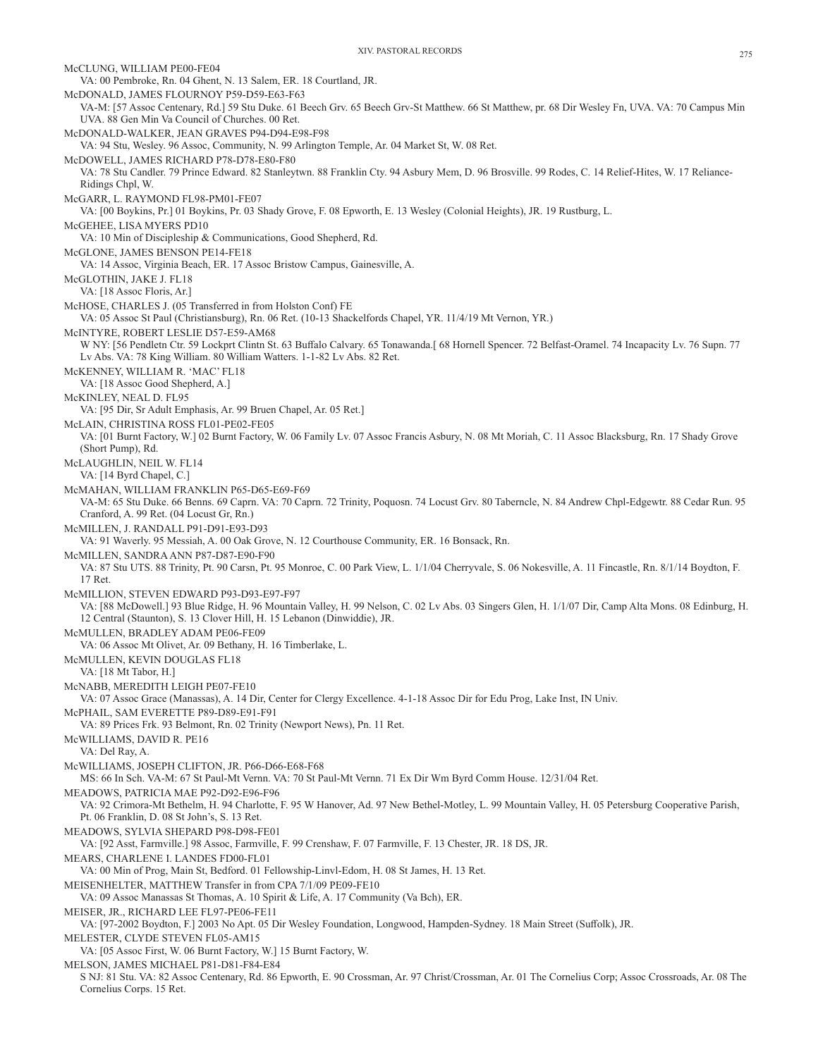McCLUNG, WILLIAM PE00-FE04 VA: 00 Pembroke, Rn. 04 Ghent, N. 13 Salem, ER. 18 Courtland, JR. McDONALD, JAMES FLOURNOY P59-D59-E63-F63 VA-M: [57 Assoc Centenary, Rd.] 59 Stu Duke. 61 Beech Grv. 65 Beech Grv-St Matthew. 66 St Matthew, pr. 68 Dir Wesley Fn, UVA. VA: 70 Campus Min UVA. 88 Gen Min Va Council of Churches. 00 Ret. McDONALD-WALKER, JEAN GRAVES P94-D94-E98-F98 VA: 94 Stu, Wesley. 96 Assoc, Community, N. 99 Arlington Temple, Ar. 04 Market St, W. 08 Ret. McDOWELL, JAMES RICHARD P78-D78-E80-F80 VA: 78 Stu Candler. 79 Prince Edward. 82 Stanleytwn. 88 Franklin Cty. 94 Asbury Mem, D. 96 Brosville. 99 Rodes, C. 14 Relief-Hites, W. 17 Reliance-Ridings Chpl, W. McGARR, L. RAYMOND FL98-PM01-FE07 VA: [00 Boykins, Pr.] 01 Boykins, Pr. 03 Shady Grove, F. 08 Epworth, E. 13 Wesley (Colonial Heights), JR. 19 Rustburg, L. McGEHEE, LISA MYERS PD10 VA: 10 Min of Discipleship & Communications, Good Shepherd, Rd. McGLONE, JAMES BENSON PE14-FE18 VA: 14 Assoc, Virginia Beach, ER. 17 Assoc Bristow Campus, Gainesville, A. McGLOTHIN, JAKE J. FL18 VA: [18 Assoc Floris, Ar.] McHOSE, CHARLES J. (05 Transferred in from Holston Conf) FE VA: 05 Assoc St Paul (Christiansburg), Rn. 06 Ret. (10-13 Shackelfords Chapel, YR. 11/4/19 Mt Vernon, YR.) McINTYRE, ROBERT LESLIE D57-E59-AM68 W NY: [56 Pendletn Ctr. 59 Lockprt Clintn St. 63 Buffalo Calvary. 65 Tonawanda.[ 68 Hornell Spencer. 72 Belfast-Oramel. 74 Incapacity Lv. 76 Supn. 77 Lv Abs. VA: 78 King William. 80 William Watters. 1-1-82 Lv Abs. 82 Ret. McKENNEY, WILLIAM R. 'MAC' FL18 VA: [18 Assoc Good Shepherd, A.] McKINLEY, NEAL D. FL95 VA: [95 Dir, Sr Adult Emphasis, Ar. 99 Bruen Chapel, Ar. 05 Ret.] McLAIN, CHRISTINA ROSS FL01-PE02-FE05 VA: [01 Burnt Factory, W.] 02 Burnt Factory, W. 06 Family Lv. 07 Assoc Francis Asbury, N. 08 Mt Moriah, C. 11 Assoc Blacksburg, Rn. 17 Shady Grove (Short Pump), Rd. McLAUGHLIN, NEIL W. FL14 VA: [14 Byrd Chapel, C.] McMAHAN, WILLIAM FRANKLIN P65-D65-E69-F69 VA-M: 65 Stu Duke. 66 Benns. 69 Caprn. VA: 70 Caprn. 72 Trinity, Poquosn. 74 Locust Grv. 80 Taberncle, N. 84 Andrew Chpl-Edgewtr. 88 Cedar Run. 95 Cranford, A. 99 Ret. (04 Locust Gr, Rn.) McMILLEN, J. RANDALL P91-D91-E93-D93 VA: 91 Waverly. 95 Messiah, A. 00 Oak Grove, N. 12 Courthouse Community, ER. 16 Bonsack, Rn. McMILLEN, SANDRA ANN P87-D87-E90-F90 VA: 87 Stu UTS. 88 Trinity, Pt. 90 Carsn, Pt. 95 Monroe, C. 00 Park View, L. 1/1/04 Cherryvale, S. 06 Nokesville, A. 11 Fincastle, Rn. 8/1/14 Boydton, F. 17 Ret. McMILLION, STEVEN EDWARD P93-D93-E97-F97 VA: [88 McDowell.] 93 Blue Ridge, H. 96 Mountain Valley, H. 99 Nelson, C. 02 Lv Abs. 03 Singers Glen, H. 1/1/07 Dir, Camp Alta Mons. 08 Edinburg, H. 12 Central (Staunton), S. 13 Clover Hill, H. 15 Lebanon (Dinwiddie), JR. McMULLEN, BRADLEY ADAM PE06-FE09 VA: 06 Assoc Mt Olivet, Ar. 09 Bethany, H. 16 Timberlake, L. McMULLEN, KEVIN DOUGLAS FL18 VA: [18 Mt Tabor, H.] McNABB, MEREDITH LEIGH PE07-FE10 VA: 07 Assoc Grace (Manassas), A. 14 Dir, Center for Clergy Excellence. 4-1-18 Assoc Dir for Edu Prog, Lake Inst, IN Univ. McPHAIL, SAM EVERETTE P89-D89-E91-F91 VA: 89 Prices Frk. 93 Belmont, Rn. 02 Trinity (Newport News), Pn. 11 Ret. McWILLIAMS, DAVID R. PE16 VA: Del Ray, A. McWILLIAMS, JOSEPH CLIFTON, JR. P66-D66-E68-F68 MS: 66 In Sch. VA-M: 67 St Paul-Mt Vernn. VA: 70 St Paul-Mt Vernn. 71 Ex Dir Wm Byrd Comm House. 12/31/04 Ret. MEADOWS, PATRICIA MAE P92-D92-E96-F96 VA: 92 Crimora-Mt Bethelm, H. 94 Charlotte, F. 95 W Hanover, Ad. 97 New Bethel-Motley, L. 99 Mountain Valley, H. 05 Petersburg Cooperative Parish, Pt. 06 Franklin, D. 08 St John's, S. 13 Ret. MEADOWS, SYLVIA SHEPARD P98-D98-FE01 VA: [92 Asst, Farmville.] 98 Assoc, Farmville, F. 99 Crenshaw, F. 07 Farmville, F. 13 Chester, JR. 18 DS, JR. MEARS, CHARLENE I. LANDES FD00-FL01 VA: 00 Min of Prog, Main St, Bedford. 01 Fellowship-Linvl-Edom, H. 08 St James, H. 13 Ret. MEISENHELTER, MATTHEW Transfer in from CPA 7/1/09 PE09-FE10 VA: 09 Assoc Manassas St Thomas, A. 10 Spirit & Life, A. 17 Community (Va Bch), ER. MEISER, JR., RICHARD LEE FL97-PE06-FE11 VA: [97-2002 Boydton, F.] 2003 No Apt. 05 Dir Wesley Foundation, Longwood, Hampden-Sydney. 18 Main Street (Suffolk), JR. MELESTER, CLYDE STEVEN FL05-AM15 VA: [05 Assoc First, W. 06 Burnt Factory, W.] 15 Burnt Factory, W. MELSON, JAMES MICHAEL P81-D81-F84-E84 S NJ: 81 Stu. VA: 82 Assoc Centenary, Rd. 86 Epworth, E. 90 Crossman, Ar. 97 Christ/Crossman, Ar. 01 The Cornelius Corp; Assoc Crossroads, Ar. 08 The Cornelius Corps. 15 Ret.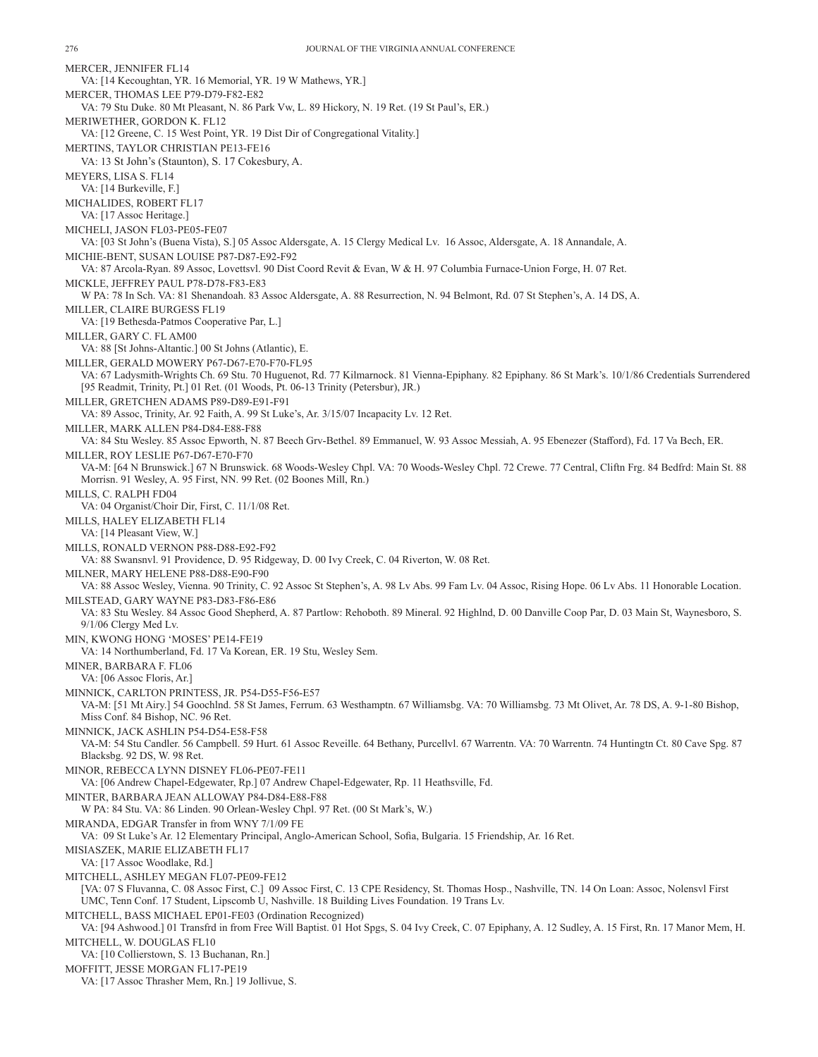MERCER, JENNIFER FL14 VA: [14 Kecoughtan, YR. 16 Memorial, YR. 19 W Mathews, YR.] MERCER, THOMAS LEE P79-D79-F82-E82 VA: 79 Stu Duke. 80 Mt Pleasant, N. 86 Park Vw, L. 89 Hickory, N. 19 Ret. (19 St Paul's, ER.) MERIWETHER, GORDON K. FL12 VA: [12 Greene, C. 15 West Point, YR. 19 Dist Dir of Congregational Vitality.] MERTINS, TAYLOR CHRISTIAN PE13-FE16 VA: 13 St John's (Staunton), S. 17 Cokesbury, A. MEYERS, LISA S. FL14 VA: [14 Burkeville, F.] MICHALIDES, ROBERT FL17 VA: [17 Assoc Heritage.] MICHELI, JASON FL03-PE05-FE07 VA: [03 St John's (Buena Vista), S.] 05 Assoc Aldersgate, A. 15 Clergy Medical Lv. 16 Assoc, Aldersgate, A. 18 Annandale, A. MICHIE-BENT, SUSAN LOUISE P87-D87-E92-F92 VA: 87 Arcola-Ryan. 89 Assoc, Lovettsvl. 90 Dist Coord Revit & Evan, W & H. 97 Columbia Furnace-Union Forge, H. 07 Ret. MICKLE, JEFFREY PAUL P78-D78-F83-E83 W PA: 78 In Sch. VA: 81 Shenandoah. 83 Assoc Aldersgate, A. 88 Resurrection, N. 94 Belmont, Rd. 07 St Stephen's, A. 14 DS, A. MILLER, CLAIRE BURGESS FL19 VA: [19 Bethesda-Patmos Cooperative Par, L.] MILLER, GARY C. FL AM00 VA: 88 [St Johns-Altantic.] 00 St Johns (Atlantic), E. MILLER, GERALD MOWERY P67-D67-E70-F70-FL95 VA: 67 Ladysmith-Wrights Ch. 69 Stu. 70 Huguenot, Rd. 77 Kilmarnock. 81 Vienna-Epiphany. 82 Epiphany. 86 St Mark's. 10/1/86 Credentials Surrendered [95 Readmit, Trinity, Pt.] 01 Ret. (01 Woods, Pt. 06-13 Trinity (Petersbur), JR.) MILLER, GRETCHEN ADAMS P89-D89-E91-F91 VA: 89 Assoc, Trinity, Ar. 92 Faith, A. 99 St Luke's, Ar. 3/15/07 Incapacity Lv. 12 Ret. MILLER, MARK ALLEN P84-D84-E88-F88 VA: 84 Stu Wesley. 85 Assoc Epworth, N. 87 Beech Grv-Bethel. 89 Emmanuel, W. 93 Assoc Messiah, A. 95 Ebenezer (Stafford), Fd. 17 Va Bech, ER. MILLER, ROY LESLIE P67-D67-E70-F70 VA-M: [64 N Brunswick.] 67 N Brunswick. 68 Woods-Wesley Chpl. VA: 70 Woods-Wesley Chpl. 72 Crewe. 77 Central, Cliftn Frg. 84 Bedfrd: Main St. 88 Morrisn. 91 Wesley, A. 95 First, NN. 99 Ret. (02 Boones Mill, Rn.) MILLS, C. RALPH FD04 VA: 04 Organist/Choir Dir, First, C. 11/1/08 Ret. MILLS, HALEY ELIZABETH FL14 VA: [14 Pleasant View, W.] MILLS, RONALD VERNON P88-D88-E92-F92 VA: 88 Swansnvl. 91 Providence, D. 95 Ridgeway, D. 00 Ivy Creek, C. 04 Riverton, W. 08 Ret. MILNER, MARY HELENE P88-D88-E90-F90 VA: 88 Assoc Wesley, Vienna. 90 Trinity, C. 92 Assoc St Stephen's, A. 98 Lv Abs. 99 Fam Lv. 04 Assoc, Rising Hope. 06 Lv Abs. 11 Honorable Location. MILSTEAD, GARY WAYNE P83-D83-F86-E86 VA: 83 Stu Wesley. 84 Assoc Good Shepherd, A. 87 Partlow: Rehoboth. 89 Mineral. 92 Highlnd, D. 00 Danville Coop Par, D. 03 Main St, Waynesboro, S. 9/1/06 Clergy Med Lv. MIN, KWONG HONG 'MOSES' PE14-FE19 VA: 14 Northumberland, Fd. 17 Va Korean, ER. 19 Stu, Wesley Sem. MINER, BARBARA F. FL06 VA: [06 Assoc Floris, Ar.] MINNICK, CARLTON PRINTESS, JR. P54-D55-F56-E57 VA-M: [51 Mt Airy.] 54 Goochlnd. 58 St James, Ferrum. 63 Westhamptn. 67 Williamsbg. VA: 70 Williamsbg. 73 Mt Olivet, Ar. 78 DS, A. 9-1-80 Bishop, Miss Conf. 84 Bishop, NC. 96 Ret. MINNICK, JACK ASHLIN P54-D54-E58-F58 VA-M: 54 Stu Candler. 56 Campbell. 59 Hurt. 61 Assoc Reveille. 64 Bethany, Purcellvl. 67 Warrentn. VA: 70 Warrentn. 74 Huntingtn Ct. 80 Cave Spg. 87 Blacksbg. 92 DS, W. 98 Ret. MINOR, REBECCA LYNN DISNEY FL06-PE07-FE11 VA: [06 Andrew Chapel-Edgewater, Rp.] 07 Andrew Chapel-Edgewater, Rp. 11 Heathsville, Fd. MINTER, BARBARA JEAN ALLOWAY P84-D84-E88-F88 W PA: 84 Stu. VA: 86 Linden. 90 Orlean-Wesley Chpl. 97 Ret. (00 St Mark's, W.) MIRANDA, EDGAR Transfer in from WNY 7/1/09 FE VA: 09 St Luke's Ar. 12 Elementary Principal, Anglo-American School, Sofia, Bulgaria. 15 Friendship, Ar. 16 Ret. MISIASZEK, MARIE ELIZABETH FL17 VA: [17 Assoc Woodlake, Rd.] MITCHELL, ASHLEY MEGAN FL07-PE09-FE12 [VA: 07 S Fluvanna, C. 08 Assoc First, C.] 09 Assoc First, C. 13 CPE Residency, St. Thomas Hosp., Nashville, TN. 14 On Loan: Assoc, Nolensvl First UMC, Tenn Conf. 17 Student, Lipscomb U, Nashville. 18 Building Lives Foundation. 19 Trans Lv. MITCHELL, BASS MICHAEL EP01-FE03 (Ordination Recognized) VA: [94 Ashwood.] 01 Transfrd in from Free Will Baptist. 01 Hot Spgs, S. 04 Ivy Creek, C. 07 Epiphany, A. 12 Sudley, A. 15 First, Rn. 17 Manor Mem, H. MITCHELL, W. DOUGLAS FL10 VA: [10 Collierstown, S. 13 Buchanan, Rn.] MOFFITT, JESSE MORGAN FL17-PE19 VA: [17 Assoc Thrasher Mem, Rn.] 19 Jollivue, S.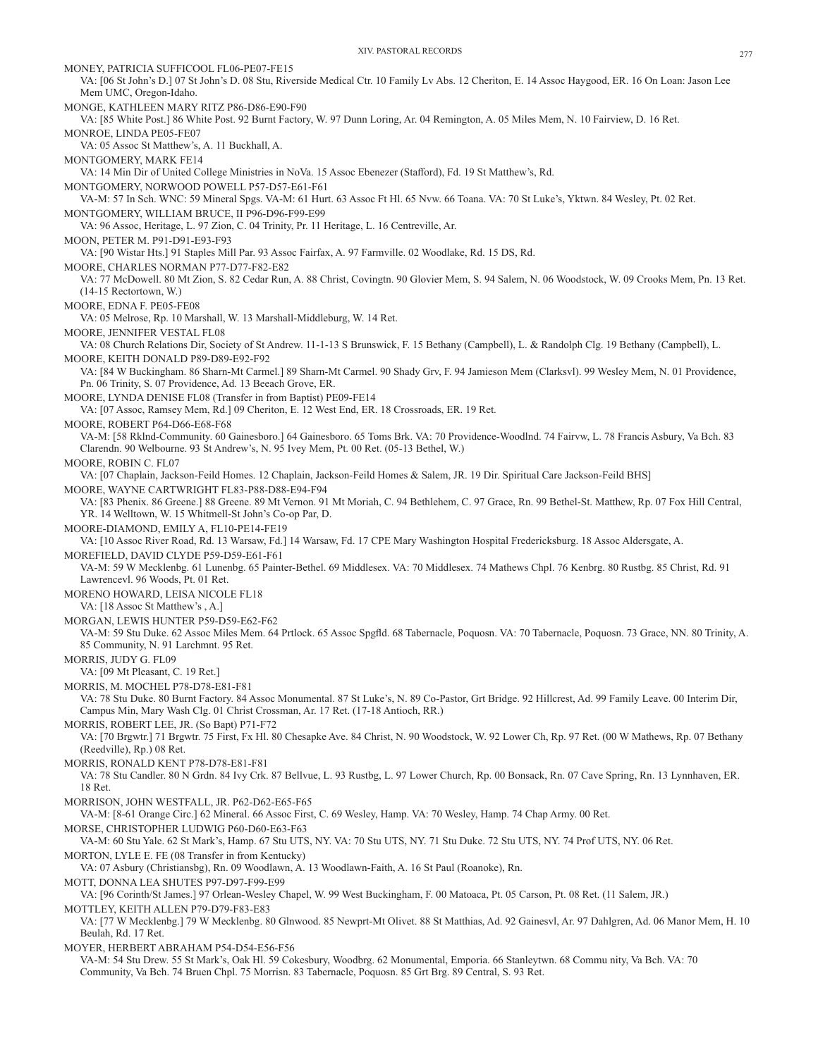MONEY, PATRICIA SUFFICOOL FL06-PE07-FE15 VA: [06 St John's D.] 07 St John's D. 08 Stu, Riverside Medical Ctr. 10 Family Lv Abs. 12 Cheriton, E. 14 Assoc Haygood, ER. 16 On Loan: Jason Lee Mem UMC, Oregon-Idaho. MONGE, KATHLEEN MARY RITZ P86-D86-E90-F90 VA: [85 White Post.] 86 White Post. 92 Burnt Factory, W. 97 Dunn Loring, Ar. 04 Remington, A. 05 Miles Mem, N. 10 Fairview, D. 16 Ret. MONROE, LINDA PE05-FE07 VA: 05 Assoc St Matthew's, A. 11 Buckhall, A. MONTGOMERY, MARK FE14 VA: 14 Min Dir of United College Ministries in NoVa. 15 Assoc Ebenezer (Stafford), Fd. 19 St Matthew's, Rd. MONTGOMERY, NORWOOD POWELL P57-D57-E61-F61 VA-M: 57 In Sch. WNC: 59 Mineral Spgs. VA-M: 61 Hurt. 63 Assoc Ft Hl. 65 Nvw. 66 Toana. VA: 70 St Luke's, Yktwn. 84 Wesley, Pt. 02 Ret. MONTGOMERY, WILLIAM BRUCE, II P96-D96-F99-E99 VA: 96 Assoc, Heritage, L. 97 Zion, C. 04 Trinity, Pr. 11 Heritage, L. 16 Centreville, Ar. MOON, PETER M. P91-D91-E93-F93 VA: [90 Wistar Hts.] 91 Staples Mill Par. 93 Assoc Fairfax, A. 97 Farmville. 02 Woodlake, Rd. 15 DS, Rd. MOORE, CHARLES NORMAN P77-D77-F82-E82 VA: 77 McDowell. 80 Mt Zion, S. 82 Cedar Run, A. 88 Christ, Covingtn. 90 Glovier Mem, S. 94 Salem, N. 06 Woodstock, W. 09 Crooks Mem, Pn. 13 Ret. (14-15 Rectortown, W.) MOORE, EDNA F. PE05-FE08 VA: 05 Melrose, Rp. 10 Marshall, W. 13 Marshall-Middleburg, W. 14 Ret. MOORE, JENNIFER VESTAL FL08 VA: 08 Church Relations Dir, Society of St Andrew. 11-1-13 S Brunswick, F. 15 Bethany (Campbell), L. & Randolph Clg. 19 Bethany (Campbell), L. MOORE, KEITH DONALD P89-D89-E92-F92 VA: [84 W Buckingham. 86 Sharn-Mt Carmel.] 89 Sharn-Mt Carmel. 90 Shady Grv, F. 94 Jamieson Mem (Clarksvl). 99 Wesley Mem, N. 01 Providence, Pn. 06 Trinity, S. 07 Providence, Ad. 13 Beeach Grove, ER. MOORE, LYNDA DENISE FL08 (Transfer in from Baptist) PE09-FE14 VA: [07 Assoc, Ramsey Mem, Rd.] 09 Cheriton, E. 12 West End, ER. 18 Crossroads, ER. 19 Ret. MOORE, ROBERT P64-D66-E68-F68 VA-M: [58 Rklnd-Community. 60 Gainesboro.] 64 Gainesboro. 65 Toms Brk. VA: 70 Providence-Woodlnd. 74 Fairvw, L. 78 Francis Asbury, Va Bch. 83 Clarendn. 90 Welbourne. 93 St Andrew's, N. 95 Ivey Mem, Pt. 00 Ret. (05-13 Bethel, W.) MOORE, ROBIN C. FL07 VA: [07 Chaplain, Jackson-Feild Homes. 12 Chaplain, Jackson-Feild Homes & Salem, JR. 19 Dir. Spiritual Care Jackson-Feild BHS] MOORE, WAYNE CARTWRIGHT FL83-P88-D88-E94-F94 VA: [83 Phenix. 86 Greene.] 88 Greene. 89 Mt Vernon. 91 Mt Moriah, C. 94 Bethlehem, C. 97 Grace, Rn. 99 Bethel-St. Matthew, Rp. 07 Fox Hill Central, YR. 14 Welltown, W. 15 Whitmell-St John's Co-op Par, D. MOORE-DIAMOND, EMILY A, FL10-PE14-FE19 VA: [10 Assoc River Road, Rd. 13 Warsaw, Fd.] 14 Warsaw, Fd. 17 CPE Mary Washington Hospital Fredericksburg. 18 Assoc Aldersgate, A. MOREFIELD, DAVID CLYDE P59-D59-E61-F61 VA-M: 59 W Mecklenbg. 61 Lunenbg. 65 Painter-Bethel. 69 Middlesex. VA: 70 Middlesex. 74 Mathews Chpl. 76 Kenbrg. 80 Rustbg. 85 Christ, Rd. 91 Lawrencevl. 96 Woods, Pt. 01 Ret. MORENO HOWARD, LEISA NICOLE FL18 VA: [18 Assoc St Matthew's , A.] MORGAN, LEWIS HUNTER P59-D59-E62-F62 VA-M: 59 Stu Duke. 62 Assoc Miles Mem. 64 Prtlock. 65 Assoc Spgfld. 68 Tabernacle, Poquosn. VA: 70 Tabernacle, Poquosn. 73 Grace, NN. 80 Trinity, A. 85 Community, N. 91 Larchmnt. 95 Ret. MORRIS, JUDY G. FL09 VA: [09 Mt Pleasant, C. 19 Ret.] MORRIS, M. MOCHEL P78-D78-E81-F81 VA: 78 Stu Duke. 80 Burnt Factory. 84 Assoc Monumental. 87 St Luke's, N. 89 Co-Pastor, Grt Bridge. 92 Hillcrest, Ad. 99 Family Leave. 00 Interim Dir, Campus Min, Mary Wash Clg. 01 Christ Crossman, Ar. 17 Ret. (17-18 Antioch, RR.) MORRIS, ROBERT LEE, JR. (So Bapt) P71-F72 VA: [70 Brgwtr.] 71 Brgwtr. 75 First, Fx Hl. 80 Chesapke Ave. 84 Christ, N. 90 Woodstock, W. 92 Lower Ch, Rp. 97 Ret. (00 W Mathews, Rp. 07 Bethany (Reedville), Rp.) 08 Ret. MORRIS, RONALD KENT P78-D78-E81-F81 VA: 78 Stu Candler. 80 N Grdn. 84 Ivy Crk. 87 Bellvue, L. 93 Rustbg, L. 97 Lower Church, Rp. 00 Bonsack, Rn. 07 Cave Spring, Rn. 13 Lynnhaven, ER. 18 Ret. MORRISON, JOHN WESTFALL, JR. P62-D62-E65-F65 VA-M: [8-61 Orange Circ.] 62 Mineral. 66 Assoc First, C. 69 Wesley, Hamp. VA: 70 Wesley, Hamp. 74 Chap Army. 00 Ret. MORSE, CHRISTOPHER LUDWIG P60-D60-E63-F63 VA-M: 60 Stu Yale. 62 St Mark's, Hamp. 67 Stu UTS, NY. VA: 70 Stu UTS, NY. 71 Stu Duke. 72 Stu UTS, NY. 74 Prof UTS, NY. 06 Ret. MORTON, LYLE E. FE (08 Transfer in from Kentucky) VA: 07 Asbury (Christiansbg), Rn. 09 Woodlawn, A. 13 Woodlawn-Faith, A. 16 St Paul (Roanoke), Rn. MOTT, DONNA LEA SHUTES P97-D97-F99-E99 VA: [96 Corinth/St James.] 97 Orlean-Wesley Chapel, W. 99 West Buckingham, F. 00 Matoaca, Pt. 05 Carson, Pt. 08 Ret. (11 Salem, JR.) MOTTLEY, KEITH ALLEN P79-D79-F83-E83 VA: [77 W Mecklenbg.] 79 W Mecklenbg. 80 Glnwood. 85 Newprt-Mt Olivet. 88 St Matthias, Ad. 92 Gainesvl, Ar. 97 Dahlgren, Ad. 06 Manor Mem, H. 10 Beulah, Rd. 17 Ret. MOYER, HERBERT ABRAHAM P54-D54-E56-F56 VA-M: 54 Stu Drew. 55 St Mark's, Oak Hl. 59 Cokesbury, Woodbrg. 62 Monumental, Emporia. 66 Stanleytwn. 68 Commu nity, Va Bch. VA: 70 Community, Va Bch. 74 Bruen Chpl. 75 Morrisn. 83 Tabernacle, Poquosn. 85 Grt Brg. 89 Central, S. 93 Ret.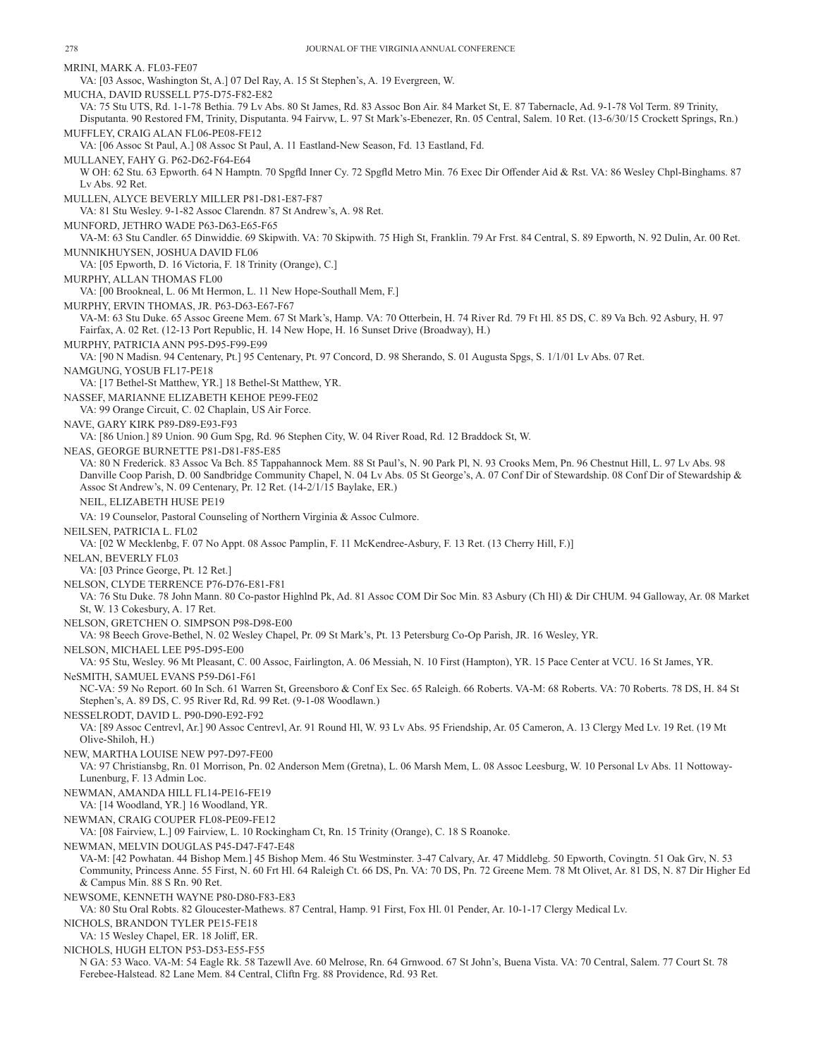MRINI, MARK A. FL03-FE07 VA: [03 Assoc, Washington St, A.] 07 Del Ray, A. 15 St Stephen's, A. 19 Evergreen, W. MUCHA, DAVID RUSSELL P75-D75-F82-E82 VA: 75 Stu UTS, Rd. 1-1-78 Bethia. 79 Lv Abs. 80 St James, Rd. 83 Assoc Bon Air. 84 Market St, E. 87 Tabernacle, Ad. 9-1-78 Vol Term. 89 Trinity, Disputanta. 90 Restored FM, Trinity, Disputanta. 94 Fairvw, L. 97 St Mark's-Ebenezer, Rn. 05 Central, Salem. 10 Ret. (13-6/30/15 Crockett Springs, Rn.) MUFFLEY, CRAIG ALAN FL06-PE08-FE12 VA: [06 Assoc St Paul, A.] 08 Assoc St Paul, A. 11 Eastland-New Season, Fd. 13 Eastland, Fd. MULLANEY, FAHY G. P62-D62-F64-E64 W OH: 62 Stu. 63 Epworth. 64 N Hamptn. 70 Spgfld Inner Cy. 72 Spgfld Metro Min. 76 Exec Dir Offender Aid & Rst. VA: 86 Wesley Chpl-Binghams. 87 Lv Abs. 92 Ret. MULLEN, ALYCE BEVERLY MILLER P81-D81-E87-F87 VA: 81 Stu Wesley. 9-1-82 Assoc Clarendn. 87 St Andrew's, A. 98 Ret. MUNFORD, JETHRO WADE P63-D63-E65-F65 VA-M: 63 Stu Candler. 65 Dinwiddie. 69 Skipwith. VA: 70 Skipwith. 75 High St, Franklin. 79 Ar Frst. 84 Central, S. 89 Epworth, N. 92 Dulin, Ar. 00 Ret. MUNNIKHUYSEN, JOSHUA DAVID FL06 VA: [05 Epworth, D. 16 Victoria, F. 18 Trinity (Orange), C.] MURPHY, ALLAN THOMAS FL00 VA: [00 Brookneal, L. 06 Mt Hermon, L. 11 New Hope-Southall Mem, F.] MURPHY, ERVIN THOMAS, JR. P63-D63-E67-F67 VA-M: 63 Stu Duke. 65 Assoc Greene Mem. 67 St Mark's, Hamp. VA: 70 Otterbein, H. 74 River Rd. 79 Ft Hl. 85 DS, C. 89 Va Bch. 92 Asbury, H. 97 Fairfax, A. 02 Ret. (12-13 Port Republic, H. 14 New Hope, H. 16 Sunset Drive (Broadway), H.) MURPHY, PATRICIA ANN P95-D95-F99-E99 VA: [90 N Madisn. 94 Centenary, Pt.] 95 Centenary, Pt. 97 Concord, D. 98 Sherando, S. 01 Augusta Spgs, S. 1/1/01 Lv Abs. 07 Ret. NAMGUNG, YOSUB FL17-PE18 VA: [17 Bethel-St Matthew, YR.] 18 Bethel-St Matthew, YR. NASSEF, MARIANNE ELIZABETH KEHOE PE99-FE02 VA: 99 Orange Circuit, C. 02 Chaplain, US Air Force. NAVE, GARY KIRK P89-D89-E93-F93 VA: [86 Union.] 89 Union. 90 Gum Spg, Rd. 96 Stephen City, W. 04 River Road, Rd. 12 Braddock St, W. NEAS, GEORGE BURNETTE P81-D81-F85-E85 VA: 80 N Frederick. 83 Assoc Va Bch. 85 Tappahannock Mem. 88 St Paul's, N. 90 Park Pl, N. 93 Crooks Mem, Pn. 96 Chestnut Hill, L. 97 Lv Abs. 98 Danville Coop Parish, D. 00 Sandbridge Community Chapel, N. 04 Lv Abs. 05 St George's, A. 07 Conf Dir of Stewardship. 08 Conf Dir of Stewardship & Assoc St Andrew's, N. 09 Centenary, Pr. 12 Ret. (14-2/1/15 Baylake, ER.) NEIL, ELIZABETH HUSE PE19 VA: 19 Counselor, Pastoral Counseling of Northern Virginia & Assoc Culmore. NEILSEN, PATRICIA L. FL02 VA: [02 W Mecklenbg, F. 07 No Appt. 08 Assoc Pamplin, F. 11 McKendree-Asbury, F. 13 Ret. (13 Cherry Hill, F.)] NELAN, BEVERLY FL03 VA: [03 Prince George, Pt. 12 Ret.] NELSON, CLYDE TERRENCE P76-D76-E81-F81 VA: 76 Stu Duke. 78 John Mann. 80 Co-pastor Highlnd Pk, Ad. 81 Assoc COM Dir Soc Min. 83 Asbury (Ch Hl) & Dir CHUM. 94 Galloway, Ar. 08 Market St, W. 13 Cokesbury, A. 17 Ret. NELSON, GRETCHEN O. SIMPSON P98-D98-E00 VA: 98 Beech Grove-Bethel, N. 02 Wesley Chapel, Pr. 09 St Mark's, Pt. 13 Petersburg Co-Op Parish, JR. 16 Wesley, YR. NELSON, MICHAEL LEE P95-D95-E00 VA: 95 Stu, Wesley. 96 Mt Pleasant, C. 00 Assoc, Fairlington, A. 06 Messiah, N. 10 First (Hampton), YR. 15 Pace Center at VCU. 16 St James, YR. NeSMITH, SAMUEL EVANS P59-D61-F61 NC-VA: 59 No Report. 60 In Sch. 61 Warren St, Greensboro & Conf Ex Sec. 65 Raleigh. 66 Roberts. VA-M: 68 Roberts. VA: 70 Roberts. 78 DS, H. 84 St Stephen's, A. 89 DS, C. 95 River Rd, Rd. 99 Ret. (9-1-08 Woodlawn.) NESSELRODT, DAVID L. P90-D90-E92-F92 VA: [89 Assoc Centrevl, Ar.] 90 Assoc Centrevl, Ar. 91 Round Hl, W. 93 Lv Abs. 95 Friendship, Ar. 05 Cameron, A. 13 Clergy Med Lv. 19 Ret. (19 Mt Olive-Shiloh, H.) NEW, MARTHA LOUISE NEW P97-D97-FE00 VA: 97 Christiansbg, Rn. 01 Morrison, Pn. 02 Anderson Mem (Gretna), L. 06 Marsh Mem, L. 08 Assoc Leesburg, W. 10 Personal Lv Abs. 11 Nottoway-Lunenburg, F. 13 Admin Loc. NEWMAN, AMANDA HILL FL14-PE16-FE19 VA: [14 Woodland, YR.] 16 Woodland, YR. NEWMAN, CRAIG COUPER FL08-PE09-FE12 VA: [08 Fairview, L.] 09 Fairview, L. 10 Rockingham Ct, Rn. 15 Trinity (Orange), C. 18 S Roanoke. NEWMAN, MELVIN DOUGLAS P45-D47-F47-E48 VA-M: [42 Powhatan. 44 Bishop Mem.] 45 Bishop Mem. 46 Stu Westminster. 3-47 Calvary, Ar. 47 Middlebg. 50 Epworth, Covingtn. 51 Oak Grv, N. 53 Community, Princess Anne. 55 First, N. 60 Frt Hl. 64 Raleigh Ct. 66 DS, Pn. VA: 70 DS, Pn. 72 Greene Mem. 78 Mt Olivet, Ar. 81 DS, N. 87 Dir Higher Ed & Campus Min. 88 S Rn. 90 Ret. NEWSOME, KENNETH WAYNE P80-D80-F83-E83 VA: 80 Stu Oral Robts. 82 Gloucester-Mathews. 87 Central, Hamp. 91 First, Fox Hl. 01 Pender, Ar. 10-1-17 Clergy Medical Lv. NICHOLS, BRANDON TYLER PE15-FE18 VA: 15 Wesley Chapel, ER. 18 Joliff, ER. NICHOLS, HUGH ELTON P53-D53-E55-F55 N GA: 53 Waco. VA-M: 54 Eagle Rk. 58 Tazewll Ave. 60 Melrose, Rn. 64 Grnwood. 67 St John's, Buena Vista. VA: 70 Central, Salem. 77 Court St. 78 Ferebee-Halstead. 82 Lane Mem. 84 Central, Cliftn Frg. 88 Providence, Rd. 93 Ret.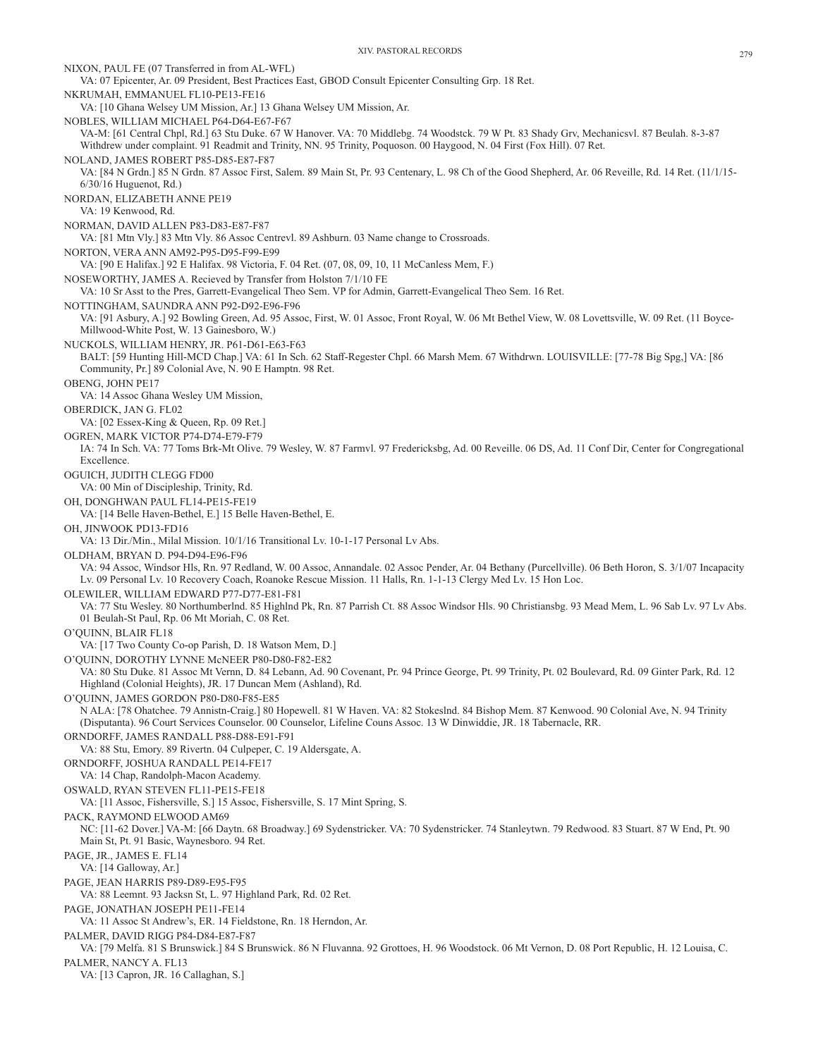NIXON, PAUL FE (07 Transferred in from AL-WFL) VA: 07 Epicenter, Ar. 09 President, Best Practices East, GBOD Consult Epicenter Consulting Grp. 18 Ret. NKRUMAH, EMMANUEL FL10-PE13-FE16 VA: [10 Ghana Welsey UM Mission, Ar.] 13 Ghana Welsey UM Mission, Ar. NOBLES, WILLIAM MICHAEL P64-D64-E67-F67 VA-M: [61 Central Chpl, Rd.] 63 Stu Duke. 67 W Hanover. VA: 70 Middlebg. 74 Woodstck. 79 W Pt. 83 Shady Grv, Mechanicsvl. 87 Beulah. 8-3-87 Withdrew under complaint. 91 Readmit and Trinity, NN. 95 Trinity, Poquoson. 00 Haygood, N. 04 First (Fox Hill). 07 Ret. NOLAND, JAMES ROBERT P85-D85-E87-F87 VA: [84 N Grdn.] 85 N Grdn. 87 Assoc First, Salem. 89 Main St, Pr. 93 Centenary, L. 98 Ch of the Good Shepherd, Ar. 06 Reveille, Rd. 14 Ret. (11/1/15- 6/30/16 Huguenot, Rd.) NORDAN, ELIZABETH ANNE PE19 VA: 19 Kenwood, Rd. NORMAN, DAVID ALLEN P83-D83-E87-F87 VA: [81 Mtn Vly.] 83 Mtn Vly. 86 Assoc Centrevl. 89 Ashburn. 03 Name change to Crossroads. NORTON, VERA ANN AM92-P95-D95-F99-E99 VA: [90 E Halifax.] 92 E Halifax. 98 Victoria, F. 04 Ret. (07, 08, 09, 10, 11 McCanless Mem, F.) NOSEWORTHY, JAMES A. Recieved by Transfer from Holston 7/1/10 FE VA: 10 Sr Asst to the Pres, Garrett-Evangelical Theo Sem. VP for Admin, Garrett-Evangelical Theo Sem. 16 Ret. NOTTINGHAM, SAUNDRA ANN P92-D92-E96-F96 VA: [91 Asbury, A.] 92 Bowling Green, Ad. 95 Assoc, First, W. 01 Assoc, Front Royal, W. 06 Mt Bethel View, W. 08 Lovettsville, W. 09 Ret. (11 Boyce-Millwood-White Post, W. 13 Gainesboro, W.) NUCKOLS, WILLIAM HENRY, JR. P61-D61-E63-F63 BALT: [59 Hunting Hill-MCD Chap.] VA: 61 In Sch. 62 Staff-Regester Chpl. 66 Marsh Mem. 67 Withdrwn. LOUISVILLE: [77-78 Big Spg,] VA: [86 Community, Pr.] 89 Colonial Ave, N. 90 E Hamptn. 98 Ret. OBENG, JOHN PE17 VA: 14 Assoc Ghana Wesley UM Mission, OBERDICK, JAN G. FL02 VA: [02 Essex-King & Queen, Rp. 09 Ret.] OGREN, MARK VICTOR P74-D74-E79-F79 IA: 74 In Sch. VA: 77 Toms Brk-Mt Olive. 79 Wesley, W. 87 Farmvl. 97 Fredericksbg, Ad. 00 Reveille. 06 DS, Ad. 11 Conf Dir, Center for Congregational Excellence. OGUICH, JUDITH CLEGG FD00 VA: 00 Min of Discipleship, Trinity, Rd. OH, DONGHWAN PAUL FL14-PE15-FE19 VA: [14 Belle Haven-Bethel, E.] 15 Belle Haven-Bethel, E. OH, JINWOOK PD13-FD16 VA: 13 Dir./Min., Milal Mission. 10/1/16 Transitional Lv. 10-1-17 Personal Lv Abs. OLDHAM, BRYAN D. P94-D94-E96-F96 VA: 94 Assoc, Windsor Hls, Rn. 97 Redland, W. 00 Assoc, Annandale. 02 Assoc Pender, Ar. 04 Bethany (Purcellville). 06 Beth Horon, S. 3/1/07 Incapacity Lv. 09 Personal Lv. 10 Recovery Coach, Roanoke Rescue Mission. 11 Halls, Rn. 1-1-13 Clergy Med Lv. 15 Hon Loc. OLEWILER, WILLIAM EDWARD P77-D77-E81-F81 VA: 77 Stu Wesley. 80 Northumberlnd. 85 Highlnd Pk, Rn. 87 Parrish Ct. 88 Assoc Windsor Hls. 90 Christiansbg. 93 Mead Mem, L. 96 Sab Lv. 97 Lv Abs. 01 Beulah-St Paul, Rp. 06 Mt Moriah, C. 08 Ret. O'QUINN, BLAIR FL18 VA: [17 Two County Co-op Parish, D. 18 Watson Mem, D.] O'QUINN, DOROTHY LYNNE McNEER P80-D80-F82-E82 VA: 80 Stu Duke. 81 Assoc Mt Vernn, D. 84 Lebann, Ad. 90 Covenant, Pr. 94 Prince George, Pt. 99 Trinity, Pt. 02 Boulevard, Rd. 09 Ginter Park, Rd. 12 Highland (Colonial Heights), JR. 17 Duncan Mem (Ashland), Rd. O'QUINN, JAMES GORDON P80-D80-F85-E85 N ALA: [78 Ohatchee. 79 Annistn-Craig.] 80 Hopewell. 81 W Haven. VA: 82 Stokeslnd. 84 Bishop Mem. 87 Kenwood. 90 Colonial Ave, N. 94 Trinity (Disputanta). 96 Court Services Counselor. 00 Counselor, Lifeline Couns Assoc. 13 W Dinwiddie, JR. 18 Tabernacle, RR. ORNDORFF, JAMES RANDALL P88-D88-E91-F91 VA: 88 Stu, Emory. 89 Rivertn. 04 Culpeper, C. 19 Aldersgate, A. ORNDORFF, JOSHUA RANDALL PE14-FE17 VA: 14 Chap, Randolph-Macon Academy. OSWALD, RYAN STEVEN FL11-PE15-FE18 VA: [11 Assoc, Fishersville, S.] 15 Assoc, Fishersville, S. 17 Mint Spring, S. PACK, RAYMOND ELWOOD AM69 NC: [11-62 Dover.] VA-M: [66 Daytn. 68 Broadway.] 69 Sydenstricker. VA: 70 Sydenstricker. 74 Stanleytwn. 79 Redwood. 83 Stuart. 87 W End, Pt. 90 Main St, Pt. 91 Basic, Waynesboro. 94 Ret. PAGE, JR., JAMES E. FL14 VA: [14 Galloway, Ar.] PAGE, JEAN HARRIS P89-D89-E95-F95 VA: 88 Leemnt. 93 Jacksn St, L. 97 Highland Park, Rd. 02 Ret. PAGE, JONATHAN JOSEPH PE11-FE14 VA: 11 Assoc St Andrew's, ER. 14 Fieldstone, Rn. 18 Herndon, Ar. PALMER, DAVID RIGG P84-D84-E87-F87 VA: [79 Melfa. 81 S Brunswick.] 84 S Brunswick. 86 N Fluvanna. 92 Grottoes, H. 96 Woodstock. 06 Mt Vernon, D. 08 Port Republic, H. 12 Louisa, C. PALMER, NANCY A. FL13 VA: [13 Capron, JR. 16 Callaghan, S.]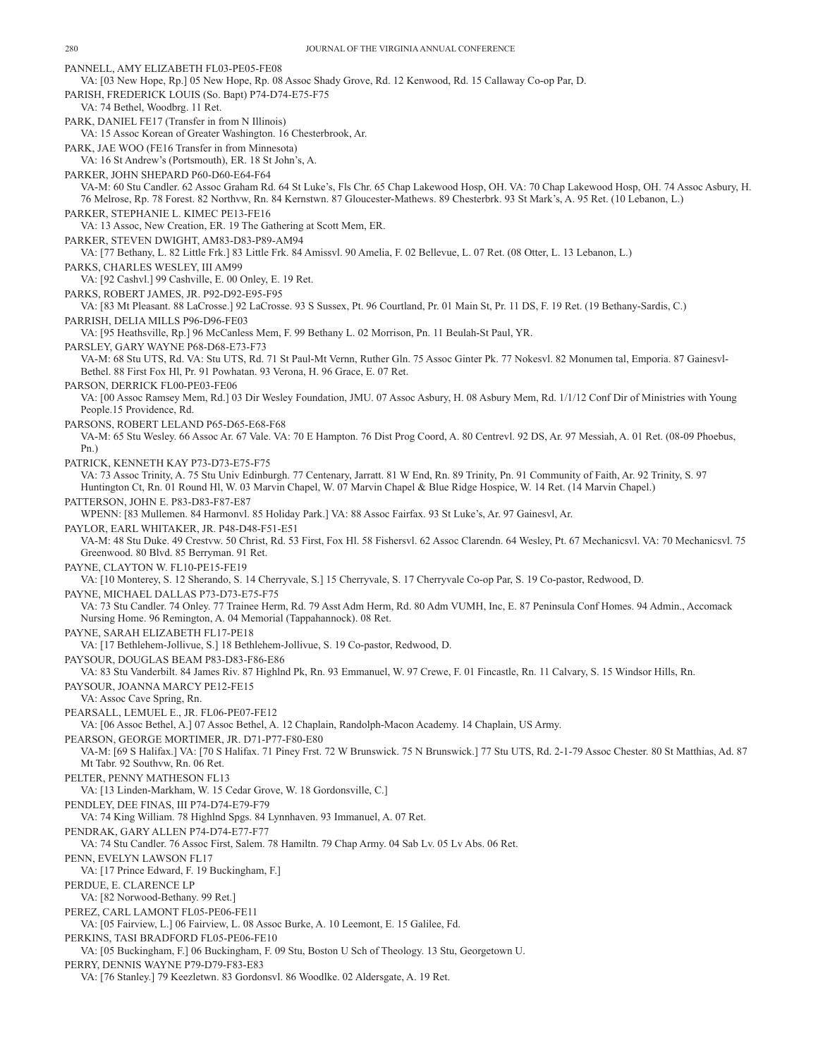PANNELL, AMY ELIZABETH FL03-PE05-FE08 VA: [03 New Hope, Rp.] 05 New Hope, Rp. 08 Assoc Shady Grove, Rd. 12 Kenwood, Rd. 15 Callaway Co-op Par, D. PARISH, FREDERICK LOUIS (So. Bapt) P74-D74-E75-F75 VA: 74 Bethel, Woodbrg. 11 Ret. PARK, DANIEL FE17 (Transfer in from N Illinois) VA: 15 Assoc Korean of Greater Washington. 16 Chesterbrook, Ar. PARK, JAE WOO (FE16 Transfer in from Minnesota) VA: 16 St Andrew's (Portsmouth), ER. 18 St John's, A. PARKER, JOHN SHEPARD P60-D60-E64-F64 VA-M: 60 Stu Candler. 62 Assoc Graham Rd. 64 St Luke's, Fls Chr. 65 Chap Lakewood Hosp, OH. VA: 70 Chap Lakewood Hosp, OH. 74 Assoc Asbury, H. 76 Melrose, Rp. 78 Forest. 82 Northvw, Rn. 84 Kernstwn. 87 Gloucester-Mathews. 89 Chesterbrk. 93 St Mark's, A. 95 Ret. (10 Lebanon, L.) PARKER, STEPHANIE L. KIMEC PE13-FE16 VA: 13 Assoc, New Creation, ER. 19 The Gathering at Scott Mem, ER. PARKER, STEVEN DWIGHT, AM83-D83-P89-AM94 VA: [77 Bethany, L. 82 Little Frk.] 83 Little Frk. 84 Amissvl. 90 Amelia, F. 02 Bellevue, L. 07 Ret. (08 Otter, L. 13 Lebanon, L.) PARKS, CHARLES WESLEY, III AM99 VA: [92 Cashvl.] 99 Cashville, E. 00 Onley, E. 19 Ret. PARKS, ROBERT JAMES, JR. P92-D92-E95-F95 VA: [83 Mt Pleasant. 88 LaCrosse.] 92 LaCrosse. 93 S Sussex, Pt. 96 Courtland, Pr. 01 Main St, Pr. 11 DS, F. 19 Ret. (19 Bethany-Sardis, C.) PARRISH, DELIA MILLS P96-D96-FE03 VA: [95 Heathsville, Rp.] 96 McCanless Mem, F. 99 Bethany L. 02 Morrison, Pn. 11 Beulah-St Paul, YR. PARSLEY, GARY WAYNE P68-D68-E73-F73 VA-M: 68 Stu UTS, Rd. VA: Stu UTS, Rd. 71 St Paul-Mt Vernn, Ruther Gln. 75 Assoc Ginter Pk. 77 Nokesvl. 82 Monumen tal, Emporia. 87 Gainesvl-Bethel. 88 First Fox Hl, Pr. 91 Powhatan. 93 Verona, H. 96 Grace, E. 07 Ret. PARSON, DERRICK FL00-PE03-FE06 VA: [00 Assoc Ramsey Mem, Rd.] 03 Dir Wesley Foundation, JMU. 07 Assoc Asbury, H. 08 Asbury Mem, Rd. 1/1/12 Conf Dir of Ministries with Young People.15 Providence, Rd. PARSONS, ROBERT LELAND P65-D65-E68-F68 VA-M: 65 Stu Wesley. 66 Assoc Ar. 67 Vale. VA: 70 E Hampton. 76 Dist Prog Coord, A. 80 Centrevl. 92 DS, Ar. 97 Messiah, A. 01 Ret. (08-09 Phoebus, Pn.) PATRICK, KENNETH KAY P73-D73-E75-F75 VA: 73 Assoc Trinity, A. 75 Stu Univ Edinburgh. 77 Centenary, Jarratt. 81 W End, Rn. 89 Trinity, Pn. 91 Community of Faith, Ar. 92 Trinity, S. 97 Huntington Ct, Rn. 01 Round Hl, W. 03 Marvin Chapel, W. 07 Marvin Chapel & Blue Ridge Hospice, W. 14 Ret. (14 Marvin Chapel.) PATTERSON, JOHN E. P83-D83-F87-E87 WPENN: [83 Mullemen. 84 Harmonvl. 85 Holiday Park.] VA: 88 Assoc Fairfax. 93 St Luke's, Ar. 97 Gainesvl, Ar. PAYLOR, EARL WHITAKER, JR. P48-D48-F51-E51 VA-M: 48 Stu Duke. 49 Crestvw. 50 Christ, Rd. 53 First, Fox Hl. 58 Fishersvl. 62 Assoc Clarendn. 64 Wesley, Pt. 67 Mechanicsvl. VA: 70 Mechanicsvl. 75 Greenwood. 80 Blvd. 85 Berryman. 91 Ret. PAYNE, CLAYTON W. FL10-PE15-FE19 VA: [10 Monterey, S. 12 Sherando, S. 14 Cherryvale, S.] 15 Cherryvale, S. 17 Cherryvale Co-op Par, S. 19 Co-pastor, Redwood, D. PAYNE, MICHAEL DALLAS P73-D73-E75-F75 VA: 73 Stu Candler. 74 Onley. 77 Trainee Herm, Rd. 79 Asst Adm Herm, Rd. 80 Adm VUMH, Inc, E. 87 Peninsula Conf Homes. 94 Admin., Accomack Nursing Home. 96 Remington, A. 04 Memorial (Tappahannock). 08 Ret. PAYNE, SARAH ELIZABETH FL17-PE18 VA: [17 Bethlehem-Jollivue, S.] 18 Bethlehem-Jollivue, S. 19 Co-pastor, Redwood, D. PAYSOUR, DOUGLAS BEAM P83-D83-F86-E86 VA: 83 Stu Vanderbilt. 84 James Riv. 87 Highlnd Pk, Rn. 93 Emmanuel, W. 97 Crewe, F. 01 Fincastle, Rn. 11 Calvary, S. 15 Windsor Hills, Rn. PAYSOUR, JOANNA MARCY PE12-FE15 VA: Assoc Cave Spring, Rn. PEARSALL, LEMUEL E., JR. FL06-PE07-FE12 VA: [06 Assoc Bethel, A.] 07 Assoc Bethel, A. 12 Chaplain, Randolph-Macon Academy. 14 Chaplain, US Army. PEARSON, GEORGE MORTIMER, JR. D71-P77-F80-E80 VA-M: [69 S Halifax.] VA: [70 S Halifax. 71 Piney Frst. 72 W Brunswick. 75 N Brunswick.] 77 Stu UTS, Rd. 2-1-79 Assoc Chester. 80 St Matthias, Ad. 87 Mt Tabr. 92 Southvw, Rn. 06 Ret. PELTER, PENNY MATHESON FL13 VA: [13 Linden-Markham, W. 15 Cedar Grove, W. 18 Gordonsville, C.] PENDLEY, DEE FINAS, III P74-D74-E79-F79 VA: 74 King William. 78 Highlnd Spgs. 84 Lynnhaven. 93 Immanuel, A. 07 Ret. PENDRAK, GARY ALLEN P74-D74-E77-F77 VA: 74 Stu Candler. 76 Assoc First, Salem. 78 Hamiltn. 79 Chap Army. 04 Sab Lv. 05 Lv Abs. 06 Ret. PENN, EVELYN LAWSON FL17 VA: [17 Prince Edward, F. 19 Buckingham, F.] PERDUE, E. CLARENCE LP VA: [82 Norwood-Bethany. 99 Ret.] PEREZ, CARL LAMONT FL05-PE06-FE11 VA: [05 Fairview, L.] 06 Fairview, L. 08 Assoc Burke, A. 10 Leemont, E. 15 Galilee, Fd. PERKINS, TASI BRADFORD FL05-PE06-FE10 VA: [05 Buckingham, F.] 06 Buckingham, F. 09 Stu, Boston U Sch of Theology. 13 Stu, Georgetown U. PERRY, DENNIS WAYNE P79-D79-F83-E83

VA: [76 Stanley.] 79 Keezletwn. 83 Gordonsvl. 86 Woodlke. 02 Aldersgate, A. 19 Ret.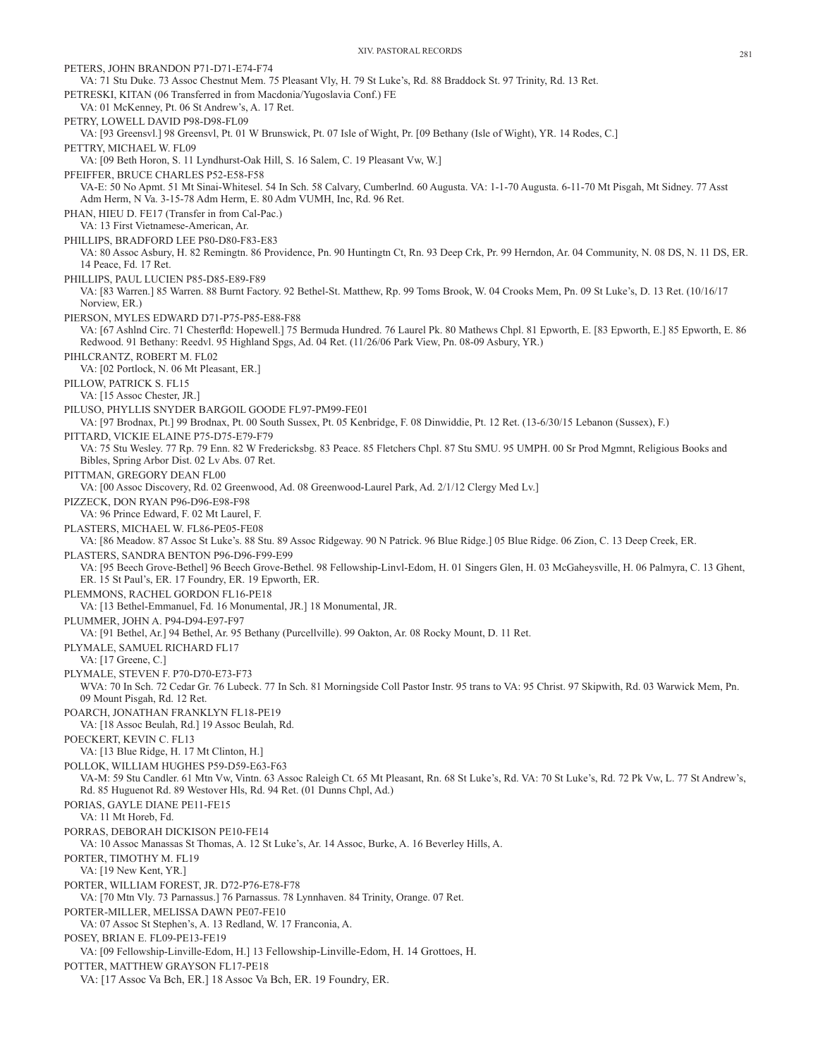XIV. PASTORAL RECORDS 281 PETERS, JOHN BRANDON P71-D71-E74-F74 VA: 71 Stu Duke. 73 Assoc Chestnut Mem. 75 Pleasant Vly, H. 79 St Luke's, Rd. 88 Braddock St. 97 Trinity, Rd. 13 Ret. PETRESKI, KITAN (06 Transferred in from Macdonia/Yugoslavia Conf.) FE VA: 01 McKenney, Pt. 06 St Andrew's, A. 17 Ret. PETRY, LOWELL DAVID P98-D98-FL09 VA: [93 Greensvl.] 98 Greensvl, Pt. 01 W Brunswick, Pt. 07 Isle of Wight, Pr. [09 Bethany (Isle of Wight), YR. 14 Rodes, C.] PETTRY, MICHAEL W. FL09 VA: [09 Beth Horon, S. 11 Lyndhurst-Oak Hill, S. 16 Salem, C. 19 Pleasant Vw, W.] PFEIFFER, BRUCE CHARLES P52-E58-F58 VA-E: 50 No Apmt. 51 Mt Sinai-Whitesel. 54 In Sch. 58 Calvary, Cumberlnd. 60 Augusta. VA: 1-1-70 Augusta. 6-11-70 Mt Pisgah, Mt Sidney. 77 Asst Adm Herm, N Va. 3-15-78 Adm Herm, E. 80 Adm VUMH, Inc, Rd. 96 Ret. PHAN, HIEU D. FE17 (Transfer in from Cal-Pac.) VA: 13 First Vietnamese-American, Ar. PHILLIPS, BRADFORD LEE P80-D80-F83-E83 VA: 80 Assoc Asbury, H. 82 Remingtn. 86 Providence, Pn. 90 Huntingtn Ct, Rn. 93 Deep Crk, Pr. 99 Herndon, Ar. 04 Community, N. 08 DS, N. 11 DS, ER. 14 Peace, Fd. 17 Ret. PHILLIPS, PAUL LUCIEN P85-D85-E89-F89 VA: [83 Warren.] 85 Warren. 88 Burnt Factory. 92 Bethel-St. Matthew, Rp. 99 Toms Brook, W. 04 Crooks Mem, Pn. 09 St Luke's, D. 13 Ret. (10/16/17 Norview, ER.) PIERSON, MYLES EDWARD D71-P75-P85-E88-F88 VA: [67 Ashlnd Circ. 71 Chesterfld: Hopewell.] 75 Bermuda Hundred. 76 Laurel Pk. 80 Mathews Chpl. 81 Epworth, E. [83 Epworth, E.] 85 Epworth, E. 86 Redwood. 91 Bethany: Reedvl. 95 Highland Spgs, Ad. 04 Ret. (11/26/06 Park View, Pn. 08-09 Asbury, YR.) PIHLCRANTZ, ROBERT M. FL02 VA: [02 Portlock, N. 06 Mt Pleasant, ER.] PILLOW, PATRICK S. FL15 VA: [15 Assoc Chester, JR.] PILUSO, PHYLLIS SNYDER BARGOIL GOODE FL97-PM99-FE01 VA: [97 Brodnax, Pt.] 99 Brodnax, Pt. 00 South Sussex, Pt. 05 Kenbridge, F. 08 Dinwiddie, Pt. 12 Ret. (13-6/30/15 Lebanon (Sussex), F.) PITTARD, VICKIE ELAINE P75-D75-E79-F79 VA: 75 Stu Wesley. 77 Rp. 79 Enn. 82 W Fredericksbg. 83 Peace. 85 Fletchers Chpl. 87 Stu SMU. 95 UMPH. 00 Sr Prod Mgmnt, Religious Books and Bibles, Spring Arbor Dist. 02 Lv Abs. 07 Ret. PITTMAN, GREGORY DEAN FL00 VA: [00 Assoc Discovery, Rd. 02 Greenwood, Ad. 08 Greenwood-Laurel Park, Ad. 2/1/12 Clergy Med Lv.] PIZZECK, DON RYAN P96-D96-E98-F98 VA: 96 Prince Edward, F. 02 Mt Laurel, F. PLASTERS, MICHAEL W. FL86-PE05-FE08 VA: [86 Meadow. 87 Assoc St Luke's. 88 Stu. 89 Assoc Ridgeway. 90 N Patrick. 96 Blue Ridge.] 05 Blue Ridge. 06 Zion, C. 13 Deep Creek, ER. PLASTERS, SANDRA BENTON P96-D96-F99-E99 VA: [95 Beech Grove-Bethel] 96 Beech Grove-Bethel. 98 Fellowship-Linvl-Edom, H. 01 Singers Glen, H. 03 McGaheysville, H. 06 Palmyra, C. 13 Ghent, ER. 15 St Paul's, ER. 17 Foundry, ER. 19 Epworth, ER. PLEMMONS, RACHEL GORDON FL16-PE18 VA: [13 Bethel-Emmanuel, Fd. 16 Monumental, JR.] 18 Monumental, JR. PLUMMER, JOHN A. P94-D94-E97-F97 VA: [91 Bethel, Ar.] 94 Bethel, Ar. 95 Bethany (Purcellville). 99 Oakton, Ar. 08 Rocky Mount, D. 11 Ret. PLYMALE, SAMUEL RICHARD FL17 VA: [17 Greene, C.] PLYMALE, STEVEN F. P70-D70-E73-F73 WVA: 70 In Sch. 72 Cedar Gr. 76 Lubeck. 77 In Sch. 81 Morningside Coll Pastor Instr. 95 trans to VA: 95 Christ. 97 Skipwith, Rd. 03 Warwick Mem, Pn. 09 Mount Pisgah, Rd. 12 Ret. POARCH, JONATHAN FRANKLYN FL18-PE19 VA: [18 Assoc Beulah, Rd.] 19 Assoc Beulah, Rd. POECKERT, KEVIN C. FL13 VA: [13 Blue Ridge, H. 17 Mt Clinton, H.] POLLOK, WILLIAM HUGHES P59-D59-E63-F63 VA-M: 59 Stu Candler. 61 Mtn Vw, Vintn. 63 Assoc Raleigh Ct. 65 Mt Pleasant, Rn. 68 St Luke's, Rd. VA: 70 St Luke's, Rd. 72 Pk Vw, L. 77 St Andrew's, Rd. 85 Huguenot Rd. 89 Westover Hls, Rd. 94 Ret. (01 Dunns Chpl, Ad.) PORIAS, GAYLE DIANE PE11-FE15 VA: 11 Mt Horeb, Fd. PORRAS, DEBORAH DICKISON PE10-FE14 VA: 10 Assoc Manassas St Thomas, A. 12 St Luke's, Ar. 14 Assoc, Burke, A. 16 Beverley Hills, A. PORTER, TIMOTHY M. FL19 VA: [19 New Kent, YR.] PORTER, WILLIAM FOREST, JR. D72-P76-E78-F78 VA: [70 Mtn Vly. 73 Parnassus.] 76 Parnassus. 78 Lynnhaven. 84 Trinity, Orange. 07 Ret. PORTER-MILLER, MELISSA DAWN PE07-FE10 VA: 07 Assoc St Stephen's, A. 13 Redland, W. 17 Franconia, A. POSEY, BRIAN E. FL09-PE13-FE19

VA: [09 Fellowship-Linville-Edom, H.] 13 Fellowship-Linville-Edom, H. 14 Grottoes, H.

POTTER, MATTHEW GRAYSON FL17-PE18

VA: [17 Assoc Va Bch, ER.] 18 Assoc Va Bch, ER. 19 Foundry, ER.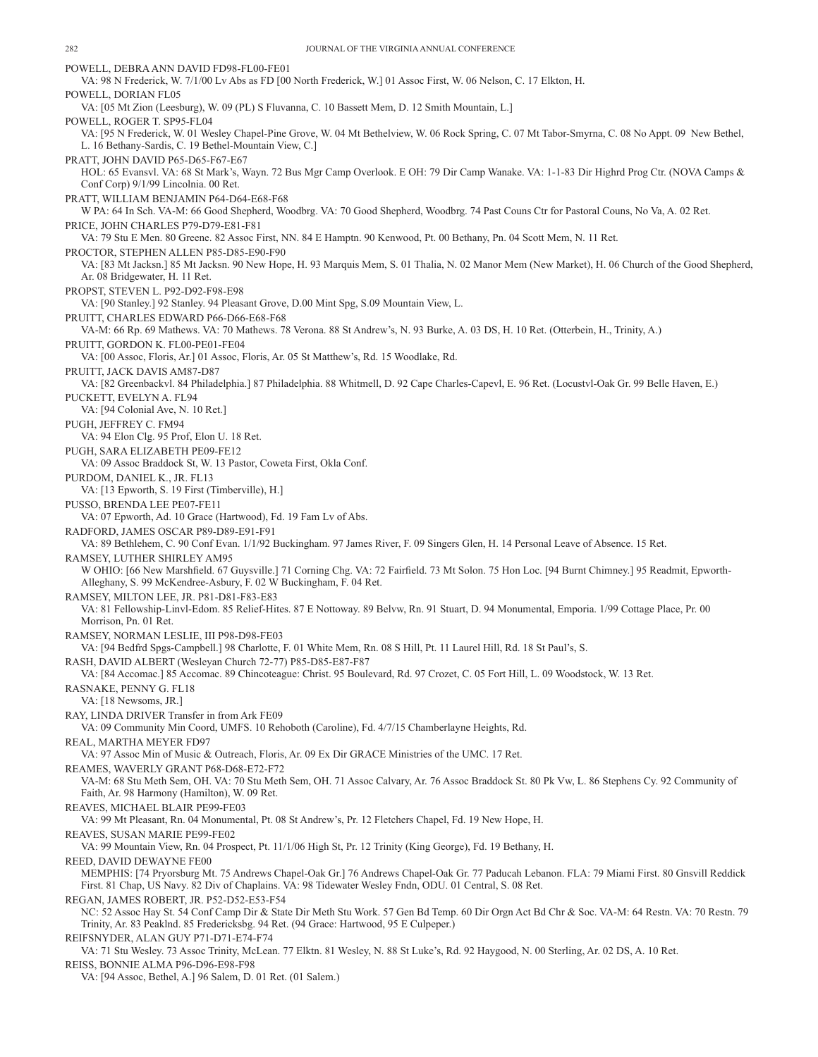POWELL, DEBRA ANN DAVID FD98-FL00-FE01 VA: 98 N Frederick, W. 7/1/00 Lv Abs as FD [00 North Frederick, W.] 01 Assoc First, W. 06 Nelson, C. 17 Elkton, H. POWELL, DORIAN FL05 VA: [05 Mt Zion (Leesburg), W. 09 (PL) S Fluvanna, C. 10 Bassett Mem, D. 12 Smith Mountain, L.] POWELL, ROGER T. SP95-FL04 VA: [95 N Frederick, W. 01 Wesley Chapel-Pine Grove, W. 04 Mt Bethelview, W. 06 Rock Spring, C. 07 Mt Tabor-Smyrna, C. 08 No Appt. 09 New Bethel, L. 16 Bethany-Sardis, C. 19 Bethel-Mountain View, C.] PRATT, JOHN DAVID P65-D65-F67-E67 HOL: 65 Evansvl. VA: 68 St Mark's, Wayn. 72 Bus Mgr Camp Overlook. E OH: 79 Dir Camp Wanake. VA: 1-1-83 Dir Highrd Prog Ctr. (NOVA Camps & Conf Corp) 9/1/99 Lincolnia. 00 Ret. PRATT, WILLIAM BENJAMIN P64-D64-E68-F68 W PA: 64 In Sch. VA-M: 66 Good Shepherd, Woodbrg. VA: 70 Good Shepherd, Woodbrg. 74 Past Couns Ctr for Pastoral Couns, No Va, A. 02 Ret. PRICE, JOHN CHARLES P79-D79-E81-F81 VA: 79 Stu E Men. 80 Greene. 82 Assoc First, NN. 84 E Hamptn. 90 Kenwood, Pt. 00 Bethany, Pn. 04 Scott Mem, N. 11 Ret. PROCTOR, STEPHEN ALLEN P85-D85-E90-F90 VA: [83 Mt Jacksn.] 85 Mt Jacksn. 90 New Hope, H. 93 Marquis Mem, S. 01 Thalia, N. 02 Manor Mem (New Market), H. 06 Church of the Good Shepherd, Ar. 08 Bridgewater, H. 11 Ret. PROPST, STEVEN L. P92-D92-F98-E98 VA: [90 Stanley.] 92 Stanley. 94 Pleasant Grove, D.00 Mint Spg, S.09 Mountain View, L. PRUITT, CHARLES EDWARD P66-D66-E68-F68 VA-M: 66 Rp. 69 Mathews. VA: 70 Mathews. 78 Verona. 88 St Andrew's, N. 93 Burke, A. 03 DS, H. 10 Ret. (Otterbein, H., Trinity, A.) PRUITT, GORDON K. FL00-PE01-FE04 VA: [00 Assoc, Floris, Ar.] 01 Assoc, Floris, Ar. 05 St Matthew's, Rd. 15 Woodlake, Rd. PRUITT, JACK DAVIS AM87-D87 VA: [82 Greenbackvl. 84 Philadelphia.] 87 Philadelphia. 88 Whitmell, D. 92 Cape Charles-Capevl, E. 96 Ret. (Locustvl-Oak Gr. 99 Belle Haven, E.) PUCKETT, EVELYN A. FL94 VA: [94 Colonial Ave, N. 10 Ret.] PUGH, JEFFREY C. FM94 VA: 94 Elon Clg. 95 Prof, Elon U. 18 Ret. PUGH, SARA ELIZABETH PE09-FE12 VA: 09 Assoc Braddock St, W. 13 Pastor, Coweta First, Okla Conf. PURDOM, DANIEL K., JR. FL13 VA: [13 Epworth, S. 19 First (Timberville), H.] PUSSO, BRENDA LEE PE07-FE11 VA: 07 Epworth, Ad. 10 Grace (Hartwood), Fd. 19 Fam Lv of Abs. RADFORD, JAMES OSCAR P89-D89-E91-F91 VA: 89 Bethlehem, C. 90 Conf Evan. 1/1/92 Buckingham. 97 James River, F. 09 Singers Glen, H. 14 Personal Leave of Absence. 15 Ret. RAMSEY, LUTHER SHIRLEY AM95 W OHIO: [66 New Marshfield. 67 Guysville.] 71 Corning Chg. VA: 72 Fairfield. 73 Mt Solon. 75 Hon Loc. [94 Burnt Chimney.] 95 Readmit, Epworth-Alleghany, S. 99 McKendree-Asbury, F. 02 W Buckingham, F. 04 Ret. RAMSEY, MILTON LEE, JR. P81-D81-F83-E83 VA: 81 Fellowship-Linvl-Edom. 85 Relief-Hites. 87 E Nottoway. 89 Belvw, Rn. 91 Stuart, D. 94 Monumental, Emporia. 1/99 Cottage Place, Pr. 00 Morrison, Pn. 01 Ret. RAMSEY, NORMAN LESLIE, III P98-D98-FE03 VA: [94 Bedfrd Spgs-Campbell.] 98 Charlotte, F. 01 White Mem, Rn. 08 S Hill, Pt. 11 Laurel Hill, Rd. 18 St Paul's, S. RASH, DAVID ALBERT (Wesleyan Church 72-77) P85-D85-E87-F87 VA: [84 Accomac.] 85 Accomac. 89 Chincoteague: Christ. 95 Boulevard, Rd. 97 Crozet, C. 05 Fort Hill, L. 09 Woodstock, W. 13 Ret. RASNAKE, PENNY G. FL18 VA: [18 Newsoms, JR.] RAY, LINDA DRIVER Transfer in from Ark FE09 VA: 09 Community Min Coord, UMFS. 10 Rehoboth (Caroline), Fd. 4/7/15 Chamberlayne Heights, Rd. REAL, MARTHA MEYER FD97 VA: 97 Assoc Min of Music & Outreach, Floris, Ar. 09 Ex Dir GRACE Ministries of the UMC. 17 Ret. REAMES, WAVERLY GRANT P68-D68-E72-F72 VA-M: 68 Stu Meth Sem, OH. VA: 70 Stu Meth Sem, OH. 71 Assoc Calvary, Ar. 76 Assoc Braddock St. 80 Pk Vw, L. 86 Stephens Cy. 92 Community of Faith, Ar. 98 Harmony (Hamilton), W. 09 Ret. REAVES, MICHAEL BLAIR PE99-FE03 VA: 99 Mt Pleasant, Rn. 04 Monumental, Pt. 08 St Andrew's, Pr. 12 Fletchers Chapel, Fd. 19 New Hope, H. REAVES, SUSAN MARIE PE99-FE02 VA: 99 Mountain View, Rn. 04 Prospect, Pt. 11/1/06 High St, Pr. 12 Trinity (King George), Fd. 19 Bethany, H. REED, DAVID DEWAYNE FE00 MEMPHIS: [74 Pryorsburg Mt. 75 Andrews Chapel-Oak Gr.] 76 Andrews Chapel-Oak Gr. 77 Paducah Lebanon. FLA: 79 Miami First. 80 Gnsvill Reddick First. 81 Chap, US Navy. 82 Div of Chaplains. VA: 98 Tidewater Wesley Fndn, ODU. 01 Central, S. 08 Ret. REGAN, JAMES ROBERT, JR. P52-D52-E53-F54 NC: 52 Assoc Hay St. 54 Conf Camp Dir & State Dir Meth Stu Work. 57 Gen Bd Temp. 60 Dir Orgn Act Bd Chr & Soc. VA-M: 64 Restn. VA: 70 Restn. 79 Trinity, Ar. 83 Peaklnd. 85 Fredericksbg. 94 Ret. (94 Grace: Hartwood, 95 E Culpeper.) REIFSNYDER, ALAN GUY P71-D71-E74-F74 VA: 71 Stu Wesley. 73 Assoc Trinity, McLean. 77 Elktn. 81 Wesley, N. 88 St Luke's, Rd. 92 Haygood, N. 00 Sterling, Ar. 02 DS, A. 10 Ret. REISS, BONNIE ALMA P96-D96-E98-F98

VA: [94 Assoc, Bethel, A.] 96 Salem, D. 01 Ret. (01 Salem.)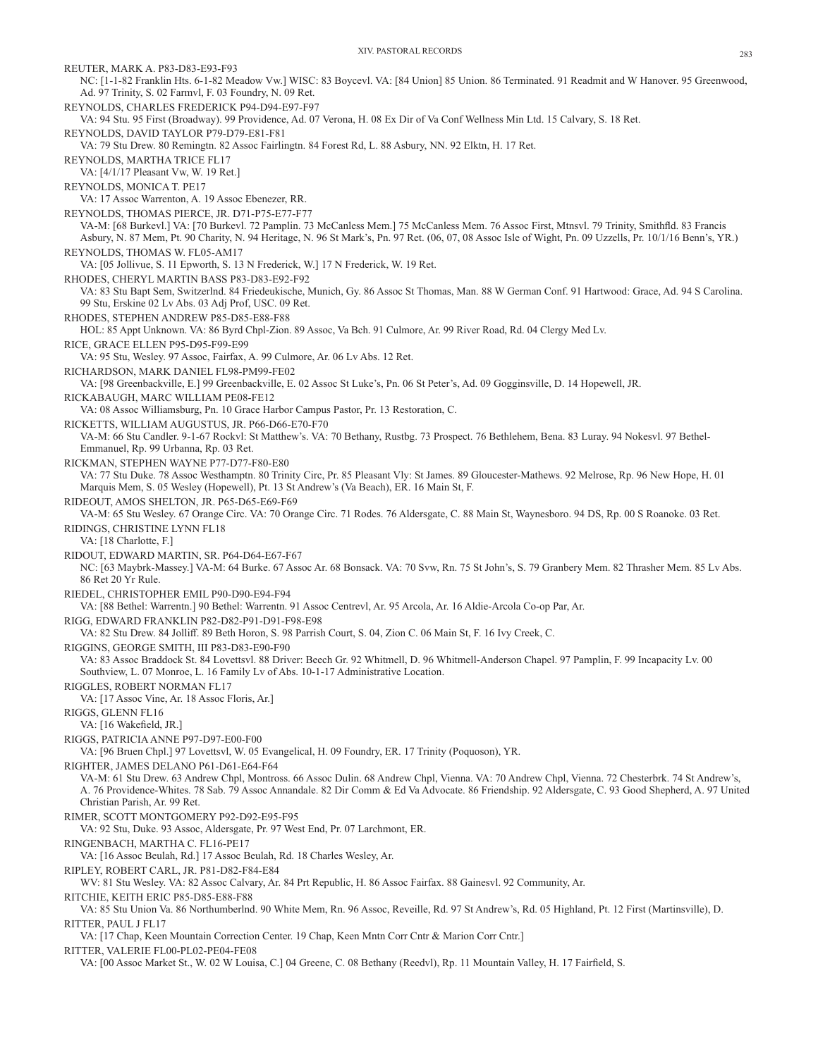REUTER, MARK A. P83-D83-E93-F93 NC: [1-1-82 Franklin Hts. 6-1-82 Meadow Vw.] WISC: 83 Boycevl. VA: [84 Union] 85 Union. 86 Terminated. 91 Readmit and W Hanover. 95 Greenwood, Ad. 97 Trinity, S. 02 Farmvl, F. 03 Foundry, N. 09 Ret. REYNOLDS, CHARLES FREDERICK P94-D94-E97-F97 VA: 94 Stu. 95 First (Broadway). 99 Providence, Ad. 07 Verona, H. 08 Ex Dir of Va Conf Wellness Min Ltd. 15 Calvary, S. 18 Ret. REYNOLDS, DAVID TAYLOR P79-D79-E81-F81 VA: 79 Stu Drew. 80 Remingtn. 82 Assoc Fairlingtn. 84 Forest Rd, L. 88 Asbury, NN. 92 Elktn, H. 17 Ret. REYNOLDS, MARTHA TRICE FL17 VA: [4/1/17 Pleasant Vw, W. 19 Ret.] REYNOLDS, MONICA T. PE17 VA: 17 Assoc Warrenton, A. 19 Assoc Ebenezer, RR. REYNOLDS, THOMAS PIERCE, JR. D71-P75-E77-F77 VA-M: [68 Burkevl.] VA: [70 Burkevl. 72 Pamplin. 73 McCanless Mem.] 75 McCanless Mem. 76 Assoc First, Mtnsvl. 79 Trinity, Smithfld. 83 Francis Asbury, N. 87 Mem, Pt. 90 Charity, N. 94 Heritage, N. 96 St Mark's, Pn. 97 Ret. (06, 07, 08 Assoc Isle of Wight, Pn. 09 Uzzells, Pr. 10/1/16 Benn's, YR.) REYNOLDS, THOMAS W. FL05-AM17 VA: [05 Jollivue, S. 11 Epworth, S. 13 N Frederick, W.] 17 N Frederick, W. 19 Ret. RHODES, CHERYL MARTIN BASS P83-D83-E92-F92 VA: 83 Stu Bapt Sem, Switzerlnd. 84 Friedeukische, Munich, Gy. 86 Assoc St Thomas, Man. 88 W German Conf. 91 Hartwood: Grace, Ad. 94 S Carolina. 99 Stu, Erskine 02 Lv Abs. 03 Adj Prof, USC. 09 Ret. RHODES, STEPHEN ANDREW P85-D85-E88-F88 HOL: 85 Appt Unknown. VA: 86 Byrd Chpl-Zion. 89 Assoc, Va Bch. 91 Culmore, Ar. 99 River Road, Rd. 04 Clergy Med Lv. RICE, GRACE ELLEN P95-D95-F99-E99 VA: 95 Stu, Wesley. 97 Assoc, Fairfax, A. 99 Culmore, Ar. 06 Lv Abs. 12 Ret. RICHARDSON, MARK DANIEL FL98-PM99-FE02 VA: [98 Greenbackville, E.] 99 Greenbackville, E. 02 Assoc St Luke's, Pn. 06 St Peter's, Ad. 09 Gogginsville, D. 14 Hopewell, JR. RICKABAUGH, MARC WILLIAM PE08-FE12 VA: 08 Assoc Williamsburg, Pn. 10 Grace Harbor Campus Pastor, Pr. 13 Restoration, C. RICKETTS, WILLIAM AUGUSTUS, JR. P66-D66-E70-F70 VA-M: 66 Stu Candler. 9-1-67 Rockvl: St Matthew's. VA: 70 Bethany, Rustbg. 73 Prospect. 76 Bethlehem, Bena. 83 Luray. 94 Nokesvl. 97 Bethel-Emmanuel, Rp. 99 Urbanna, Rp. 03 Ret. RICKMAN, STEPHEN WAYNE P77-D77-F80-E80 VA: 77 Stu Duke. 78 Assoc Westhamptn. 80 Trinity Circ, Pr. 85 Pleasant Vly: St James. 89 Gloucester-Mathews. 92 Melrose, Rp. 96 New Hope, H. 01 Marquis Mem, S. 05 Wesley (Hopewell), Pt. 13 St Andrew's (Va Beach), ER. 16 Main St, F. RIDEOUT, AMOS SHELTON, JR. P65-D65-E69-F69 VA-M: 65 Stu Wesley. 67 Orange Circ. VA: 70 Orange Circ. 71 Rodes. 76 Aldersgate, C. 88 Main St, Waynesboro. 94 DS, Rp. 00 S Roanoke. 03 Ret. RIDINGS, CHRISTINE LYNN FL18 VA: [18 Charlotte, F.] RIDOUT, EDWARD MARTIN, SR. P64-D64-E67-F67 NC: [63 Maybrk-Massey.] VA-M: 64 Burke. 67 Assoc Ar. 68 Bonsack. VA: 70 Svw, Rn. 75 St John's, S. 79 Granbery Mem. 82 Thrasher Mem. 85 Lv Abs. 86 Ret 20 Yr Rule. RIEDEL, CHRISTOPHER EMIL P90-D90-E94-F94 VA: [88 Bethel: Warrentn.] 90 Bethel: Warrentn. 91 Assoc Centrevl, Ar. 95 Arcola, Ar. 16 Aldie-Arcola Co-op Par, Ar. RIGG, EDWARD FRANKLIN P82-D82-P91-D91-F98-E98 VA: 82 Stu Drew. 84 Jolliff. 89 Beth Horon, S. 98 Parrish Court, S. 04, Zion C. 06 Main St, F. 16 Ivy Creek, C. RIGGINS, GEORGE SMITH, III P83-D83-E90-F90 VA: 83 Assoc Braddock St. 84 Lovettsvl. 88 Driver: Beech Gr. 92 Whitmell, D. 96 Whitmell-Anderson Chapel. 97 Pamplin, F. 99 Incapacity Lv. 00 Southview, L. 07 Monroe, L. 16 Family Lv of Abs. 10-1-17 Administrative Location. RIGGLES, ROBERT NORMAN FL17 VA: [17 Assoc Vine, Ar. 18 Assoc Floris, Ar.] RIGGS, GLENN FL16 VA: [16 Wakefield, JR.] RIGGS, PATRICIA ANNE P97-D97-E00-F00 VA: [96 Bruen Chpl.] 97 Lovettsvl, W. 05 Evangelical, H. 09 Foundry, ER. 17 Trinity (Poquoson), YR. RIGHTER, JAMES DELANO P61-D61-E64-F64 VA-M: 61 Stu Drew. 63 Andrew Chpl, Montross. 66 Assoc Dulin. 68 Andrew Chpl, Vienna. VA: 70 Andrew Chpl, Vienna. 72 Chesterbrk. 74 St Andrew's, A. 76 Providence-Whites. 78 Sab. 79 Assoc Annandale. 82 Dir Comm & Ed Va Advocate. 86 Friendship. 92 Aldersgate, C. 93 Good Shepherd, A. 97 United Christian Parish, Ar. 99 Ret. RIMER, SCOTT MONTGOMERY P92-D92-E95-F95 VA: 92 Stu, Duke. 93 Assoc, Aldersgate, Pr. 97 West End, Pr. 07 Larchmont, ER. RINGENBACH, MARTHA C. FL16-PE17 VA: [16 Assoc Beulah, Rd.] 17 Assoc Beulah, Rd. 18 Charles Wesley, Ar. RIPLEY, ROBERT CARL, JR. P81-D82-F84-E84 WV: 81 Stu Wesley. VA: 82 Assoc Calvary, Ar. 84 Prt Republic, H. 86 Assoc Fairfax. 88 Gainesvl. 92 Community, Ar. RITCHIE, KEITH ERIC P85-D85-E88-F88 VA: 85 Stu Union Va. 86 Northumberlnd. 90 White Mem, Rn. 96 Assoc, Reveille, Rd. 97 St Andrew's, Rd. 05 Highland, Pt. 12 First (Martinsville), D. RITTER, PAUL J FL17 VA: [17 Chap, Keen Mountain Correction Center. 19 Chap, Keen Mntn Corr Cntr & Marion Corr Cntr.] RITTER, VALERIE FL00-PL02-PE04-FE08 VA: [00 Assoc Market St., W. 02 W Louisa, C.] 04 Greene, C. 08 Bethany (Reedvl), Rp. 11 Mountain Valley, H. 17 Fairfield, S.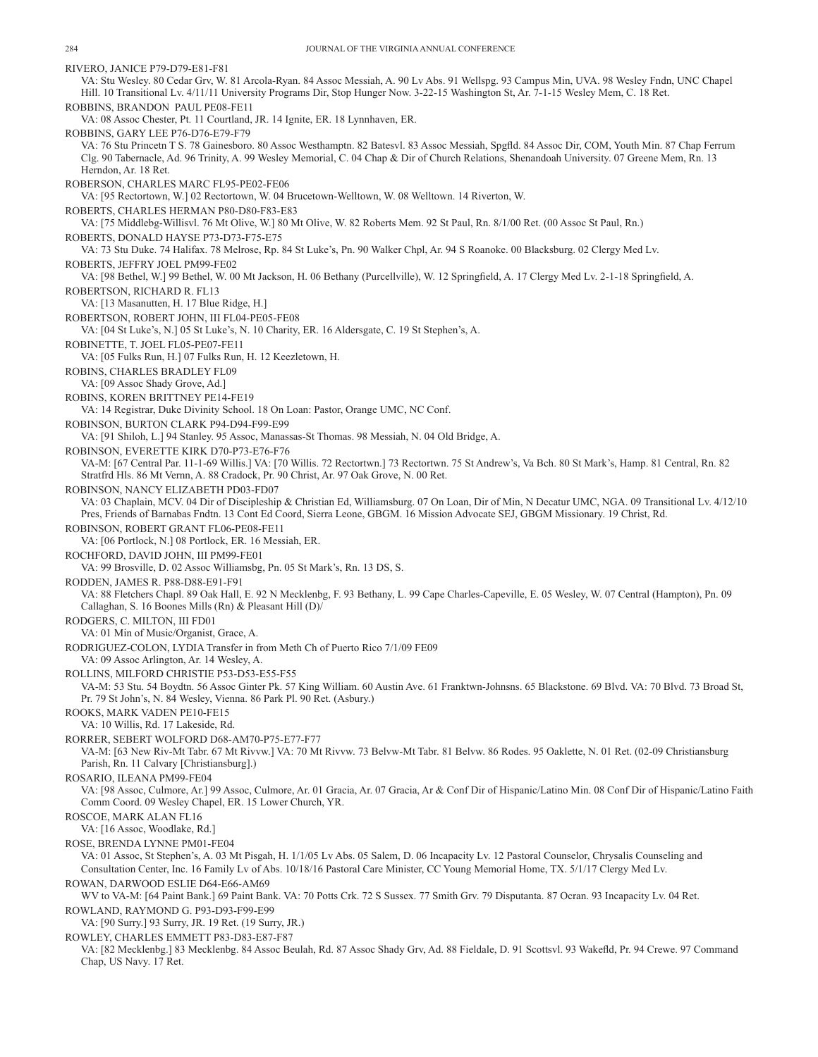RIVERO, JANICE P79-D79-E81-F81 VA: Stu Wesley. 80 Cedar Grv, W. 81 Arcola-Ryan. 84 Assoc Messiah, A. 90 Lv Abs. 91 Wellspg. 93 Campus Min, UVA. 98 Wesley Fndn, UNC Chapel Hill. 10 Transitional Lv. 4/11/11 University Programs Dir, Stop Hunger Now. 3-22-15 Washington St, Ar. 7-1-15 Wesley Mem, C. 18 Ret. ROBBINS, BRANDON PAUL PE08-FE11 VA: 08 Assoc Chester, Pt. 11 Courtland, JR. 14 Ignite, ER. 18 Lynnhaven, ER. ROBBINS, GARY LEE P76-D76-E79-F79 VA: 76 Stu Princetn T S. 78 Gainesboro. 80 Assoc Westhamptn. 82 Batesvl. 83 Assoc Messiah, Spgfld. 84 Assoc Dir, COM, Youth Min. 87 Chap Ferrum Clg. 90 Tabernacle, Ad. 96 Trinity, A. 99 Wesley Memorial, C. 04 Chap & Dir of Church Relations, Shenandoah University. 07 Greene Mem, Rn. 13 Herndon, Ar. 18 Ret. ROBERSON, CHARLES MARC FL95-PE02-FE06 VA: [95 Rectortown, W.] 02 Rectortown, W. 04 Brucetown-Welltown, W. 08 Welltown. 14 Riverton, W. ROBERTS, CHARLES HERMAN P80-D80-F83-E83 VA: [75 Middlebg-Willisvl. 76 Mt Olive, W.] 80 Mt Olive, W. 82 Roberts Mem. 92 St Paul, Rn. 8/1/00 Ret. (00 Assoc St Paul, Rn.) ROBERTS, DONALD HAYSE P73-D73-F75-E75 VA: 73 Stu Duke. 74 Halifax. 78 Melrose, Rp. 84 St Luke's, Pn. 90 Walker Chpl, Ar. 94 S Roanoke. 00 Blacksburg. 02 Clergy Med Lv. ROBERTS, JEFFRY JOEL PM99-FE02 VA: [98 Bethel, W.] 99 Bethel, W. 00 Mt Jackson, H. 06 Bethany (Purcellville), W. 12 Springfield, A. 17 Clergy Med Lv. 2-1-18 Springfield, A. ROBERTSON, RICHARD R. FL13 VA: [13 Masanutten, H. 17 Blue Ridge, H.] ROBERTSON, ROBERT JOHN, III FL04-PE05-FE08 VA: [04 St Luke's, N.] 05 St Luke's, N. 10 Charity, ER. 16 Aldersgate, C. 19 St Stephen's, A. ROBINETTE, T. JOEL FL05-PE07-FE11 VA: [05 Fulks Run, H.] 07 Fulks Run, H. 12 Keezletown, H. ROBINS, CHARLES BRADLEY FL09 VA: [09 Assoc Shady Grove, Ad.] ROBINS, KOREN BRITTNEY PE14-FE19 VA: 14 Registrar, Duke Divinity School. 18 On Loan: Pastor, Orange UMC, NC Conf. ROBINSON, BURTON CLARK P94-D94-F99-E99 VA: [91 Shiloh, L.] 94 Stanley. 95 Assoc, Manassas-St Thomas. 98 Messiah, N. 04 Old Bridge, A. ROBINSON, EVERETTE KIRK D70-P73-E76-F76 VA-M: [67 Central Par. 11-1-69 Willis.] VA: [70 Willis. 72 Rectortwn.] 73 Rectortwn. 75 St Andrew's, Va Bch. 80 St Mark's, Hamp. 81 Central, Rn. 82 Stratfrd Hls. 86 Mt Vernn, A. 88 Cradock, Pr. 90 Christ, Ar. 97 Oak Grove, N. 00 Ret. ROBINSON, NANCY ELIZABETH PD03-FD07 VA: 03 Chaplain, MCV. 04 Dir of Discipleship & Christian Ed, Williamsburg. 07 On Loan, Dir of Min, N Decatur UMC, NGA. 09 Transitional Lv. 4/12/10 Pres, Friends of Barnabas Fndtn. 13 Cont Ed Coord, Sierra Leone, GBGM. 16 Mission Advocate SEJ, GBGM Missionary. 19 Christ, Rd. ROBINSON, ROBERT GRANT FL06-PE08-FE11 VA: [06 Portlock, N.] 08 Portlock, ER. 16 Messiah, ER. ROCHFORD, DAVID JOHN, III PM99-FE01 VA: 99 Brosville, D. 02 Assoc Williamsbg, Pn. 05 St Mark's, Rn. 13 DS, S. RODDEN, JAMES R. P88-D88-E91-F91 VA: 88 Fletchers Chapl. 89 Oak Hall, E. 92 N Mecklenbg, F. 93 Bethany, L. 99 Cape Charles-Capeville, E. 05 Wesley, W. 07 Central (Hampton), Pn. 09 Callaghan, S. 16 Boones Mills (Rn) & Pleasant Hill (D)/ RODGERS, C. MILTON, III FD01 VA: 01 Min of Music/Organist, Grace, A. RODRIGUEZ-COLON, LYDIA Transfer in from Meth Ch of Puerto Rico 7/1/09 FE09 VA: 09 Assoc Arlington, Ar. 14 Wesley, A. ROLLINS, MILFORD CHRISTIE P53-D53-E55-F55 VA-M: 53 Stu. 54 Boydtn. 56 Assoc Ginter Pk. 57 King William. 60 Austin Ave. 61 Franktwn-Johnsns. 65 Blackstone. 69 Blvd. VA: 70 Blvd. 73 Broad St, Pr. 79 St John's, N. 84 Wesley, Vienna. 86 Park Pl. 90 Ret. (Asbury.) ROOKS, MARK VADEN PE10-FE15 VA: 10 Willis, Rd. 17 Lakeside, Rd. RORRER, SEBERT WOLFORD D68-AM70-P75-E77-F77 VA-M: [63 New Riv-Mt Tabr. 67 Mt Rivvw.] VA: 70 Mt Rivvw. 73 Belvw-Mt Tabr. 81 Belvw. 86 Rodes. 95 Oaklette, N. 01 Ret. (02-09 Christiansburg Parish, Rn. 11 Calvary [Christiansburg].) ROSARIO, ILEANA PM99-FE04 VA: [98 Assoc, Culmore, Ar.] 99 Assoc, Culmore, Ar. 01 Gracia, Ar. 07 Gracia, Ar & Conf Dir of Hispanic/Latino Min. 08 Conf Dir of Hispanic/Latino Faith Comm Coord. 09 Wesley Chapel, ER. 15 Lower Church, YR. ROSCOE, MARK ALAN FL16 VA: [16 Assoc, Woodlake, Rd.] ROSE, BRENDA LYNNE PM01-FE04 VA: 01 Assoc, St Stephen's, A. 03 Mt Pisgah, H. 1/1/05 Lv Abs. 05 Salem, D. 06 Incapacity Lv. 12 Pastoral Counselor, Chrysalis Counseling and Consultation Center, Inc. 16 Family Lv of Abs. 10/18/16 Pastoral Care Minister, CC Young Memorial Home, TX. 5/1/17 Clergy Med Lv. ROWAN, DARWOOD ESLIE D64-E66-AM69 WV to VA-M: [64 Paint Bank.] 69 Paint Bank. VA: 70 Potts Crk. 72 S Sussex. 77 Smith Grv. 79 Disputanta. 87 Ocran. 93 Incapacity Lv. 04 Ret. ROWLAND, RAYMOND G. P93-D93-F99-E99 VA: [90 Surry.] 93 Surry, JR. 19 Ret. (19 Surry, JR.) ROWLEY, CHARLES EMMETT P83-D83-E87-F87 VA: [82 Mecklenbg.] 83 Mecklenbg. 84 Assoc Beulah, Rd. 87 Assoc Shady Grv, Ad. 88 Fieldale, D. 91 Scottsvl. 93 Wakefld, Pr. 94 Crewe. 97 Command Chap, US Navy. 17 Ret.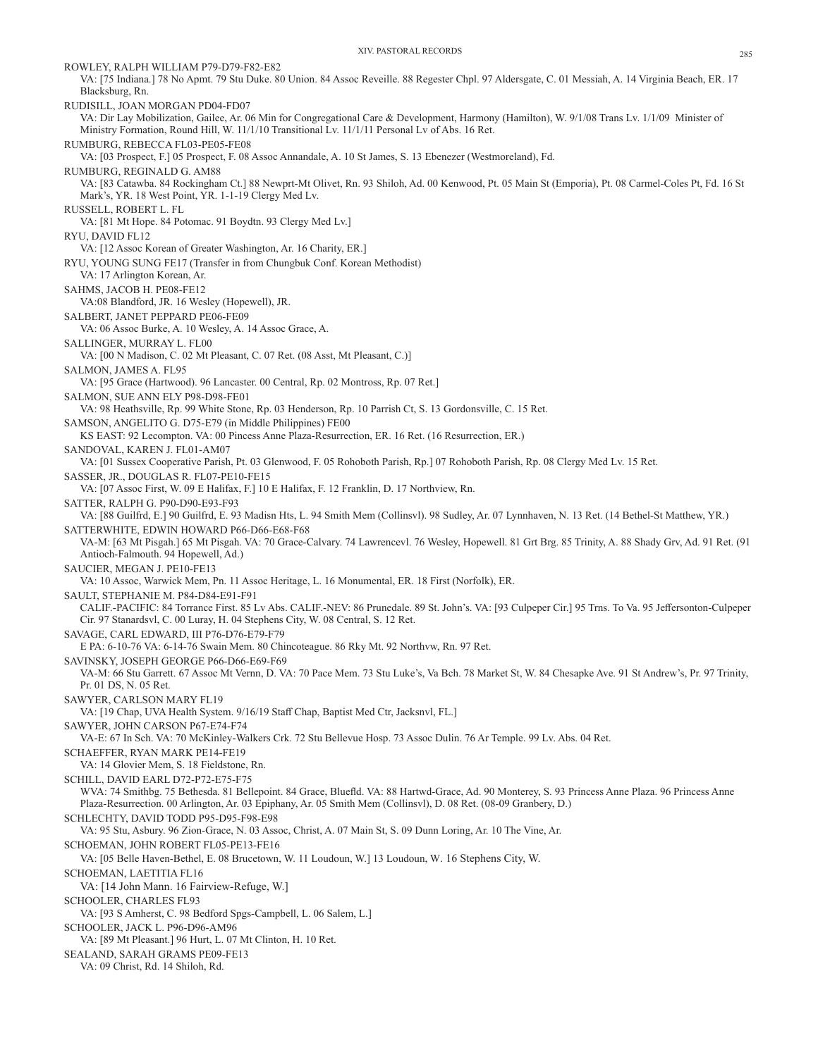ROWLEY, RALPH WILLIAM P79-D79-F82-E82

VA: [75 Indiana.] 78 No Apmt. 79 Stu Duke. 80 Union. 84 Assoc Reveille. 88 Regester Chpl. 97 Aldersgate, C. 01 Messiah, A. 14 Virginia Beach, ER. 17 Blacksburg, Rn. RUDISILL, JOAN MORGAN PD04-FD07 VA: Dir Lay Mobilization, Gailee, Ar. 06 Min for Congregational Care & Development, Harmony (Hamilton), W. 9/1/08 Trans Lv. 1/1/09 Minister of Ministry Formation, Round Hill, W. 11/1/10 Transitional Lv. 11/1/11 Personal Lv of Abs. 16 Ret. RUMBURG, REBECCA FL03-PE05-FE08 VA: [03 Prospect, F.] 05 Prospect, F. 08 Assoc Annandale, A. 10 St James, S. 13 Ebenezer (Westmoreland), Fd. RUMBURG, REGINALD G. AM88 VA: [83 Catawba. 84 Rockingham Ct.] 88 Newprt-Mt Olivet, Rn. 93 Shiloh, Ad. 00 Kenwood, Pt. 05 Main St (Emporia), Pt. 08 Carmel-Coles Pt, Fd. 16 St Mark's, YR. 18 West Point, YR. 1-1-19 Clergy Med Lv. RUSSELL, ROBERT L. FL VA: [81 Mt Hope. 84 Potomac. 91 Boydtn. 93 Clergy Med Lv.] RYU, DAVID FL12 VA: [12 Assoc Korean of Greater Washington, Ar. 16 Charity, ER.] RYU, YOUNG SUNG FE17 (Transfer in from Chungbuk Conf. Korean Methodist) VA: 17 Arlington Korean, Ar. SAHMS, JACOB H. PE08-FE12 VA:08 Blandford, JR. 16 Wesley (Hopewell), JR. SALBERT, JANET PEPPARD PE06-FE09 VA: 06 Assoc Burke, A. 10 Wesley, A. 14 Assoc Grace, A. SALLINGER, MURRAY L. FL00 VA: [00 N Madison, C. 02 Mt Pleasant, C. 07 Ret. (08 Asst, Mt Pleasant, C.)] SALMON, JAMES A. FL95 VA: [95 Grace (Hartwood). 96 Lancaster. 00 Central, Rp. 02 Montross, Rp. 07 Ret.] SALMON, SUE ANN ELY P98-D98-FE01 VA: 98 Heathsville, Rp. 99 White Stone, Rp. 03 Henderson, Rp. 10 Parrish Ct, S. 13 Gordonsville, C. 15 Ret. SAMSON, ANGELITO G. D75-E79 (in Middle Philippines) FE00 KS EAST: 92 Lecompton. VA: 00 Pincess Anne Plaza-Resurrection, ER. 16 Ret. (16 Resurrection, ER.) SANDOVAL, KAREN J. FL01-AM07 VA: [01 Sussex Cooperative Parish, Pt. 03 Glenwood, F. 05 Rohoboth Parish, Rp.] 07 Rohoboth Parish, Rp. 08 Clergy Med Lv. 15 Ret. SASSER, JR., DOUGLAS R. FL07-PE10-FE15 VA: [07 Assoc First, W. 09 E Halifax, F.] 10 E Halifax, F. 12 Franklin, D. 17 Northview, Rn. SATTER, RALPH G. P90-D90-E93-F93 VA: [88 Guilfrd, E.] 90 Guilfrd, E. 93 Madisn Hts, L. 94 Smith Mem (Collinsvl). 98 Sudley, Ar. 07 Lynnhaven, N. 13 Ret. (14 Bethel-St Matthew, YR.) SATTERWHITE, EDWIN HOWARD P66-D66-E68-F68 VA-M: [63 Mt Pisgah.] 65 Mt Pisgah. VA: 70 Grace-Calvary. 74 Lawrencevl. 76 Wesley, Hopewell. 81 Grt Brg. 85 Trinity, A. 88 Shady Grv, Ad. 91 Ret. (91 Antioch-Falmouth. 94 Hopewell, Ad.) SAUCIER, MEGAN J. PE10-FE13 VA: 10 Assoc, Warwick Mem, Pn. 11 Assoc Heritage, L. 16 Monumental, ER. 18 First (Norfolk), ER. SAULT, STEPHANIE M. P84-D84-E91-F91 CALIF.-PACIFIC: 84 Torrance First. 85 Lv Abs. CALIF.-NEV: 86 Prunedale. 89 St. John's. VA: [93 Culpeper Cir.] 95 Trns. To Va. 95 Jeffersonton-Culpeper Cir. 97 Stanardsvl, C. 00 Luray, H. 04 Stephens City, W. 08 Central, S. 12 Ret. SAVAGE, CARL EDWARD, III P76-D76-E79-F79 E PA: 6-10-76 VA: 6-14-76 Swain Mem. 80 Chincoteague. 86 Rky Mt. 92 Northvw, Rn. 97 Ret. SAVINSKY, JOSEPH GEORGE P66-D66-E69-F69 VA-M: 66 Stu Garrett. 67 Assoc Mt Vernn, D. VA: 70 Pace Mem. 73 Stu Luke's, Va Bch. 78 Market St, W. 84 Chesapke Ave. 91 St Andrew's, Pr. 97 Trinity, Pr. 01 DS, N. 05 Ret. SAWYER, CARLSON MARY FL19 VA: [19 Chap, UVA Health System. 9/16/19 Staff Chap, Baptist Med Ctr, Jacksnvl, FL.] SAWYER, JOHN CARSON P67-E74-F74 VA-E: 67 In Sch. VA: 70 McKinley-Walkers Crk. 72 Stu Bellevue Hosp. 73 Assoc Dulin. 76 Ar Temple. 99 Lv. Abs. 04 Ret. SCHAEFFER, RYAN MARK PE14-FE19 VA: 14 Glovier Mem, S. 18 Fieldstone, Rn. SCHILL, DAVID EARL D72-P72-E75-F75 WVA: 74 Smithbg. 75 Bethesda. 81 Bellepoint. 84 Grace, Bluefld. VA: 88 Hartwd-Grace, Ad. 90 Monterey, S. 93 Princess Anne Plaza. 96 Princess Anne Plaza-Resurrection. 00 Arlington, Ar. 03 Epiphany, Ar. 05 Smith Mem (Collinsvl), D. 08 Ret. (08-09 Granbery, D.) SCHLECHTY, DAVID TODD P95-D95-F98-E98 VA: 95 Stu, Asbury. 96 Zion-Grace, N. 03 Assoc, Christ, A. 07 Main St, S. 09 Dunn Loring, Ar. 10 The Vine, Ar. SCHOEMAN, JOHN ROBERT FL05-PE13-FE16 VA: [05 Belle Haven-Bethel, E. 08 Brucetown, W. 11 Loudoun, W.] 13 Loudoun, W. 16 Stephens City, W. SCHOEMAN, LAETITIA FL16 VA: [14 John Mann. 16 Fairview-Refuge, W.] SCHOOLER, CHARLES FL93 VA: [93 S Amherst, C. 98 Bedford Spgs-Campbell, L. 06 Salem, L.] SCHOOLER, JACK L. P96-D96-AM96 VA: [89 Mt Pleasant.] 96 Hurt, L. 07 Mt Clinton, H. 10 Ret. SEALAND, SARAH GRAMS PE09-FE13 VA: 09 Christ, Rd. 14 Shiloh, Rd.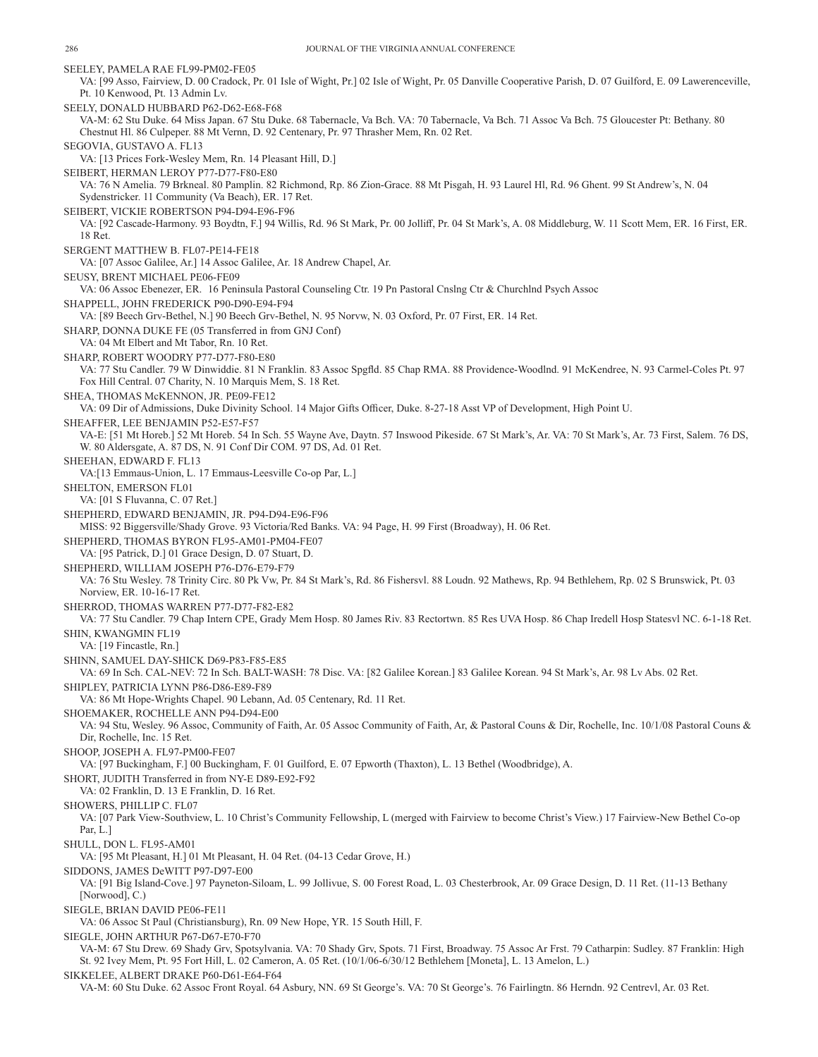SEELEY, PAMELA RAE FL99-PM02-FE05 VA: [99 Asso, Fairview, D. 00 Cradock, Pr. 01 Isle of Wight, Pr.] 02 Isle of Wight, Pr. 05 Danville Cooperative Parish, D. 07 Guilford, E. 09 Lawerenceville, Pt. 10 Kenwood, Pt. 13 Admin Lv. SEELY, DONALD HUBBARD P62-D62-E68-F68 VA-M: 62 Stu Duke. 64 Miss Japan. 67 Stu Duke. 68 Tabernacle, Va Bch. VA: 70 Tabernacle, Va Bch. 71 Assoc Va Bch. 75 Gloucester Pt: Bethany. 80 Chestnut Hl. 86 Culpeper. 88 Mt Vernn, D. 92 Centenary, Pr. 97 Thrasher Mem, Rn. 02 Ret. SEGOVIA, GUSTAVO A. FL13 VA: [13 Prices Fork-Wesley Mem, Rn. 14 Pleasant Hill, D.] SEIBERT, HERMAN LEROY P77-D77-F80-E80 VA: 76 N Amelia. 79 Brkneal. 80 Pamplin. 82 Richmond, Rp. 86 Zion-Grace. 88 Mt Pisgah, H. 93 Laurel Hl, Rd. 96 Ghent. 99 St Andrew's, N. 04 Sydenstricker. 11 Community (Va Beach), ER. 17 Ret. SEIBERT, VICKIE ROBERTSON P94-D94-E96-F96 VA: [92 Cascade-Harmony. 93 Boydtn, F.] 94 Willis, Rd. 96 St Mark, Pr. 00 Jolliff, Pr. 04 St Mark's, A. 08 Middleburg, W. 11 Scott Mem, ER. 16 First, ER. 18 Ret. SERGENT MATTHEW B. FL07-PE14-FE18 VA: [07 Assoc Galilee, Ar.] 14 Assoc Galilee, Ar. 18 Andrew Chapel, Ar. SEUSY, BRENT MICHAEL PE06-FE09 VA: 06 Assoc Ebenezer, ER. 16 Peninsula Pastoral Counseling Ctr. 19 Pn Pastoral Cnslng Ctr & Churchlnd Psych Assoc SHAPPELL, JOHN FREDERICK P90-D90-E94-F94 VA: [89 Beech Grv-Bethel, N.] 90 Beech Grv-Bethel, N. 95 Norvw, N. 03 Oxford, Pr. 07 First, ER. 14 Ret. SHARP, DONNA DUKE FE (05 Transferred in from GNJ Conf) VA: 04 Mt Elbert and Mt Tabor, Rn. 10 Ret. SHARP, ROBERT WOODRY P77-D77-F80-E80 VA: 77 Stu Candler. 79 W Dinwiddie. 81 N Franklin. 83 Assoc Spgfld. 85 Chap RMA. 88 Providence-Woodlnd. 91 McKendree, N. 93 Carmel-Coles Pt. 97 Fox Hill Central. 07 Charity, N. 10 Marquis Mem, S. 18 Ret. SHEA, THOMAS McKENNON, JR. PE09-FE12 VA: 09 Dir of Admissions, Duke Divinity School. 14 Major Gifts Officer, Duke. 8-27-18 Asst VP of Development, High Point U. SHEAFFER, LEE BENJAMIN P52-E57-F57 VA-E: [51 Mt Horeb.] 52 Mt Horeb. 54 In Sch. 55 Wayne Ave, Daytn. 57 Inswood Pikeside. 67 St Mark's, Ar. VA: 70 St Mark's, Ar. 73 First, Salem. 76 DS, W. 80 Aldersgate, A. 87 DS, N. 91 Conf Dir COM. 97 DS, Ad. 01 Ret. SHEEHAN, EDWARD F. FL13 VA:[13 Emmaus-Union, L. 17 Emmaus-Leesville Co-op Par, L.] SHELTON, EMERSON FL01 VA: [01 S Fluvanna, C. 07 Ret.] SHEPHERD, EDWARD BENJAMIN, JR. P94-D94-E96-F96 MISS: 92 Biggersville/Shady Grove. 93 Victoria/Red Banks. VA: 94 Page, H. 99 First (Broadway), H. 06 Ret. SHEPHERD, THOMAS BYRON FL95-AM01-PM04-FE07 VA: [95 Patrick, D.] 01 Grace Design, D. 07 Stuart, D. SHEPHERD, WILLIAM JOSEPH P76-D76-E79-F79 VA: 76 Stu Wesley. 78 Trinity Circ. 80 Pk Vw, Pr. 84 St Mark's, Rd. 86 Fishersvl. 88 Loudn. 92 Mathews, Rp. 94 Bethlehem, Rp. 02 S Brunswick, Pt. 03 Norview, ER. 10-16-17 Ret. SHERROD, THOMAS WARREN P77-D77-F82-E82 VA: 77 Stu Candler. 79 Chap Intern CPE, Grady Mem Hosp. 80 James Riv. 83 Rectortwn. 85 Res UVA Hosp. 86 Chap Iredell Hosp Statesvl NC. 6-1-18 Ret. SHIN, KWANGMIN FL19 VA: [19 Fincastle, Rn.] SHINN, SAMUEL DAY-SHICK D69-P83-F85-E85 VA: 69 In Sch. CAL-NEV: 72 In Sch. BALT-WASH: 78 Disc. VA: [82 Galilee Korean.] 83 Galilee Korean. 94 St Mark's, Ar. 98 Lv Abs. 02 Ret. SHIPLEY, PATRICIA LYNN P86-D86-E89-F89 VA: 86 Mt Hope-Wrights Chapel. 90 Lebann, Ad. 05 Centenary, Rd. 11 Ret. SHOEMAKER, ROCHELLE ANN P94-D94-E00 VA: 94 Stu, Wesley. 96 Assoc, Community of Faith, Ar. 05 Assoc Community of Faith, Ar, & Pastoral Couns & Dir, Rochelle, Inc. 10/1/08 Pastoral Couns & Dir, Rochelle, Inc. 15 Ret. SHOOP, JOSEPH A. FL97-PM00-FE07 VA: [97 Buckingham, F.] 00 Buckingham, F. 01 Guilford, E. 07 Epworth (Thaxton), L. 13 Bethel (Woodbridge), A. SHORT, JUDITH Transferred in from NY-E D89-E92-F92 VA: 02 Franklin, D. 13 E Franklin, D. 16 Ret. SHOWERS, PHILLIP C. FL07 VA: [07 Park View-Southview, L. 10 Christ's Community Fellowship, L (merged with Fairview to become Christ's View.) 17 Fairview-New Bethel Co-op Par, L.] SHULL, DON L. FL95-AM01 VA: [95 Mt Pleasant, H.] 01 Mt Pleasant, H. 04 Ret. (04-13 Cedar Grove, H.) SIDDONS, JAMES DeWITT P97-D97-E00 VA: [91 Big Island-Cove.] 97 Payneton-Siloam, L. 99 Jollivue, S. 00 Forest Road, L. 03 Chesterbrook, Ar. 09 Grace Design, D. 11 Ret. (11-13 Bethany [Norwood], C.) SIEGLE, BRIAN DAVID PE06-FE11 VA: 06 Assoc St Paul (Christiansburg), Rn. 09 New Hope, YR. 15 South Hill, F. SIEGLE, JOHN ARTHUR P67-D67-E70-F70 VA-M: 67 Stu Drew. 69 Shady Grv, Spotsylvania. VA: 70 Shady Grv, Spots. 71 First, Broadway. 75 Assoc Ar Frst. 79 Catharpin: Sudley. 87 Franklin: High St. 92 Ivey Mem, Pt. 95 Fort Hill, L. 02 Cameron, A. 05 Ret. (10/1/06-6/30/12 Bethlehem [Moneta], L. 13 Amelon, L.) SIKKELEE, ALBERT DRAKE P60-D61-E64-F64 VA-M: 60 Stu Duke. 62 Assoc Front Royal. 64 Asbury, NN. 69 St George's. VA: 70 St George's. 76 Fairlingtn. 86 Herndn. 92 Centrevl, Ar. 03 Ret.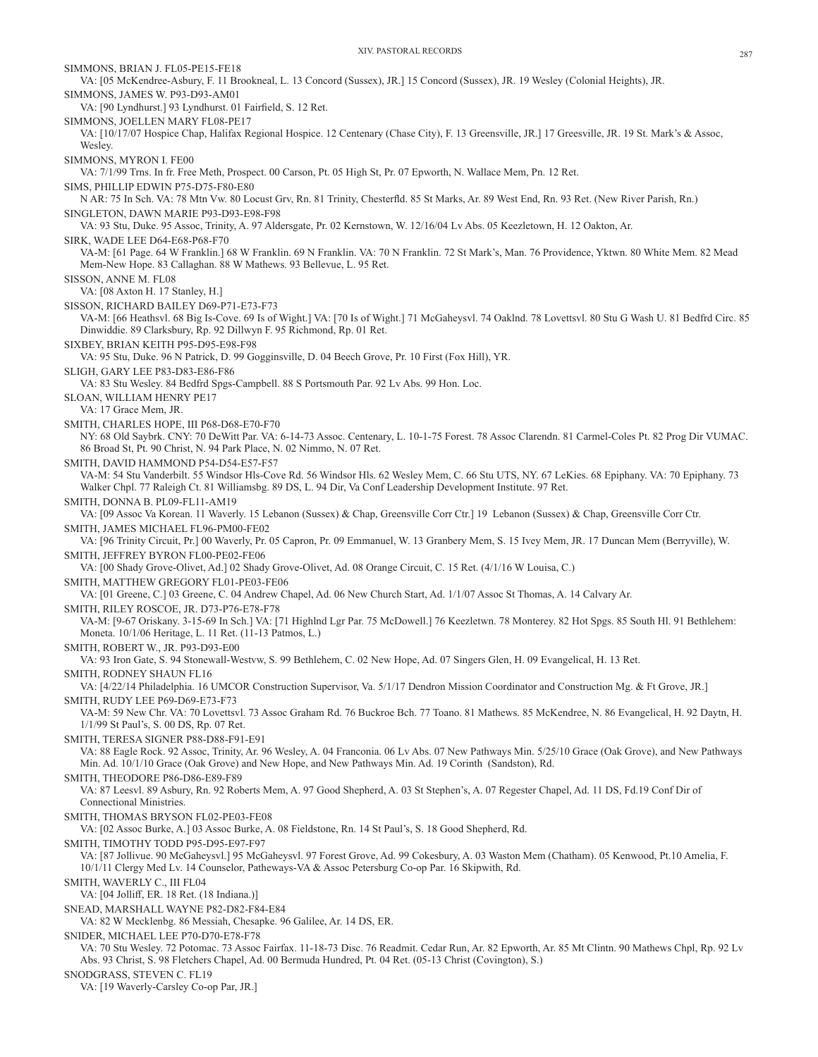VA: [05 McKendree-Asbury, F. 11 Brookneal, L. 13 Concord (Sussex), JR.] 15 Concord (Sussex), JR. 19 Wesley (Colonial Heights), JR. SIMMONS, JAMES W. P93-D93-AM01 VA: [90 Lyndhurst.] 93 Lyndhurst. 01 Fairfield, S. 12 Ret. SIMMONS, JOELLEN MARY FL08-PE17 VA: [10/17/07 Hospice Chap, Halifax Regional Hospice. 12 Centenary (Chase City), F. 13 Greensville, JR.] 17 Greesville, JR. 19 St. Mark's & Assoc, Wesley. SIMMONS, MYRON I. FE00 VA: 7/1/99 Trns. In fr. Free Meth, Prospect. 00 Carson, Pt. 05 High St, Pr. 07 Epworth, N. Wallace Mem, Pn. 12 Ret. SIMS, PHILLIP EDWIN P75-D75-F80-E80 N AR: 75 In Sch. VA: 78 Mtn Vw. 80 Locust Grv, Rn. 81 Trinity, Chesterfld. 85 St Marks, Ar. 89 West End, Rn. 93 Ret. (New River Parish, Rn.) SINGLETON, DAWN MARIE P93-D93-E98-F98 VA: 93 Stu, Duke. 95 Assoc, Trinity, A. 97 Aldersgate, Pr. 02 Kernstown, W. 12/16/04 Lv Abs. 05 Keezletown, H. 12 Oakton, Ar. SIRK, WADE LEE D64-E68-P68-F70 VA-M: [61 Page. 64 W Franklin.] 68 W Franklin. 69 N Franklin. VA: 70 N Franklin. 72 St Mark's, Man. 76 Providence, Yktwn. 80 White Mem. 82 Mead Mem-New Hope. 83 Callaghan. 88 W Mathews. 93 Bellevue, L. 95 Ret. SISSON, ANNE M. FL08 VA: [08 Axton H. 17 Stanley, H.] SISSON, RICHARD BAILEY D69-P71-E73-F73 VA-M: [66 Heathsvl. 68 Big Is-Cove. 69 Is of Wight.] VA: [70 Is of Wight.] 71 McGaheysvl. 74 Oaklnd. 78 Lovettsvl. 80 Stu G Wash U. 81 Bedfrd Circ. 85 Dinwiddie. 89 Clarksbury, Rp. 92 Dillwyn F. 95 Richmond, Rp. 01 Ret. SIXBEY, BRIAN KEITH P95-D95-E98-F98 VA: 95 Stu, Duke. 96 N Patrick, D. 99 Gogginsville, D. 04 Beech Grove, Pr. 10 First (Fox Hill), YR. SLIGH, GARY LEE P83-D83-E86-F86 VA: 83 Stu Wesley. 84 Bedfrd Spgs-Campbell. 88 S Portsmouth Par. 92 Lv Abs. 99 Hon. Loc. SLOAN, WILLIAM HENRY PE17 VA: 17 Grace Mem, JR. SMITH, CHARLES HOPE, III P68-D68-E70-F70 NY: 68 Old Saybrk. CNY: 70 DeWitt Par. VA: 6-14-73 Assoc. Centenary, L. 10-1-75 Forest. 78 Assoc Clarendn. 81 Carmel-Coles Pt. 82 Prog Dir VUMAC. 86 Broad St, Pt. 90 Christ, N. 94 Park Place, N. 02 Nimmo, N. 07 Ret. SMITH, DAVID HAMMOND P54-D54-E57-F57 VA-M: 54 Stu Vanderbilt. 55 Windsor Hls-Cove Rd. 56 Windsor Hls. 62 Wesley Mem, C. 66 Stu UTS, NY. 67 LeKies. 68 Epiphany. VA: 70 Epiphany. 73 Walker Chpl. 77 Raleigh Ct. 81 Williamsbg. 89 DS, L. 94 Dir, Va Conf Leadership Development Institute. 97 Ret. SMITH, DONNA B. PL09-FL11-AM19 VA: [09 Assoc Va Korean. 11 Waverly. 15 Lebanon (Sussex) & Chap, Greensville Corr Ctr.] 19 Lebanon (Sussex) & Chap, Greensville Corr Ctr. SMITH, JAMES MICHAEL FL96-PM00-FE02 VA: [96 Trinity Circuit, Pr.] 00 Waverly, Pr. 05 Capron, Pr. 09 Emmanuel, W. 13 Granbery Mem, S. 15 Ivey Mem, JR. 17 Duncan Mem (Berryville), W. SMITH, JEFFREY BYRON FL00-PE02-FE06 VA: [00 Shady Grove-Olivet, Ad.] 02 Shady Grove-Olivet, Ad. 08 Orange Circuit, C. 15 Ret. (4/1/16 W Louisa, C.) SMITH, MATTHEW GREGORY FL01-PE03-FE06 VA: [01 Greene, C.] 03 Greene, C. 04 Andrew Chapel, Ad. 06 New Church Start, Ad. 1/1/07 Assoc St Thomas, A. 14 Calvary Ar. SMITH, RILEY ROSCOE, JR. D73-P76-E78-F78 VA-M: [9-67 Oriskany. 3-15-69 In Sch.] VA: [71 Highlnd Lgr Par. 75 McDowell.] 76 Keezletwn. 78 Monterey. 82 Hot Spgs. 85 South Hl. 91 Bethlehem: Moneta. 10/1/06 Heritage, L. 11 Ret. (11-13 Patmos, L.) SMITH, ROBERT W., JR. P93-D93-E00 VA: 93 Iron Gate, S. 94 Stonewall-Westvw, S. 99 Bethlehem, C. 02 New Hope, Ad. 07 Singers Glen, H. 09 Evangelical, H. 13 Ret. SMITH, RODNEY SHAUN FL16 VA: [4/22/14 Philadelphia. 16 UMCOR Construction Supervisor, Va. 5/1/17 Dendron Mission Coordinator and Construction Mg. & Ft Grove, JR.] SMITH, RUDY LEE P69-D69-E73-F73 VA-M: 59 New Chr. VA: 70 Lovettsvl. 73 Assoc Graham Rd. 76 Buckroe Bch. 77 Toano. 81 Mathews. 85 McKendree, N. 86 Evangelical, H. 92 Daytn, H. 1/1/99 St Paul's, S. 00 DS, Rp. 07 Ret. SMITH, TERESA SIGNER P88-D88-F91-E91 VA: 88 Eagle Rock. 92 Assoc, Trinity, Ar. 96 Wesley, A. 04 Franconia. 06 Lv Abs. 07 New Pathways Min. 5/25/10 Grace (Oak Grove), and New Pathways Min. Ad. 10/1/10 Grace (Oak Grove) and New Hope, and New Pathways Min. Ad. 19 Corinth (Sandston), Rd. SMITH, THEODORE P86-D86-E89-F89 VA: 87 Leesvl. 89 Asbury, Rn. 92 Roberts Mem, A. 97 Good Shepherd, A. 03 St Stephen's, A. 07 Regester Chapel, Ad. 11 DS, Fd.19 Conf Dir of Connectional Ministries. SMITH, THOMAS BRYSON FL02-PE03-FE08 VA: [02 Assoc Burke, A.] 03 Assoc Burke, A. 08 Fieldstone, Rn. 14 St Paul's, S. 18 Good Shepherd, Rd. SMITH, TIMOTHY TODD P95-D95-E97-F97 VA: [87 Jollivue. 90 McGaheysvl.] 95 McGaheysvl. 97 Forest Grove, Ad. 99 Cokesbury, A. 03 Waston Mem (Chatham). 05 Kenwood, Pt.10 Amelia, F. 10/1/11 Clergy Med Lv. 14 Counselor, Patheways-VA & Assoc Petersburg Co-op Par. 16 Skipwith, Rd. SMITH, WAVERLY C., III FL04 VA: [04 Jolliff, ER. 18 Ret. (18 Indiana.)] SNEAD, MARSHALL WAYNE P82-D82-F84-E84 VA: 82 W Mecklenbg. 86 Messiah, Chesapke. 96 Galilee, Ar. 14 DS, ER. SNIDER, MICHAEL LEE P70-D70-E78-F78 VA: 70 Stu Wesley. 72 Potomac. 73 Assoc Fairfax. 11-18-73 Disc. 76 Readmit. Cedar Run, Ar. 82 Epworth, Ar. 85 Mt Clintn. 90 Mathews Chpl, Rp. 92 Lv Abs. 93 Christ, S. 98 Fletchers Chapel, Ad. 00 Bermuda Hundred, Pt. 04 Ret. (05-13 Christ (Covington), S.) SNODGRASS, STEVEN C. FL19

VA: [19 Waverly-Carsley Co-op Par, JR.]

SIMMONS, BRIAN J. FL05-PE15-FE18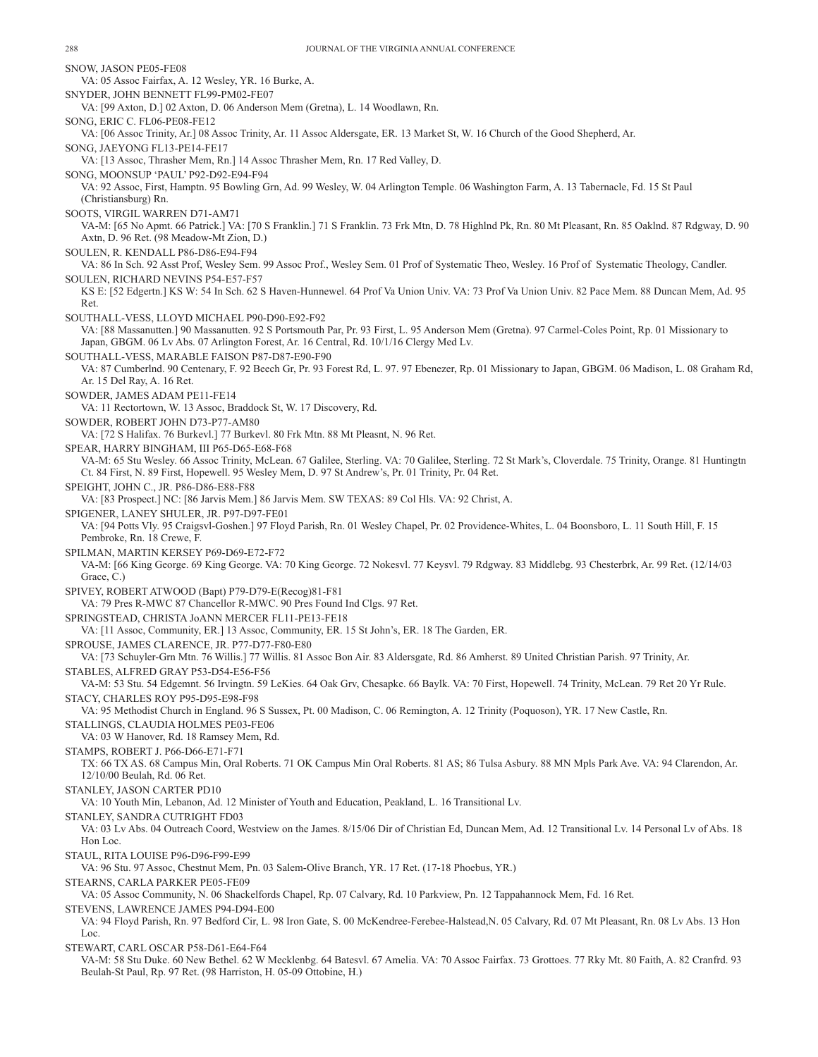SNOW, JASON PE05-FE08 VA: 05 Assoc Fairfax, A. 12 Wesley, YR. 16 Burke, A. SNYDER, JOHN BENNETT FL99-PM02-FE07 VA: [99 Axton, D.] 02 Axton, D. 06 Anderson Mem (Gretna), L. 14 Woodlawn, Rn. SONG, ERIC C. FL06-PE08-FE12 VA: [06 Assoc Trinity, Ar.] 08 Assoc Trinity, Ar. 11 Assoc Aldersgate, ER. 13 Market St, W. 16 Church of the Good Shepherd, Ar. SONG, JAEYONG FL13-PE14-FE17 VA: [13 Assoc, Thrasher Mem, Rn.] 14 Assoc Thrasher Mem, Rn. 17 Red Valley, D. SONG, MOONSUP 'PAUL' P92-D92-E94-F94 VA: 92 Assoc, First, Hamptn. 95 Bowling Grn, Ad. 99 Wesley, W. 04 Arlington Temple. 06 Washington Farm, A. 13 Tabernacle, Fd. 15 St Paul (Christiansburg) Rn. SOOTS, VIRGIL WARREN D71-AM71 VA-M: [65 No Apmt. 66 Patrick.] VA: [70 S Franklin.] 71 S Franklin. 73 Frk Mtn, D. 78 Highlnd Pk, Rn. 80 Mt Pleasant, Rn. 85 Oaklnd. 87 Rdgway, D. 90 Axtn, D. 96 Ret. (98 Meadow-Mt Zion, D.) SOULEN, R. KENDALL P86-D86-E94-F94 VA: 86 In Sch. 92 Asst Prof, Wesley Sem. 99 Assoc Prof., Wesley Sem. 01 Prof of Systematic Theo, Wesley. 16 Prof of Systematic Theology, Candler. SOULEN, RICHARD NEVINS P54-E57-F57 KS E: [52 Edgertn.] KS W: 54 In Sch. 62 S Haven-Hunnewel. 64 Prof Va Union Univ. VA: 73 Prof Va Union Univ. 82 Pace Mem. 88 Duncan Mem, Ad. 95 Ret. SOUTHALL-VESS, LLOYD MICHAEL P90-D90-E92-F92 VA: [88 Massanutten.] 90 Massanutten. 92 S Portsmouth Par, Pr. 93 First, L. 95 Anderson Mem (Gretna). 97 Carmel-Coles Point, Rp. 01 Missionary to Japan, GBGM. 06 Lv Abs. 07 Arlington Forest, Ar. 16 Central, Rd. 10/1/16 Clergy Med Lv. SOUTHALL-VESS, MARABLE FAISON P87-D87-E90-F90 VA: 87 Cumberlnd. 90 Centenary, F. 92 Beech Gr, Pr. 93 Forest Rd, L. 97. 97 Ebenezer, Rp. 01 Missionary to Japan, GBGM. 06 Madison, L. 08 Graham Rd, Ar. 15 Del Ray, A. 16 Ret. SOWDER, JAMES ADAM PE11-FE14 VA: 11 Rectortown, W. 13 Assoc, Braddock St, W. 17 Discovery, Rd. SOWDER, ROBERT JOHN D73-P77-AM80 VA: [72 S Halifax. 76 Burkevl.] 77 Burkevl. 80 Frk Mtn. 88 Mt Pleasnt, N. 96 Ret. SPEAR, HARRY BINGHAM, III P65-D65-E68-F68 VA-M: 65 Stu Wesley. 66 Assoc Trinity, McLean. 67 Galilee, Sterling. VA: 70 Galilee, Sterling. 72 St Mark's, Cloverdale. 75 Trinity, Orange. 81 Huntingtn Ct. 84 First, N. 89 First, Hopewell. 95 Wesley Mem, D. 97 St Andrew's, Pr. 01 Trinity, Pr. 04 Ret. SPEIGHT, JOHN C., JR. P86-D86-E88-F88 VA: [83 Prospect.] NC: [86 Jarvis Mem.] 86 Jarvis Mem. SW TEXAS: 89 Col Hls. VA: 92 Christ, A. SPIGENER, LANEY SHULER, JR. P97-D97-FE01 VA: [94 Potts Vly. 95 Craigsvl-Goshen.] 97 Floyd Parish, Rn. 01 Wesley Chapel, Pr. 02 Providence-Whites, L. 04 Boonsboro, L. 11 South Hill, F. 15 Pembroke, Rn. 18 Crewe, F. SPILMAN, MARTIN KERSEY P69-D69-E72-F72 VA-M: [66 King George. 69 King George. VA: 70 King George. 72 Nokesvl. 77 Keysvl. 79 Rdgway. 83 Middlebg. 93 Chesterbrk, Ar. 99 Ret. (12/14/03 Grace, C.) SPIVEY, ROBERT ATWOOD (Bapt) P79-D79-E(Recog)81-F81 VA: 79 Pres R-MWC 87 Chancellor R-MWC. 90 Pres Found Ind Clgs. 97 Ret. SPRINGSTEAD, CHRISTA JoANN MERCER FL11-PE13-FE18 VA: [11 Assoc, Community, ER.] 13 Assoc, Community, ER. 15 St John's, ER. 18 The Garden, ER. SPROUSE, JAMES CLARENCE, JR. P77-D77-F80-E80 VA: [73 Schuyler-Grn Mtn. 76 Willis.] 77 Willis. 81 Assoc Bon Air. 83 Aldersgate, Rd. 86 Amherst. 89 United Christian Parish. 97 Trinity, Ar. STABLES, ALFRED GRAY P53-D54-E56-F56 VA-M: 53 Stu. 54 Edgemnt. 56 Irvingtn. 59 LeKies. 64 Oak Grv, Chesapke. 66 Baylk. VA: 70 First, Hopewell. 74 Trinity, McLean. 79 Ret 20 Yr Rule. STACY, CHARLES ROY P95-D95-E98-F98 VA: 95 Methodist Church in England. 96 S Sussex, Pt. 00 Madison, C. 06 Remington, A. 12 Trinity (Poquoson), YR. 17 New Castle, Rn. STALLINGS, CLAUDIA HOLMES PE03-FE06 VA: 03 W Hanover, Rd. 18 Ramsey Mem, Rd. STAMPS, ROBERT J. P66-D66-E71-F71 TX: 66 TX AS. 68 Campus Min, Oral Roberts. 71 OK Campus Min Oral Roberts. 81 AS; 86 Tulsa Asbury. 88 MN Mpls Park Ave. VA: 94 Clarendon, Ar. 12/10/00 Beulah, Rd. 06 Ret. STANLEY, JASON CARTER PD10 VA: 10 Youth Min, Lebanon, Ad. 12 Minister of Youth and Education, Peakland, L. 16 Transitional Lv. STANLEY, SANDRA CUTRIGHT FD03 VA: 03 Lv Abs. 04 Outreach Coord, Westview on the James. 8/15/06 Dir of Christian Ed, Duncan Mem, Ad. 12 Transitional Lv. 14 Personal Lv of Abs. 18 Hon Loc. STAUL, RITA LOUISE P96-D96-F99-E99 VA: 96 Stu. 97 Assoc, Chestnut Mem, Pn. 03 Salem-Olive Branch, YR. 17 Ret. (17-18 Phoebus, YR.) STEARNS, CARLA PARKER PE05-FE09 VA: 05 Assoc Community, N. 06 Shackelfords Chapel, Rp. 07 Calvary, Rd. 10 Parkview, Pn. 12 Tappahannock Mem, Fd. 16 Ret. STEVENS, LAWRENCE JAMES P94-D94-E00 VA: 94 Floyd Parish, Rn. 97 Bedford Cir, L. 98 Iron Gate, S. 00 McKendree-Ferebee-Halstead,N. 05 Calvary, Rd. 07 Mt Pleasant, Rn. 08 Lv Abs. 13 Hon Loc. STEWART, CARL OSCAR P58-D61-E64-F64 VA-M: 58 Stu Duke. 60 New Bethel. 62 W Mecklenbg. 64 Batesvl. 67 Amelia. VA: 70 Assoc Fairfax. 73 Grottoes. 77 Rky Mt. 80 Faith, A. 82 Cranfrd. 93 Beulah-St Paul, Rp. 97 Ret. (98 Harriston, H. 05-09 Ottobine, H.)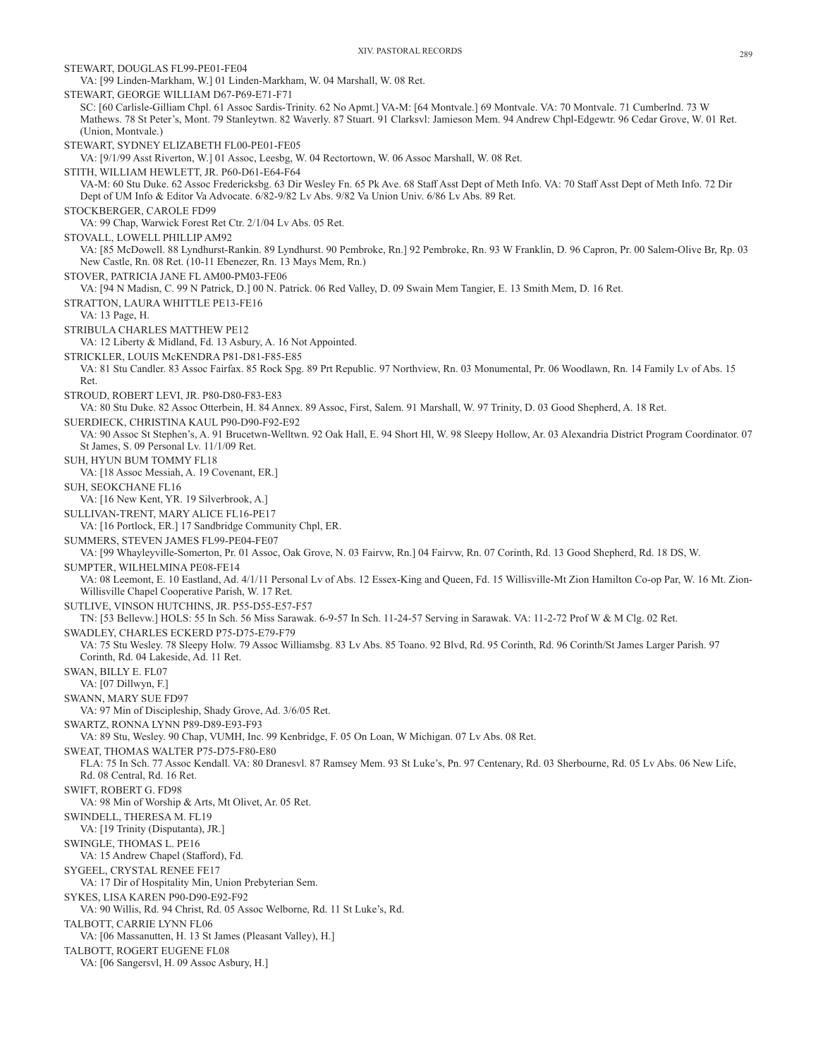STEWART, DOUGLAS FL99-PE01-FE04 VA: [99 Linden-Markham, W.] 01 Linden-Markham, W. 04 Marshall, W. 08 Ret. STEWART, GEORGE WILLIAM D67-P69-E71-F71 SC: [60 Carlisle-Gilliam Chpl. 61 Assoc Sardis-Trinity. 62 No Apmt.] VA-M: [64 Montvale.] 69 Montvale. VA: 70 Montvale. 71 Cumberlnd. 73 W Mathews. 78 St Peter's, Mont. 79 Stanleytwn. 82 Waverly. 87 Stuart. 91 Clarksvl: Jamieson Mem. 94 Andrew Chpl-Edgewtr. 96 Cedar Grove, W. 01 Ret. (Union, Montvale.) STEWART, SYDNEY ELIZABETH FL00-PE01-FE05 VA: [9/1/99 Asst Riverton, W.] 01 Assoc, Leesbg, W. 04 Rectortown, W. 06 Assoc Marshall, W. 08 Ret. STITH, WILLIAM HEWLETT, JR. P60-D61-E64-F64 VA-M: 60 Stu Duke. 62 Assoc Fredericksbg. 63 Dir Wesley Fn. 65 Pk Ave. 68 Staff Asst Dept of Meth Info. VA: 70 Staff Asst Dept of Meth Info. 72 Dir Dept of UM Info & Editor Va Advocate. 6/82-9/82 Lv Abs. 9/82 Va Union Univ. 6/86 Lv Abs. 89 Ret. STOCKBERGER, CAROLE FD99 VA: 99 Chap, Warwick Forest Ret Ctr. 2/1/04 Lv Abs. 05 Ret. STOVALL, LOWELL PHILLIP AM92 VA: [85 McDowell. 88 Lyndhurst-Rankin. 89 Lyndhurst. 90 Pembroke, Rn.] 92 Pembroke, Rn. 93 W Franklin, D. 96 Capron, Pr. 00 Salem-Olive Br, Rp. 03 New Castle, Rn. 08 Ret. (10-11 Ebenezer, Rn. 13 Mays Mem, Rn.) STOVER, PATRICIA JANE FL AM00-PM03-FE06 VA: [94 N Madisn, C. 99 N Patrick, D.] 00 N. Patrick. 06 Red Valley, D. 09 Swain Mem Tangier, E. 13 Smith Mem, D. 16 Ret. STRATTON, LAURA WHITTLE PE13-FE16 VA: 13 Page, H. STRIBULA CHARLES MATTHEW PE12 VA: 12 Liberty & Midland, Fd. 13 Asbury, A. 16 Not Appointed. STRICKLER, LOUIS McKENDRA P81-D81-F85-E85 VA: 81 Stu Candler. 83 Assoc Fairfax. 85 Rock Spg. 89 Prt Republic. 97 Northview, Rn. 03 Monumental, Pr. 06 Woodlawn, Rn. 14 Family Lv of Abs. 15 Ret. STROUD, ROBERT LEVI, JR. P80-D80-F83-E83 VA: 80 Stu Duke. 82 Assoc Otterbein, H. 84 Annex. 89 Assoc, First, Salem. 91 Marshall, W. 97 Trinity, D. 03 Good Shepherd, A. 18 Ret. SUERDIECK, CHRISTINA KAUL P90-D90-F92-E92 VA: 90 Assoc St Stephen's, A. 91 Brucetwn-Welltwn. 92 Oak Hall, E. 94 Short Hl, W. 98 Sleepy Hollow, Ar. 03 Alexandria District Program Coordinator. 07 St James, S. 09 Personal Lv. 11/1/09 Ret. SUH, HYUN BUM TOMMY FL18 VA: [18 Assoc Messiah, A. 19 Covenant, ER.] SUH, SEOKCHANE FL16 VA: [16 New Kent, YR. 19 Silverbrook, A.] SULLIVAN-TRENT, MARY ALICE FL16-PE17 VA: [16 Portlock, ER.] 17 Sandbridge Community Chpl, ER. SUMMERS, STEVEN JAMES FL99-PE04-FE07 VA: [99 Whayleyville-Somerton, Pr. 01 Assoc, Oak Grove, N. 03 Fairvw, Rn.] 04 Fairvw, Rn. 07 Corinth, Rd. 13 Good Shepherd, Rd. 18 DS, W. SUMPTER, WILHELMINA PE08-FE14 VA: 08 Leemont, E. 10 Eastland, Ad. 4/1/11 Personal Lv of Abs. 12 Essex-King and Queen, Fd. 15 Willisville-Mt Zion Hamilton Co-op Par, W. 16 Mt. Zion-Willisville Chapel Cooperative Parish, W. 17 Ret. SUTLIVE, VINSON HUTCHINS, JR. P55-D55-E57-F57 TN: [53 Bellevw.] HOLS: 55 In Sch. 56 Miss Sarawak. 6-9-57 In Sch. 11-24-57 Serving in Sarawak. VA: 11-2-72 Prof W & M Clg. 02 Ret. SWADLEY, CHARLES ECKERD P75-D75-E79-F79 VA: 75 Stu Wesley. 78 Sleepy Holw. 79 Assoc Williamsbg. 83 Lv Abs. 85 Toano. 92 Blvd, Rd. 95 Corinth, Rd. 96 Corinth/St James Larger Parish. 97 Corinth, Rd. 04 Lakeside, Ad. 11 Ret. SWAN, BILLY E. FL07 VA: [07 Dillwyn, F.] SWANN, MARY SUE FD97 VA: 97 Min of Discipleship, Shady Grove, Ad. 3/6/05 Ret. SWARTZ, RONNA LYNN P89-D89-E93-F93 VA: 89 Stu, Wesley. 90 Chap, VUMH, Inc. 99 Kenbridge, F. 05 On Loan, W Michigan. 07 Lv Abs. 08 Ret. SWEAT, THOMAS WALTER P75-D75-F80-E80 FLA: 75 In Sch. 77 Assoc Kendall. VA: 80 Dranesvl. 87 Ramsey Mem. 93 St Luke's, Pn. 97 Centenary, Rd. 03 Sherbourne, Rd. 05 Lv Abs. 06 New Life, Rd. 08 Central, Rd. 16 Ret. SWIFT, ROBERT G. FD98 VA: 98 Min of Worship & Arts, Mt Olivet, Ar. 05 Ret. SWINDELL, THERESA M. FL19 VA: [19 Trinity (Disputanta), JR.] SWINGLE, THOMAS L. PE16 VA: 15 Andrew Chapel (Stafford), Fd. SYGEEL, CRYSTAL RENEE FE17 VA: 17 Dir of Hospitality Min, Union Prebyterian Sem. SYKES, LISA KAREN P90-D90-E92-F92 VA: 90 Willis, Rd. 94 Christ, Rd. 05 Assoc Welborne, Rd. 11 St Luke's, Rd. TALBOTT, CARRIE LYNN FL06 VA: [06 Massanutten, H. 13 St James (Pleasant Valley), H.] TALBOTT, ROGERT EUGENE FL08 VA: [06 Sangersvl, H. 09 Assoc Asbury, H.]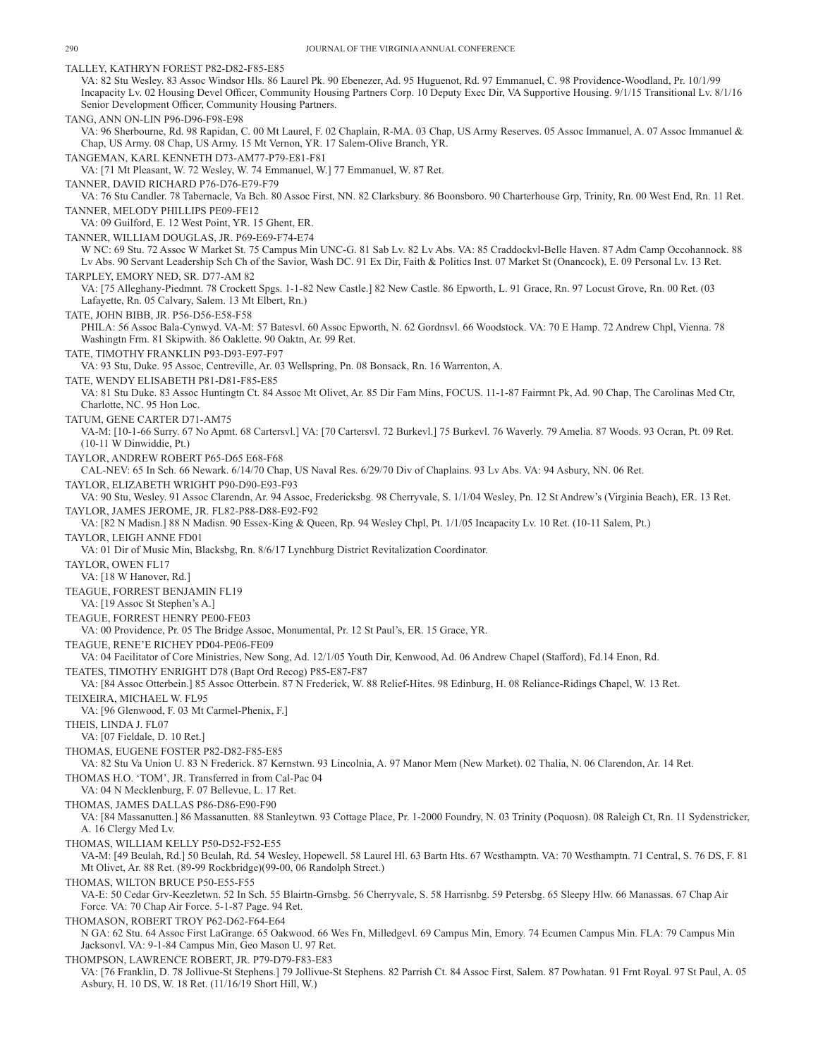TALLEY, KATHRYN FOREST P82-D82-F85-E85 VA: 82 Stu Wesley. 83 Assoc Windsor Hls. 86 Laurel Pk. 90 Ebenezer, Ad. 95 Huguenot, Rd. 97 Emmanuel, C. 98 Providence-Woodland, Pr. 10/1/99 Incapacity Lv. 02 Housing Devel Officer, Community Housing Partners Corp. 10 Deputy Exec Dir, VA Supportive Housing. 9/1/15 Transitional Lv. 8/1/16 Senior Development Officer, Community Housing Partners. TANG, ANN ON-LIN P96-D96-F98-E98 VA: 96 Sherbourne, Rd. 98 Rapidan, C. 00 Mt Laurel, F. 02 Chaplain, R-MA. 03 Chap, US Army Reserves. 05 Assoc Immanuel, A. 07 Assoc Immanuel & Chap, US Army. 08 Chap, US Army. 15 Mt Vernon, YR. 17 Salem-Olive Branch, YR. TANGEMAN, KARL KENNETH D73-AM77-P79-E81-F81 VA: [71 Mt Pleasant, W. 72 Wesley, W. 74 Emmanuel, W.] 77 Emmanuel, W. 87 Ret. TANNER, DAVID RICHARD P76-D76-E79-F79 VA: 76 Stu Candler. 78 Tabernacle, Va Bch. 80 Assoc First, NN. 82 Clarksbury. 86 Boonsboro. 90 Charterhouse Grp, Trinity, Rn. 00 West End, Rn. 11 Ret. TANNER, MELODY PHILLIPS PE09-FE12 VA: 09 Guilford, E. 12 West Point, YR. 15 Ghent, ER. TANNER, WILLIAM DOUGLAS, JR. P69-E69-F74-E74 W NC: 69 Stu. 72 Assoc W Market St. 75 Campus Min UNC-G. 81 Sab Lv. 82 Lv Abs. VA: 85 Craddockvl-Belle Haven. 87 Adm Camp Occohannock. 88 Lv Abs. 90 Servant Leadership Sch Ch of the Savior, Wash DC. 91 Ex Dir, Faith & Politics Inst. 07 Market St (Onancock), E. 09 Personal Lv. 13 Ret. TARPLEY, EMORY NED, SR. D77-AM 82 VA: [75 Alleghany-Piedmnt. 78 Crockett Spgs. 1-1-82 New Castle.] 82 New Castle. 86 Epworth, L. 91 Grace, Rn. 97 Locust Grove, Rn. 00 Ret. (03 Lafayette, Rn. 05 Calvary, Salem. 13 Mt Elbert, Rn.) TATE, JOHN BIBB, JR. P56-D56-E58-F58 PHILA: 56 Assoc Bala-Cynwyd. VA-M: 57 Batesvl. 60 Assoc Epworth, N. 62 Gordnsvl. 66 Woodstock. VA: 70 E Hamp. 72 Andrew Chpl, Vienna. 78 Washingtn Frm. 81 Skipwith. 86 Oaklette. 90 Oaktn, Ar. 99 Ret. TATE, TIMOTHY FRANKLIN P93-D93-E97-F97 VA: 93 Stu, Duke. 95 Assoc, Centreville, Ar. 03 Wellspring, Pn. 08 Bonsack, Rn. 16 Warrenton, A. TATE, WENDY ELISABETH P81-D81-F85-E85 VA: 81 Stu Duke. 83 Assoc Huntingtn Ct. 84 Assoc Mt Olivet, Ar. 85 Dir Fam Mins, FOCUS. 11-1-87 Fairmnt Pk, Ad. 90 Chap, The Carolinas Med Ctr, Charlotte, NC. 95 Hon Loc. TATUM, GENE CARTER D71-AM75 VA-M: [10-1-66 Surry. 67 No Apmt. 68 Cartersvl.] VA: [70 Cartersvl. 72 Burkevl.] 75 Burkevl. 76 Waverly. 79 Amelia. 87 Woods. 93 Ocran, Pt. 09 Ret. (10-11 W Dinwiddie, Pt.) TAYLOR, ANDREW ROBERT P65-D65 E68-F68 CAL-NEV: 65 In Sch. 66 Newark. 6/14/70 Chap, US Naval Res. 6/29/70 Div of Chaplains. 93 Lv Abs. VA: 94 Asbury, NN. 06 Ret. TAYLOR, ELIZABETH WRIGHT P90-D90-E93-F93 VA: 90 Stu, Wesley. 91 Assoc Clarendn, Ar. 94 Assoc, Fredericksbg. 98 Cherryvale, S. 1/1/04 Wesley, Pn. 12 St Andrew's (Virginia Beach), ER. 13 Ret. TAYLOR, JAMES JEROME, JR. FL82-P88-D88-E92-F92 VA: [82 N Madisn.] 88 N Madisn. 90 Essex-King & Queen, Rp. 94 Wesley Chpl, Pt. 1/1/05 Incapacity Lv. 10 Ret. (10-11 Salem, Pt.) TAYLOR, LEIGH ANNE FD01 VA: 01 Dir of Music Min, Blacksbg, Rn. 8/6/17 Lynchburg District Revitalization Coordinator. TAYLOR, OWEN FL17 VA: [18 W Hanover, Rd.] TEAGUE, FORREST BENJAMIN FL19 VA: [19 Assoc St Stephen's A.] TEAGUE, FORREST HENRY PE00-FE03 VA: 00 Providence, Pr. 05 The Bridge Assoc, Monumental, Pr. 12 St Paul's, ER. 15 Grace, YR. TEAGUE, RENE'E RICHEY PD04-PE06-FE09 VA: 04 Facilitator of Core Ministries, New Song, Ad. 12/1/05 Youth Dir, Kenwood, Ad. 06 Andrew Chapel (Stafford), Fd.14 Enon, Rd. TEATES, TIMOTHY ENRIGHT D78 (Bapt Ord Recog) P85-E87-F87 VA: [84 Assoc Otterbein.] 85 Assoc Otterbein. 87 N Frederick, W. 88 Relief-Hites. 98 Edinburg, H. 08 Reliance-Ridings Chapel, W. 13 Ret. TEIXEIRA, MICHAEL W. FL95 VA: [96 Glenwood, F. 03 Mt Carmel-Phenix, F.] THEIS, LINDA J. FL07 VA: [07 Fieldale, D. 10 Ret.] THOMAS, EUGENE FOSTER P82-D82-F85-E85 VA: 82 Stu Va Union U. 83 N Frederick. 87 Kernstwn. 93 Lincolnia, A. 97 Manor Mem (New Market). 02 Thalia, N. 06 Clarendon, Ar. 14 Ret. THOMAS H.O. 'TOM', JR. Transferred in from Cal-Pac 04 VA: 04 N Mecklenburg, F. 07 Bellevue, L. 17 Ret. THOMAS, JAMES DALLAS P86-D86-E90-F90 VA: [84 Massanutten.] 86 Massanutten. 88 Stanleytwn. 93 Cottage Place, Pr. 1-2000 Foundry, N. 03 Trinity (Poquosn). 08 Raleigh Ct, Rn. 11 Sydenstricker, A. 16 Clergy Med Lv. THOMAS, WILLIAM KELLY P50-D52-F52-E55 VA-M: [49 Beulah, Rd.] 50 Beulah, Rd. 54 Wesley, Hopewell. 58 Laurel Hl. 63 Bartn Hts. 67 Westhamptn. VA: 70 Westhamptn. 71 Central, S. 76 DS, F. 81 Mt Olivet, Ar. 88 Ret. (89-99 Rockbridge)(99-00, 06 Randolph Street.) THOMAS, WILTON BRUCE P50-E55-F55 VA-E: 50 Cedar Grv-Keezletwn. 52 In Sch. 55 Blairtn-Grnsbg. 56 Cherryvale, S. 58 Harrisnbg. 59 Petersbg. 65 Sleepy Hlw. 66 Manassas. 67 Chap Air Force. VA: 70 Chap Air Force. 5-1-87 Page. 94 Ret. THOMASON, ROBERT TROY P62-D62-F64-E64 N GA: 62 Stu. 64 Assoc First LaGrange. 65 Oakwood. 66 Wes Fn, Milledgevl. 69 Campus Min, Emory. 74 Ecumen Campus Min. FLA: 79 Campus Min Jacksonvl. VA: 9-1-84 Campus Min, Geo Mason U. 97 Ret. THOMPSON, LAWRENCE ROBERT, JR. P79-D79-F83-E83 VA: [76 Franklin, D. 78 Jollivue-St Stephens.] 79 Jollivue-St Stephens. 82 Parrish Ct. 84 Assoc First, Salem. 87 Powhatan. 91 Frnt Royal. 97 St Paul, A. 05 Asbury, H. 10 DS, W. 18 Ret. (11/16/19 Short Hill, W.)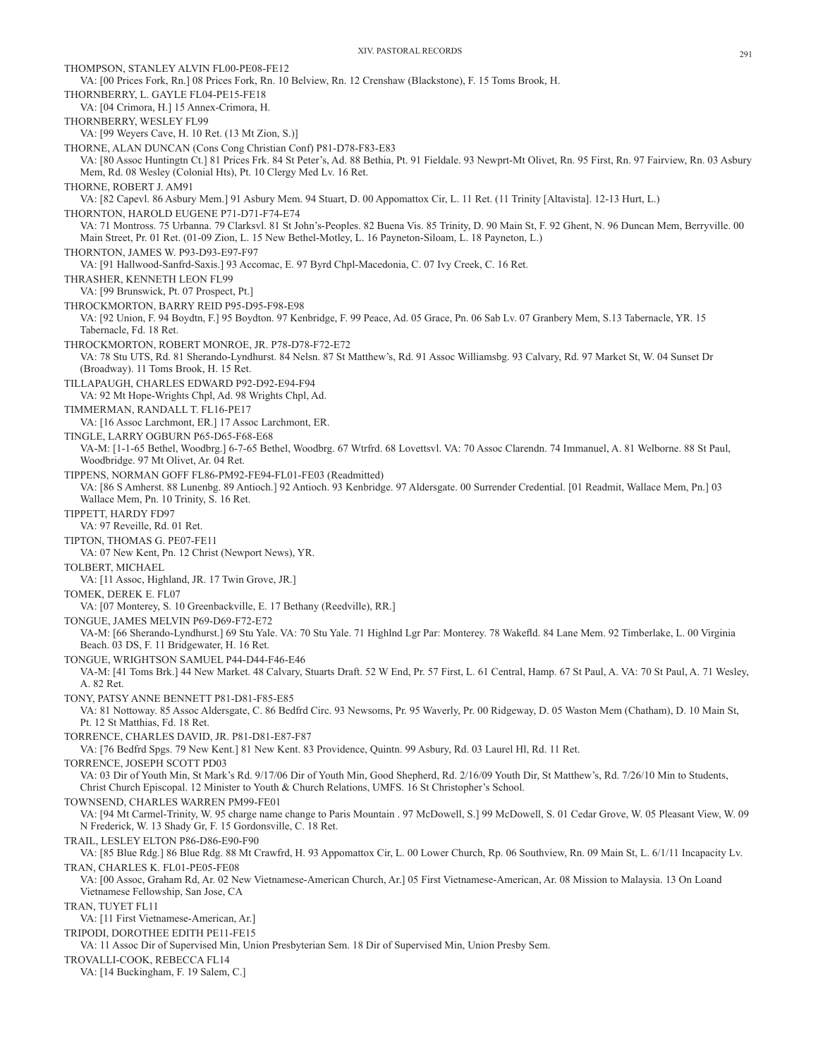THOMPSON, STANLEY ALVIN FL00-PE08-FE12 VA: [00 Prices Fork, Rn.] 08 Prices Fork, Rn. 10 Belview, Rn. 12 Crenshaw (Blackstone), F. 15 Toms Brook, H. THORNBERRY, L. GAYLE FL04-PE15-FE18 VA: [04 Crimora, H.] 15 Annex-Crimora, H. THORNBERRY, WESLEY FL99 VA: [99 Weyers Cave, H. 10 Ret. (13 Mt Zion, S.)] THORNE, ALAN DUNCAN (Cons Cong Christian Conf) P81-D78-F83-E83 VA: [80 Assoc Huntingtn Ct.] 81 Prices Frk. 84 St Peter's, Ad. 88 Bethia, Pt. 91 Fieldale. 93 Newprt-Mt Olivet, Rn. 95 First, Rn. 97 Fairview, Rn. 03 Asbury Mem, Rd. 08 Wesley (Colonial Hts), Pt. 10 Clergy Med Lv. 16 Ret. THORNE, ROBERT J. AM91 VA: [82 Capevl. 86 Asbury Mem.] 91 Asbury Mem. 94 Stuart, D. 00 Appomattox Cir, L. 11 Ret. (11 Trinity [Altavista]. 12-13 Hurt, L.) THORNTON, HAROLD EUGENE P71-D71-F74-E74 VA: 71 Montross. 75 Urbanna. 79 Clarksvl. 81 St John's-Peoples. 82 Buena Vis. 85 Trinity, D. 90 Main St, F. 92 Ghent, N. 96 Duncan Mem, Berryville. 00 Main Street, Pr. 01 Ret. (01-09 Zion, L. 15 New Bethel-Motley, L. 16 Payneton-Siloam, L. 18 Payneton, L.) THORNTON, JAMES W. P93-D93-E97-F97 VA: [91 Hallwood-Sanfrd-Saxis.] 93 Accomac, E. 97 Byrd Chpl-Macedonia, C. 07 Ivy Creek, C. 16 Ret. THRASHER, KENNETH LEON FL99 VA: [99 Brunswick, Pt. 07 Prospect, Pt.] THROCKMORTON, BARRY REID P95-D95-F98-E98 VA: [92 Union, F. 94 Boydtn, F.] 95 Boydton. 97 Kenbridge, F. 99 Peace, Ad. 05 Grace, Pn. 06 Sab Lv. 07 Granbery Mem, S.13 Tabernacle, YR. 15 Tabernacle, Fd. 18 Ret. THROCKMORTON, ROBERT MONROE, JR. P78-D78-F72-E72 VA: 78 Stu UTS, Rd. 81 Sherando-Lyndhurst. 84 Nelsn. 87 St Matthew's, Rd. 91 Assoc Williamsbg. 93 Calvary, Rd. 97 Market St, W. 04 Sunset Dr (Broadway). 11 Toms Brook, H. 15 Ret. TILLAPAUGH, CHARLES EDWARD P92-D92-E94-F94 VA: 92 Mt Hope-Wrights Chpl, Ad. 98 Wrights Chpl, Ad. TIMMERMAN, RANDALL T. FL16-PE17 VA: [16 Assoc Larchmont, ER.] 17 Assoc Larchmont, ER. TINGLE, LARRY OGBURN P65-D65-F68-E68 VA-M: [1-1-65 Bethel, Woodbrg.] 6-7-65 Bethel, Woodbrg. 67 Wtrfrd. 68 Lovettsvl. VA: 70 Assoc Clarendn. 74 Immanuel, A. 81 Welborne. 88 St Paul, Woodbridge. 97 Mt Olivet, Ar. 04 Ret. TIPPENS, NORMAN GOFF FL86-PM92-FE94-FL01-FE03 (Readmitted) VA: [86 S Amherst. 88 Lunenbg. 89 Antioch.] 92 Antioch. 93 Kenbridge. 97 Aldersgate. 00 Surrender Credential. [01 Readmit, Wallace Mem, Pn.] 03 Wallace Mem, Pn. 10 Trinity, S. 16 Ret. TIPPETT, HARDY FD97 VA: 97 Reveille, Rd. 01 Ret. TIPTON, THOMAS G. PE07-FE11 VA: 07 New Kent, Pn. 12 Christ (Newport News), YR. TOLBERT, MICHAEL VA: [11 Assoc, Highland, JR. 17 Twin Grove, JR.] TOMEK, DEREK E. FL07 VA: [07 Monterey, S. 10 Greenbackville, E. 17 Bethany (Reedville), RR.] TONGUE, JAMES MELVIN P69-D69-F72-E72 VA-M: [66 Sherando-Lyndhurst.] 69 Stu Yale. VA: 70 Stu Yale. 71 Highlnd Lgr Par: Monterey. 78 Wakefld. 84 Lane Mem. 92 Timberlake, L. 00 Virginia Beach. 03 DS, F. 11 Bridgewater, H. 16 Ret. TONGUE, WRIGHTSON SAMUEL P44-D44-F46-E46 VA-M: [41 Toms Brk.] 44 New Market. 48 Calvary, Stuarts Draft. 52 W End, Pr. 57 First, L. 61 Central, Hamp. 67 St Paul, A. VA: 70 St Paul, A. 71 Wesley, A. 82 Ret. TONY, PATSY ANNE BENNETT P81-D81-F85-E85 VA: 81 Nottoway. 85 Assoc Aldersgate, C. 86 Bedfrd Circ. 93 Newsoms, Pr. 95 Waverly, Pr. 00 Ridgeway, D. 05 Waston Mem (Chatham), D. 10 Main St, Pt. 12 St Matthias, Fd. 18 Ret. TORRENCE, CHARLES DAVID, JR. P81-D81-E87-F87 VA: [76 Bedfrd Spgs. 79 New Kent.] 81 New Kent. 83 Providence, Quintn. 99 Asbury, Rd. 03 Laurel Hl, Rd. 11 Ret. TORRENCE, JOSEPH SCOTT PD03 VA: 03 Dir of Youth Min, St Mark's Rd. 9/17/06 Dir of Youth Min, Good Shepherd, Rd. 2/16/09 Youth Dir, St Matthew's, Rd. 7/26/10 Min to Students, Christ Church Episcopal. 12 Minister to Youth & Church Relations, UMFS. 16 St Christopher's School. TOWNSEND, CHARLES WARREN PM99-FE01 VA: [94 Mt Carmel-Trinity, W. 95 charge name change to Paris Mountain . 97 McDowell, S.] 99 McDowell, S. 01 Cedar Grove, W. 05 Pleasant View, W. 09 N Frederick, W. 13 Shady Gr, F. 15 Gordonsville, C. 18 Ret. TRAIL, LESLEY ELTON P86-D86-E90-F90 VA: [85 Blue Rdg.] 86 Blue Rdg. 88 Mt Crawfrd, H. 93 Appomattox Cir, L. 00 Lower Church, Rp. 06 Southview, Rn. 09 Main St, L. 6/1/11 Incapacity Lv. TRAN, CHARLES K. FL01-PE05-FE08 VA: [00 Assoc, Graham Rd, Ar. 02 New Vietnamese-American Church, Ar.] 05 First Vietnamese-American, Ar. 08 Mission to Malaysia. 13 On Loand Vietnamese Fellowship, San Jose, CA TRAN, TUYET FL11 VA: [11 First Vietnamese-American, Ar.] TRIPODI, DOROTHEE EDITH PE11-FE15 VA: 11 Assoc Dir of Supervised Min, Union Presbyterian Sem. 18 Dir of Supervised Min, Union Presby Sem. TROVALLI-COOK, REBECCA FL14 VA: [14 Buckingham, F. 19 Salem, C.]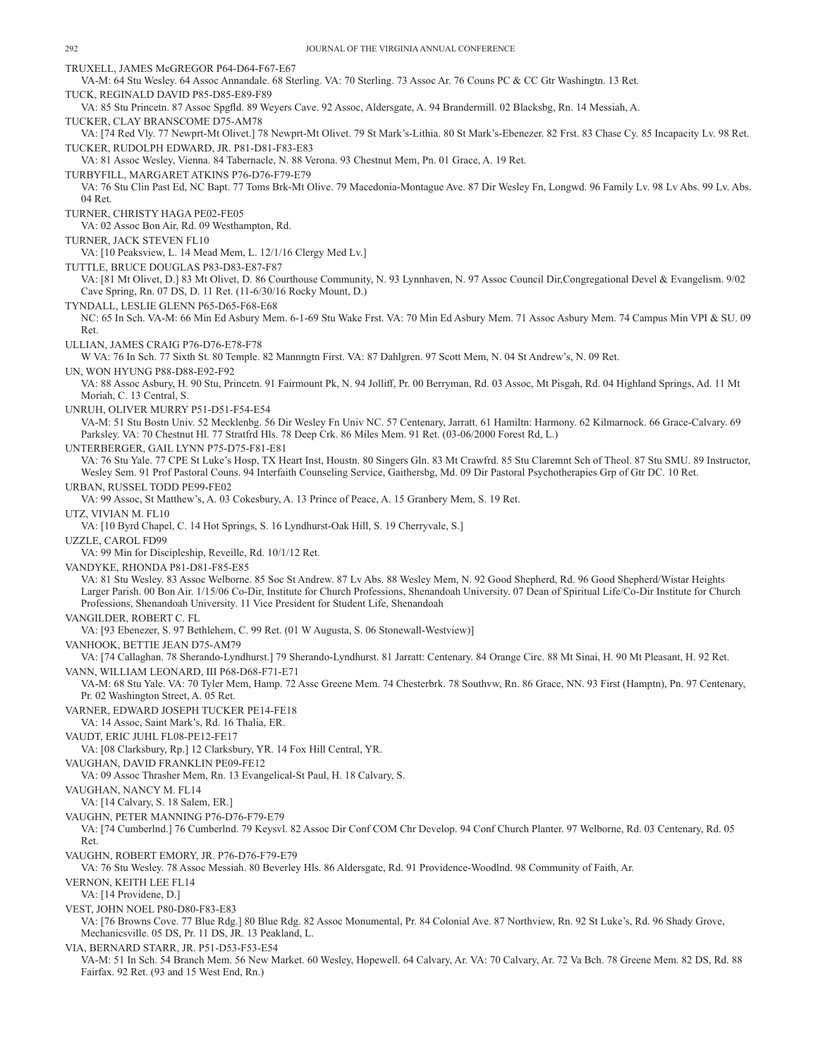TRUXELL, JAMES McGREGOR P64-D64-F67-E67 VA-M: 64 Stu Wesley. 64 Assoc Annandale. 68 Sterling. VA: 70 Sterling. 73 Assoc Ar. 76 Couns PC & CC Gtr Washingtn. 13 Ret. TUCK, REGINALD DAVID P85-D85-E89-F89 VA: 85 Stu Princetn. 87 Assoc Spgfld. 89 Weyers Cave. 92 Assoc, Aldersgate, A. 94 Brandermill. 02 Blacksbg, Rn. 14 Messiah, A. TUCKER, CLAY BRANSCOME D75-AM78 VA: [74 Red Vly. 77 Newprt-Mt Olivet.] 78 Newprt-Mt Olivet. 79 St Mark's-Lithia. 80 St Mark's-Ebenezer. 82 Frst. 83 Chase Cy. 85 Incapacity Lv. 98 Ret. TUCKER, RUDOLPH EDWARD, JR. P81-D81-F83-E83 VA: 81 Assoc Wesley, Vienna. 84 Tabernacle, N. 88 Verona. 93 Chestnut Mem, Pn. 01 Grace, A. 19 Ret. TURBYFILL, MARGARET ATKINS P76-D76-F79-E79 VA: 76 Stu Clin Past Ed, NC Bapt. 77 Toms Brk-Mt Olive. 79 Macedonia-Montague Ave. 87 Dir Wesley Fn, Longwd. 96 Family Lv. 98 Lv Abs. 99 Lv. Abs. 04 Ret. TURNER, CHRISTY HAGA PE02-FE05 VA: 02 Assoc Bon Air, Rd. 09 Westhampton, Rd. TURNER, JACK STEVEN FL10 VA: [10 Peaksview, L. 14 Mead Mem, L. 12/1/16 Clergy Med Lv.] TUTTLE, BRUCE DOUGLAS P83-D83-E87-F87 VA: [81 Mt Olivet, D.] 83 Mt Olivet, D. 86 Courthouse Community, N. 93 Lynnhaven, N. 97 Assoc Council Dir,Congregational Devel & Evangelism. 9/02 Cave Spring, Rn. 07 DS, D. 11 Ret. (11-6/30/16 Rocky Mount, D.) TYNDALL, LESLIE GLENN P65-D65-F68-E68 NC: 65 In Sch. VA-M: 66 Min Ed Asbury Mem. 6-1-69 Stu Wake Frst. VA: 70 Min Ed Asbury Mem. 71 Assoc Asbury Mem. 74 Campus Min VPI & SU. 09 Ret. ULLIAN, JAMES CRAIG P76-D76-E78-F78 W VA: 76 In Sch. 77 Sixth St. 80 Temple. 82 Mannngtn First. VA: 87 Dahlgren. 97 Scott Mem, N. 04 St Andrew's, N. 09 Ret. UN, WON HYUNG P88-D88-E92-F92 VA: 88 Assoc Asbury, H. 90 Stu, Princetn. 91 Fairmount Pk, N. 94 Jolliff, Pr. 00 Berryman, Rd. 03 Assoc, Mt Pisgah, Rd. 04 Highland Springs, Ad. 11 Mt Moriah, C. 13 Central, S. UNRUH, OLIVER MURRY P51-D51-F54-E54 VA-M: 51 Stu Bostn Univ. 52 Mecklenbg. 56 Dir Wesley Fn Univ NC. 57 Centenary, Jarratt. 61 Hamiltn: Harmony. 62 Kilmarnock. 66 Grace-Calvary. 69 Parksley. VA: 70 Chestnut Hl. 77 Stratfrd Hls. 78 Deep Crk. 86 Miles Mem. 91 Ret. (03-06/2000 Forest Rd, L.) UNTERBERGER, GAIL LYNN P75-D75-F81-E81 VA: 76 Stu Yale. 77 CPE St Luke's Hosp, TX Heart Inst, Houstn. 80 Singers Gln. 83 Mt Crawfrd. 85 Stu Claremnt Sch of Theol. 87 Stu SMU. 89 Instructor, Wesley Sem. 91 Prof Pastoral Couns. 94 Interfaith Counseling Service, Gaithersbg, Md. 09 Dir Pastoral Psychotherapies Grp of Gtr DC. 10 Ret. URBAN, RUSSEL TODD PE99-FE02 VA: 99 Assoc, St Matthew's, A. 03 Cokesbury, A. 13 Prince of Peace, A. 15 Granbery Mem, S. 19 Ret. UTZ, VIVIAN M. FL10 VA: [10 Byrd Chapel, C. 14 Hot Springs, S. 16 Lyndhurst-Oak Hill, S. 19 Cherryvale, S.] UZZLE, CAROL FD99 VA: 99 Min for Discipleship, Reveille, Rd. 10/1/12 Ret. VANDYKE, RHONDA P81-D81-F85-E85 VA: 81 Stu Wesley. 83 Assoc Welborne. 85 Soc St Andrew. 87 Lv Abs. 88 Wesley Mem, N. 92 Good Shepherd, Rd. 96 Good Shepherd/Wistar Heights Larger Parish. 00 Bon Air. 1/15/06 Co-Dir, Institute for Church Professions, Shenandoah University. 07 Dean of Spiritual Life/Co-Dir Institute for Church Professions, Shenandoah University. 11 Vice President for Student Life, Shenandoah VANGILDER, ROBERT C. FL VA: [93 Ebenezer, S. 97 Bethlehem, C. 99 Ret. (01 W Augusta, S. 06 Stonewall-Westview)] VANHOOK, BETTIE JEAN D75-AM79 VA: [74 Callaghan. 78 Sherando-Lyndhurst.] 79 Sherando-Lyndhurst. 81 Jarratt: Centenary. 84 Orange Circ. 88 Mt Sinai, H. 90 Mt Pleasant, H. 92 Ret. VANN, WILLIAM LEONARD, III P68-D68-F71-E71 VA-M: 68 Stu Yale. VA: 70 Tyler Mem, Hamp. 72 Assc Greene Mem. 74 Chesterbrk. 78 Southvw, Rn. 86 Grace, NN. 93 First (Hamptn), Pn. 97 Centenary, Pr. 02 Washington Street, A. 05 Ret. VARNER, EDWARD JOSEPH TUCKER PE14-FE18 VA: 14 Assoc, Saint Mark's, Rd. 16 Thalia, ER. VAUDT, ERIC JUHL FL08-PE12-FE17 VA: [08 Clarksbury, Rp.] 12 Clarksbury, YR. 14 Fox Hill Central, YR. VAUGHAN, DAVID FRANKLIN PE09-FE12 VA: 09 Assoc Thrasher Mem, Rn. 13 Evangelical-St Paul, H. 18 Calvary, S. VAUGHAN, NANCY M. FL14 VA: [14 Calvary, S. 18 Salem, ER.] VAUGHN, PETER MANNING P76-D76-F79-E79 VA: [74 Cumberlnd.] 76 Cumberlnd. 79 Keysvl. 82 Assoc Dir Conf COM Chr Develop. 94 Conf Church Planter. 97 Welborne, Rd. 03 Centenary, Rd. 05 Ret. VAUGHN, ROBERT EMORY, JR. P76-D76-F79-E79 VA: 76 Stu Wesley. 78 Assoc Messiah. 80 Beverley Hls. 86 Aldersgate, Rd. 91 Providence-Woodlnd. 98 Community of Faith, Ar. VERNON, KEITH LEE FL14 VA: [14 Providene, D.] VEST, JOHN NOEL P80-D80-F83-E83 VA: [76 Browns Cove. 77 Blue Rdg.] 80 Blue Rdg. 82 Assoc Monumental, Pr. 84 Colonial Ave. 87 Northview, Rn. 92 St Luke's, Rd. 96 Shady Grove, Mechanicsville. 05 DS, Pr. 11 DS, JR. 13 Peakland, L. VIA, BERNARD STARR, JR. P51-D53-F53-E54 VA-M: 51 In Sch. 54 Branch Mem. 56 New Market. 60 Wesley, Hopewell. 64 Calvary, Ar. VA: 70 Calvary, Ar. 72 Va Bch. 78 Greene Mem. 82 DS, Rd. 88 Fairfax. 92 Ret. (93 and 15 West End, Rn.)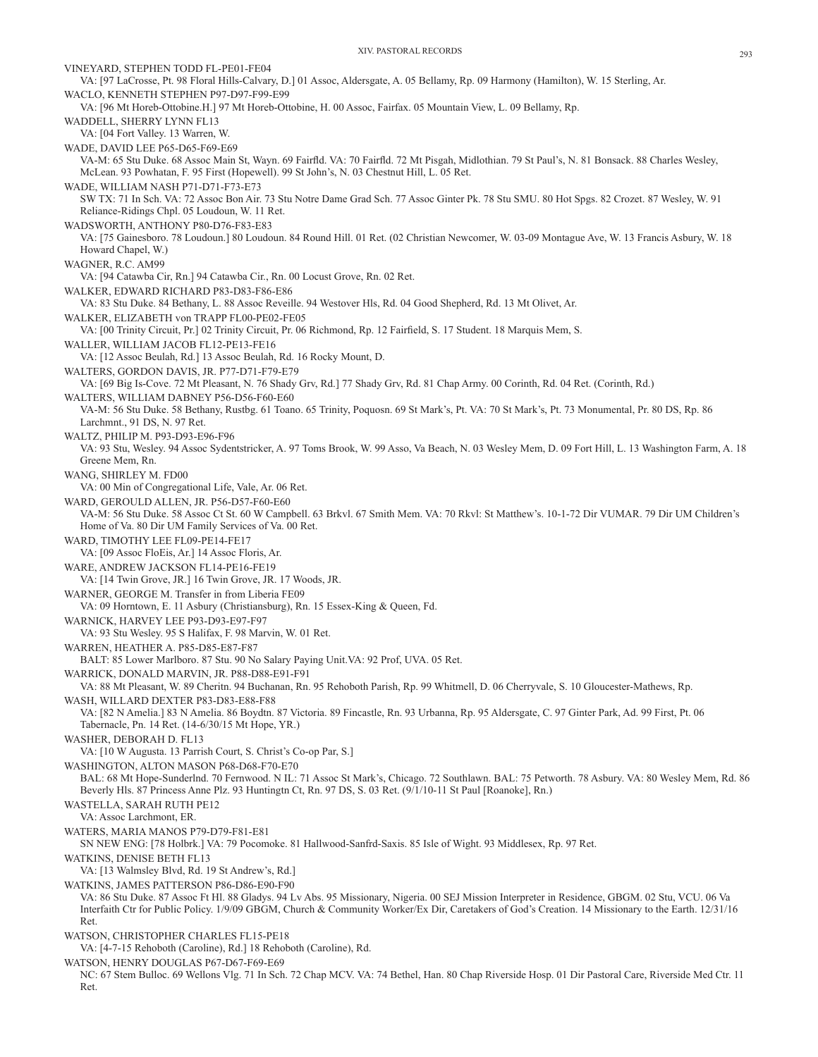VINEYARD, STEPHEN TODD FL-PE01-FE04 VA: [97 LaCrosse, Pt. 98 Floral Hills-Calvary, D.] 01 Assoc, Aldersgate, A. 05 Bellamy, Rp. 09 Harmony (Hamilton), W. 15 Sterling, Ar. WACLO, KENNETH STEPHEN P97-D97-F99-E99 VA: [96 Mt Horeb-Ottobine.H.] 97 Mt Horeb-Ottobine, H. 00 Assoc, Fairfax. 05 Mountain View, L. 09 Bellamy, Rp. WADDELL, SHERRY LYNN FL13 VA: [04 Fort Valley. 13 Warren, W. WADE, DAVID LEE P65-D65-F69-E69 VA-M: 65 Stu Duke. 68 Assoc Main St, Wayn. 69 Fairfld. VA: 70 Fairfld. 72 Mt Pisgah, Midlothian. 79 St Paul's, N. 81 Bonsack. 88 Charles Wesley, McLean. 93 Powhatan, F. 95 First (Hopewell). 99 St John's, N. 03 Chestnut Hill, L. 05 Ret. WADE, WILLIAM NASH P71-D71-F73-E73 SW TX: 71 In Sch. VA: 72 Assoc Bon Air. 73 Stu Notre Dame Grad Sch. 77 Assoc Ginter Pk. 78 Stu SMU. 80 Hot Spgs. 82 Crozet. 87 Wesley, W. 91 Reliance-Ridings Chpl. 05 Loudoun, W. 11 Ret. WADSWORTH, ANTHONY P80-D76-F83-E83 VA: [75 Gainesboro. 78 Loudoun.] 80 Loudoun. 84 Round Hill. 01 Ret. (02 Christian Newcomer, W. 03-09 Montague Ave, W. 13 Francis Asbury, W. 18 Howard Chapel, W.) WAGNER, R.C. AM99 VA: [94 Catawba Cir, Rn.] 94 Catawba Cir., Rn. 00 Locust Grove, Rn. 02 Ret. WALKER, EDWARD RICHARD P83-D83-F86-E86 VA: 83 Stu Duke. 84 Bethany, L. 88 Assoc Reveille. 94 Westover Hls, Rd. 04 Good Shepherd, Rd. 13 Mt Olivet, Ar. WALKER, ELIZABETH von TRAPP FL00-PE02-FE05 VA: [00 Trinity Circuit, Pr.] 02 Trinity Circuit, Pr. 06 Richmond, Rp. 12 Fairfield, S. 17 Student. 18 Marquis Mem, S. WALLER, WILLIAM JACOB FL12-PE13-FE16 VA: [12 Assoc Beulah, Rd.] 13 Assoc Beulah, Rd. 16 Rocky Mount, D. WALTERS, GORDON DAVIS, JR. P77-D71-F79-E79 VA: [69 Big Is-Cove. 72 Mt Pleasant, N. 76 Shady Grv, Rd.] 77 Shady Grv, Rd. 81 Chap Army. 00 Corinth, Rd. 04 Ret. (Corinth, Rd.) WALTERS, WILLIAM DABNEY P56-D56-F60-E60 VA-M: 56 Stu Duke. 58 Bethany, Rustbg. 61 Toano. 65 Trinity, Poquosn. 69 St Mark's, Pt. VA: 70 St Mark's, Pt. 73 Monumental, Pr. 80 DS, Rp. 86 Larchmnt., 91 DS, N. 97 Ret. WALTZ, PHILIP M. P93-D93-E96-F96 VA: 93 Stu, Wesley. 94 Assoc Sydentstricker, A. 97 Toms Brook, W. 99 Asso, Va Beach, N. 03 Wesley Mem, D. 09 Fort Hill, L. 13 Washington Farm, A. 18 Greene Mem, Rn. WANG, SHIRLEY M. FD00 VA: 00 Min of Congregational Life, Vale, Ar. 06 Ret. WARD, GEROULD ALLEN, JR. P56-D57-F60-E60 VA-M: 56 Stu Duke. 58 Assoc Ct St. 60 W Campbell. 63 Brkvl. 67 Smith Mem. VA: 70 Rkvl: St Matthew's. 10-1-72 Dir VUMAR. 79 Dir UM Children's Home of Va. 80 Dir UM Family Services of Va. 00 Ret. WARD, TIMOTHY LEE FL09-PE14-FE17 VA: [09 Assoc FloEis, Ar.] 14 Assoc Floris, Ar. WARE, ANDREW JACKSON FL14-PE16-FE19 VA: [14 Twin Grove, JR.] 16 Twin Grove, JR. 17 Woods, JR. WARNER, GEORGE M. Transfer in from Liberia FE09 VA: 09 Horntown, E. 11 Asbury (Christiansburg), Rn. 15 Essex-King & Queen, Fd. WARNICK, HARVEY LEE P93-D93-E97-F97 VA: 93 Stu Wesley. 95 S Halifax, F. 98 Marvin, W. 01 Ret. WARREN, HEATHER A. P85-D85-E87-F87 BALT: 85 Lower Marlboro. 87 Stu. 90 No Salary Paying Unit.VA: 92 Prof, UVA. 05 Ret. WARRICK, DONALD MARVIN, JR. P88-D88-E91-F91 VA: 88 Mt Pleasant, W. 89 Cheritn. 94 Buchanan, Rn. 95 Rehoboth Parish, Rp. 99 Whitmell, D. 06 Cherryvale, S. 10 Gloucester-Mathews, Rp. WASH, WILLARD DEXTER P83-D83-E88-F88 VA: [82 N Amelia.] 83 N Amelia. 86 Boydtn. 87 Victoria. 89 Fincastle, Rn. 93 Urbanna, Rp. 95 Aldersgate, C. 97 Ginter Park, Ad. 99 First, Pt. 06 Tabernacle, Pn. 14 Ret. (14-6/30/15 Mt Hope, YR.) WASHER, DEBORAH D. FL13 VA: [10 W Augusta. 13 Parrish Court, S. Christ's Co-op Par, S.] WASHINGTON, ALTON MASON P68-D68-F70-E70 BAL: 68 Mt Hope-Sunderlnd. 70 Fernwood. N IL: 71 Assoc St Mark's, Chicago. 72 Southlawn. BAL: 75 Petworth. 78 Asbury. VA: 80 Wesley Mem, Rd. 86 Beverly Hls. 87 Princess Anne Plz. 93 Huntingtn Ct, Rn. 97 DS, S. 03 Ret. (9/1/10-11 St Paul [Roanoke], Rn.) WASTELLA, SARAH RUTH PE12 VA: Assoc Larchmont, ER. WATERS, MARIA MANOS P79-D79-F81-E81 SN NEW ENG: [78 Holbrk.] VA: 79 Pocomoke. 81 Hallwood-Sanfrd-Saxis. 85 Isle of Wight. 93 Middlesex, Rp. 97 Ret. WATKINS, DENISE BETH FL13 VA: [13 Walmsley Blvd, Rd. 19 St Andrew's, Rd.] WATKINS, JAMES PATTERSON P86-D86-E90-F90 VA: 86 Stu Duke. 87 Assoc Ft Hl. 88 Gladys. 94 Lv Abs. 95 Missionary, Nigeria. 00 SEJ Mission Interpreter in Residence, GBGM. 02 Stu, VCU. 06 Va Interfaith Ctr for Public Policy. 1/9/09 GBGM, Church & Community Worker/Ex Dir, Caretakers of God's Creation. 14 Missionary to the Earth. 12/31/16 Ret. WATSON, CHRISTOPHER CHARLES FL15-PE18 VA: [4-7-15 Rehoboth (Caroline), Rd.] 18 Rehoboth (Caroline), Rd. WATSON, HENRY DOUGLAS P67-D67-F69-E69

NC: 67 Stem Bulloc. 69 Wellons Vlg. 71 In Sch. 72 Chap MCV. VA: 74 Bethel, Han. 80 Chap Riverside Hosp. 01 Dir Pastoral Care, Riverside Med Ctr. 11 Ret.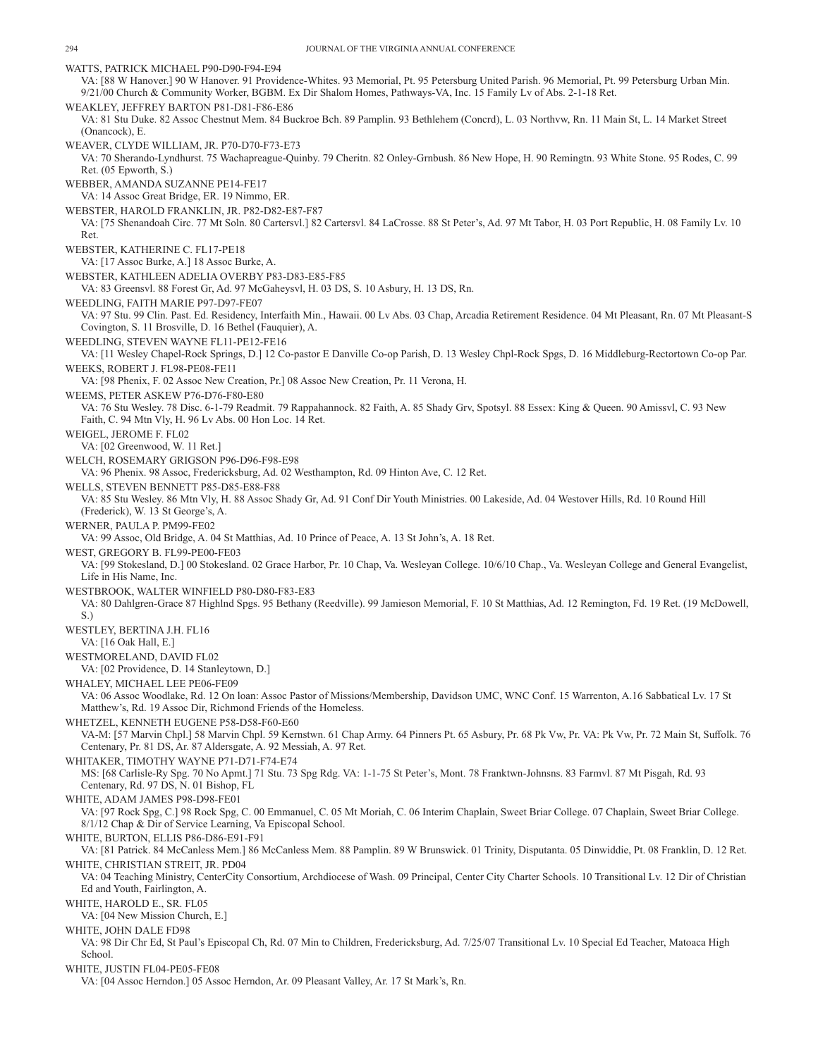WATTS, PATRICK MICHAEL P90-D90-F94-E94 VA: [88 W Hanover.] 90 W Hanover. 91 Providence-Whites. 93 Memorial, Pt. 95 Petersburg United Parish. 96 Memorial, Pt. 99 Petersburg Urban Min. 9/21/00 Church & Community Worker, BGBM. Ex Dir Shalom Homes, Pathways-VA, Inc. 15 Family Lv of Abs. 2-1-18 Ret. WEAKLEY, JEFFREY BARTON P81-D81-F86-E86 VA: 81 Stu Duke. 82 Assoc Chestnut Mem. 84 Buckroe Bch. 89 Pamplin. 93 Bethlehem (Concrd), L. 03 Northvw, Rn. 11 Main St, L. 14 Market Street (Onancock), E. WEAVER, CLYDE WILLIAM, JR. P70-D70-F73-E73 VA: 70 Sherando-Lyndhurst. 75 Wachapreague-Quinby. 79 Cheritn. 82 Onley-Grnbush. 86 New Hope, H. 90 Remingtn. 93 White Stone. 95 Rodes, C. 99 Ret. (05 Epworth, S.) WEBBER, AMANDA SUZANNE PE14-FE17 VA: 14 Assoc Great Bridge, ER. 19 Nimmo, ER. WEBSTER, HAROLD FRANKLIN, JR. P82-D82-E87-F87 VA: [75 Shenandoah Circ. 77 Mt Soln. 80 Cartersvl.] 82 Cartersvl. 84 LaCrosse. 88 St Peter's, Ad. 97 Mt Tabor, H. 03 Port Republic, H. 08 Family Lv. 10 Ret. WEBSTER, KATHERINE C. FL17-PE18 VA: [17 Assoc Burke, A.] 18 Assoc Burke, A. WEBSTER, KATHLEEN ADELIA OVERBY P83-D83-E85-F85 VA: 83 Greensvl. 88 Forest Gr, Ad. 97 McGaheysvl, H. 03 DS, S. 10 Asbury, H. 13 DS, Rn. WEEDLING, FAITH MARIE P97-D97-FE07 VA: 97 Stu. 99 Clin. Past. Ed. Residency, Interfaith Min., Hawaii. 00 Lv Abs. 03 Chap, Arcadia Retirement Residence. 04 Mt Pleasant, Rn. 07 Mt Pleasant-S Covington, S. 11 Brosville, D. 16 Bethel (Fauquier), A. WEEDLING, STEVEN WAYNE FL11-PE12-FE16 VA: [11 Wesley Chapel-Rock Springs, D.] 12 Co-pastor E Danville Co-op Parish, D. 13 Wesley Chpl-Rock Spgs, D. 16 Middleburg-Rectortown Co-op Par. WEEKS, ROBERT J. FL98-PE08-FE11 VA: [98 Phenix, F. 02 Assoc New Creation, Pr.] 08 Assoc New Creation, Pr. 11 Verona, H. WEEMS, PETER ASKEW P76-D76-F80-E80 VA: 76 Stu Wesley. 78 Disc. 6-1-79 Readmit. 79 Rappahannock. 82 Faith, A. 85 Shady Grv, Spotsyl. 88 Essex: King & Queen. 90 Amissvl, C. 93 New Faith, C. 94 Mtn Vly, H. 96 Lv Abs. 00 Hon Loc. 14 Ret. WEIGEL, JEROME F. FL02 VA: [02 Greenwood, W. 11 Ret.] WELCH, ROSEMARY GRIGSON P96-D96-F98-E98 VA: 96 Phenix. 98 Assoc, Fredericksburg, Ad. 02 Westhampton, Rd. 09 Hinton Ave, C. 12 Ret. WELLS, STEVEN BENNETT P85-D85-E88-F88 VA: 85 Stu Wesley. 86 Mtn Vly, H. 88 Assoc Shady Gr, Ad. 91 Conf Dir Youth Ministries. 00 Lakeside, Ad. 04 Westover Hills, Rd. 10 Round Hill (Frederick), W. 13 St George's, A. WERNER, PAULA P. PM99-FE02 VA: 99 Assoc, Old Bridge, A. 04 St Matthias, Ad. 10 Prince of Peace, A. 13 St John's, A. 18 Ret. WEST, GREGORY B. FL99-PE00-FE03 VA: [99 Stokesland, D.] 00 Stokesland. 02 Grace Harbor, Pr. 10 Chap, Va. Wesleyan College. 10/6/10 Chap., Va. Wesleyan College and General Evangelist, Life in His Name, Inc. WESTBROOK, WALTER WINFIELD P80-D80-F83-E83 VA: 80 Dahlgren-Grace 87 Highlnd Spgs. 95 Bethany (Reedville). 99 Jamieson Memorial, F. 10 St Matthias, Ad. 12 Remington, Fd. 19 Ret. (19 McDowell, S.) WESTLEY, BERTINA J.H. FL16 VA: [16 Oak Hall, E.] WESTMORELAND, DAVID FL02 VA: [02 Providence, D. 14 Stanleytown, D.] WHALEY, MICHAEL LEE PE06-FE09 VA: 06 Assoc Woodlake, Rd. 12 On loan: Assoc Pastor of Missions/Membership, Davidson UMC, WNC Conf. 15 Warrenton, A.16 Sabbatical Lv. 17 St Matthew's, Rd. 19 Assoc Dir, Richmond Friends of the Homeless. WHETZEL, KENNETH EUGENE P58-D58-F60-E60 VA-M: [57 Marvin Chpl.] 58 Marvin Chpl. 59 Kernstwn. 61 Chap Army. 64 Pinners Pt. 65 Asbury, Pr. 68 Pk Vw, Pr. VA: Pk Vw, Pr. 72 Main St, Suffolk. 76 Centenary, Pr. 81 DS, Ar. 87 Aldersgate, A. 92 Messiah, A. 97 Ret. WHITAKER, TIMOTHY WAYNE P71-D71-F74-E74 MS: [68 Carlisle-Ry Spg. 70 No Apmt.] 71 Stu. 73 Spg Rdg. VA: 1-1-75 St Peter's, Mont. 78 Franktwn-Johnsns. 83 Farmvl. 87 Mt Pisgah, Rd. 93 Centenary, Rd. 97 DS, N. 01 Bishop, FL WHITE, ADAM JAMES P98-D98-FE01 VA: [97 Rock Spg, C.] 98 Rock Spg, C. 00 Emmanuel, C. 05 Mt Moriah, C. 06 Interim Chaplain, Sweet Briar College. 07 Chaplain, Sweet Briar College. 8/1/12 Chap & Dir of Service Learning, Va Episcopal School. WHITE, BURTON, ELLIS P86-D86-E91-F91 VA: [81 Patrick. 84 McCanless Mem.] 86 McCanless Mem. 88 Pamplin. 89 W Brunswick. 01 Trinity, Disputanta. 05 Dinwiddie, Pt. 08 Franklin, D. 12 Ret. WHITE, CHRISTIAN STREIT, JR. PD04 VA: 04 Teaching Ministry, CenterCity Consortium, Archdiocese of Wash. 09 Principal, Center City Charter Schools. 10 Transitional Lv. 12 Dir of Christian Ed and Youth, Fairlington, A. WHITE, HAROLD E., SR. FL05 VA: [04 New Mission Church, E.] WHITE, JOHN DALE FD98 VA: 98 Dir Chr Ed, St Paul's Episcopal Ch, Rd. 07 Min to Children, Fredericksburg, Ad. 7/25/07 Transitional Lv. 10 Special Ed Teacher, Matoaca High School. WHITE, JUSTIN FL04-PE05-FE08

VA: [04 Assoc Herndon.] 05 Assoc Herndon, Ar. 09 Pleasant Valley, Ar. 17 St Mark's, Rn.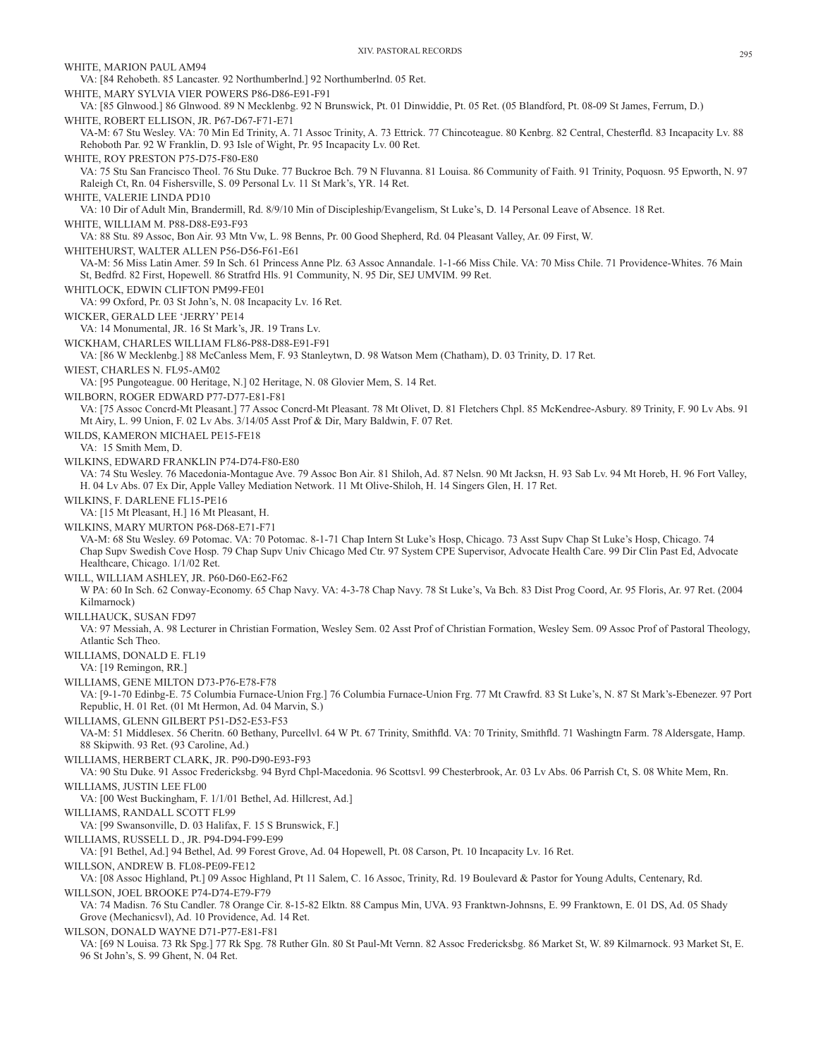WHITE, MARION PAUL AM94 VA: [84 Rehobeth. 85 Lancaster. 92 Northumberlnd.] 92 Northumberlnd. 05 Ret. WHITE, MARY SYLVIA VIER POWERS P86-D86-E91-F91 VA: [85 Glnwood.] 86 Glnwood. 89 N Mecklenbg. 92 N Brunswick, Pt. 01 Dinwiddie, Pt. 05 Ret. (05 Blandford, Pt. 08-09 St James, Ferrum, D.) WHITE, ROBERT ELLISON, JR. P67-D67-F71-E71 VA-M: 67 Stu Wesley. VA: 70 Min Ed Trinity, A. 71 Assoc Trinity, A. 73 Ettrick. 77 Chincoteague. 80 Kenbrg. 82 Central, Chesterfld. 83 Incapacity Lv. 88 Rehoboth Par. 92 W Franklin, D. 93 Isle of Wight, Pr. 95 Incapacity Lv. 00 Ret. WHITE, ROY PRESTON P75-D75-F80-E80 VA: 75 Stu San Francisco Theol. 76 Stu Duke. 77 Buckroe Bch. 79 N Fluvanna. 81 Louisa. 86 Community of Faith. 91 Trinity, Poquosn. 95 Epworth, N. 97 Raleigh Ct, Rn. 04 Fishersville, S. 09 Personal Lv. 11 St Mark's, YR. 14 Ret. WHITE, VALERIE LINDA PD10 VA: 10 Dir of Adult Min, Brandermill, Rd. 8/9/10 Min of Discipleship/Evangelism, St Luke's, D. 14 Personal Leave of Absence. 18 Ret. WHITE, WILLIAM M. P88-D88-E93-F93 VA: 88 Stu. 89 Assoc, Bon Air. 93 Mtn Vw, L. 98 Benns, Pr. 00 Good Shepherd, Rd. 04 Pleasant Valley, Ar. 09 First, W. WHITEHURST, WALTER ALLEN P56-D56-F61-E61 VA-M: 56 Miss Latin Amer. 59 In Sch. 61 Princess Anne Plz. 63 Assoc Annandale. 1-1-66 Miss Chile. VA: 70 Miss Chile. 71 Providence-Whites. 76 Main St, Bedfrd. 82 First, Hopewell. 86 Stratfrd Hls. 91 Community, N. 95 Dir, SEJ UMVIM. 99 Ret. WHITLOCK, EDWIN CLIFTON PM99-FE01 VA: 99 Oxford, Pr. 03 St John's, N. 08 Incapacity Lv. 16 Ret. WICKER, GERALD LEE 'JERRY' PE14 VA: 14 Monumental, JR. 16 St Mark's, JR. 19 Trans Lv. WICKHAM, CHARLES WILLIAM FL86-P88-D88-E91-F91 VA: [86 W Mecklenbg.] 88 McCanless Mem, F. 93 Stanleytwn, D. 98 Watson Mem (Chatham), D. 03 Trinity, D. 17 Ret. WIEST, CHARLES N. FL95-AM02 VA: [95 Pungoteague. 00 Heritage, N.] 02 Heritage, N. 08 Glovier Mem, S. 14 Ret. WILBORN, ROGER EDWARD P77-D77-E81-F81 VA: [75 Assoc Concrd-Mt Pleasant.] 77 Assoc Concrd-Mt Pleasant. 78 Mt Olivet, D. 81 Fletchers Chpl. 85 McKendree-Asbury. 89 Trinity, F. 90 Lv Abs. 91 Mt Airy, L. 99 Union, F. 02 Lv Abs. 3/14/05 Asst Prof & Dir, Mary Baldwin, F. 07 Ret. WILDS, KAMERON MICHAEL PE15-FE18 VA: 15 Smith Mem, D. WILKINS, EDWARD FRANKLIN P74-D74-F80-E80 VA: 74 Stu Wesley. 76 Macedonia-Montague Ave. 79 Assoc Bon Air. 81 Shiloh, Ad. 87 Nelsn. 90 Mt Jacksn, H. 93 Sab Lv. 94 Mt Horeb, H. 96 Fort Valley, H. 04 Lv Abs. 07 Ex Dir, Apple Valley Mediation Network. 11 Mt Olive-Shiloh, H. 14 Singers Glen, H. 17 Ret. WILKINS, F. DARLENE FL15-PE16 VA: [15 Mt Pleasant, H.] 16 Mt Pleasant, H. WILKINS, MARY MURTON P68-D68-E71-F71 VA-M: 68 Stu Wesley. 69 Potomac. VA: 70 Potomac. 8-1-71 Chap Intern St Luke's Hosp, Chicago. 73 Asst Supv Chap St Luke's Hosp, Chicago. 74 Chap Supv Swedish Cove Hosp. 79 Chap Supv Univ Chicago Med Ctr. 97 System CPE Supervisor, Advocate Health Care. 99 Dir Clin Past Ed, Advocate Healthcare, Chicago. 1/1/02 Ret. WILL, WILLIAM ASHLEY, JR. P60-D60-E62-F62 W PA: 60 In Sch. 62 Conway-Economy. 65 Chap Navy. VA: 4-3-78 Chap Navy. 78 St Luke's, Va Bch. 83 Dist Prog Coord, Ar. 95 Floris, Ar. 97 Ret. (2004 Kilmarnock) WILLHAUCK, SUSAN FD97 VA: 97 Messiah, A. 98 Lecturer in Christian Formation, Wesley Sem. 02 Asst Prof of Christian Formation, Wesley Sem. 09 Assoc Prof of Pastoral Theology, Atlantic Sch Theo. WILLIAMS, DONALD E. FL19 VA: [19 Remingon, RR.] WILLIAMS, GENE MILTON D73-P76-E78-F78 VA: [9-1-70 Edinbg-E. 75 Columbia Furnace-Union Frg.] 76 Columbia Furnace-Union Frg. 77 Mt Crawfrd. 83 St Luke's, N. 87 St Mark's-Ebenezer. 97 Port Republic, H. 01 Ret. (01 Mt Hermon, Ad. 04 Marvin, S.) WILLIAMS, GLENN GILBERT P51-D52-E53-F53 VA-M: 51 Middlesex. 56 Cheritn. 60 Bethany, Purcellvl. 64 W Pt. 67 Trinity, Smithfld. VA: 70 Trinity, Smithfld. 71 Washingtn Farm. 78 Aldersgate, Hamp. 88 Skipwith. 93 Ret. (93 Caroline, Ad.) WILLIAMS, HERBERT CLARK, JR. P90-D90-E93-F93 VA: 90 Stu Duke. 91 Assoc Fredericksbg. 94 Byrd Chpl-Macedonia. 96 Scottsvl. 99 Chesterbrook, Ar. 03 Lv Abs. 06 Parrish Ct, S. 08 White Mem, Rn. WILLIAMS, JUSTIN LEE FL00 VA: [00 West Buckingham, F. 1/1/01 Bethel, Ad. Hillcrest, Ad.] WILLIAMS, RANDALL SCOTT FL99 VA: [99 Swansonville, D. 03 Halifax, F. 15 S Brunswick, F.] WILLIAMS, RUSSELL D., JR. P94-D94-F99-E99 VA: [91 Bethel, Ad.] 94 Bethel, Ad. 99 Forest Grove, Ad. 04 Hopewell, Pt. 08 Carson, Pt. 10 Incapacity Lv. 16 Ret. WILLSON, ANDREW B. FL08-PE09-FE12 VA: [08 Assoc Highland, Pt.] 09 Assoc Highland, Pt 11 Salem, C. 16 Assoc, Trinity, Rd. 19 Boulevard & Pastor for Young Adults, Centenary, Rd. WILLSON, JOEL BROOKE P74-D74-E79-F79 VA: 74 Madisn. 76 Stu Candler. 78 Orange Cir. 8-15-82 Elktn. 88 Campus Min, UVA. 93 Franktwn-Johnsns, E. 99 Franktown, E. 01 DS, Ad. 05 Shady Grove (Mechanicsvl), Ad. 10 Providence, Ad. 14 Ret. WILSON, DONALD WAYNE D71-P77-E81-F81 VA: [69 N Louisa. 73 Rk Spg.] 77 Rk Spg. 78 Ruther Gln. 80 St Paul-Mt Vernn. 82 Assoc Fredericksbg. 86 Market St, W. 89 Kilmarnock. 93 Market St, E. 96 St John's, S. 99 Ghent, N. 04 Ret.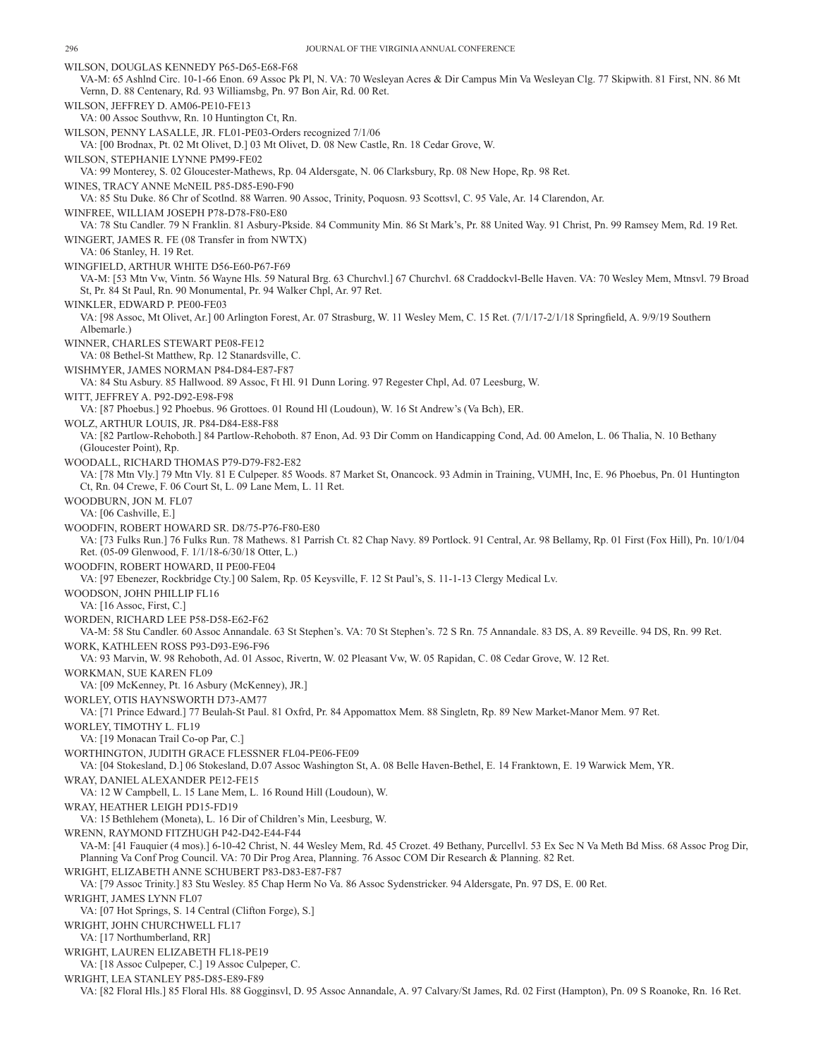WILSON, DOUGLAS KENNEDY P65-D65-E68-F68 VA-M: 65 Ashlnd Circ. 10-1-66 Enon. 69 Assoc Pk Pl, N. VA: 70 Wesleyan Acres & Dir Campus Min Va Wesleyan Clg. 77 Skipwith. 81 First, NN. 86 Mt Vernn, D. 88 Centenary, Rd. 93 Williamsbg, Pn. 97 Bon Air, Rd. 00 Ret. WILSON, JEFFREY D. AM06-PE10-FE13 VA: 00 Assoc Southvw, Rn. 10 Huntington Ct, Rn. WILSON, PENNY LASALLE, JR. FL01-PE03-Orders recognized 7/1/06 VA: [00 Brodnax, Pt. 02 Mt Olivet, D.] 03 Mt Olivet, D. 08 New Castle, Rn. 18 Cedar Grove, W. WILSON, STEPHANIE LYNNE PM99-FE02 VA: 99 Monterey, S. 02 Gloucester-Mathews, Rp. 04 Aldersgate, N. 06 Clarksbury, Rp. 08 New Hope, Rp. 98 Ret. WINES, TRACY ANNE McNEIL P85-D85-E90-F90 VA: 85 Stu Duke. 86 Chr of Scotlnd. 88 Warren. 90 Assoc, Trinity, Poquosn. 93 Scottsvl, C. 95 Vale, Ar. 14 Clarendon, Ar. WINFREE, WILLIAM JOSEPH P78-D78-F80-E80 VA: 78 Stu Candler. 79 N Franklin. 81 Asbury-Pkside. 84 Community Min. 86 St Mark's, Pr. 88 United Way. 91 Christ, Pn. 99 Ramsey Mem, Rd. 19 Ret. WINGERT, JAMES R. FE (08 Transfer in from NWTX) VA: 06 Stanley, H. 19 Ret. WINGFIELD, ARTHUR WHITE D56-E60-P67-F69 VA-M: [53 Mtn Vw, Vintn. 56 Wayne Hls. 59 Natural Brg. 63 Churchvl.] 67 Churchvl. 68 Craddockvl-Belle Haven. VA: 70 Wesley Mem, Mtnsvl. 79 Broad St, Pr. 84 St Paul, Rn. 90 Monumental, Pr. 94 Walker Chpl, Ar. 97 Ret. WINKLER, EDWARD P. PE00-FE03 VA: [98 Assoc, Mt Olivet, Ar.] 00 Arlington Forest, Ar. 07 Strasburg, W. 11 Wesley Mem, C. 15 Ret. (7/1/17-2/1/18 Springfield, A. 9/9/19 Southern Albemarle.) WINNER, CHARLES STEWART PE08-FE12 VA: 08 Bethel-St Matthew, Rp. 12 Stanardsville, C. WISHMYER, JAMES NORMAN P84-D84-E87-F87 VA: 84 Stu Asbury. 85 Hallwood. 89 Assoc, Ft Hl. 91 Dunn Loring. 97 Regester Chpl, Ad. 07 Leesburg, W. WITT, JEFFREY A. P92-D92-E98-F98 VA: [87 Phoebus.] 92 Phoebus. 96 Grottoes. 01 Round Hl (Loudoun), W. 16 St Andrew's (Va Bch), ER. WOLZ, ARTHUR LOUIS, JR. P84-D84-E88-F88 VA: [82 Partlow-Rehoboth.] 84 Partlow-Rehoboth. 87 Enon, Ad. 93 Dir Comm on Handicapping Cond, Ad. 00 Amelon, L. 06 Thalia, N. 10 Bethany (Gloucester Point), Rp. WOODALL, RICHARD THOMAS P79-D79-F82-E82 VA: [78 Mtn Vly.] 79 Mtn Vly. 81 E Culpeper. 85 Woods. 87 Market St, Onancock. 93 Admin in Training, VUMH, Inc, E. 96 Phoebus, Pn. 01 Huntington Ct, Rn. 04 Crewe, F. 06 Court St, L. 09 Lane Mem, L. 11 Ret. WOODBURN, JON M. FL07 VA: [06 Cashville, E.] WOODFIN, ROBERT HOWARD SR. D8/75-P76-F80-E80 VA: [73 Fulks Run.] 76 Fulks Run. 78 Mathews. 81 Parrish Ct. 82 Chap Navy. 89 Portlock. 91 Central, Ar. 98 Bellamy, Rp. 01 First (Fox Hill), Pn. 10/1/04 Ret. (05-09 Glenwood, F. 1/1/18-6/30/18 Otter, L.) WOODFIN, ROBERT HOWARD, II PE00-FE04 VA: [97 Ebenezer, Rockbridge Cty.] 00 Salem, Rp. 05 Keysville, F. 12 St Paul's, S. 11-1-13 Clergy Medical Lv. WOODSON, JOHN PHILLIP FL16 VA: [16 Assoc, First, C.] WORDEN, RICHARD LEE P58-D58-E62-F62 VA-M: 58 Stu Candler. 60 Assoc Annandale. 63 St Stephen's. VA: 70 St Stephen's. 72 S Rn. 75 Annandale. 83 DS, A. 89 Reveille. 94 DS, Rn. 99 Ret. WORK, KATHLEEN ROSS P93-D93-E96-F96 VA: 93 Marvin, W. 98 Rehoboth, Ad. 01 Assoc, Rivertn, W. 02 Pleasant Vw, W. 05 Rapidan, C. 08 Cedar Grove, W. 12 Ret. WORKMAN, SUE KAREN FL09 VA: [09 McKenney, Pt. 16 Asbury (McKenney), JR.] WORLEY, OTIS HAYNSWORTH D73-AM77 VA: [71 Prince Edward.] 77 Beulah-St Paul. 81 Oxfrd, Pr. 84 Appomattox Mem. 88 Singletn, Rp. 89 New Market-Manor Mem. 97 Ret. WORLEY, TIMOTHY L. FL19 VA: [19 Monacan Trail Co-op Par, C.] WORTHINGTON, JUDITH GRACE FLESSNER FL04-PE06-FE09 VA: [04 Stokesland, D.] 06 Stokesland, D.07 Assoc Washington St, A. 08 Belle Haven-Bethel, E. 14 Franktown, E. 19 Warwick Mem, YR. WRAY, DANIEL ALEXANDER PE12-FE15 VA: 12 W Campbell, L. 15 Lane Mem, L. 16 Round Hill (Loudoun), W. WRAY, HEATHER LEIGH PD15-FD19 VA: 15Bethlehem (Moneta), L. 16 Dir of Children's Min, Leesburg, W. WRENN, RAYMOND FITZHUGH P42-D42-E44-F44 VA-M: [41 Fauquier (4 mos).] 6-10-42 Christ, N. 44 Wesley Mem, Rd. 45 Crozet. 49 Bethany, Purcellvl. 53 Ex Sec N Va Meth Bd Miss. 68 Assoc Prog Dir, Planning Va Conf Prog Council. VA: 70 Dir Prog Area, Planning. 76 Assoc COM Dir Research & Planning. 82 Ret. WRIGHT, ELIZABETH ANNE SCHUBERT P83-D83-E87-F87 VA: [79 Assoc Trinity.] 83 Stu Wesley. 85 Chap Herm No Va. 86 Assoc Sydenstricker. 94 Aldersgate, Pn. 97 DS, E. 00 Ret. WRIGHT, JAMES LYNN FL07 VA: [07 Hot Springs, S. 14 Central (Clifton Forge), S.] WRIGHT, JOHN CHURCHWELL FL17 VA: [17 Northumberland, RR] WRIGHT, LAUREN ELIZABETH FL18-PE19 VA: [18 Assoc Culpeper, C.] 19 Assoc Culpeper, C. WRIGHT, LEA STANLEY P85-D85-E89-F89 VA: [82 Floral Hls.] 85 Floral Hls. 88 Gogginsvl, D. 95 Assoc Annandale, A. 97 Calvary/St James, Rd. 02 First (Hampton), Pn. 09 S Roanoke, Rn. 16 Ret.